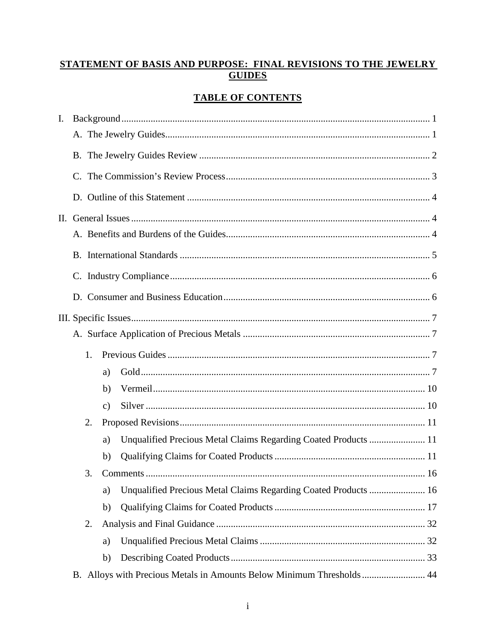# STATEMENT OF BASIS AND PURPOSE: FINAL REVISIONS TO THE JEWELRY **GUIDES**

# **TABLE OF CONTENTS**

| I. |    |               |                                                                       |  |
|----|----|---------------|-----------------------------------------------------------------------|--|
|    |    |               |                                                                       |  |
|    |    |               |                                                                       |  |
|    |    |               |                                                                       |  |
|    |    |               |                                                                       |  |
|    |    |               |                                                                       |  |
|    |    |               |                                                                       |  |
|    |    |               |                                                                       |  |
|    |    |               |                                                                       |  |
|    |    |               |                                                                       |  |
|    |    |               |                                                                       |  |
|    |    |               |                                                                       |  |
|    | 1. |               |                                                                       |  |
|    |    | a)            |                                                                       |  |
|    |    | b)            |                                                                       |  |
|    |    | $\mathbf{c})$ |                                                                       |  |
|    | 2. |               |                                                                       |  |
|    |    | a)            | Unqualified Precious Metal Claims Regarding Coated Products  11       |  |
|    |    | b)            |                                                                       |  |
|    | 3. |               |                                                                       |  |
|    |    | a)            | Unqualified Precious Metal Claims Regarding Coated Products  16       |  |
|    |    | b)            |                                                                       |  |
|    | 2. |               |                                                                       |  |
|    |    | a)            |                                                                       |  |
|    |    | b)            |                                                                       |  |
|    |    |               | B. Alloys with Precious Metals in Amounts Below Minimum Thresholds 44 |  |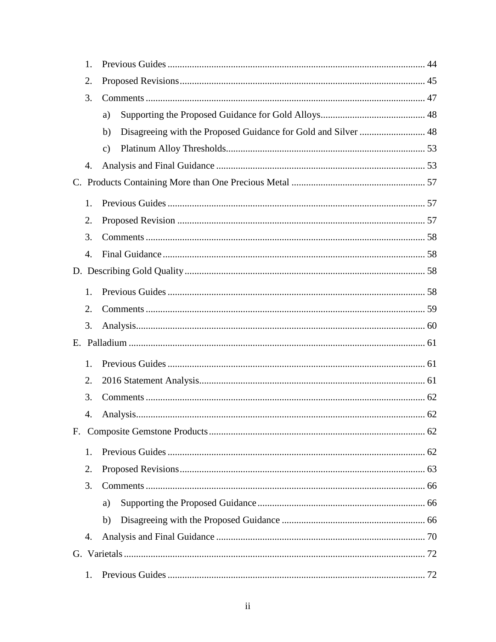| 1.               |                |  |
|------------------|----------------|--|
| 2.               |                |  |
| 3.               |                |  |
|                  | a)             |  |
|                  | b)             |  |
|                  | $\mathbf{c}$ ) |  |
| 4.               |                |  |
|                  |                |  |
| 1.               |                |  |
| 2.               |                |  |
| 3.               |                |  |
| $\overline{4}$ . |                |  |
|                  |                |  |
| 1.               |                |  |
| 2.               |                |  |
| 3.               |                |  |
|                  |                |  |
| 1.               |                |  |
| 2.               |                |  |
| 3.               |                |  |
| 4.               |                |  |
|                  |                |  |
| 1.               |                |  |
| 2.               |                |  |
| 3.               |                |  |
|                  | a)             |  |
|                  | b)             |  |
| 4.               |                |  |
|                  |                |  |
| 1.               |                |  |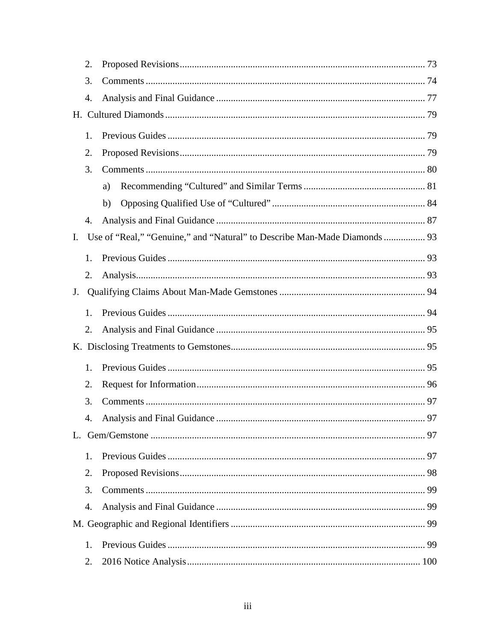|                | 2.               |    |  |
|----------------|------------------|----|--|
|                | 3.               |    |  |
|                | 4.               |    |  |
|                |                  |    |  |
|                | 1.               |    |  |
|                | 2.               |    |  |
|                | 3.               |    |  |
|                |                  | a) |  |
|                |                  | b) |  |
|                | 4.               |    |  |
| $\mathbf{I}$ . |                  |    |  |
|                | 1.               |    |  |
|                | 2.               |    |  |
| J.             |                  |    |  |
|                | 1.               |    |  |
|                | 2.               |    |  |
|                |                  |    |  |
|                | 1.               |    |  |
|                |                  |    |  |
|                | 2.<br>3.         |    |  |
|                |                  |    |  |
|                | $\overline{4}$ . |    |  |
|                |                  |    |  |
|                | 1.               |    |  |
|                | 2.               |    |  |
|                | 3.               |    |  |
|                | 4.               |    |  |
|                |                  |    |  |
|                | 1.               |    |  |
|                | 2.               |    |  |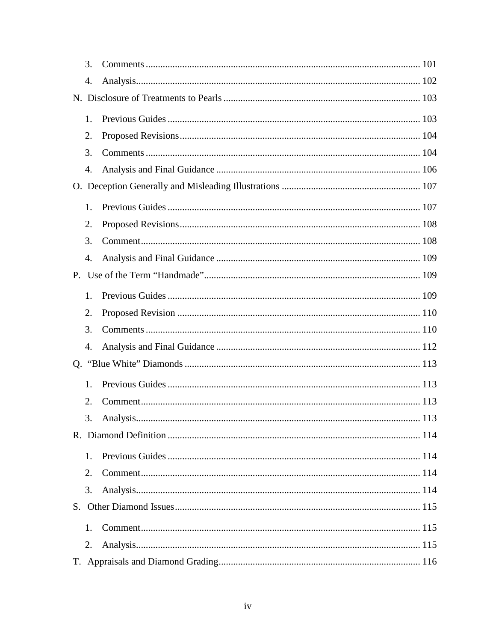| 3. |  |
|----|--|
| 4. |  |
|    |  |
| 1. |  |
| 2. |  |
| 3. |  |
| 4. |  |
|    |  |
| 1. |  |
| 2. |  |
| 3. |  |
| 4. |  |
|    |  |
| 1. |  |
| 2. |  |
| 3. |  |
| 4. |  |
|    |  |
| 1. |  |
| 2. |  |
| 3. |  |
|    |  |
| 1. |  |
| 2. |  |
| 3. |  |
|    |  |
| 1. |  |
| 2. |  |
|    |  |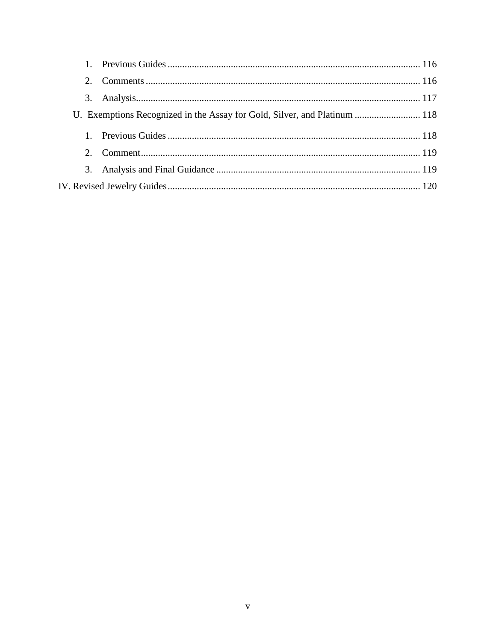| $2^{\circ}$ |                                                                           |  |
|-------------|---------------------------------------------------------------------------|--|
|             |                                                                           |  |
|             | U. Exemptions Recognized in the Assay for Gold, Silver, and Platinum  118 |  |
|             |                                                                           |  |
| $2^{\circ}$ |                                                                           |  |
|             |                                                                           |  |
|             |                                                                           |  |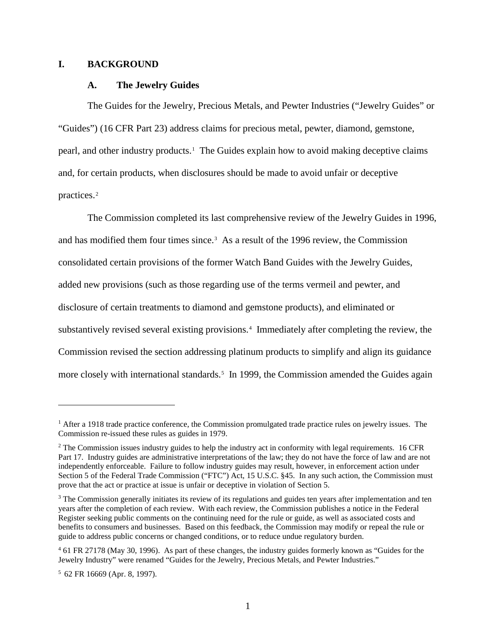### <span id="page-6-1"></span><span id="page-6-0"></span>**I. BACKGROUND**

#### **A. The Jewelry Guides**

The Guides for the Jewelry, Precious Metals, and Pewter Industries ("Jewelry Guides" or "Guides") (16 CFR Part 23) address claims for precious metal, pewter, diamond, gemstone, pearl, and other industry products.[1](#page-6-2) The Guides explain how to avoid making deceptive claims and, for certain products, when disclosures should be made to avoid unfair or deceptive practices.<sup>[2](#page-6-3)</sup>

The Commission completed its last comprehensive review of the Jewelry Guides in 1996, and has modified them four times since.<sup>[3](#page-6-4)</sup> As a result of the 1996 review, the Commission consolidated certain provisions of the former Watch Band Guides with the Jewelry Guides, added new provisions (such as those regarding use of the terms vermeil and pewter, and disclosure of certain treatments to diamond and gemstone products), and eliminated or substantively revised several existing provisions.<sup>[4](#page-6-5)</sup> Immediately after completing the review, the Commission revised the section addressing platinum products to simplify and align its guidance more closely with international standards.<sup>[5](#page-6-6)</sup> In 1999, the Commission amended the Guides again

<span id="page-6-2"></span><sup>&</sup>lt;sup>1</sup> After a 1918 trade practice conference, the Commission promulgated trade practice rules on jewelry issues. The Commission re-issued these rules as guides in 1979.

<span id="page-6-3"></span><sup>&</sup>lt;sup>2</sup> The Commission issues industry guides to help the industry act in conformity with legal requirements. 16 CFR Part 17. Industry guides are administrative interpretations of the law; they do not have the force of law and are not independently enforceable. Failure to follow industry guides may result, however, in enforcement action under Section 5 of the Federal Trade Commission ("FTC") Act, 15 U.S.C. §45. In any such action, the Commission must prove that the act or practice at issue is unfair or deceptive in violation of Section 5.

<span id="page-6-4"></span><sup>&</sup>lt;sup>3</sup> The Commission generally initiates its review of its regulations and guides ten years after implementation and ten years after the completion of each review. With each review, the Commission publishes a notice in the Federal Register seeking public comments on the continuing need for the rule or guide, as well as associated costs and benefits to consumers and businesses. Based on this feedback, the Commission may modify or repeal the rule or guide to address public concerns or changed conditions, or to reduce undue regulatory burden.

<span id="page-6-5"></span><sup>4</sup> 61 FR 27178 (May 30, 1996). As part of these changes, the industry guides formerly known as "Guides for the Jewelry Industry" were renamed "Guides for the Jewelry, Precious Metals, and Pewter Industries."

<span id="page-6-6"></span> $5$  62 FR 16669 (Apr. 8, 1997).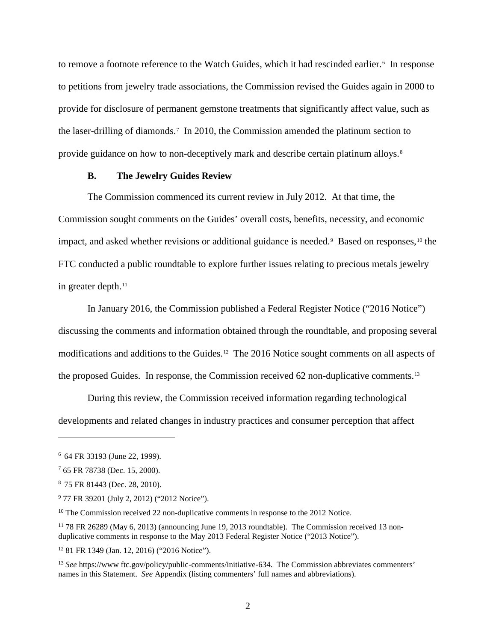to remove a footnote reference to the Watch Guides, which it had rescinded earlier.<sup>[6](#page-7-1)</sup> In response to petitions from jewelry trade associations, the Commission revised the Guides again in 2000 to provide for disclosure of permanent gemstone treatments that significantly affect value, such as the laser-drilling of diamonds.[7](#page-7-2) In 2010, the Commission amended the platinum section to provide guidance on how to non-deceptively mark and describe certain platinum alloys.<sup>[8](#page-7-3)</sup>

### **B. The Jewelry Guides Review**

<span id="page-7-0"></span>The Commission commenced its current review in July 2012. At that time, the Commission sought comments on the Guides' overall costs, benefits, necessity, and economic impact, and asked whether revisions or additional guidance is needed.<sup>[9](#page-7-4)</sup> Based on responses,<sup>[10](#page-7-5)</sup> the FTC conducted a public roundtable to explore further issues relating to precious metals jewelry in greater depth.<sup>[11](#page-7-6)</sup>

In January 2016, the Commission published a Federal Register Notice ("2016 Notice") discussing the comments and information obtained through the roundtable, and proposing several modifications and additions to the Guides.<sup>[12](#page-7-7)</sup> The 2016 Notice sought comments on all aspects of the proposed Guides. In response, the Commission received 62 non-duplicative comments.[13](#page-7-8)

During this review, the Commission received information regarding technological developments and related changes in industry practices and consumer perception that affect

<span id="page-7-1"></span><sup>6 64</sup> FR 33193 (June 22, 1999).

<span id="page-7-2"></span><sup>7</sup> 65 FR 78738 (Dec. 15, 2000).

<span id="page-7-3"></span><sup>8 75</sup> FR 81443 (Dec. 28, 2010).

<span id="page-7-4"></span><sup>&</sup>lt;sup>9</sup> 77 FR 39201 (July 2, 2012) ("2012 Notice").

<span id="page-7-5"></span><sup>&</sup>lt;sup>10</sup> The Commission received 22 non-duplicative comments in response to the 2012 Notice.

<span id="page-7-6"></span><sup>&</sup>lt;sup>11</sup> 78 FR 26289 (May 6, 2013) (announcing June 19, 2013 roundtable). The Commission received 13 nonduplicative comments in response to the May 2013 Federal Register Notice ("2013 Notice").

<span id="page-7-7"></span><sup>12</sup> 81 FR 1349 (Jan. 12, 2016) ("2016 Notice").

<span id="page-7-8"></span><sup>&</sup>lt;sup>13</sup> *See* https://www.ftc.gov/policy/public-comments/initiative-634. The Commission abbreviates commenters' names in this Statement. *See* Appendix (listing commenters' full names and abbreviations).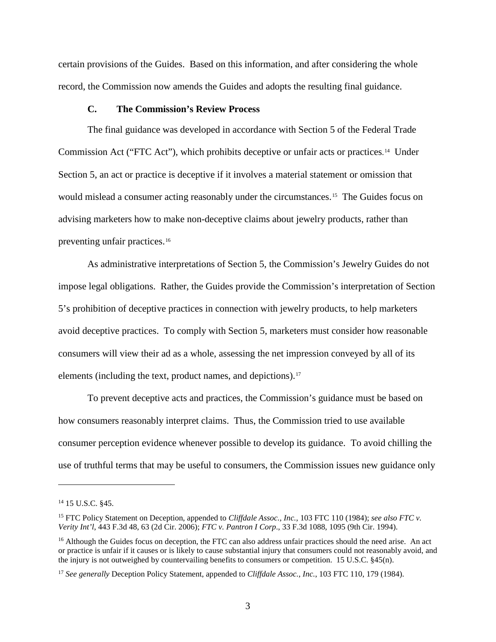certain provisions of the Guides. Based on this information, and after considering the whole record, the Commission now amends the Guides and adopts the resulting final guidance.

# **C. The Commission's Review Process**

<span id="page-8-0"></span>The final guidance was developed in accordance with Section 5 of the Federal Trade Commission Act ("FTC Act"), which prohibits deceptive or unfair acts or practices. [14](#page-8-1) Under Section 5, an act or practice is deceptive if it involves a material statement or omission that would mislead a consumer acting reasonably under the circumstances.[15](#page-8-2) The Guides focus on advising marketers how to make non-deceptive claims about jewelry products, rather than preventing unfair practices.[16](#page-8-3) 

As administrative interpretations of Section 5, the Commission's Jewelry Guides do not impose legal obligations. Rather, the Guides provide the Commission's interpretation of Section 5's prohibition of deceptive practices in connection with jewelry products, to help marketers avoid deceptive practices. To comply with Section 5, marketers must consider how reasonable consumers will view their ad as a whole, assessing the net impression conveyed by all of its elements (including the text, product names, and depictions).<sup>17</sup>

To prevent deceptive acts and practices, the Commission's guidance must be based on how consumers reasonably interpret claims. Thus, the Commission tried to use available consumer perception evidence whenever possible to develop its guidance. To avoid chilling the use of truthful terms that may be useful to consumers, the Commission issues new guidance only

<span id="page-8-1"></span><sup>&</sup>lt;sup>14</sup> 15 U.S.C. §45.

<span id="page-8-2"></span><sup>15</sup> FTC Policy Statement on Deception, appended to *Cliffdale Assoc., Inc.*, 103 FTC 110 (1984); *see also FTC v. Verity Int'l*, 443 F.3d 48, 63 (2d Cir. 2006); *FTC v. Pantron I Corp*., 33 F.3d 1088, 1095 (9th Cir. 1994).

<span id="page-8-3"></span><sup>&</sup>lt;sup>16</sup> Although the Guides focus on deception, the FTC can also address unfair practices should the need arise. An act or practice is unfair if it causes or is likely to cause substantial injury that consumers could not reasonably avoid, and the injury is not outweighed by countervailing benefits to consumers or competition. 15 U.S.C. §45(n).

<span id="page-8-4"></span><sup>17</sup> *See generally* Deception Policy Statement, appended to *Cliffdale Assoc., Inc.*, 103 FTC 110, 179 (1984).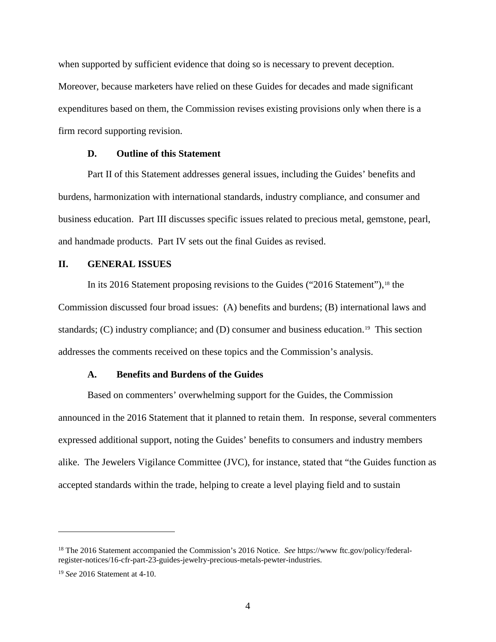when supported by sufficient evidence that doing so is necessary to prevent deception. Moreover, because marketers have relied on these Guides for decades and made significant expenditures based on them, the Commission revises existing provisions only when there is a firm record supporting revision.

# **D. Outline of this Statement**

<span id="page-9-0"></span>Part II of this Statement addresses general issues, including the Guides' benefits and burdens, harmonization with international standards, industry compliance, and consumer and business education. Part III discusses specific issues related to precious metal, gemstone, pearl, and handmade products. Part IV sets out the final Guides as revised.

# <span id="page-9-1"></span>**II. GENERAL ISSUES**

In its 2016 Statement proposing revisions to the Guides ("2016 Statement"), $18$  the Commission discussed four broad issues: (A) benefits and burdens; (B) international laws and standards; (C) industry compliance; and (D) consumer and business education.<sup>19</sup> This section addresses the comments received on these topics and the Commission's analysis.

# **A. Benefits and Burdens of the Guides**

<span id="page-9-2"></span>Based on commenters' overwhelming support for the Guides, the Commission announced in the 2016 Statement that it planned to retain them. In response, several commenters expressed additional support, noting the Guides' benefits to consumers and industry members alike. The Jewelers Vigilance Committee (JVC), for instance, stated that "the Guides function as accepted standards within the trade, helping to create a level playing field and to sustain

<span id="page-9-3"></span><sup>18</sup> The 2016 Statement accompanied the Commission's 2016 Notice. *See* https://www ftc.gov/policy/federalregister-notices/16-cfr-part-23-guides-jewelry-precious-metals-pewter-industries.

<span id="page-9-4"></span><sup>19</sup> *See* 2016 Statement at 4-10.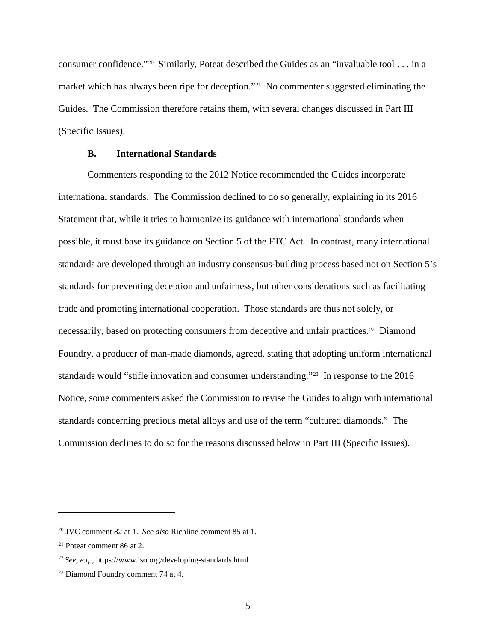consumer confidence."[20](#page-10-1) Similarly, Poteat described the Guides as an "invaluable tool . . . in a market which has always been ripe for deception."[21](#page-10-2) No commenter suggested eliminating the Guides. The Commission therefore retains them, with several changes discussed in Part III (Specific Issues).

# **B. International Standards**

<span id="page-10-0"></span>Commenters responding to the 2012 Notice recommended the Guides incorporate international standards. The Commission declined to do so generally, explaining in its 2016 Statement that, while it tries to harmonize its guidance with international standards when possible, it must base its guidance on Section 5 of the FTC Act. In contrast, many international standards are developed through an industry consensus-building process based not on Section 5's standards for preventing deception and unfairness, but other considerations such as facilitating trade and promoting international cooperation. Those standards are thus not solely, or necessarily, based on protecting consumers from deceptive and unfair practices.<sup>[22](#page-10-3)</sup> Diamond Foundry, a producer of man-made diamonds, agreed, stating that adopting uniform international standards would "stifle innovation and consumer understanding."<sup>[23](#page-10-4)</sup> In response to the 2016 Notice, some commenters asked the Commission to revise the Guides to align with international standards concerning precious metal alloys and use of the term "cultured diamonds." The Commission declines to do so for the reasons discussed below in Part III (Specific Issues).

<span id="page-10-1"></span><sup>20</sup> JVC comment 82 at 1. *See also* Richline comment 85 at 1.

<span id="page-10-2"></span><sup>21</sup> Poteat comment 86 at 2.

<span id="page-10-3"></span><sup>22</sup> *See, e.g.,* https://www.iso.org/developing-standards.html

<span id="page-10-4"></span><sup>&</sup>lt;sup>23</sup> Diamond Foundry comment 74 at 4.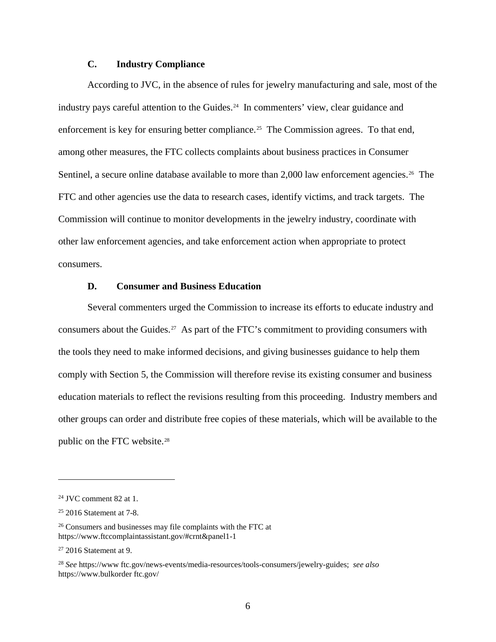# **C. Industry Compliance**

<span id="page-11-0"></span>According to JVC, in the absence of rules for jewelry manufacturing and sale, most of the industry pays careful attention to the Guides.<sup>24</sup> In commenters' view, clear guidance and enforcement is key for ensuring better compliance.<sup>[25](#page-11-3)</sup> The Commission agrees. To that end, among other measures, the FTC collects complaints about business practices in Consumer Sentinel, a secure online database available to more than 2,000 law enforcement agencies.<sup>[26](#page-11-4)</sup> The FTC and other agencies use the data to research cases, identify victims, and track targets. The Commission will continue to monitor developments in the jewelry industry, coordinate with other law enforcement agencies, and take enforcement action when appropriate to protect consumers.

# **D. Consumer and Business Education**

<span id="page-11-1"></span>Several commenters urged the Commission to increase its efforts to educate industry and consumers about the Guides.[27](#page-11-5) As part of the FTC's commitment to providing consumers with the tools they need to make informed decisions, and giving businesses guidance to help them comply with Section 5, the Commission will therefore revise its existing consumer and business education materials to reflect the revisions resulting from this proceeding. Industry members and other groups can order and distribute free copies of these materials, which will be available to the public on the FTC website.<sup>[28](#page-11-6)</sup>

<span id="page-11-2"></span> $24$  JVC comment 82 at 1.

<span id="page-11-3"></span><sup>25</sup> 2016 Statement at 7-8.

<span id="page-11-4"></span><sup>26</sup> Consumers and businesses may file complaints with the FTC at https://www.ftccomplaintassistant.gov/#crnt&panel1-1

<span id="page-11-5"></span> $27$  2016 Statement at 9.

<span id="page-11-6"></span><sup>28</sup> *See* [https://www ftc.gov/news-events/media-resources/tools-consumers/jewelry-guides;](https://www.ftc.gov/news-events/media-resources/tools-consumers/jewelry-guides) *see also* https://www.bulkorder ftc.gov/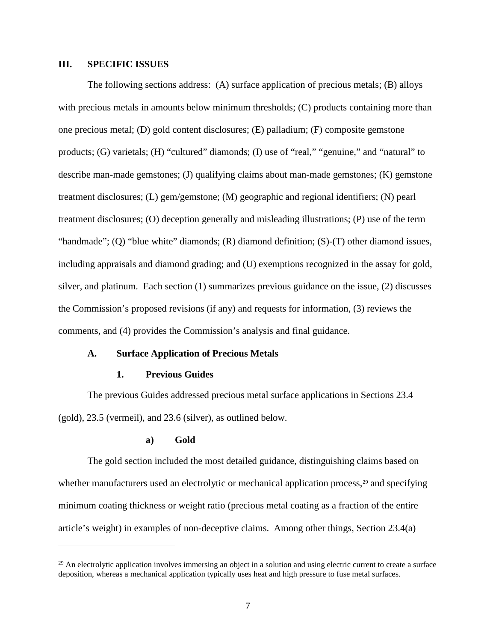# <span id="page-12-0"></span>**III. SPECIFIC ISSUES**

The following sections address: (A) surface application of precious metals; (B) alloys with precious metals in amounts below minimum thresholds; (C) products containing more than one precious metal; (D) gold content disclosures; (E) palladium; (F) composite gemstone products; (G) varietals; (H) "cultured" diamonds; (I) use of "real," "genuine," and "natural" to describe man-made gemstones; (J) qualifying claims about man-made gemstones; (K) gemstone treatment disclosures; (L) gem/gemstone; (M) geographic and regional identifiers; (N) pearl treatment disclosures; (O) deception generally and misleading illustrations; (P) use of the term "handmade"; (Q) "blue white" diamonds; (R) diamond definition; (S)-(T) other diamond issues, including appraisals and diamond grading; and (U) exemptions recognized in the assay for gold, silver, and platinum. Each section (1) summarizes previous guidance on the issue, (2) discusses the Commission's proposed revisions (if any) and requests for information, (3) reviews the comments, and (4) provides the Commission's analysis and final guidance.

#### <span id="page-12-1"></span>**A. Surface Application of Precious Metals**

### **1. Previous Guides**

<span id="page-12-2"></span>The previous Guides addressed precious metal surface applications in Sections 23.4 (gold), 23.5 (vermeil), and 23.6 (silver), as outlined below.

#### **a) Gold**

 $\overline{a}$ 

<span id="page-12-3"></span>The gold section included the most detailed guidance, distinguishing claims based on whether manufacturers used an electrolytic or mechanical application process, $2<sup>9</sup>$  and specifying minimum coating thickness or weight ratio (precious metal coating as a fraction of the entire article's weight) in examples of non-deceptive claims. Among other things, Section 23.4(a)

<span id="page-12-4"></span> $^{29}$  An electrolytic application involves immersing an object in a solution and using electric current to create a surface deposition, whereas a mechanical application typically uses heat and high pressure to fuse metal surfaces.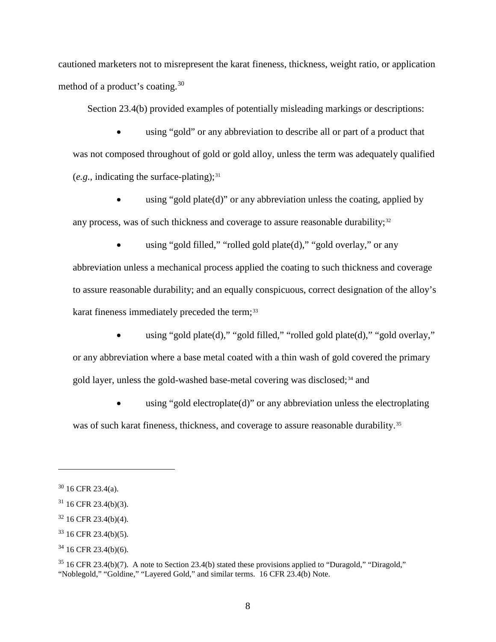cautioned marketers not to misrepresent the karat fineness, thickness, weight ratio, or application method of a product's coating.[30](#page-13-0) 

Section 23.4(b) provided examples of potentially misleading markings or descriptions:

• using "gold" or any abbreviation to describe all or part of a product that was not composed throughout of gold or gold alloy, unless the term was adequately qualified  $(e.g., indicating the surface-plating);$ <sup>[31](#page-13-1)</sup>

using "gold plate $(d)$ " or any abbreviation unless the coating, applied by any process, was of such thickness and coverage to assure reasonable durability;<sup>[32](#page-13-2)</sup>

• using "gold filled," "rolled gold plate(d)," "gold overlay," or any abbreviation unless a mechanical process applied the coating to such thickness and coverage to assure reasonable durability; and an equally conspicuous, correct designation of the alloy's karat fineness immediately preceded the term;<sup>[33](#page-13-3)</sup>

• using "gold plate(d)," "gold filled," "rolled gold plate(d)," "gold overlay," or any abbreviation where a base metal coated with a thin wash of gold covered the primary gold layer, unless the gold-washed base-metal covering was disclosed;<sup>[34](#page-13-4)</sup> and

using "gold electroplate $(d)$ " or any abbreviation unless the electroplating was of such karat fineness, thickness, and coverage to assure reasonable durability.<sup>35</sup>

<span id="page-13-0"></span> $30$  16 CFR 23.4(a).

<span id="page-13-1"></span><sup>31</sup> 16 CFR 23.4(b)(3).

<span id="page-13-2"></span><sup>32</sup> 16 CFR 23.4(b)(4).

<span id="page-13-3"></span> $33$  16 CFR 23.4(b)(5).

<span id="page-13-4"></span><sup>34</sup> 16 CFR 23.4(b)(6).

<span id="page-13-5"></span><sup>35</sup> 16 CFR 23.4(b)(7). A note to Section 23.4(b) stated these provisions applied to "Duragold," "Diragold," "Noblegold," "Goldine," "Layered Gold," and similar terms. 16 CFR 23.4(b) Note.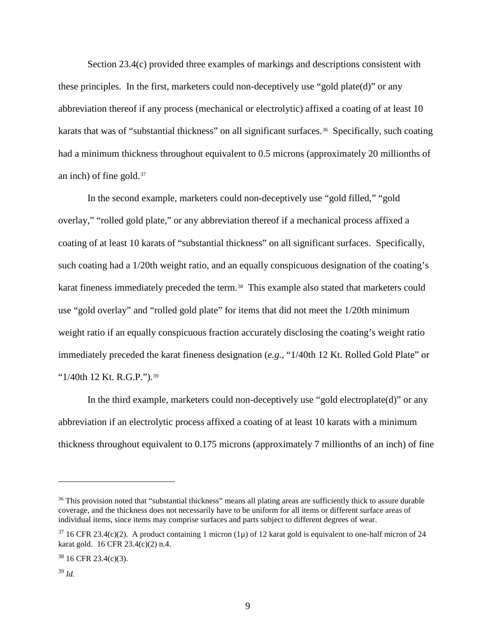Section 23.4(c) provided three examples of markings and descriptions consistent with these principles. In the first, marketers could non-deceptively use "gold plate(d)" or any abbreviation thereof if any process (mechanical or electrolytic) affixed a coating of at least 10 karats that was of "substantial thickness" on all significant surfaces.<sup>36</sup> Specifically, such coating had a minimum thickness throughout equivalent to 0.5 microns (approximately 20 millionths of an inch) of fine gold.[37](#page-14-1)

In the second example, marketers could non-deceptively use "gold filled," "gold overlay," "rolled gold plate," or any abbreviation thereof if a mechanical process affixed a coating of at least 10 karats of "substantial thickness" on all significant surfaces. Specifically, such coating had a 1/20th weight ratio, and an equally conspicuous designation of the coating's karat fineness immediately preceded the term.<sup>[38](#page-14-2)</sup> This example also stated that marketers could use "gold overlay" and "rolled gold plate" for items that did not meet the 1/20th minimum weight ratio if an equally conspicuous fraction accurately disclosing the coating's weight ratio immediately preceded the karat fineness designation (*e.g.*, "1/40th 12 Kt. Rolled Gold Plate" or "1/40th 12 Kt. R.G.P.").<sup>39</sup>

In the third example, marketers could non-deceptively use "gold electroplate(d)" or any abbreviation if an electrolytic process affixed a coating of at least 10 karats with a minimum thickness throughout equivalent to 0.175 microns (approximately 7 millionths of an inch) of fine

<span id="page-14-0"></span><sup>&</sup>lt;sup>36</sup> This provision noted that "substantial thickness" means all plating areas are sufficiently thick to assure durable coverage, and the thickness does not necessarily have to be uniform for all items or different surface areas of individual items, since items may comprise surfaces and parts subject to different degrees of wear.

<span id="page-14-1"></span> $37$  16 CFR 23.4(c)(2). A product containing 1 micron (1µ) of 12 karat gold is equivalent to one-half micron of 24 karat gold. 16 CFR 23.4(c)(2) n.4.

<span id="page-14-2"></span> $38$  16 CFR 23.4(c)(3).

<span id="page-14-3"></span><sup>39</sup> *Id.*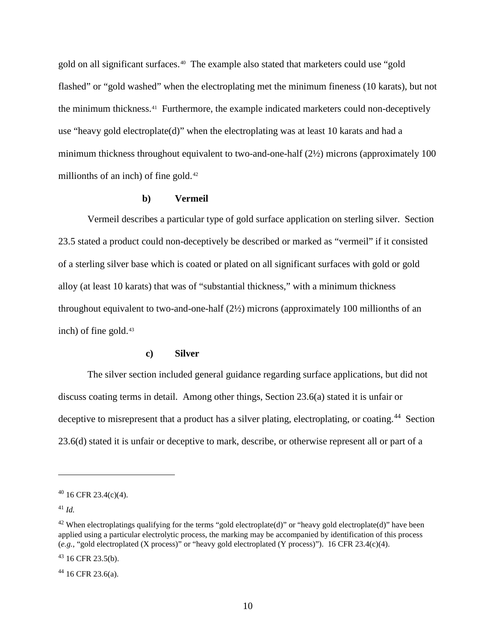gold on all significant surfaces.<sup>[40](#page-15-2)</sup> The example also stated that marketers could use "gold flashed" or "gold washed" when the electroplating met the minimum fineness (10 karats), but not the minimum thickness.[41](#page-15-3) Furthermore, the example indicated marketers could non-deceptively use "heavy gold electroplate(d)" when the electroplating was at least 10 karats and had a minimum thickness throughout equivalent to two-and-one-half (2½) microns (approximately 100 millionths of an inch) of fine gold.<sup>42</sup>

# **b) Vermeil**

<span id="page-15-0"></span>Vermeil describes a particular type of gold surface application on sterling silver. Section 23.5 stated a product could non-deceptively be described or marked as "vermeil" if it consisted of a sterling silver base which is coated or plated on all significant surfaces with gold or gold alloy (at least 10 karats) that was of "substantial thickness," with a minimum thickness throughout equivalent to two-and-one-half (2½) microns (approximately 100 millionths of an inch) of fine gold.<sup>43</sup>

### **c) Silver**

<span id="page-15-1"></span>The silver section included general guidance regarding surface applications, but did not discuss coating terms in detail. Among other things, Section 23.6(a) stated it is unfair or deceptive to misrepresent that a product has a silver plating, electroplating, or coating.<sup>44</sup> Section 23.6(d) stated it is unfair or deceptive to mark, describe, or otherwise represent all or part of a

 $\overline{a}$ 

<span id="page-15-6"></span> $44$  16 CFR 23.6(a).

<span id="page-15-2"></span> $40$  16 CFR 23.4(c)(4).

<span id="page-15-3"></span><sup>41</sup> *Id.*

<span id="page-15-4"></span><sup>&</sup>lt;sup>42</sup> When electroplatings qualifying for the terms "gold electroplate(d)" or "heavy gold electroplate(d)" have been applied using a particular electrolytic process, the marking may be accompanied by identification of this process (*e.g.*, "gold electroplated (X process)" or "heavy gold electroplated (Y process)"). 16 CFR 23.4(c)(4).

<span id="page-15-5"></span> $43$  16 CFR 23.5(b).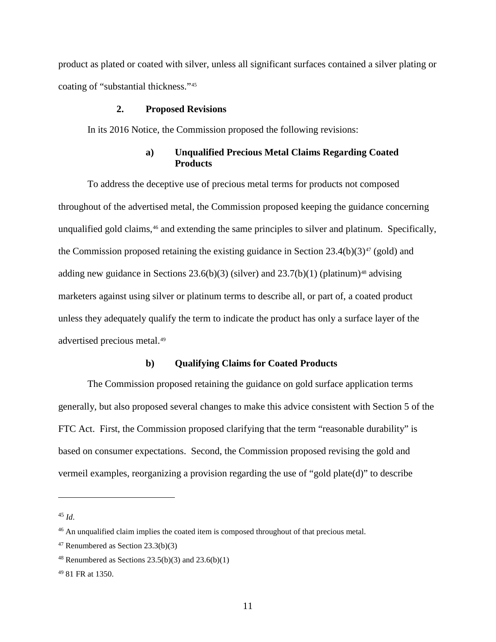product as plated or coated with silver, unless all significant surfaces contained a silver plating or coating of "substantial thickness."[45](#page-16-3)

# **2. Proposed Revisions**

<span id="page-16-0"></span>In its 2016 Notice, the Commission proposed the following revisions:

# **a) Unqualified Precious Metal Claims Regarding Coated Products**

<span id="page-16-1"></span>To address the deceptive use of precious metal terms for products not composed throughout of the advertised metal, the Commission proposed keeping the guidance concerning unqualified gold claims,<sup>[46](#page-16-4)</sup> and extending the same principles to silver and platinum. Specifically, the Commission proposed retaining the existing guidance in Section  $23.4(b)(3)^{47}$  $23.4(b)(3)^{47}$  $23.4(b)(3)^{47}$  (gold) and adding new guidance in Sections  $23.6(b)(3)$  (silver) and  $23.7(b)(1)$  (platinum)<sup>[48](#page-16-6)</sup> advising marketers against using silver or platinum terms to describe all, or part of, a coated product unless they adequately qualify the term to indicate the product has only a surface layer of the advertised precious metal.[49](#page-16-7)

# **b) Qualifying Claims for Coated Products**

<span id="page-16-2"></span>The Commission proposed retaining the guidance on gold surface application terms generally, but also proposed several changes to make this advice consistent with Section 5 of the FTC Act. First, the Commission proposed clarifying that the term "reasonable durability" is based on consumer expectations. Second, the Commission proposed revising the gold and vermeil examples, reorganizing a provision regarding the use of "gold plate(d)" to describe

<span id="page-16-3"></span><sup>45</sup> *Id*.

<span id="page-16-4"></span><sup>&</sup>lt;sup>46</sup> An unqualified claim implies the coated item is composed throughout of that precious metal.

<span id="page-16-5"></span><sup>47</sup> Renumbered as Section 23.3(b)(3)

<span id="page-16-6"></span><sup>&</sup>lt;sup>48</sup> Renumbered as Sections  $23.5(b)(3)$  and  $23.6(b)(1)$ 

<span id="page-16-7"></span><sup>49</sup> 81 FR at 1350.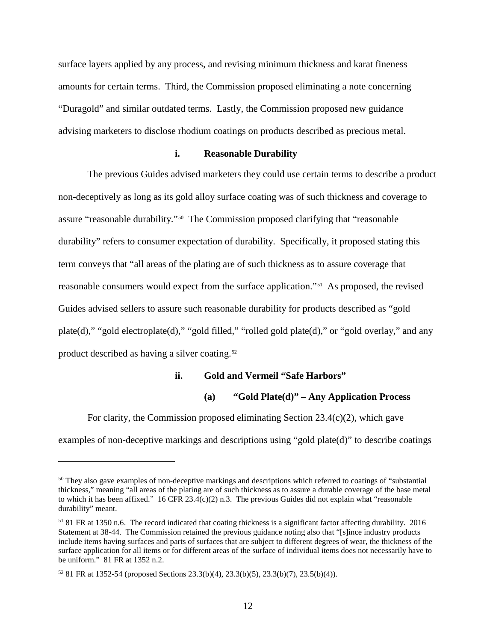surface layers applied by any process, and revising minimum thickness and karat fineness amounts for certain terms. Third, the Commission proposed eliminating a note concerning "Duragold" and similar outdated terms. Lastly, the Commission proposed new guidance advising marketers to disclose rhodium coatings on products described as precious metal.

### **i. Reasonable Durability**

The previous Guides advised marketers they could use certain terms to describe a product non-deceptively as long as its gold alloy surface coating was of such thickness and coverage to assure "reasonable durability."[50](#page-17-0) The Commission proposed clarifying that "reasonable durability" refers to consumer expectation of durability. Specifically, it proposed stating this term conveys that "all areas of the plating are of such thickness as to assure coverage that reasonable consumers would expect from the surface application."[51](#page-17-1) As proposed, the revised Guides advised sellers to assure such reasonable durability for products described as "gold plate(d)," "gold electroplate(d)," "gold filled," "rolled gold plate(d)," or "gold overlay," and any product described as having a silver coating.[52](#page-17-2) 

# **ii. Gold and Vermeil "Safe Harbors"**

# **(a) "Gold Plate(d)" – Any Application Process**

For clarity, the Commission proposed eliminating Section  $23.4(c)(2)$ , which gave

examples of non-deceptive markings and descriptions using "gold plate(d)" to describe coatings

<span id="page-17-0"></span><sup>&</sup>lt;sup>50</sup> They also gave examples of non-deceptive markings and descriptions which referred to coatings of "substantial" thickness," meaning "all areas of the plating are of such thickness as to assure a durable coverage of the base metal to which it has been affixed."  $16$  CFR 23.4(c)(2) n.3. The previous Guides did not explain what "reasonable" durability" meant.

<span id="page-17-1"></span><sup>51</sup> 81 FR at 1350 n.6. The record indicated that coating thickness is a significant factor affecting durability. 2016 Statement at 38-44. The Commission retained the previous guidance noting also that "[s]ince industry products include items having surfaces and parts of surfaces that are subject to different degrees of wear, the thickness of the surface application for all items or for different areas of the surface of individual items does not necessarily have to be uniform." 81 FR at 1352 n.2.

<span id="page-17-2"></span><sup>52</sup> 81 FR at 1352-54 (proposed Sections 23.3(b)(4), 23.3(b)(5), 23.3(b)(7), 23.5(b)(4)).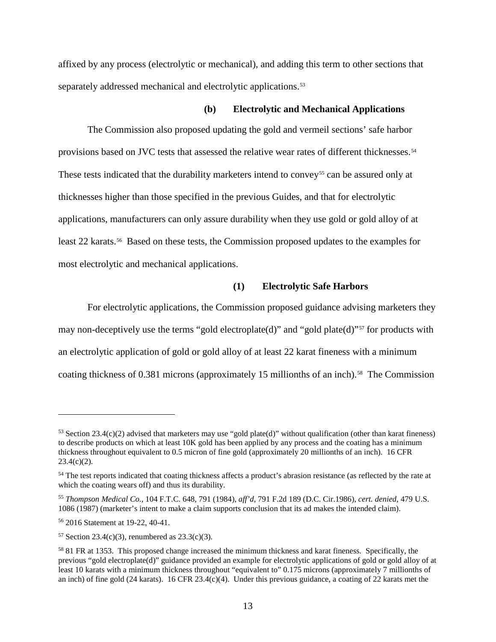affixed by any process (electrolytic or mechanical), and adding this term to other sections that separately addressed mechanical and electrolytic applications.<sup>[53](#page-18-0)</sup>

#### **(b) Electrolytic and Mechanical Applications**

The Commission also proposed updating the gold and vermeil sections' safe harbor provisions based on JVC tests that assessed the relative wear rates of different thicknesses.[54](#page-18-1) These tests indicated that the durability marketers intend to convey<sup>[55](#page-18-2)</sup> can be assured only at thicknesses higher than those specified in the previous Guides, and that for electrolytic applications, manufacturers can only assure durability when they use gold or gold alloy of at least 22 karats.[56](#page-18-3) Based on these tests, the Commission proposed updates to the examples for most electrolytic and mechanical applications.

### **(1) Electrolytic Safe Harbors**

For electrolytic applications, the Commission proposed guidance advising marketers they may non-deceptively use the terms "gold electroplate(d)" and "gold plate(d)"<sup>[57](#page-18-4)</sup> for products with an electrolytic application of gold or gold alloy of at least 22 karat fineness with a minimum coating thickness of 0.381 microns (approximately 15 millionths of an inch).<sup>58</sup> The Commission

<span id="page-18-0"></span> $53$  Section 23.4(c)(2) advised that marketers may use "gold plate(d)" without qualification (other than karat fineness) to describe products on which at least 10K gold has been applied by any process and the coating has a minimum thickness throughout equivalent to 0.5 micron of fine gold (approximately 20 millionths of an inch). 16 CFR  $23.4(c)(2)$ .

<span id="page-18-1"></span><sup>&</sup>lt;sup>54</sup> The test reports indicated that coating thickness affects a product's abrasion resistance (as reflected by the rate at which the coating wears off) and thus its durability.

<span id="page-18-2"></span><sup>55</sup> *Thompson Medical Co.*, 104 F.T.C. 648, 791 (1984), *aff'd*, 791 F.2d 189 (D.C. Cir.1986), *cert. denied*, 479 U.S. 1086 (1987) (marketer's intent to make a claim supports conclusion that its ad makes the intended claim).

<span id="page-18-3"></span><sup>56</sup> 2016 Statement at 19-22, 40-41.

<span id="page-18-4"></span> $57$  Section 23.4(c)(3), renumbered as 23.3(c)(3).

<span id="page-18-5"></span><sup>58</sup> 81 FR at 1353. This proposed change increased the minimum thickness and karat fineness. Specifically, the previous "gold electroplate(d)" guidance provided an example for electrolytic applications of gold or gold alloy of at least 10 karats with a minimum thickness throughout "equivalent to" 0.175 microns (approximately 7 millionths of an inch) of fine gold (24 karats). 16 CFR 23.4(c)(4). Under this previous guidance, a coating of 22 karats met the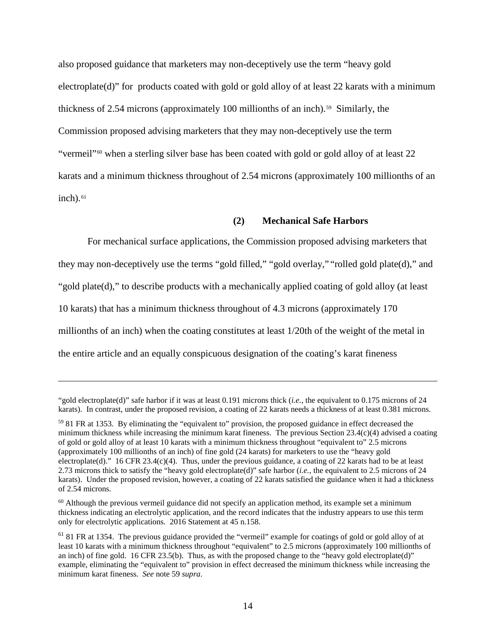also proposed guidance that marketers may non-deceptively use the term "heavy gold electroplate(d)" for products coated with gold or gold alloy of at least 22 karats with a minimum thickness of 2.54 microns (approximately 100 millionths of an inch).<sup>[59](#page-19-1)</sup> Similarly, the Commission proposed advising marketers that they may non-deceptively use the term "vermeil"<sup>[60](#page-19-2)</sup> when a sterling silver base has been coated with gold or gold alloy of at least  $22$ karats and a minimum thickness throughout of 2.54 microns (approximately 100 millionths of an  $inch)$ . $61$ 

### <span id="page-19-0"></span>**(2) Mechanical Safe Harbors**

For mechanical surface applications, the Commission proposed advising marketers that they may non-deceptively use the terms "gold filled," "gold overlay," "rolled gold plate(d)," and "gold plate(d)," to describe products with a mechanically applied coating of gold alloy (at least 10 karats) that has a minimum thickness throughout of 4.3 microns (approximately 170 millionths of an inch) when the coating constitutes at least 1/20th of the weight of the metal in the entire article and an equally conspicuous designation of the coating's karat fineness

<sup>&</sup>quot;gold electroplate(d)" safe harbor if it was at least 0.191 microns thick (*i.e.*, the equivalent to 0.175 microns of 24 karats). In contrast, under the proposed revision, a coating of 22 karats needs a thickness of at least 0.381 microns.

<span id="page-19-1"></span><sup>59</sup> 81 FR at 1353. By eliminating the "equivalent to" provision, the proposed guidance in effect decreased the minimum thickness while increasing the minimum karat fineness. The previous Section 23.4(c)(4) advised a coating of gold or gold alloy of at least 10 karats with a minimum thickness throughout "equivalent to" 2.5 microns (approximately 100 millionths of an inch) of fine gold (24 karats) for marketers to use the "heavy gold electroplate(d)." 16 CFR 23.4(c)(4). Thus, under the previous guidance, a coating of 22 karats had to be at least 2.73 microns thick to satisfy the "heavy gold electroplate(d)" safe harbor (*i.e.*, the equivalent to 2.5 microns of 24 karats). Under the proposed revision, however, a coating of 22 karats satisfied the guidance when it had a thickness of 2.54 microns.

<span id="page-19-2"></span> $60$  Although the previous vermeil guidance did not specify an application method, its example set a minimum thickness indicating an electrolytic application, and the record indicates that the industry appears to use this term only for electrolytic applications. 2016 Statement at 45 n.158.

<span id="page-19-3"></span><sup>61</sup> 81 FR at 1354. The previous guidance provided the "vermeil" example for coatings of gold or gold alloy of at least 10 karats with a minimum thickness throughout "equivalent" to 2.5 microns (approximately 100 millionths of an inch) of fine gold. 16 CFR 23.5(b). Thus, as with the proposed change to the "heavy gold electroplate(d)" example, eliminating the "equivalent to" provision in effect decreased the minimum thickness while increasing the minimum karat fineness. *See* note [59](#page-19-0) *supra*.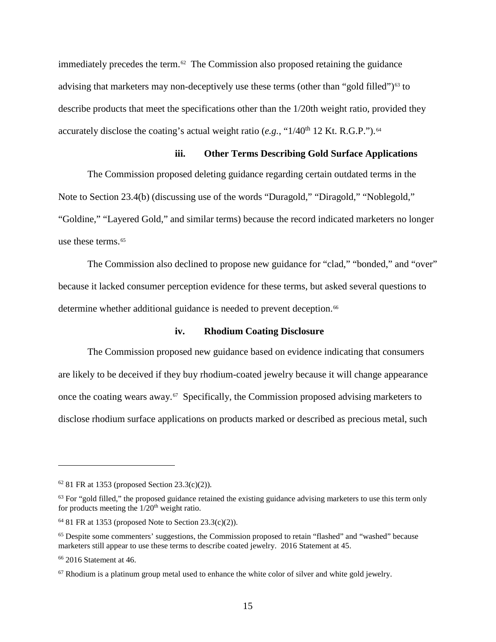immediately precedes the term. $62$  The Commission also proposed retaining the guidance advising that marketers may non-deceptively use these terms (other than "gold filled")<sup>[63](#page-20-1)</sup> to describe products that meet the specifications other than the 1/20th weight ratio, provided they accurately disclose the coating's actual weight ratio  $(e.g., "1/40<sup>th</sup> 12$  Kt. R.G.P.").<sup>64</sup>

# **iii. Other Terms Describing Gold Surface Applications**

The Commission proposed deleting guidance regarding certain outdated terms in the Note to Section 23.4(b) (discussing use of the words "Duragold," "Diragold," "Noblegold," "Goldine," "Layered Gold," and similar terms) because the record indicated marketers no longer use these terms.<sup>[65](#page-20-3)</sup>

The Commission also declined to propose new guidance for "clad," "bonded," and "over" because it lacked consumer perception evidence for these terms, but asked several questions to determine whether additional guidance is needed to prevent deception.<sup>66</sup>

# **iv. Rhodium Coating Disclosure**

The Commission proposed new guidance based on evidence indicating that consumers are likely to be deceived if they buy rhodium-coated jewelry because it will change appearance once the coating wears away.[67](#page-20-5) Specifically, the Commission proposed advising marketers to disclose rhodium surface applications on products marked or described as precious metal, such

<span id="page-20-0"></span> $62$  81 FR at 1353 (proposed Section 23.3(c)(2)).

<span id="page-20-1"></span> $63$  For "gold filled," the proposed guidance retained the existing guidance advising marketers to use this term only for products meeting the  $1/20<sup>th</sup>$  weight ratio.

<span id="page-20-2"></span> $64$  81 FR at 1353 (proposed Note to Section 23.3(c)(2)).

<span id="page-20-3"></span><sup>&</sup>lt;sup>65</sup> Despite some commenters' suggestions, the Commission proposed to retain "flashed" and "washed" because marketers still appear to use these terms to describe coated jewelry. 2016 Statement at 45.

<span id="page-20-4"></span><sup>66</sup> 2016 Statement at 46.

<span id="page-20-5"></span> $67$  Rhodium is a platinum group metal used to enhance the white color of silver and white gold jewelry.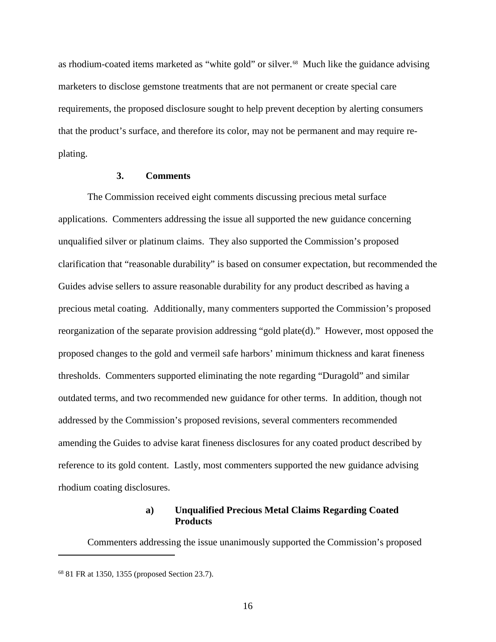as rhodium-coated items marketed as "white gold" or silver.<sup>68</sup> Much like the guidance advising marketers to disclose gemstone treatments that are not permanent or create special care requirements, the proposed disclosure sought to help prevent deception by alerting consumers that the product's surface, and therefore its color, may not be permanent and may require replating.

### **3. Comments**

<span id="page-21-0"></span>The Commission received eight comments discussing precious metal surface applications. Commenters addressing the issue all supported the new guidance concerning unqualified silver or platinum claims. They also supported the Commission's proposed clarification that "reasonable durability" is based on consumer expectation, but recommended the Guides advise sellers to assure reasonable durability for any product described as having a precious metal coating. Additionally, many commenters supported the Commission's proposed reorganization of the separate provision addressing "gold plate(d)." However, most opposed the proposed changes to the gold and vermeil safe harbors' minimum thickness and karat fineness thresholds. Commenters supported eliminating the note regarding "Duragold" and similar outdated terms, and two recommended new guidance for other terms. In addition, though not addressed by the Commission's proposed revisions, several commenters recommended amending the Guides to advise karat fineness disclosures for any coated product described by reference to its gold content. Lastly, most commenters supported the new guidance advising rhodium coating disclosures.

# **a) Unqualified Precious Metal Claims Regarding Coated Products**

<span id="page-21-1"></span>Commenters addressing the issue unanimously supported the Commission's proposed

<span id="page-21-2"></span><sup>68</sup> 81 FR at 1350, 1355 (proposed Section 23.7).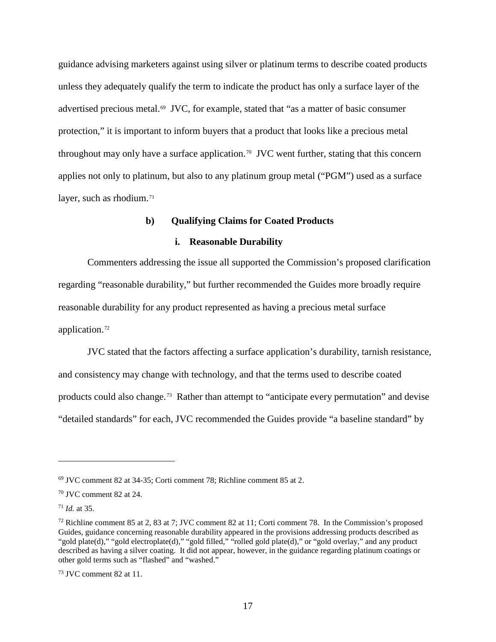guidance advising marketers against using silver or platinum terms to describe coated products unless they adequately qualify the term to indicate the product has only a surface layer of the advertised precious metal.[69](#page-22-1) JVC, for example, stated that "as a matter of basic consumer protection," it is important to inform buyers that a product that looks like a precious metal throughout may only have a surface application.<sup>70</sup> JVC went further, stating that this concern applies not only to platinum, but also to any platinum group metal ("PGM") used as a surface layer, such as rhodium. $71$ 

# **b) Qualifying Claims for Coated Products**

# **i. Reasonable Durability**

<span id="page-22-0"></span>Commenters addressing the issue all supported the Commission's proposed clarification regarding "reasonable durability," but further recommended the Guides more broadly require reasonable durability for any product represented as having a precious metal surface application.[72](#page-22-4)

JVC stated that the factors affecting a surface application's durability, tarnish resistance, and consistency may change with technology, and that the terms used to describe coated products could also change.<sup>[73](#page-22-5)</sup> Rather than attempt to "anticipate every permutation" and devise "detailed standards" for each, JVC recommended the Guides provide "a baseline standard" by

<span id="page-22-1"></span><sup>69</sup> JVC comment 82 at 34-35; Corti comment 78; Richline comment 85 at 2.

<span id="page-22-2"></span><sup>70</sup> JVC comment 82 at 24.

<span id="page-22-3"></span><sup>71</sup> *Id.* at 35.

<span id="page-22-4"></span><sup>72</sup> Richline comment 85 at 2, 83 at 7; JVC comment 82 at 11; Corti comment 78. In the Commission's proposed Guides, guidance concerning reasonable durability appeared in the provisions addressing products described as "gold plate(d)," "gold electroplate(d)," "gold filled," "rolled gold plate(d)," or "gold overlay," and any product described as having a silver coating. It did not appear, however, in the guidance regarding platinum coatings or other gold terms such as "flashed" and "washed."

<span id="page-22-5"></span> $73$  JVC comment 82 at 11.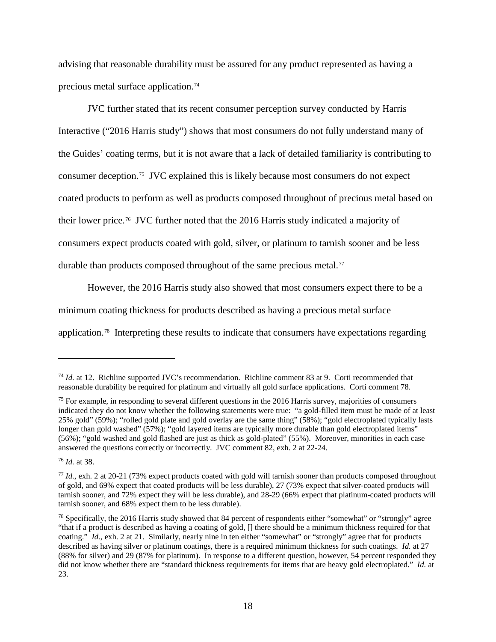advising that reasonable durability must be assured for any product represented as having a precious metal surface application.[74](#page-23-0)

JVC further stated that its recent consumer perception survey conducted by Harris Interactive ("2016 Harris study") shows that most consumers do not fully understand many of the Guides' coating terms, but it is not aware that a lack of detailed familiarity is contributing to consumer deception.[75](#page-23-1) JVC explained this is likely because most consumers do not expect coated products to perform as well as products composed throughout of precious metal based on their lower price.[76](#page-23-2) JVC further noted that the 2016 Harris study indicated a majority of consumers expect products coated with gold, silver, or platinum to tarnish sooner and be less durable than products composed throughout of the same precious metal.<sup>[77](#page-23-3)</sup>

However, the 2016 Harris study also showed that most consumers expect there to be a minimum coating thickness for products described as having a precious metal surface application.[78](#page-23-4) Interpreting these results to indicate that consumers have expectations regarding

<span id="page-23-2"></span><sup>76</sup> *Id.* at 38.

<span id="page-23-0"></span><sup>74</sup> *Id.* at 12. Richline supported JVC's recommendation. Richline comment 83 at 9. Corti recommended that reasonable durability be required for platinum and virtually all gold surface applications. Corti comment 78.

<span id="page-23-1"></span><sup>&</sup>lt;sup>75</sup> For example, in responding to several different questions in the 2016 Harris survey, majorities of consumers indicated they do not know whether the following statements were true: "a gold-filled item must be made of at least 25% gold" (59%); "rolled gold plate and gold overlay are the same thing" (58%); "gold electroplated typically lasts longer than gold washed" (57%); "gold layered items are typically more durable than gold electroplated items" (56%); "gold washed and gold flashed are just as thick as gold-plated" (55%). Moreover, minorities in each case answered the questions correctly or incorrectly. JVC comment 82, exh. 2 at 22-24.

<span id="page-23-3"></span><sup>77</sup> *Id.*, exh. 2 at 20-21 (73% expect products coated with gold will tarnish sooner than products composed throughout of gold, and 69% expect that coated products will be less durable), 27 (73% expect that silver-coated products will tarnish sooner, and 72% expect they will be less durable), and 28-29 (66% expect that platinum-coated products will tarnish sooner, and 68% expect them to be less durable).

<span id="page-23-4"></span><sup>&</sup>lt;sup>78</sup> Specifically, the 2016 Harris study showed that 84 percent of respondents either "somewhat" or "strongly" agree "that if a product is described as having a coating of gold, [] there should be a minimum thickness required for that coating." *Id.*, exh. 2 at 21. Similarly, nearly nine in ten either "somewhat" or "strongly" agree that for products described as having silver or platinum coatings, there is a required minimum thickness for such coatings. *Id.* at 27 (88% for silver) and 29 (87% for platinum). In response to a different question, however, 54 percent responded they did not know whether there are "standard thickness requirements for items that are heavy gold electroplated." *Id.* at 23.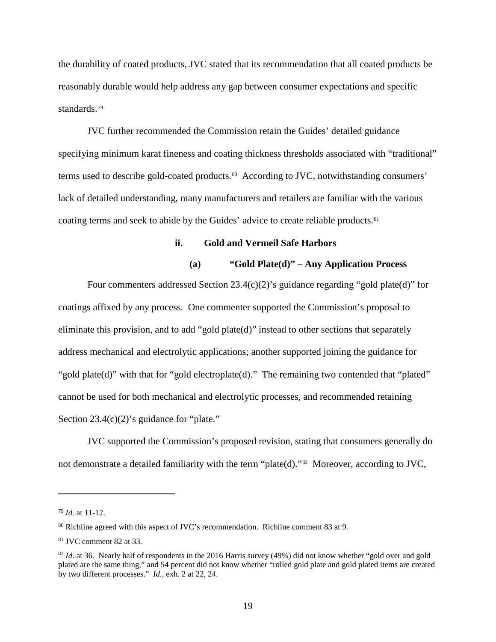the durability of coated products, JVC stated that its recommendation that all coated products be reasonably durable would help address any gap between consumer expectations and specific standards.[79](#page-24-0)

JVC further recommended the Commission retain the Guides' detailed guidance specifying minimum karat fineness and coating thickness thresholds associated with "traditional" terms used to describe gold-coated products.<sup>80</sup> According to JVC, notwithstanding consumers' lack of detailed understanding, many manufacturers and retailers are familiar with the various coating terms and seek to abide by the Guides' advice to create reliable products.<sup>[81](#page-24-2)</sup>

# **ii. Gold and Vermeil Safe Harbors**

# **(a) "Gold Plate(d)" – Any Application Process**

Four commenters addressed Section 23.4(c)(2)'s guidance regarding "gold plate(d)" for coatings affixed by any process. One commenter supported the Commission's proposal to eliminate this provision, and to add "gold plate(d)" instead to other sections that separately address mechanical and electrolytic applications; another supported joining the guidance for "gold plate(d)" with that for "gold electroplate(d)." The remaining two contended that "plated" cannot be used for both mechanical and electrolytic processes, and recommended retaining Section 23.4(c)(2)'s guidance for "plate."

JVC supported the Commission's proposed revision, stating that consumers generally do not demonstrate a detailed familiarity with the term "plate(d)."[82](#page-24-3) Moreover, according to JVC,

<span id="page-24-0"></span><sup>79</sup> *Id.* at 11-12.

<span id="page-24-1"></span><sup>80</sup> Richline agreed with this aspect of JVC's recommendation. Richline comment 83 at 9.

<span id="page-24-2"></span><sup>81</sup> JVC comment 82 at 33.

<span id="page-24-3"></span><sup>&</sup>lt;sup>82</sup> *Id.* at 36. Nearly half of respondents in the 2016 Harris survey (49%) did not know whether "gold over and gold plated are the same thing," and 54 percent did not know whether "rolled gold plate and gold plated items are created by two different processes." *Id.*, exh. 2 at 22, 24.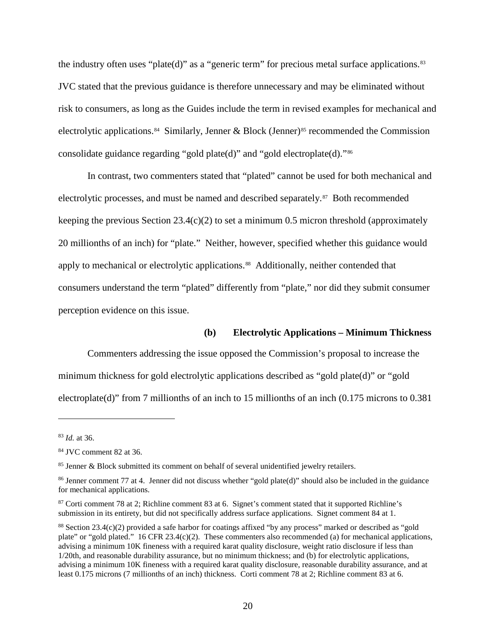the industry often uses "plate(d)" as a "generic term" for precious metal surface applications.<sup>[83](#page-25-0)</sup> JVC stated that the previous guidance is therefore unnecessary and may be eliminated without risk to consumers, as long as the Guides include the term in revised examples for mechanical and electrolytic applications.<sup>84</sup> Similarly, Jenner & Block (Jenner)<sup>[85](#page-25-2)</sup> recommended the Commission consolidate guidance regarding "gold plate(d)" and "gold electroplate(d)."[86](#page-25-3)

In contrast, two commenters stated that "plated" cannot be used for both mechanical and electrolytic processes, and must be named and described separately.[87](#page-25-4) Both recommended keeping the previous Section  $23.4(c)(2)$  to set a minimum 0.5 micron threshold (approximately 20 millionths of an inch) for "plate." Neither, however, specified whether this guidance would apply to mechanical or electrolytic applications.<sup>88</sup> Additionally, neither contended that consumers understand the term "plated" differently from "plate," nor did they submit consumer perception evidence on this issue.

# **(b) Electrolytic Applications – Minimum Thickness**

Commenters addressing the issue opposed the Commission's proposal to increase the minimum thickness for gold electrolytic applications described as "gold plate(d)" or "gold electroplate(d)" from 7 millionths of an inch to 15 millionths of an inch (0.175 microns to 0.381

<span id="page-25-0"></span><sup>83</sup> *Id.* at 36.

<span id="page-25-1"></span><sup>84</sup> JVC comment 82 at 36.

<span id="page-25-2"></span><sup>85</sup> Jenner & Block submitted its comment on behalf of several unidentified jewelry retailers.

<span id="page-25-3"></span><sup>86</sup> Jenner comment 77 at 4. Jenner did not discuss whether "gold plate(d)" should also be included in the guidance for mechanical applications.

<span id="page-25-4"></span><sup>87</sup> Corti comment 78 at 2; Richline comment 83 at 6. Signet's comment stated that it supported Richline's submission in its entirety, but did not specifically address surface applications. Signet comment 84 at 1.

<span id="page-25-5"></span><sup>88</sup> Section 23.4(c)(2) provided a safe harbor for coatings affixed "by any process" marked or described as "gold plate" or "gold plated." 16 CFR 23.4(c)(2). These commenters also recommended (a) for mechanical applications, advising a minimum 10K fineness with a required karat quality disclosure, weight ratio disclosure if less than 1/20th, and reasonable durability assurance, but no minimum thickness; and (b) for electrolytic applications, advising a minimum 10K fineness with a required karat quality disclosure, reasonable durability assurance, and at least 0.175 microns (7 millionths of an inch) thickness. Corti comment 78 at 2; Richline comment 83 at 6.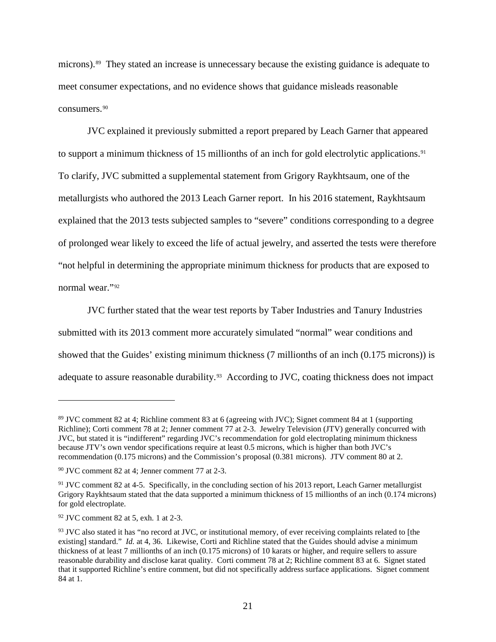microns).[89](#page-26-0) They stated an increase is unnecessary because the existing guidance is adequate to meet consumer expectations, and no evidence shows that guidance misleads reasonable consumers.[90](#page-26-1)

JVC explained it previously submitted a report prepared by Leach Garner that appeared to support a minimum thickness of 15 millionths of an inch for gold electrolytic applications.<sup>91</sup> To clarify, JVC submitted a supplemental statement from Grigory Raykhtsaum, one of the metallurgists who authored the 2013 Leach Garner report. In his 2016 statement, Raykhtsaum explained that the 2013 tests subjected samples to "severe" conditions corresponding to a degree of prolonged wear likely to exceed the life of actual jewelry, and asserted the tests were therefore "not helpful in determining the appropriate minimum thickness for products that are exposed to normal wear."[92](#page-26-3) 

JVC further stated that the wear test reports by Taber Industries and Tanury Industries submitted with its 2013 comment more accurately simulated "normal" wear conditions and showed that the Guides' existing minimum thickness (7 millionths of an inch (0.175 microns)) is adequate to assure reasonable durability.<sup>93</sup> According to JVC, coating thickness does not impact

<span id="page-26-0"></span><sup>89</sup> JVC comment 82 at 4; Richline comment 83 at 6 (agreeing with JVC); Signet comment 84 at 1 (supporting Richline); Corti comment 78 at 2; Jenner comment 77 at 2-3. Jewelry Television (JTV) generally concurred with JVC, but stated it is "indifferent" regarding JVC's recommendation for gold electroplating minimum thickness because JTV's own vendor specifications require at least 0.5 microns, which is higher than both JVC's recommendation (0.175 microns) and the Commission's proposal (0.381 microns). JTV comment 80 at 2.

<span id="page-26-1"></span><sup>90</sup> JVC comment 82 at 4; Jenner comment 77 at 2-3.

<span id="page-26-2"></span><sup>&</sup>lt;sup>91</sup> JVC comment 82 at 4-5. Specifically, in the concluding section of his 2013 report, Leach Garner metallurgist Grigory Raykhtsaum stated that the data supported a minimum thickness of 15 millionths of an inch (0.174 microns) for gold electroplate.

<span id="page-26-3"></span><sup>92</sup> JVC comment 82 at 5, exh. 1 at 2-3.

<span id="page-26-4"></span> $93$  JVC also stated it has "no record at JVC, or institutional memory, of ever receiving complaints related to [the existing] standard." *Id.* at 4, 36. Likewise, Corti and Richline stated that the Guides should advise a minimum thickness of at least 7 millionths of an inch (0.175 microns) of 10 karats or higher, and require sellers to assure reasonable durability and disclose karat quality. Corti comment 78 at 2; Richline comment 83 at 6. Signet stated that it supported Richline's entire comment, but did not specifically address surface applications. Signet comment 84 at 1.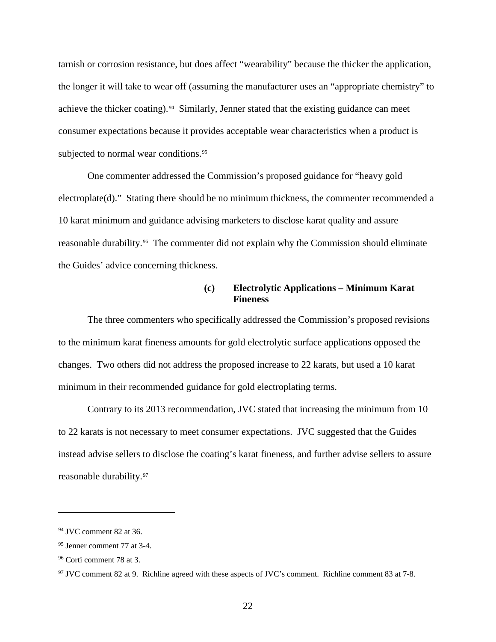tarnish or corrosion resistance, but does affect "wearability" because the thicker the application, the longer it will take to wear off (assuming the manufacturer uses an "appropriate chemistry" to achieve the thicker coating).<sup>[94](#page-27-0)</sup> Similarly, Jenner stated that the existing guidance can meet consumer expectations because it provides acceptable wear characteristics when a product is subjected to normal wear conditions.<sup>[95](#page-27-1)</sup>

One commenter addressed the Commission's proposed guidance for "heavy gold electroplate(d)." Stating there should be no minimum thickness, the commenter recommended a 10 karat minimum and guidance advising marketers to disclose karat quality and assure reasonable durability.<sup>[96](#page-27-2)</sup> The commenter did not explain why the Commission should eliminate the Guides' advice concerning thickness.

# **(c) Electrolytic Applications – Minimum Karat Fineness**

The three commenters who specifically addressed the Commission's proposed revisions to the minimum karat fineness amounts for gold electrolytic surface applications opposed the changes. Two others did not address the proposed increase to 22 karats, but used a 10 karat minimum in their recommended guidance for gold electroplating terms.

Contrary to its 2013 recommendation, JVC stated that increasing the minimum from 10 to 22 karats is not necessary to meet consumer expectations. JVC suggested that the Guides instead advise sellers to disclose the coating's karat fineness, and further advise sellers to assure reasonable durability.[97](#page-27-3)

<span id="page-27-0"></span><sup>94</sup> JVC comment 82 at 36.

<span id="page-27-1"></span><sup>95</sup> Jenner comment 77 at 3-4.

<span id="page-27-2"></span><sup>96</sup> Corti comment 78 at 3.

<span id="page-27-3"></span><sup>&</sup>lt;sup>97</sup> JVC comment 82 at 9. Richline agreed with these aspects of JVC's comment. Richline comment 83 at 7-8.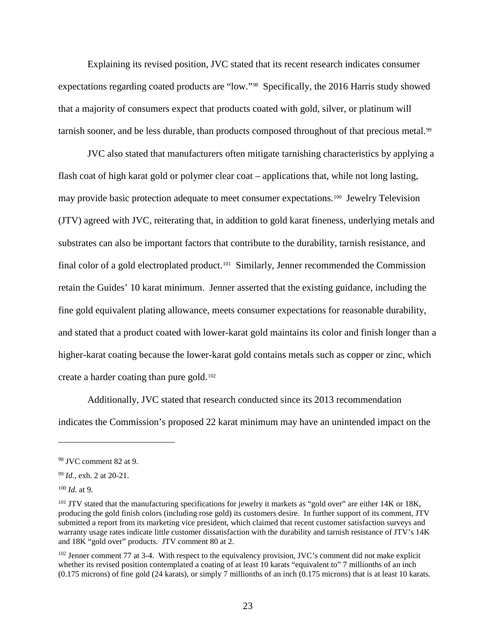Explaining its revised position, JVC stated that its recent research indicates consumer expectations regarding coated products are "low."[98](#page-28-0) Specifically, the 2016 Harris study showed that a majority of consumers expect that products coated with gold, silver, or platinum will tarnish sooner, and be less durable, than products composed throughout of that precious metal.<sup>[99](#page-28-1)</sup>

JVC also stated that manufacturers often mitigate tarnishing characteristics by applying a flash coat of high karat gold or polymer clear coat – applications that, while not long lasting, may provide basic protection adequate to meet consumer expectations.[100](#page-28-2) Jewelry Television (JTV) agreed with JVC, reiterating that, in addition to gold karat fineness, underlying metals and substrates can also be important factors that contribute to the durability, tarnish resistance, and final color of a gold electroplated product.<sup>[101](#page-28-3)</sup> Similarly, Jenner recommended the Commission retain the Guides' 10 karat minimum. Jenner asserted that the existing guidance, including the fine gold equivalent plating allowance, meets consumer expectations for reasonable durability, and stated that a product coated with lower-karat gold maintains its color and finish longer than a higher-karat coating because the lower-karat gold contains metals such as copper or zinc, which create a harder coating than pure gold. $102$ 

Additionally, JVC stated that research conducted since its 2013 recommendation indicates the Commission's proposed 22 karat minimum may have an unintended impact on the

<span id="page-28-0"></span><sup>98</sup> JVC comment 82 at 9.

<span id="page-28-1"></span><sup>99</sup> *Id.*, exh. 2 at 20-21.

<span id="page-28-2"></span><sup>100</sup> *Id.* at 9.

<span id="page-28-3"></span><sup>&</sup>lt;sup>101</sup> JTV stated that the manufacturing specifications for jewelry it markets as "gold over" are either 14K or 18K, producing the gold finish colors (including rose gold) its customers desire. In further support of its comment, JTV submitted a report from its marketing vice president, which claimed that recent customer satisfaction surveys and warranty usage rates indicate little customer dissatisfaction with the durability and tarnish resistance of JTV's 14K and 18K "gold over" products. JTV comment 80 at 2.

<span id="page-28-4"></span><sup>&</sup>lt;sup>102</sup> Jenner comment 77 at 3-4. With respect to the equivalency provision, JVC's comment did not make explicit whether its revised position contemplated a coating of at least 10 karats "equivalent to" 7 millionths of an inch (0.175 microns) of fine gold (24 karats), or simply 7 millionths of an inch (0.175 microns) that is at least 10 karats.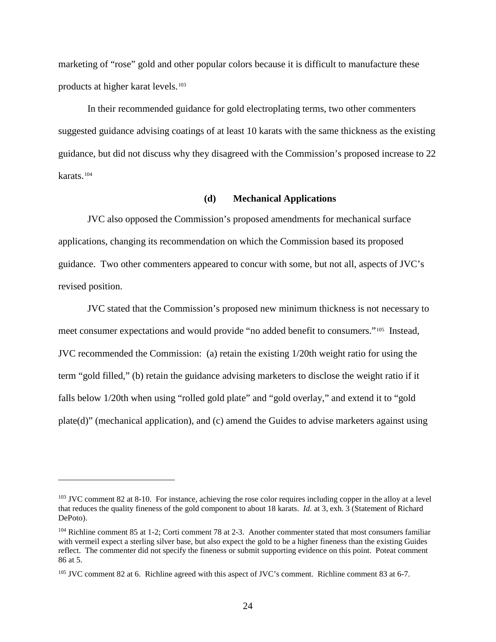marketing of "rose" gold and other popular colors because it is difficult to manufacture these products at higher karat levels.[103](#page-29-0) 

In their recommended guidance for gold electroplating terms, two other commenters suggested guidance advising coatings of at least 10 karats with the same thickness as the existing guidance, but did not discuss why they disagreed with the Commission's proposed increase to 22 karats.[104](#page-29-1) 

#### **(d) Mechanical Applications**

JVC also opposed the Commission's proposed amendments for mechanical surface applications, changing its recommendation on which the Commission based its proposed guidance. Two other commenters appeared to concur with some, but not all, aspects of JVC's revised position.

JVC stated that the Commission's proposed new minimum thickness is not necessary to meet consumer expectations and would provide "no added benefit to consumers."[105](#page-29-2) Instead, JVC recommended the Commission: (a) retain the existing 1/20th weight ratio for using the term "gold filled," (b) retain the guidance advising marketers to disclose the weight ratio if it falls below 1/20th when using "rolled gold plate" and "gold overlay," and extend it to "gold plate(d)" (mechanical application), and (c) amend the Guides to advise marketers against using

<span id="page-29-0"></span><sup>&</sup>lt;sup>103</sup> JVC comment 82 at 8-10. For instance, achieving the rose color requires including copper in the alloy at a level that reduces the quality fineness of the gold component to about 18 karats. *Id.* at 3, exh. 3 (Statement of Richard DePoto).

<span id="page-29-1"></span><sup>104</sup> Richline comment 85 at 1-2; Corti comment 78 at 2-3. Another commenter stated that most consumers familiar with vermeil expect a sterling silver base, but also expect the gold to be a higher fineness than the existing Guides reflect. The commenter did not specify the fineness or submit supporting evidence on this point. Poteat comment 86 at 5.

<span id="page-29-2"></span><sup>&</sup>lt;sup>105</sup> JVC comment 82 at 6. Richline agreed with this aspect of JVC's comment. Richline comment 83 at 6-7.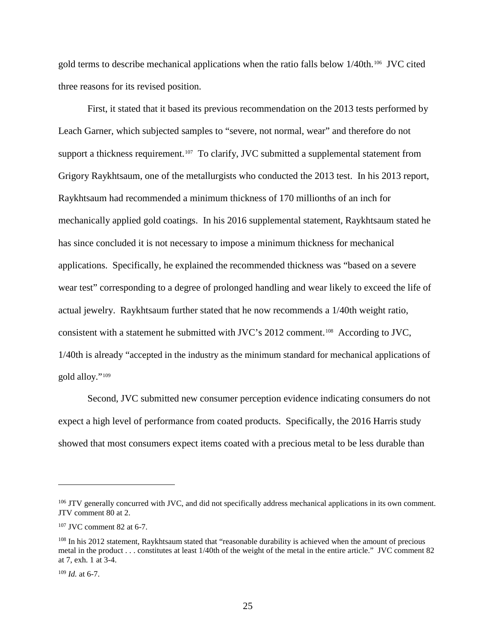gold terms to describe mechanical applications when the ratio falls below  $1/40$ th.<sup>[106](#page-30-0)</sup> JVC cited three reasons for its revised position.

First, it stated that it based its previous recommendation on the 2013 tests performed by Leach Garner, which subjected samples to "severe, not normal, wear" and therefore do not support a thickness requirement.<sup>[107](#page-30-1)</sup> To clarify, JVC submitted a supplemental statement from Grigory Raykhtsaum, one of the metallurgists who conducted the 2013 test. In his 2013 report, Raykhtsaum had recommended a minimum thickness of 170 millionths of an inch for mechanically applied gold coatings. In his 2016 supplemental statement, Raykhtsaum stated he has since concluded it is not necessary to impose a minimum thickness for mechanical applications. Specifically, he explained the recommended thickness was "based on a severe wear test" corresponding to a degree of prolonged handling and wear likely to exceed the life of actual jewelry. Raykhtsaum further stated that he now recommends a 1/40th weight ratio, consistent with a statement he submitted with JVC's 2012 comment.[108](#page-30-2) According to JVC, 1/40th is already "accepted in the industry as the minimum standard for mechanical applications of gold alloy."[109](#page-30-3)

Second, JVC submitted new consumer perception evidence indicating consumers do not expect a high level of performance from coated products. Specifically, the 2016 Harris study showed that most consumers expect items coated with a precious metal to be less durable than

<span id="page-30-0"></span><sup>&</sup>lt;sup>106</sup> JTV generally concurred with JVC, and did not specifically address mechanical applications in its own comment. JTV comment 80 at 2.

<span id="page-30-1"></span><sup>107</sup> JVC comment 82 at 6-7.

<span id="page-30-2"></span><sup>&</sup>lt;sup>108</sup> In his 2012 statement, Raykhtsaum stated that "reasonable durability is achieved when the amount of precious metal in the product . . . constitutes at least 1/40th of the weight of the metal in the entire article." JVC comment 82 at 7, exh. 1 at 3-4.

<span id="page-30-3"></span> $109$  *Id.* at 6-7.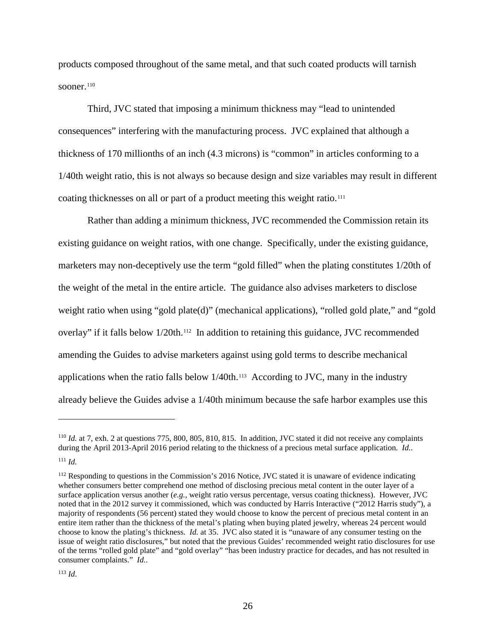products composed throughout of the same metal, and that such coated products will tarnish sooner. $110$ 

Third, JVC stated that imposing a minimum thickness may "lead to unintended consequences" interfering with the manufacturing process. JVC explained that although a thickness of 170 millionths of an inch (4.3 microns) is "common" in articles conforming to a 1/40th weight ratio, this is not always so because design and size variables may result in different coating thicknesses on all or part of a product meeting this weight ratio.<sup>[111](#page-31-1)</sup>

Rather than adding a minimum thickness, JVC recommended the Commission retain its existing guidance on weight ratios, with one change. Specifically, under the existing guidance, marketers may non-deceptively use the term "gold filled" when the plating constitutes 1/20th of the weight of the metal in the entire article. The guidance also advises marketers to disclose weight ratio when using "gold plate(d)" (mechanical applications), "rolled gold plate," and "gold overlay" if it falls below 1/20th.<sup>[112](#page-31-2)</sup> In addition to retaining this guidance, JVC recommended amending the Guides to advise marketers against using gold terms to describe mechanical applications when the ratio falls below  $1/40$ th.<sup>113</sup> According to JVC, many in the industry already believe the Guides advise a 1/40th minimum because the safe harbor examples use this

<span id="page-31-0"></span><sup>110</sup> *Id.* at 7, exh. 2 at questions 775, 800, 805, 810, 815. In addition, JVC stated it did not receive any complaints during the April 2013-April 2016 period relating to the thickness of a precious metal surface application. *Id.*. <sup>111</sup> *Id.*

<span id="page-31-2"></span><span id="page-31-1"></span><sup>&</sup>lt;sup>112</sup> Responding to questions in the Commission's 2016 Notice, JVC stated it is unaware of evidence indicating whether consumers better comprehend one method of disclosing precious metal content in the outer layer of a surface application versus another (*e.g.*, weight ratio versus percentage, versus coating thickness). However, JVC noted that in the 2012 survey it commissioned, which was conducted by Harris Interactive ("2012 Harris study"), a majority of respondents (56 percent) stated they would choose to know the percent of precious metal content in an entire item rather than the thickness of the metal's plating when buying plated jewelry, whereas 24 percent would choose to know the plating's thickness. *Id.* at 35. JVC also stated it is "unaware of any consumer testing on the issue of weight ratio disclosures," but noted that the previous Guides' recommended weight ratio disclosures for use of the terms "rolled gold plate" and "gold overlay" "has been industry practice for decades, and has not resulted in consumer complaints." *Id.*.

<span id="page-31-3"></span><sup>113</sup> *Id*.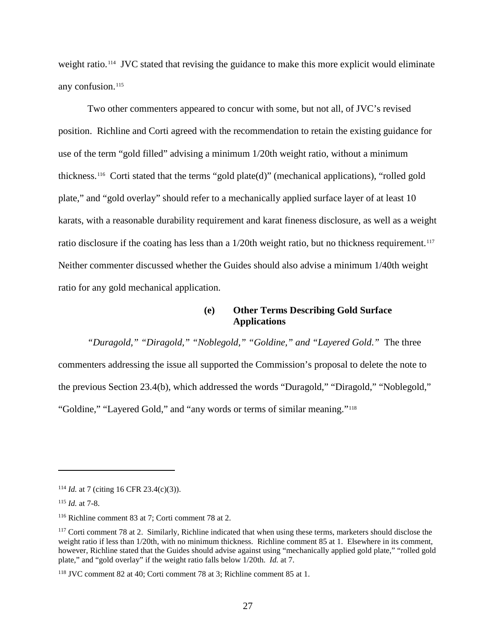weight ratio.<sup>114</sup> JVC stated that revising the guidance to make this more explicit would eliminate any confusion.<sup>[115](#page-32-1)</sup>

Two other commenters appeared to concur with some, but not all, of JVC's revised position. Richline and Corti agreed with the recommendation to retain the existing guidance for use of the term "gold filled" advising a minimum 1/20th weight ratio, without a minimum thickness.[116](#page-32-2) Corti stated that the terms "gold plate(d)" (mechanical applications), "rolled gold plate," and "gold overlay" should refer to a mechanically applied surface layer of at least 10 karats, with a reasonable durability requirement and karat fineness disclosure, as well as a weight ratio disclosure if the coating has less than a 1/20th weight ratio, but no thickness requirement.<sup>117</sup> Neither commenter discussed whether the Guides should also advise a minimum 1/40th weight ratio for any gold mechanical application.

# **(e) Other Terms Describing Gold Surface Applications**

*"Duragold," "Diragold," "Noblegold," "Goldine," and "Layered Gold*.*"* The three commenters addressing the issue all supported the Commission's proposal to delete the note to the previous Section 23.4(b), which addressed the words "Duragold," "Diragold," "Noblegold," "Goldine," "Layered Gold," and "any words or terms of similar meaning."<sup>[118](#page-32-4)</sup>

<span id="page-32-0"></span><sup>114</sup> *Id.* at 7 (citing 16 CFR 23.4(c)(3)).

<span id="page-32-1"></span><sup>115</sup> *Id.* at 7-8.

<span id="page-32-2"></span><sup>116</sup> Richline comment 83 at 7; Corti comment 78 at 2.

<span id="page-32-3"></span><sup>&</sup>lt;sup>117</sup> Corti comment 78 at 2. Similarly, Richline indicated that when using these terms, marketers should disclose the weight ratio if less than  $1/20$ th, with no minimum thickness. Richline comment 85 at 1. Elsewhere in its comment, however, Richline stated that the Guides should advise against using "mechanically applied gold plate," "rolled gold plate," and "gold overlay" if the weight ratio falls below 1/20th. *Id.* at 7.

<span id="page-32-4"></span><sup>118</sup> JVC comment 82 at 40; Corti comment 78 at 3; Richline comment 85 at 1.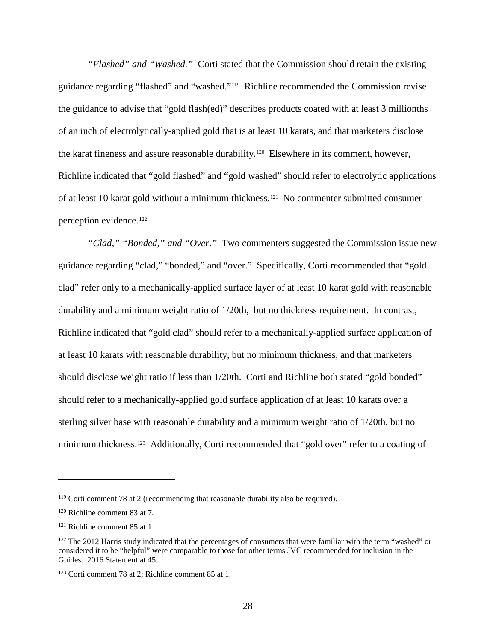*"Flashed" and "Washed."* Corti stated that the Commission should retain the existing guidance regarding "flashed" and "washed."[119](#page-33-0) Richline recommended the Commission revise the guidance to advise that "gold flash(ed)" describes products coated with at least 3 millionths of an inch of electrolytically-applied gold that is at least 10 karats, and that marketers disclose the karat fineness and assure reasonable durability.<sup>[120](#page-33-1)</sup> Elsewhere in its comment, however, Richline indicated that "gold flashed" and "gold washed" should refer to electrolytic applications of at least 10 karat gold without a minimum thickness.[121](#page-33-2) No commenter submitted consumer perception evidence.[122](#page-33-3)

*"Clad," "Bonded," and "Over*.*"* Two commenters suggested the Commission issue new guidance regarding "clad," "bonded," and "over." Specifically, Corti recommended that "gold clad" refer only to a mechanically-applied surface layer of at least 10 karat gold with reasonable durability and a minimum weight ratio of 1/20th, but no thickness requirement. In contrast, Richline indicated that "gold clad" should refer to a mechanically-applied surface application of at least 10 karats with reasonable durability, but no minimum thickness, and that marketers should disclose weight ratio if less than 1/20th. Corti and Richline both stated "gold bonded" should refer to a mechanically-applied gold surface application of at least 10 karats over a sterling silver base with reasonable durability and a minimum weight ratio of 1/20th, but no minimum thickness.<sup>123</sup> Additionally, Corti recommended that "gold over" refer to a coating of

<span id="page-33-0"></span><sup>119</sup> Corti comment 78 at 2 (recommending that reasonable durability also be required).

<span id="page-33-1"></span><sup>120</sup> Richline comment 83 at 7.

<span id="page-33-2"></span><sup>121</sup> Richline comment 85 at 1.

<span id="page-33-3"></span><sup>&</sup>lt;sup>122</sup> The 2012 Harris study indicated that the percentages of consumers that were familiar with the term "washed" or considered it to be "helpful" were comparable to those for other terms JVC recommended for inclusion in the Guides. 2016 Statement at 45.

<span id="page-33-4"></span><sup>123</sup> Corti comment 78 at 2; Richline comment 85 at 1.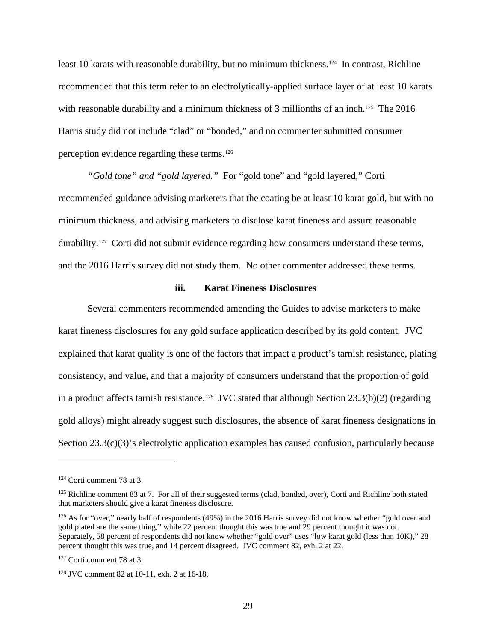least 10 karats with reasonable durability, but no minimum thickness.<sup>124</sup> In contrast, Richline recommended that this term refer to an electrolytically-applied surface layer of at least 10 karats with reasonable durability and a minimum thickness of 3 millionths of an inch.<sup>[125](#page-34-1)</sup> The 2016 Harris study did not include "clad" or "bonded," and no commenter submitted consumer perception evidence regarding these terms.[126](#page-34-2)

*"Gold tone" and "gold layered."* For "gold tone" and "gold layered," Corti recommended guidance advising marketers that the coating be at least 10 karat gold, but with no minimum thickness, and advising marketers to disclose karat fineness and assure reasonable durability.[127](#page-34-3) Corti did not submit evidence regarding how consumers understand these terms, and the 2016 Harris survey did not study them. No other commenter addressed these terms.

#### **iii. Karat Fineness Disclosures**

Several commenters recommended amending the Guides to advise marketers to make karat fineness disclosures for any gold surface application described by its gold content. JVC explained that karat quality is one of the factors that impact a product's tarnish resistance, plating consistency, and value, and that a majority of consumers understand that the proportion of gold in a product affects tarnish resistance.<sup>128</sup> JVC stated that although Section  $23.3(b)(2)$  (regarding gold alloys) might already suggest such disclosures, the absence of karat fineness designations in Section 23.3(c)(3)'s electrolytic application examples has caused confusion, particularly because

<span id="page-34-0"></span><sup>124</sup> Corti comment 78 at 3.

<span id="page-34-1"></span> $125$  Richline comment 83 at 7. For all of their suggested terms (clad, bonded, over), Corti and Richline both stated that marketers should give a karat fineness disclosure.

<span id="page-34-2"></span><sup>&</sup>lt;sup>126</sup> As for "over," nearly half of respondents (49%) in the 2016 Harris survey did not know whether "gold over and gold plated are the same thing," while 22 percent thought this was true and 29 percent thought it was not. Separately, 58 percent of respondents did not know whether "gold over" uses "low karat gold (less than 10K)," 28 percent thought this was true, and 14 percent disagreed. JVC comment 82, exh. 2 at 22.

<span id="page-34-3"></span><sup>127</sup> Corti comment 78 at 3.

<span id="page-34-4"></span><sup>128</sup> JVC comment 82 at 10-11, exh. 2 at 16-18.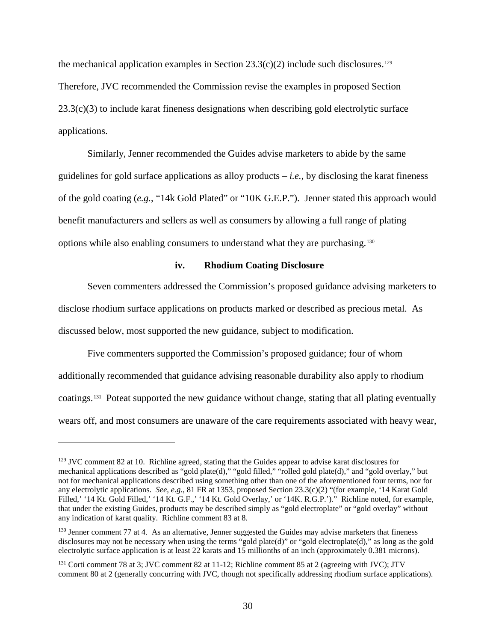the mechanical application examples in Section  $23.3(c)(2)$  include such disclosures.<sup>[129](#page-35-0)</sup> Therefore, JVC recommended the Commission revise the examples in proposed Section  $23.3(c)(3)$  to include karat fineness designations when describing gold electrolytic surface applications.

Similarly, Jenner recommended the Guides advise marketers to abide by the same guidelines for gold surface applications as alloy products  $-i.e.,$  by disclosing the karat fineness of the gold coating (*e.g.*, "14k Gold Plated" or "10K G.E.P."). Jenner stated this approach would benefit manufacturers and sellers as well as consumers by allowing a full range of plating options while also enabling consumers to understand what they are purchasing.[130](#page-35-1)

#### **iv. Rhodium Coating Disclosure**

Seven commenters addressed the Commission's proposed guidance advising marketers to disclose rhodium surface applications on products marked or described as precious metal. As discussed below, most supported the new guidance, subject to modification.

Five commenters supported the Commission's proposed guidance; four of whom additionally recommended that guidance advising reasonable durability also apply to rhodium coatings.[131](#page-35-2) Poteat supported the new guidance without change, stating that all plating eventually wears off, and most consumers are unaware of the care requirements associated with heavy wear,

<span id="page-35-0"></span><sup>&</sup>lt;sup>129</sup> JVC comment 82 at 10. Richline agreed, stating that the Guides appear to advise karat disclosures for mechanical applications described as "gold plate(d)," "gold filled," "rolled gold plate(d)," and "gold overlay," but not for mechanical applications described using something other than one of the aforementioned four terms, nor for any electrolytic applications. *See, e.g.*, 81 FR at 1353, proposed Section 23.3(c)(2) "(for example, '14 Karat Gold Filled,' '14 Kt. Gold Filled,' '14 Kt. G.F.,' '14 Kt. Gold Overlay,' or '14K. R.G.P.')." Richline noted, for example, that under the existing Guides, products may be described simply as "gold electroplate" or "gold overlay" without any indication of karat quality. Richline comment 83 at 8.

<span id="page-35-1"></span><sup>&</sup>lt;sup>130</sup> Jenner comment 77 at 4. As an alternative, Jenner suggested the Guides may advise marketers that fineness disclosures may not be necessary when using the terms "gold plate(d)" or "gold electroplate(d)," as long as the gold electrolytic surface application is at least 22 karats and 15 millionths of an inch (approximately 0.381 microns).

<span id="page-35-2"></span><sup>&</sup>lt;sup>131</sup> Corti comment 78 at 3; JVC comment 82 at 11-12; Richline comment 85 at 2 (agreeing with JVC); JTV comment 80 at 2 (generally concurring with JVC, though not specifically addressing rhodium surface applications).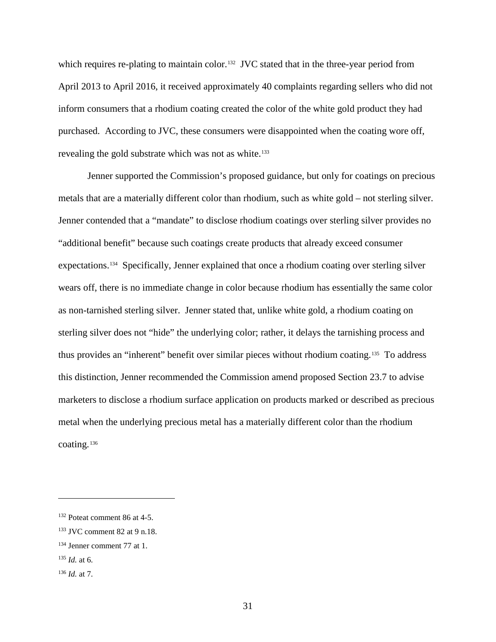which requires re-plating to maintain color.<sup>132</sup> JVC stated that in the three-year period from April 2013 to April 2016, it received approximately 40 complaints regarding sellers who did not inform consumers that a rhodium coating created the color of the white gold product they had purchased. According to JVC, these consumers were disappointed when the coating wore off, revealing the gold substrate which was not as white.<sup>133</sup>

Jenner supported the Commission's proposed guidance, but only for coatings on precious metals that are a materially different color than rhodium, such as white gold – not sterling silver. Jenner contended that a "mandate" to disclose rhodium coatings over sterling silver provides no "additional benefit" because such coatings create products that already exceed consumer expectations.[134](#page-36-2) Specifically, Jenner explained that once a rhodium coating over sterling silver wears off, there is no immediate change in color because rhodium has essentially the same color as non-tarnished sterling silver. Jenner stated that, unlike white gold, a rhodium coating on sterling silver does not "hide" the underlying color; rather, it delays the tarnishing process and thus provides an "inherent" benefit over similar pieces without rhodium coating.[135](#page-36-3) To address this distinction, Jenner recommended the Commission amend proposed Section 23.7 to advise marketers to disclose a rhodium surface application on products marked or described as precious metal when the underlying precious metal has a materially different color than the rhodium coating.[136](#page-36-4)

<span id="page-36-0"></span><sup>132</sup> Poteat comment 86 at 4-5.

<span id="page-36-1"></span><sup>133</sup> JVC comment 82 at 9 n.18.

<span id="page-36-2"></span><sup>134</sup> Jenner comment 77 at 1.

<span id="page-36-3"></span> $^{135}$  *Id.* at 6.

<span id="page-36-4"></span><sup>136</sup> *Id.* at 7.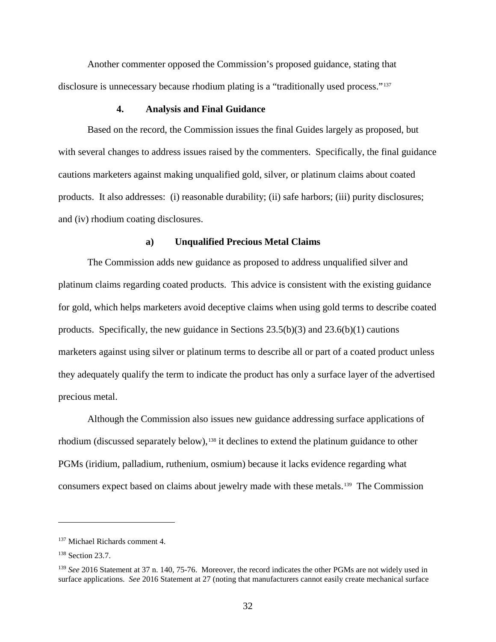Another commenter opposed the Commission's proposed guidance, stating that disclosure is unnecessary because rhodium plating is a "traditionally used process."[137](#page-37-0)

# **4. Analysis and Final Guidance**

Based on the record, the Commission issues the final Guides largely as proposed, but with several changes to address issues raised by the commenters. Specifically, the final guidance cautions marketers against making unqualified gold, silver, or platinum claims about coated products. It also addresses: (i) reasonable durability; (ii) safe harbors; (iii) purity disclosures; and (iv) rhodium coating disclosures.

#### **a) Unqualified Precious Metal Claims**

The Commission adds new guidance as proposed to address unqualified silver and platinum claims regarding coated products. This advice is consistent with the existing guidance for gold, which helps marketers avoid deceptive claims when using gold terms to describe coated products. Specifically, the new guidance in Sections  $23.5(b)(3)$  and  $23.6(b)(1)$  cautions marketers against using silver or platinum terms to describe all or part of a coated product unless they adequately qualify the term to indicate the product has only a surface layer of the advertised precious metal.

Although the Commission also issues new guidance addressing surface applications of rhodium (discussed separately below),<sup>[138](#page-37-1)</sup> it declines to extend the platinum guidance to other PGMs (iridium, palladium, ruthenium, osmium) because it lacks evidence regarding what consumers expect based on claims about jewelry made with these metals.[139](#page-37-2) The Commission

<span id="page-37-0"></span><sup>137</sup> Michael Richards comment 4.

<span id="page-37-1"></span><sup>138</sup> Section 23.7.

<span id="page-37-2"></span><sup>139</sup> *See* 2016 Statement at 37 n. 140, 75-76. Moreover, the record indicates the other PGMs are not widely used in surface applications. *See* 2016 Statement at 27 (noting that manufacturers cannot easily create mechanical surface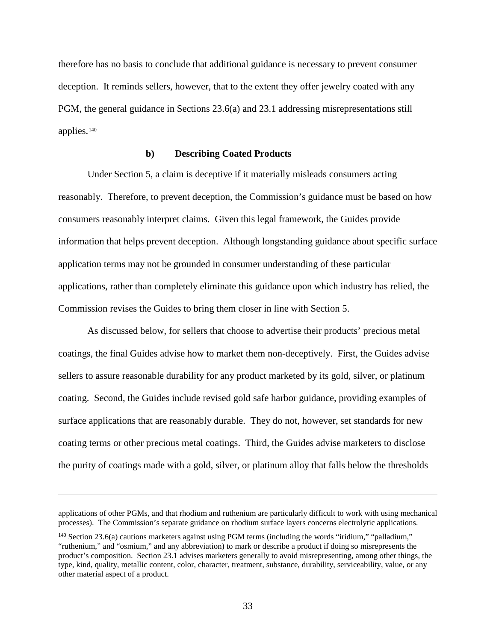therefore has no basis to conclude that additional guidance is necessary to prevent consumer deception. It reminds sellers, however, that to the extent they offer jewelry coated with any PGM, the general guidance in Sections 23.6(a) and 23.1 addressing misrepresentations still applies.[140](#page-38-0)

### **b) Describing Coated Products**

Under Section 5, a claim is deceptive if it materially misleads consumers acting reasonably. Therefore, to prevent deception, the Commission's guidance must be based on how consumers reasonably interpret claims. Given this legal framework, the Guides provide information that helps prevent deception. Although longstanding guidance about specific surface application terms may not be grounded in consumer understanding of these particular applications, rather than completely eliminate this guidance upon which industry has relied, the Commission revises the Guides to bring them closer in line with Section 5.

As discussed below, for sellers that choose to advertise their products' precious metal coatings, the final Guides advise how to market them non-deceptively. First, the Guides advise sellers to assure reasonable durability for any product marketed by its gold, silver, or platinum coating. Second, the Guides include revised gold safe harbor guidance, providing examples of surface applications that are reasonably durable. They do not, however, set standards for new coating terms or other precious metal coatings. Third, the Guides advise marketers to disclose the purity of coatings made with a gold, silver, or platinum alloy that falls below the thresholds

applications of other PGMs, and that rhodium and ruthenium are particularly difficult to work with using mechanical processes). The Commission's separate guidance on rhodium surface layers concerns electrolytic applications.

<span id="page-38-0"></span><sup>&</sup>lt;sup>140</sup> Section 23.6(a) cautions marketers against using PGM terms (including the words "iridium," "palladium," "ruthenium," and "osmium," and any abbreviation) to mark or describe a product if doing so misrepresents the product's composition. Section 23.1 advises marketers generally to avoid misrepresenting, among other things, the type, kind, quality, metallic content, color, character, treatment, substance, durability, serviceability, value, or any other material aspect of a product.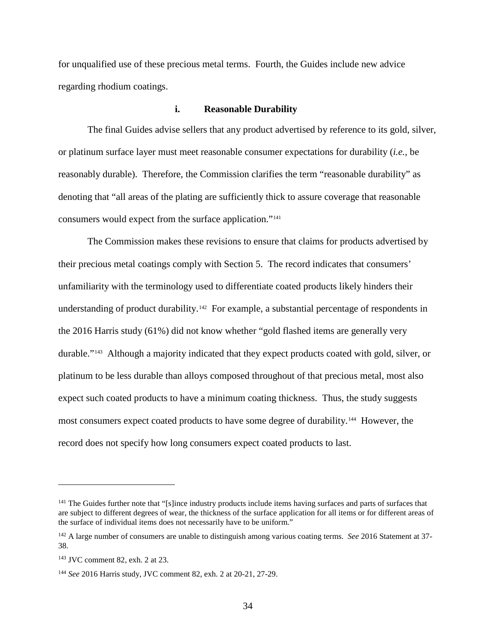for unqualified use of these precious metal terms. Fourth, the Guides include new advice regarding rhodium coatings.

### **i. Reasonable Durability**

The final Guides advise sellers that any product advertised by reference to its gold, silver, or platinum surface layer must meet reasonable consumer expectations for durability (*i.e.*, be reasonably durable). Therefore, the Commission clarifies the term "reasonable durability" as denoting that "all areas of the plating are sufficiently thick to assure coverage that reasonable consumers would expect from the surface application.["141](#page-39-0)

The Commission makes these revisions to ensure that claims for products advertised by their precious metal coatings comply with Section 5. The record indicates that consumers' unfamiliarity with the terminology used to differentiate coated products likely hinders their understanding of product durability.<sup>[142](#page-39-1)</sup> For example, a substantial percentage of respondents in the 2016 Harris study (61%) did not know whether "gold flashed items are generally very durable."[143](#page-39-2) Although a majority indicated that they expect products coated with gold, silver, or platinum to be less durable than alloys composed throughout of that precious metal, most also expect such coated products to have a minimum coating thickness. Thus, the study suggests most consumers expect coated products to have some degree of durability.[144](#page-39-3) However, the record does not specify how long consumers expect coated products to last.

<span id="page-39-0"></span><sup>&</sup>lt;sup>141</sup> The Guides further note that "[s]ince industry products include items having surfaces and parts of surfaces that are subject to different degrees of wear, the thickness of the surface application for all items or for different areas of the surface of individual items does not necessarily have to be uniform."

<span id="page-39-1"></span><sup>142</sup> A large number of consumers are unable to distinguish among various coating terms. *See* 2016 Statement at 37- 38.

<span id="page-39-2"></span><sup>143</sup> JVC comment 82, exh. 2 at 23.

<span id="page-39-3"></span><sup>144</sup> *See* 2016 Harris study, JVC comment 82, exh. 2 at 20-21, 27-29.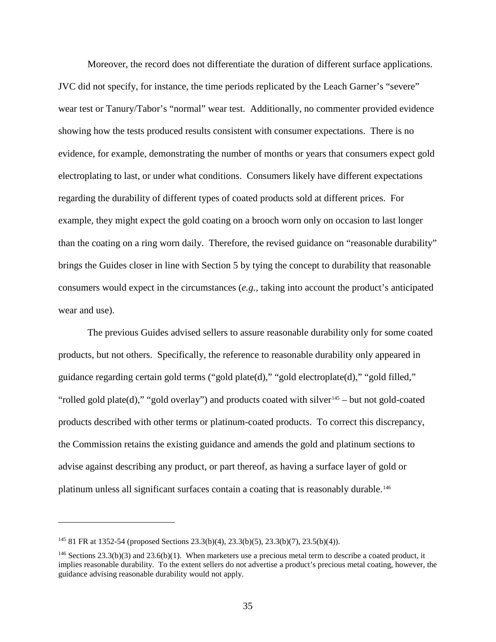Moreover, the record does not differentiate the duration of different surface applications. JVC did not specify, for instance, the time periods replicated by the Leach Garner's "severe" wear test or Tanury/Tabor's "normal" wear test. Additionally, no commenter provided evidence showing how the tests produced results consistent with consumer expectations. There is no evidence, for example, demonstrating the number of months or years that consumers expect gold electroplating to last, or under what conditions. Consumers likely have different expectations regarding the durability of different types of coated products sold at different prices. For example, they might expect the gold coating on a brooch worn only on occasion to last longer than the coating on a ring worn daily. Therefore, the revised guidance on "reasonable durability" brings the Guides closer in line with Section 5 by tying the concept to durability that reasonable consumers would expect in the circumstances (*e.g.,* taking into account the product's anticipated wear and use).

The previous Guides advised sellers to assure reasonable durability only for some coated products, but not others. Specifically, the reference to reasonable durability only appeared in guidance regarding certain gold terms ("gold plate(d)," "gold electroplate(d)," "gold filled," "rolled gold plate(d)," "gold overlay") and products coated with silver<sup>[145](#page-40-0)</sup> – but not gold-coated products described with other terms or platinum-coated products. To correct this discrepancy, the Commission retains the existing guidance and amends the gold and platinum sections to advise against describing any product, or part thereof, as having a surface layer of gold or platinum unless all significant surfaces contain a coating that is reasonably durable.<sup>146</sup>

<span id="page-40-0"></span><sup>145</sup> 81 FR at 1352-54 (proposed Sections 23.3(b)(4), 23.3(b)(5), 23.3(b)(7), 23.5(b)(4)).

<span id="page-40-1"></span> $146$  Sections 23.3(b)(3) and 23.6(b)(1). When marketers use a precious metal term to describe a coated product, it implies reasonable durability. To the extent sellers do not advertise a product's precious metal coating, however, the guidance advising reasonable durability would not apply.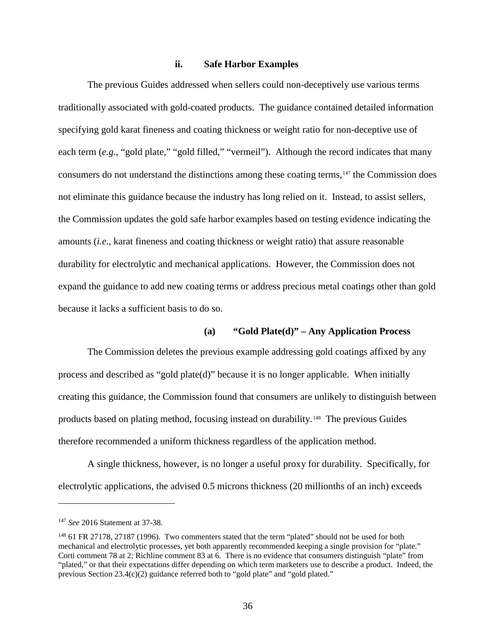### **ii. Safe Harbor Examples**

The previous Guides addressed when sellers could non-deceptively use various terms traditionally associated with gold-coated products. The guidance contained detailed information specifying gold karat fineness and coating thickness or weight ratio for non-deceptive use of each term (*e.g.*, "gold plate," "gold filled," "vermeil"). Although the record indicates that many consumers do not understand the distinctions among these coating terms,[147](#page-41-0) the Commission does not eliminate this guidance because the industry has long relied on it. Instead, to assist sellers, the Commission updates the gold safe harbor examples based on testing evidence indicating the amounts (*i.e.*, karat fineness and coating thickness or weight ratio) that assure reasonable durability for electrolytic and mechanical applications. However, the Commission does not expand the guidance to add new coating terms or address precious metal coatings other than gold because it lacks a sufficient basis to do so.

# **(a) "Gold Plate(d)" – Any Application Process**

The Commission deletes the previous example addressing gold coatings affixed by any process and described as "gold plate(d)" because it is no longer applicable. When initially creating this guidance, the Commission found that consumers are unlikely to distinguish between products based on plating method, focusing instead on durability.[148](#page-41-1) The previous Guides therefore recommended a uniform thickness regardless of the application method.

A single thickness, however, is no longer a useful proxy for durability. Specifically, for electrolytic applications, the advised 0.5 microns thickness (20 millionths of an inch) exceeds

<span id="page-41-0"></span><sup>147</sup> *See* 2016 Statement at 37-38.

<span id="page-41-1"></span><sup>&</sup>lt;sup>148</sup> 61 FR 27178, 27187 (1996). Two commenters stated that the term "plated" should not be used for both mechanical and electrolytic processes, yet both apparently recommended keeping a single provision for "plate." Corti comment 78 at 2; Richline comment 83 at 6. There is no evidence that consumers distinguish "plate" from "plated," or that their expectations differ depending on which term marketers use to describe a product. Indeed, the previous Section 23.4(c)(2) guidance referred both to "gold plate" and "gold plated."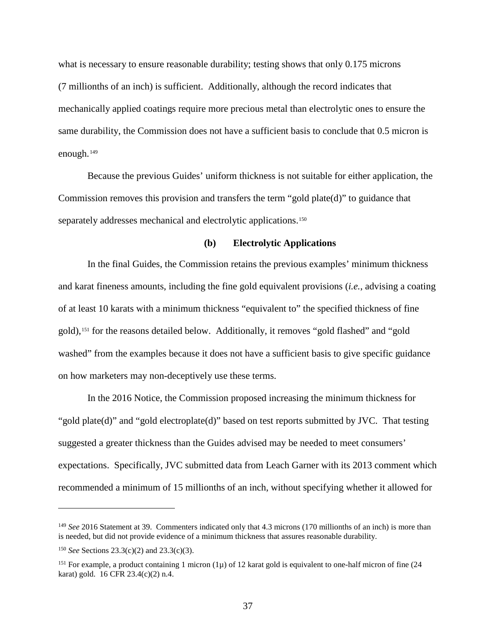what is necessary to ensure reasonable durability; testing shows that only 0.175 microns (7 millionths of an inch) is sufficient. Additionally, although the record indicates that mechanically applied coatings require more precious metal than electrolytic ones to ensure the same durability, the Commission does not have a sufficient basis to conclude that 0.5 micron is enough.[149](#page-42-0) 

Because the previous Guides' uniform thickness is not suitable for either application, the Commission removes this provision and transfers the term "gold plate(d)" to guidance that separately addresses mechanical and electrolytic applications.<sup>150</sup>

### **(b) Electrolytic Applications**

In the final Guides, the Commission retains the previous examples' minimum thickness and karat fineness amounts, including the fine gold equivalent provisions (*i.e.*, advising a coating of at least 10 karats with a minimum thickness "equivalent to" the specified thickness of fine gold),[151](#page-42-2) for the reasons detailed below. Additionally, it removes "gold flashed" and "gold washed" from the examples because it does not have a sufficient basis to give specific guidance on how marketers may non-deceptively use these terms.

In the 2016 Notice, the Commission proposed increasing the minimum thickness for "gold plate(d)" and "gold electroplate(d)" based on test reports submitted by JVC. That testing suggested a greater thickness than the Guides advised may be needed to meet consumers' expectations. Specifically, JVC submitted data from Leach Garner with its 2013 comment which recommended a minimum of 15 millionths of an inch, without specifying whether it allowed for

<span id="page-42-0"></span><sup>149</sup> *See* 2016 Statement at 39. Commenters indicated only that 4.3 microns (170 millionths of an inch) is more than is needed, but did not provide evidence of a minimum thickness that assures reasonable durability.

<span id="page-42-1"></span><sup>150</sup> *See* Sections 23.3(c)(2) and 23.3(c)(3).

<span id="page-42-2"></span><sup>&</sup>lt;sup>151</sup> For example, a product containing 1 micron (1 $\mu$ ) of 12 karat gold is equivalent to one-half micron of fine (24 karat) gold. 16 CFR 23.4(c)(2) n.4.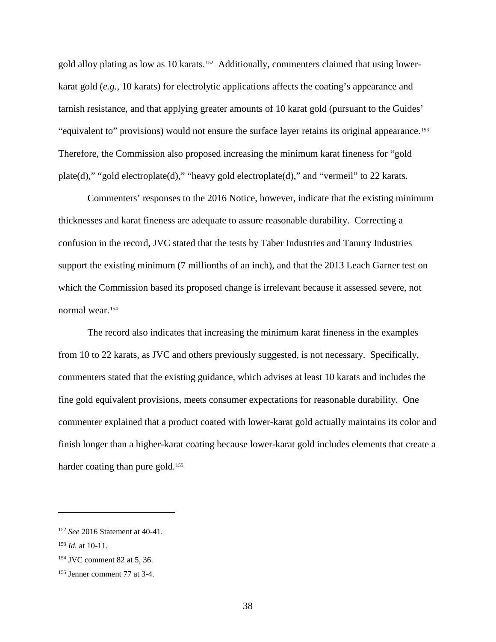gold alloy plating as low as 10 karats.<sup>152</sup> Additionally, commenters claimed that using lowerkarat gold (*e.g.*, 10 karats) for electrolytic applications affects the coating's appearance and tarnish resistance, and that applying greater amounts of 10 karat gold (pursuant to the Guides' "equivalent to" provisions) would not ensure the surface layer retains its original appearance.[153](#page-43-1)  Therefore, the Commission also proposed increasing the minimum karat fineness for "gold plate(d)," "gold electroplate(d)," "heavy gold electroplate(d)," and "vermeil" to 22 karats.

Commenters' responses to the 2016 Notice, however, indicate that the existing minimum thicknesses and karat fineness are adequate to assure reasonable durability. Correcting a confusion in the record, JVC stated that the tests by Taber Industries and Tanury Industries support the existing minimum (7 millionths of an inch), and that the 2013 Leach Garner test on which the Commission based its proposed change is irrelevant because it assessed severe, not normal wear.[154](#page-43-2) 

The record also indicates that increasing the minimum karat fineness in the examples from 10 to 22 karats, as JVC and others previously suggested, is not necessary. Specifically, commenters stated that the existing guidance, which advises at least 10 karats and includes the fine gold equivalent provisions, meets consumer expectations for reasonable durability. One commenter explained that a product coated with lower-karat gold actually maintains its color and finish longer than a higher-karat coating because lower-karat gold includes elements that create a harder coating than pure gold.<sup>155</sup>

<span id="page-43-0"></span><sup>152</sup> *See* 2016 Statement at 40-41.

<span id="page-43-1"></span><sup>153</sup> *Id.* at 10-11.

<span id="page-43-2"></span><sup>154</sup> JVC comment 82 at 5, 36.

<span id="page-43-3"></span><sup>155</sup> Jenner comment 77 at 3-4.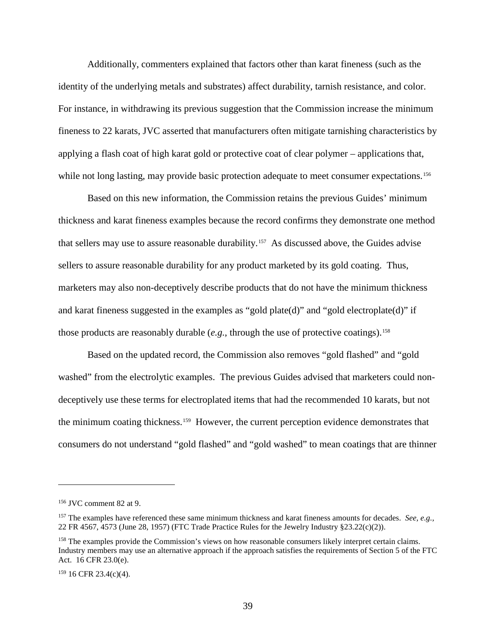Additionally, commenters explained that factors other than karat fineness (such as the identity of the underlying metals and substrates) affect durability, tarnish resistance, and color. For instance, in withdrawing its previous suggestion that the Commission increase the minimum fineness to 22 karats, JVC asserted that manufacturers often mitigate tarnishing characteristics by applying a flash coat of high karat gold or protective coat of clear polymer – applications that, while not long lasting, may provide basic protection adequate to meet consumer expectations.<sup>[156](#page-44-0)</sup>

Based on this new information, the Commission retains the previous Guides' minimum thickness and karat fineness examples because the record confirms they demonstrate one method that sellers may use to assure reasonable durability.[157](#page-44-1) As discussed above, the Guides advise sellers to assure reasonable durability for any product marketed by its gold coating. Thus, marketers may also non-deceptively describe products that do not have the minimum thickness and karat fineness suggested in the examples as "gold plate(d)" and "gold electroplate(d)" if those products are reasonably durable (*e.g.*, through the use of protective coatings).<sup>[158](#page-44-2)</sup>

Based on the updated record, the Commission also removes "gold flashed" and "gold washed" from the electrolytic examples. The previous Guides advised that marketers could nondeceptively use these terms for electroplated items that had the recommended 10 karats, but not the minimum coating thickness.[159](#page-44-3) However, the current perception evidence demonstrates that consumers do not understand "gold flashed" and "gold washed" to mean coatings that are thinner

<span id="page-44-0"></span><sup>156</sup> JVC comment 82 at 9.

<span id="page-44-1"></span><sup>157</sup> The examples have referenced these same minimum thickness and karat fineness amounts for decades. *See, e.g.,* 22 FR 4567, 4573 (June 28, 1957) (FTC Trade Practice Rules for the Jewelry Industry §23.22(c)(2)).

<span id="page-44-2"></span><sup>&</sup>lt;sup>158</sup> The examples provide the Commission's views on how reasonable consumers likely interpret certain claims. Industry members may use an alternative approach if the approach satisfies the requirements of Section 5 of the FTC Act. 16 CFR 23.0(e).

<span id="page-44-3"></span> $159$  16 CFR 23.4(c)(4).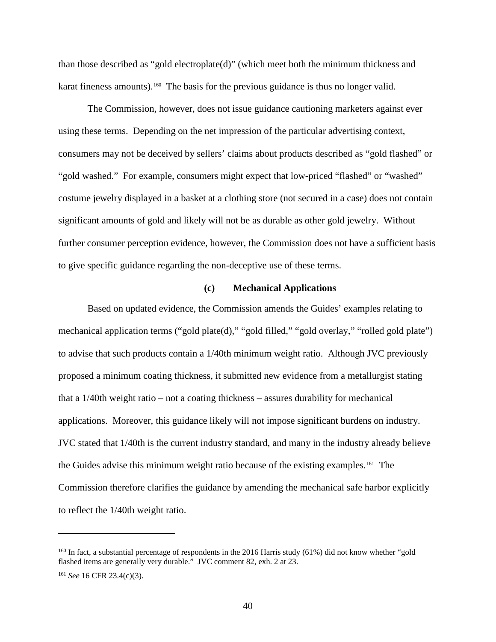than those described as "gold electroplate(d)" (which meet both the minimum thickness and karat fineness amounts).<sup>[160](#page-45-0)</sup> The basis for the previous guidance is thus no longer valid.

The Commission, however, does not issue guidance cautioning marketers against ever using these terms. Depending on the net impression of the particular advertising context, consumers may not be deceived by sellers' claims about products described as "gold flashed" or "gold washed." For example, consumers might expect that low-priced "flashed" or "washed" costume jewelry displayed in a basket at a clothing store (not secured in a case) does not contain significant amounts of gold and likely will not be as durable as other gold jewelry. Without further consumer perception evidence, however, the Commission does not have a sufficient basis to give specific guidance regarding the non-deceptive use of these terms.

### **(c) Mechanical Applications**

Based on updated evidence, the Commission amends the Guides' examples relating to mechanical application terms ("gold plate(d)," "gold filled," "gold overlay," "rolled gold plate") to advise that such products contain a 1/40th minimum weight ratio. Although JVC previously proposed a minimum coating thickness, it submitted new evidence from a metallurgist stating that a 1/40th weight ratio – not a coating thickness – assures durability for mechanical applications. Moreover, this guidance likely will not impose significant burdens on industry. JVC stated that 1/40th is the current industry standard, and many in the industry already believe the Guides advise this minimum weight ratio because of the existing examples.[161](#page-45-1) The Commission therefore clarifies the guidance by amending the mechanical safe harbor explicitly to reflect the 1/40th weight ratio.

<span id="page-45-0"></span><sup>&</sup>lt;sup>160</sup> In fact, a substantial percentage of respondents in the 2016 Harris study (61%) did not know whether "gold flashed items are generally very durable." JVC comment 82, exh. 2 at 23.

<span id="page-45-1"></span><sup>161</sup> *See* 16 CFR 23.4(c)(3).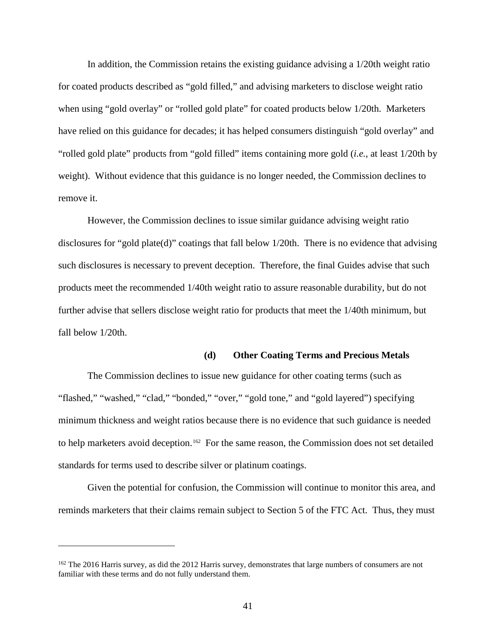In addition, the Commission retains the existing guidance advising a 1/20th weight ratio for coated products described as "gold filled," and advising marketers to disclose weight ratio when using "gold overlay" or "rolled gold plate" for coated products below 1/20th. Marketers have relied on this guidance for decades; it has helped consumers distinguish "gold overlay" and "rolled gold plate" products from "gold filled" items containing more gold (*i.e.*, at least 1/20th by weight). Without evidence that this guidance is no longer needed, the Commission declines to remove it.

However, the Commission declines to issue similar guidance advising weight ratio disclosures for "gold plate(d)" coatings that fall below 1/20th. There is no evidence that advising such disclosures is necessary to prevent deception. Therefore, the final Guides advise that such products meet the recommended 1/40th weight ratio to assure reasonable durability, but do not further advise that sellers disclose weight ratio for products that meet the 1/40th minimum, but fall below 1/20th.

### **(d) Other Coating Terms and Precious Metals**

The Commission declines to issue new guidance for other coating terms (such as "flashed," "washed," "clad," "bonded," "over," "gold tone," and "gold layered") specifying minimum thickness and weight ratios because there is no evidence that such guidance is needed to help marketers avoid deception.<sup>162</sup> For the same reason, the Commission does not set detailed standards for terms used to describe silver or platinum coatings.

Given the potential for confusion, the Commission will continue to monitor this area, and reminds marketers that their claims remain subject to Section 5 of the FTC Act. Thus, they must

<span id="page-46-0"></span><sup>&</sup>lt;sup>162</sup> The 2016 Harris survey, as did the 2012 Harris survey, demonstrates that large numbers of consumers are not familiar with these terms and do not fully understand them.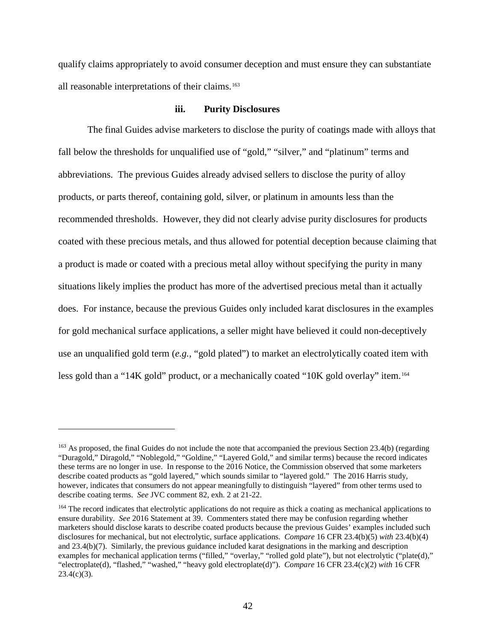qualify claims appropriately to avoid consumer deception and must ensure they can substantiate all reasonable interpretations of their claims.<sup>[163](#page-47-0)</sup>

### **iii. Purity Disclosures**

The final Guides advise marketers to disclose the purity of coatings made with alloys that fall below the thresholds for unqualified use of "gold," "silver," and "platinum" terms and abbreviations. The previous Guides already advised sellers to disclose the purity of alloy products, or parts thereof, containing gold, silver, or platinum in amounts less than the recommended thresholds. However, they did not clearly advise purity disclosures for products coated with these precious metals, and thus allowed for potential deception because claiming that a product is made or coated with a precious metal alloy without specifying the purity in many situations likely implies the product has more of the advertised precious metal than it actually does. For instance, because the previous Guides only included karat disclosures in the examples for gold mechanical surface applications, a seller might have believed it could non-deceptively use an unqualified gold term (*e.g.*, "gold plated") to market an electrolytically coated item with less gold than a "14K gold" product, or a mechanically coated "10K gold overlay" item.[164](#page-47-1)

<span id="page-47-0"></span><sup>&</sup>lt;sup>163</sup> As proposed, the final Guides do not include the note that accompanied the previous Section 23.4(b) (regarding "Duragold," Diragold," "Noblegold," "Goldine," "Layered Gold," and similar terms) because the record indicates these terms are no longer in use. In response to the 2016 Notice, the Commission observed that some marketers describe coated products as "gold layered," which sounds similar to "layered gold." The 2016 Harris study, however, indicates that consumers do not appear meaningfully to distinguish "layered" from other terms used to describe coating terms. *See* JVC comment 82, exh. 2 at 21-22.

<span id="page-47-1"></span><sup>&</sup>lt;sup>164</sup> The record indicates that electrolytic applications do not require as thick a coating as mechanical applications to ensure durability. *See* 2016 Statement at 39. Commenters stated there may be confusion regarding whether marketers should disclose karats to describe coated products because the previous Guides' examples included such disclosures for mechanical, but not electrolytic, surface applications. *Compare* 16 CFR 23.4(b)(5) *with* 23.4(b)(4) and 23.4(b)(7). Similarly, the previous guidance included karat designations in the marking and description examples for mechanical application terms ("filled," "overlay," "rolled gold plate"), but not electrolytic ("plate(d)," "electroplate(d), "flashed," "washed," "heavy gold electroplate(d)"). *Compare* 16 CFR 23.4(c)(2) *with* 16 CFR  $23.4(c)(3)$ .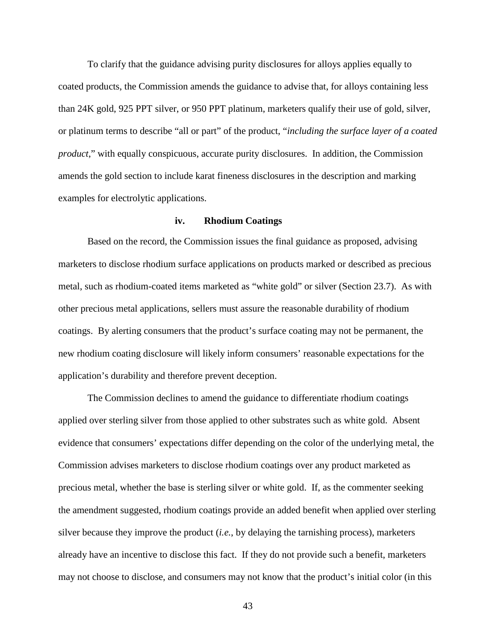To clarify that the guidance advising purity disclosures for alloys applies equally to coated products, the Commission amends the guidance to advise that, for alloys containing less than 24K gold, 925 PPT silver, or 950 PPT platinum, marketers qualify their use of gold, silver, or platinum terms to describe "all or part" of the product, "*including the surface layer of a coated product*," with equally conspicuous, accurate purity disclosures. In addition, the Commission amends the gold section to include karat fineness disclosures in the description and marking examples for electrolytic applications.

### **iv. Rhodium Coatings**

Based on the record, the Commission issues the final guidance as proposed, advising marketers to disclose rhodium surface applications on products marked or described as precious metal, such as rhodium-coated items marketed as "white gold" or silver (Section 23.7). As with other precious metal applications, sellers must assure the reasonable durability of rhodium coatings. By alerting consumers that the product's surface coating may not be permanent, the new rhodium coating disclosure will likely inform consumers' reasonable expectations for the application's durability and therefore prevent deception.

The Commission declines to amend the guidance to differentiate rhodium coatings applied over sterling silver from those applied to other substrates such as white gold. Absent evidence that consumers' expectations differ depending on the color of the underlying metal, the Commission advises marketers to disclose rhodium coatings over any product marketed as precious metal, whether the base is sterling silver or white gold. If, as the commenter seeking the amendment suggested, rhodium coatings provide an added benefit when applied over sterling silver because they improve the product (*i.e.*, by delaying the tarnishing process), marketers already have an incentive to disclose this fact. If they do not provide such a benefit, marketers may not choose to disclose, and consumers may not know that the product's initial color (in this

43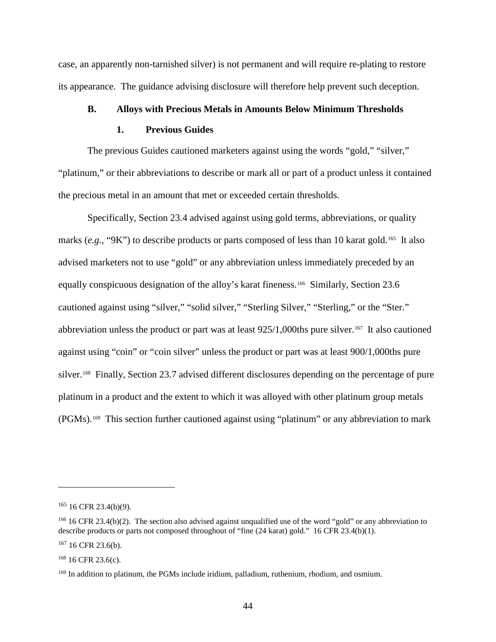case, an apparently non-tarnished silver) is not permanent and will require re-plating to restore its appearance. The guidance advising disclosure will therefore help prevent such deception.

# **B. Alloys with Precious Metals in Amounts Below Minimum Thresholds**

### **1. Previous Guides**

The previous Guides cautioned marketers against using the words "gold," "silver," "platinum," or their abbreviations to describe or mark all or part of a product unless it contained the precious metal in an amount that met or exceeded certain thresholds.

Specifically, Section 23.4 advised against using gold terms, abbreviations, or quality marks (e.g., "9K") to describe products or parts composed of less than 10 karat gold.<sup>165</sup> It also advised marketers not to use "gold" or any abbreviation unless immediately preceded by an equally conspicuous designation of the alloy's karat fineness.<sup>166</sup> Similarly, Section 23.6 cautioned against using "silver," "solid silver," "Sterling Silver," "Sterling," or the "Ster." abbreviation unless the product or part was at least  $925/1,000$ ths pure silver.<sup>167</sup> It also cautioned against using "coin" or "coin silver" unless the product or part was at least 900/1,000ths pure silver.<sup>168</sup> Finally, Section 23.7 advised different disclosures depending on the percentage of pure platinum in a product and the extent to which it was alloyed with other platinum group metals (PGMs).[169](#page-49-4) This section further cautioned against using "platinum" or any abbreviation to mark

<span id="page-49-0"></span> $165$  16 CFR 23.4(b)(9).

<span id="page-49-1"></span><sup>&</sup>lt;sup>166</sup> 16 CFR 23.4(b)(2). The section also advised against unqualified use of the word "gold" or any abbreviation to describe products or parts not composed throughout of "fine (24 karat) gold." 16 CFR 23.4(b)(1).

<span id="page-49-2"></span> $167$  16 CFR 23.6(b).

<span id="page-49-3"></span> $168$  16 CFR 23.6(c).

<span id="page-49-4"></span><sup>&</sup>lt;sup>169</sup> In addition to platinum, the PGMs include iridium, palladium, ruthenium, rhodium, and osmium.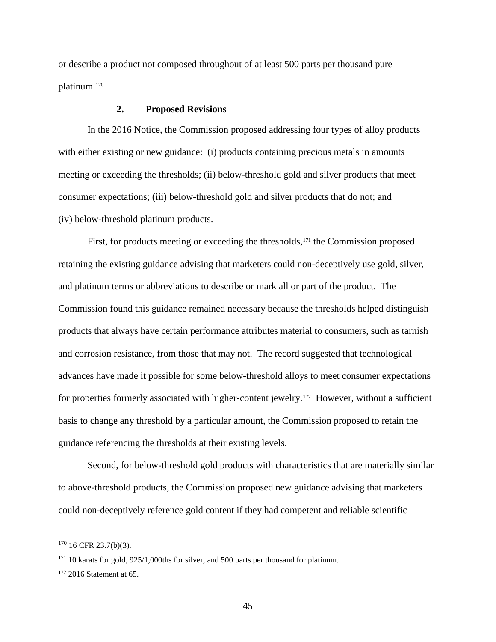or describe a product not composed throughout of at least 500 parts per thousand pure platinum.[170](#page-50-0) 

# **2. Proposed Revisions**

In the 2016 Notice, the Commission proposed addressing four types of alloy products with either existing or new guidance: (i) products containing precious metals in amounts meeting or exceeding the thresholds; (ii) below-threshold gold and silver products that meet consumer expectations; (iii) below-threshold gold and silver products that do not; and (iv) below-threshold platinum products.

First, for products meeting or exceeding the thresholds,<sup>[171](#page-50-1)</sup> the Commission proposed retaining the existing guidance advising that marketers could non-deceptively use gold, silver, and platinum terms or abbreviations to describe or mark all or part of the product. The Commission found this guidance remained necessary because the thresholds helped distinguish products that always have certain performance attributes material to consumers, such as tarnish and corrosion resistance, from those that may not. The record suggested that technological advances have made it possible for some below-threshold alloys to meet consumer expectations for properties formerly associated with higher-content jewelry.<sup>172</sup> However, without a sufficient basis to change any threshold by a particular amount, the Commission proposed to retain the guidance referencing the thresholds at their existing levels.

Second, for below-threshold gold products with characteristics that are materially similar to above-threshold products, the Commission proposed new guidance advising that marketers could non-deceptively reference gold content if they had competent and reliable scientific

<span id="page-50-0"></span> $170$  16 CFR 23.7(b)(3).

<span id="page-50-1"></span><sup>&</sup>lt;sup>171</sup> 10 karats for gold, 925/1,000ths for silver, and 500 parts per thousand for platinum.

<span id="page-50-2"></span> $172$  2016 Statement at 65.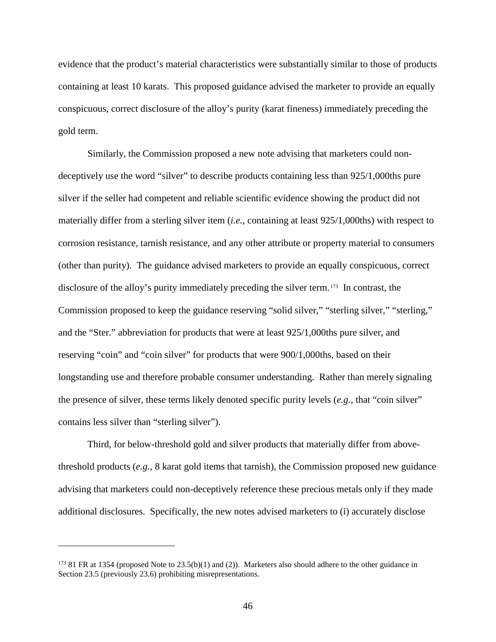evidence that the product's material characteristics were substantially similar to those of products containing at least 10 karats. This proposed guidance advised the marketer to provide an equally conspicuous, correct disclosure of the alloy's purity (karat fineness) immediately preceding the gold term.

Similarly, the Commission proposed a new note advising that marketers could nondeceptively use the word "silver" to describe products containing less than 925/1,000ths pure silver if the seller had competent and reliable scientific evidence showing the product did not materially differ from a sterling silver item (*i.e.*, containing at least 925/1,000ths) with respect to corrosion resistance, tarnish resistance, and any other attribute or property material to consumers (other than purity). The guidance advised marketers to provide an equally conspicuous, correct disclosure of the alloy's purity immediately preceding the silver term.[173](#page-51-0) In contrast, the Commission proposed to keep the guidance reserving "solid silver," "sterling silver," "sterling," and the "Ster." abbreviation for products that were at least 925/1,000ths pure silver, and reserving "coin" and "coin silver" for products that were 900/1,000ths, based on their longstanding use and therefore probable consumer understanding. Rather than merely signaling the presence of silver, these terms likely denoted specific purity levels (*e.g.*, that "coin silver" contains less silver than "sterling silver").

Third, for below-threshold gold and silver products that materially differ from abovethreshold products (*e.g.*, 8 karat gold items that tarnish), the Commission proposed new guidance advising that marketers could non-deceptively reference these precious metals only if they made additional disclosures. Specifically, the new notes advised marketers to (i) accurately disclose

<span id="page-51-0"></span><sup>173</sup> 81 FR at 1354 (proposed Note to 23.5(b)(1) and (2)). Marketers also should adhere to the other guidance in Section 23.5 (previously 23.6) prohibiting misrepresentations.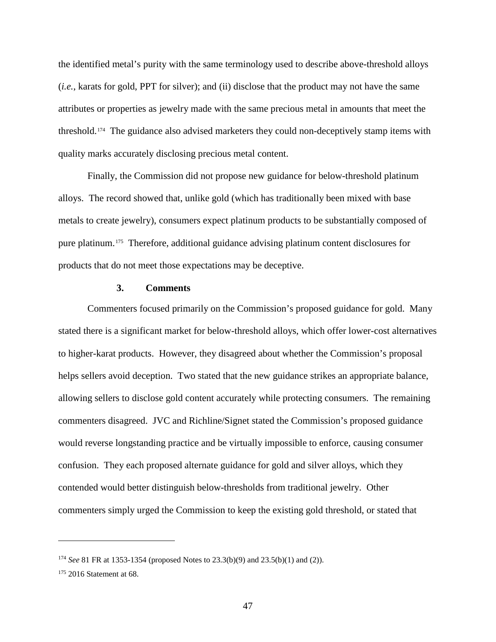the identified metal's purity with the same terminology used to describe above-threshold alloys (*i.e.*, karats for gold, PPT for silver); and (ii) disclose that the product may not have the same attributes or properties as jewelry made with the same precious metal in amounts that meet the threshold.[174](#page-52-0) The guidance also advised marketers they could non-deceptively stamp items with quality marks accurately disclosing precious metal content.

Finally, the Commission did not propose new guidance for below-threshold platinum alloys. The record showed that, unlike gold (which has traditionally been mixed with base metals to create jewelry), consumers expect platinum products to be substantially composed of pure platinum.[175](#page-52-1) Therefore, additional guidance advising platinum content disclosures for products that do not meet those expectations may be deceptive.

## **3. Comments**

Commenters focused primarily on the Commission's proposed guidance for gold. Many stated there is a significant market for below-threshold alloys, which offer lower-cost alternatives to higher-karat products. However, they disagreed about whether the Commission's proposal helps sellers avoid deception. Two stated that the new guidance strikes an appropriate balance, allowing sellers to disclose gold content accurately while protecting consumers. The remaining commenters disagreed. JVC and Richline/Signet stated the Commission's proposed guidance would reverse longstanding practice and be virtually impossible to enforce, causing consumer confusion. They each proposed alternate guidance for gold and silver alloys, which they contended would better distinguish below-thresholds from traditional jewelry. Other commenters simply urged the Commission to keep the existing gold threshold, or stated that

<span id="page-52-0"></span><sup>174</sup> *See* 81 FR at 1353-1354 (proposed Notes to 23.3(b)(9) and 23.5(b)(1) and (2)).

<span id="page-52-1"></span> $175$  2016 Statement at 68.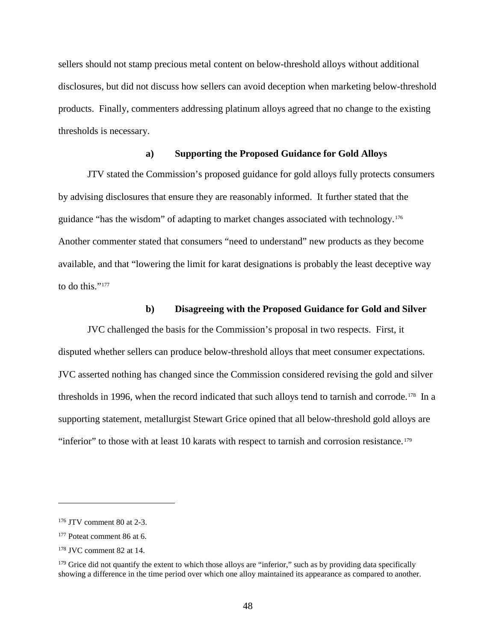sellers should not stamp precious metal content on below-threshold alloys without additional disclosures, but did not discuss how sellers can avoid deception when marketing below-threshold products. Finally, commenters addressing platinum alloys agreed that no change to the existing thresholds is necessary.

# **a) Supporting the Proposed Guidance for Gold Alloys**

JTV stated the Commission's proposed guidance for gold alloys fully protects consumers by advising disclosures that ensure they are reasonably informed. It further stated that the guidance "has the wisdom" of adapting to market changes associated with technology.[176](#page-53-0)  Another commenter stated that consumers "need to understand" new products as they become available, and that "lowering the limit for karat designations is probably the least deceptive way to do this."<sup>[177](#page-53-1)</sup>

# **b) Disagreeing with the Proposed Guidance for Gold and Silver**

JVC challenged the basis for the Commission's proposal in two respects. First, it disputed whether sellers can produce below-threshold alloys that meet consumer expectations. JVC asserted nothing has changed since the Commission considered revising the gold and silver thresholds in 1996, when the record indicated that such alloys tend to tarnish and corrode.<sup>[178](#page-53-2)</sup> In a supporting statement, metallurgist Stewart Grice opined that all below-threshold gold alloys are "inferior" to those with at least 10 karats with respect to tarnish and corrosion resistance.<sup>179</sup>

<span id="page-53-0"></span><sup>176</sup> JTV comment 80 at 2-3.

<span id="page-53-1"></span><sup>&</sup>lt;sup>177</sup> Poteat comment 86 at 6.

<span id="page-53-2"></span><sup>178</sup> JVC comment 82 at 14.

<span id="page-53-3"></span> $179$  Grice did not quantify the extent to which those alloys are "inferior," such as by providing data specifically showing a difference in the time period over which one alloy maintained its appearance as compared to another.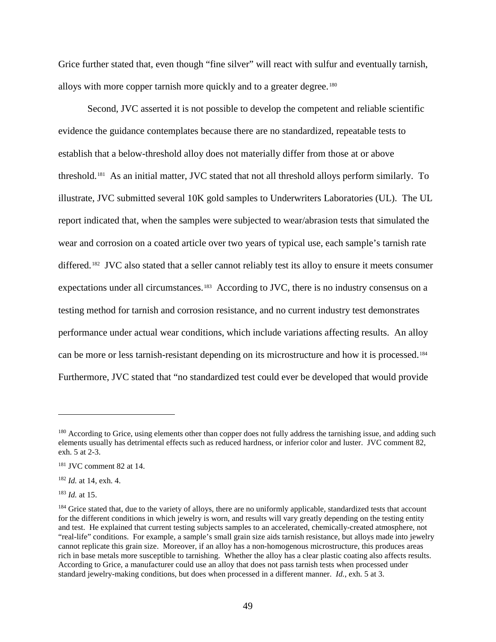Grice further stated that, even though "fine silver" will react with sulfur and eventually tarnish, alloys with more copper tarnish more quickly and to a greater degree.<sup>[180](#page-54-0)</sup>

Second, JVC asserted it is not possible to develop the competent and reliable scientific evidence the guidance contemplates because there are no standardized, repeatable tests to establish that a below-threshold alloy does not materially differ from those at or above threshold.[181](#page-54-1) As an initial matter, JVC stated that not all threshold alloys perform similarly. To illustrate, JVC submitted several 10K gold samples to Underwriters Laboratories (UL). The UL report indicated that, when the samples were subjected to wear/abrasion tests that simulated the wear and corrosion on a coated article over two years of typical use, each sample's tarnish rate differed.<sup>[182](#page-54-2)</sup> JVC also stated that a seller cannot reliably test its alloy to ensure it meets consumer expectations under all circumstances.<sup>[183](#page-54-3)</sup> According to JVC, there is no industry consensus on a testing method for tarnish and corrosion resistance, and no current industry test demonstrates performance under actual wear conditions, which include variations affecting results. An alloy can be more or less tarnish-resistant depending on its microstructure and how it is processed.<sup>184</sup> Furthermore, JVC stated that "no standardized test could ever be developed that would provide

<span id="page-54-0"></span><sup>&</sup>lt;sup>180</sup> According to Grice, using elements other than copper does not fully address the tarnishing issue, and adding such elements usually has detrimental effects such as reduced hardness, or inferior color and luster. JVC comment 82, exh. 5 at 2-3.

<span id="page-54-1"></span><sup>181</sup> JVC comment 82 at 14.

<span id="page-54-2"></span><sup>182</sup> *Id.* at 14, exh. 4.

<span id="page-54-3"></span><sup>183</sup> *Id.* at 15.

<span id="page-54-4"></span><sup>&</sup>lt;sup>184</sup> Grice stated that, due to the variety of alloys, there are no uniformly applicable, standardized tests that account for the different conditions in which jewelry is worn, and results will vary greatly depending on the testing entity and test. He explained that current testing subjects samples to an accelerated, chemically-created atmosphere, not "real-life" conditions. For example, a sample's small grain size aids tarnish resistance, but alloys made into jewelry cannot replicate this grain size. Moreover, if an alloy has a non-homogenous microstructure, this produces areas rich in base metals more susceptible to tarnishing. Whether the alloy has a clear plastic coating also affects results. According to Grice, a manufacturer could use an alloy that does not pass tarnish tests when processed under standard jewelry-making conditions, but does when processed in a different manner. *Id.*, exh. 5 at 3.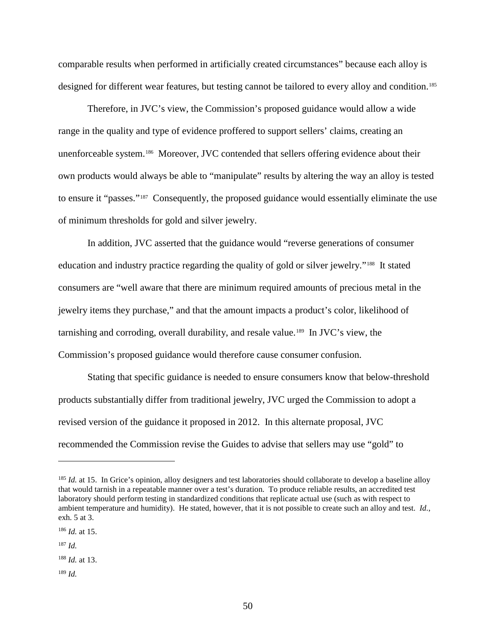comparable results when performed in artificially created circumstances" because each alloy is designed for different wear features, but testing cannot be tailored to every alloy and condition.<sup>[185](#page-55-0)</sup>

Therefore, in JVC's view, the Commission's proposed guidance would allow a wide range in the quality and type of evidence proffered to support sellers' claims, creating an unenforceable system.[186](#page-55-1) Moreover, JVC contended that sellers offering evidence about their own products would always be able to "manipulate" results by altering the way an alloy is tested to ensure it "passes."[187](#page-55-2) Consequently, the proposed guidance would essentially eliminate the use of minimum thresholds for gold and silver jewelry.

In addition, JVC asserted that the guidance would "reverse generations of consumer education and industry practice regarding the quality of gold or silver jewelry."[188](#page-55-3) It stated consumers are "well aware that there are minimum required amounts of precious metal in the jewelry items they purchase," and that the amount impacts a product's color, likelihood of tarnishing and corroding, overall durability, and resale value.[189](#page-55-4) In JVC's view, the Commission's proposed guidance would therefore cause consumer confusion.

Stating that specific guidance is needed to ensure consumers know that below-threshold products substantially differ from traditional jewelry, JVC urged the Commission to adopt a revised version of the guidance it proposed in 2012. In this alternate proposal, JVC recommended the Commission revise the Guides to advise that sellers may use "gold" to

<span id="page-55-0"></span><sup>&</sup>lt;sup>185</sup> *Id.* at 15. In Grice's opinion, alloy designers and test laboratories should collaborate to develop a baseline alloy that would tarnish in a repeatable manner over a test's duration. To produce reliable results, an accredited test laboratory should perform testing in standardized conditions that replicate actual use (such as with respect to ambient temperature and humidity). He stated, however, that it is not possible to create such an alloy and test. *Id.*, exh. 5 at 3.

<span id="page-55-1"></span><sup>186</sup> *Id.* at 15.

<span id="page-55-2"></span><sup>187</sup> *Id.*

<span id="page-55-3"></span><sup>188</sup> *Id.* at 13.

<span id="page-55-4"></span><sup>189</sup> *Id.*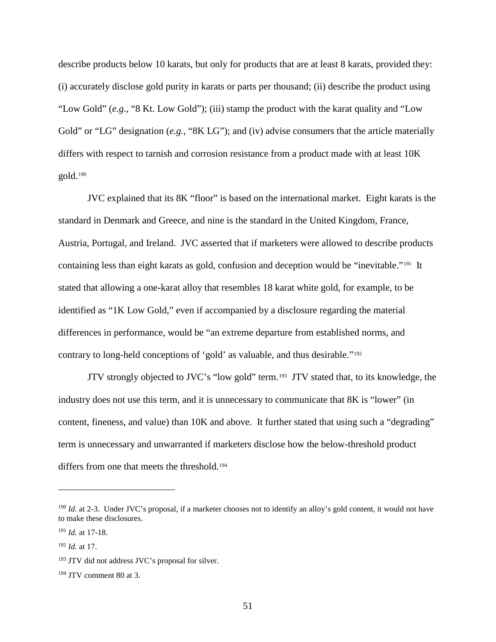describe products below 10 karats, but only for products that are at least 8 karats, provided they: (i) accurately disclose gold purity in karats or parts per thousand; (ii) describe the product using "Low Gold" (*e.g.*, "8 Kt. Low Gold"); (iii) stamp the product with the karat quality and "Low Gold" or "LG" designation (*e.g.*, "8K LG"); and (iv) advise consumers that the article materially differs with respect to tarnish and corrosion resistance from a product made with at least 10K gold.[190](#page-56-0) 

JVC explained that its 8K "floor" is based on the international market. Eight karats is the standard in Denmark and Greece, and nine is the standard in the United Kingdom, France, Austria, Portugal, and Ireland. JVC asserted that if marketers were allowed to describe products containing less than eight karats as gold, confusion and deception would be "inevitable."[191](#page-56-1) It stated that allowing a one-karat alloy that resembles 18 karat white gold, for example, to be identified as "1K Low Gold," even if accompanied by a disclosure regarding the material differences in performance, would be "an extreme departure from established norms, and contrary to long-held conceptions of 'gold' as valuable, and thus desirable."[192](#page-56-2) 

JTV strongly objected to JVC's "low gold" term.[193](#page-56-3) JTV stated that, to its knowledge, the industry does not use this term, and it is unnecessary to communicate that 8K is "lower" (in content, fineness, and value) than 10K and above. It further stated that using such a "degrading" term is unnecessary and unwarranted if marketers disclose how the below-threshold product differs from one that meets the threshold.<sup>[194](#page-56-4)</sup>

<span id="page-56-0"></span><sup>&</sup>lt;sup>190</sup> *Id.* at 2-3. Under JVC's proposal, if a marketer chooses not to identify an alloy's gold content, it would not have to make these disclosures.

<span id="page-56-1"></span><sup>191</sup> *Id.* at 17-18.

<span id="page-56-2"></span><sup>192</sup> *Id.* at 17.

<span id="page-56-3"></span><sup>193</sup> JTV did not address JVC's proposal for silver.

<span id="page-56-4"></span><sup>194</sup> JTV comment 80 at 3.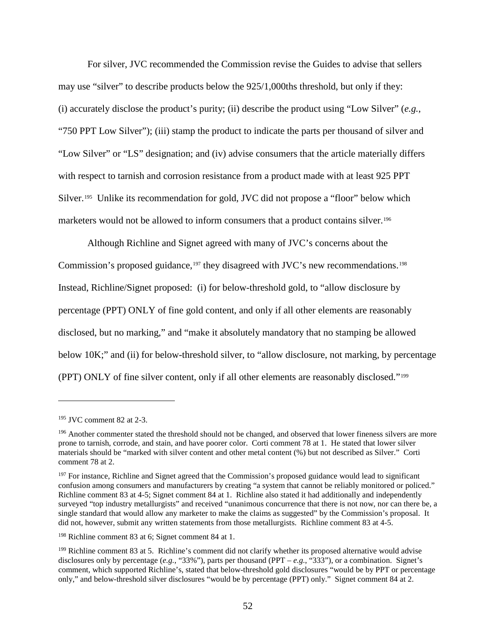For silver, JVC recommended the Commission revise the Guides to advise that sellers may use "silver" to describe products below the 925/1,000ths threshold, but only if they: (i) accurately disclose the product's purity; (ii) describe the product using "Low Silver" (*e.g.*, "750 PPT Low Silver"); (iii) stamp the product to indicate the parts per thousand of silver and "Low Silver" or "LS" designation; and (iv) advise consumers that the article materially differs with respect to tarnish and corrosion resistance from a product made with at least 925 PPT Silver.<sup>195</sup> Unlike its recommendation for gold, JVC did not propose a "floor" below which marketers would not be allowed to inform consumers that a product contains silver.[196](#page-57-1)

Although Richline and Signet agreed with many of JVC's concerns about the Commission's proposed guidance,<sup>[197](#page-57-2)</sup> they disagreed with JVC's new recommendations.<sup>198</sup> Instead, Richline/Signet proposed: (i) for below-threshold gold, to "allow disclosure by percentage (PPT) ONLY of fine gold content, and only if all other elements are reasonably disclosed, but no marking," and "make it absolutely mandatory that no stamping be allowed below 10K;" and (ii) for below-threshold silver, to "allow disclosure, not marking, by percentage (PPT) ONLY of fine silver content, only if all other elements are reasonably disclosed."[199](#page-57-4)

<span id="page-57-0"></span><sup>195</sup> JVC comment 82 at 2-3.

<span id="page-57-1"></span><sup>&</sup>lt;sup>196</sup> Another commenter stated the threshold should not be changed, and observed that lower fineness silvers are more prone to tarnish, corrode, and stain, and have poorer color. Corti comment 78 at 1. He stated that lower silver materials should be "marked with silver content and other metal content (%) but not described as Silver." Corti comment 78 at 2.

<span id="page-57-2"></span><sup>&</sup>lt;sup>197</sup> For instance, Richline and Signet agreed that the Commission's proposed guidance would lead to significant confusion among consumers and manufacturers by creating "a system that cannot be reliably monitored or policed." Richline comment 83 at 4-5; Signet comment 84 at 1. Richline also stated it had additionally and independently surveyed "top industry metallurgists" and received "unanimous concurrence that there is not now, nor can there be, a single standard that would allow any marketer to make the claims as suggested" by the Commission's proposal. It did not, however, submit any written statements from those metallurgists. Richline comment 83 at 4-5.

<span id="page-57-3"></span><sup>198</sup> Richline comment 83 at 6; Signet comment 84 at 1.

<span id="page-57-4"></span><sup>&</sup>lt;sup>199</sup> Richline comment 83 at 5. Richline's comment did not clarify whether its proposed alternative would advise disclosures only by percentage (*e.g.*, "33%"), parts per thousand (PPT – *e.g.*, "333"), or a combination. Signet's comment, which supported Richline's, stated that below-threshold gold disclosures "would be by PPT or percentage only," and below-threshold silver disclosures "would be by percentage (PPT) only." Signet comment 84 at 2.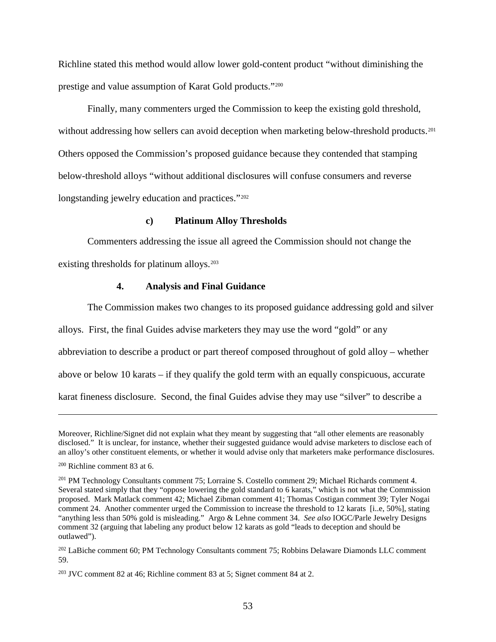Richline stated this method would allow lower gold-content product "without diminishing the prestige and value assumption of Karat Gold products."[200](#page-58-0)

Finally, many commenters urged the Commission to keep the existing gold threshold, without addressing how sellers can avoid deception when marketing below-threshold products.<sup>[201](#page-58-1)</sup> Others opposed the Commission's proposed guidance because they contended that stamping below-threshold alloys "without additional disclosures will confuse consumers and reverse longstanding jewelry education and practices."<sup>[202](#page-58-2)</sup>

### **c) Platinum Alloy Thresholds**

Commenters addressing the issue all agreed the Commission should not change the existing thresholds for platinum alloys.<sup>203</sup>

# **4. Analysis and Final Guidance**

The Commission makes two changes to its proposed guidance addressing gold and silver

alloys. First, the final Guides advise marketers they may use the word "gold" or any

abbreviation to describe a product or part thereof composed throughout of gold alloy – whether

above or below 10 karats – if they qualify the gold term with an equally conspicuous, accurate

karat fineness disclosure. Second, the final Guides advise they may use "silver" to describe a

Moreover, Richline/Signet did not explain what they meant by suggesting that "all other elements are reasonably disclosed." It is unclear, for instance, whether their suggested guidance would advise marketers to disclose each of an alloy's other constituent elements, or whether it would advise only that marketers make performance disclosures.

<span id="page-58-0"></span><sup>200</sup> Richline comment 83 at 6.

<span id="page-58-1"></span><sup>&</sup>lt;sup>201</sup> PM Technology Consultants comment 75; Lorraine S. Costello comment 29; Michael Richards comment 4. Several stated simply that they "oppose lowering the gold standard to 6 karats," which is not what the Commission proposed. Mark Matlack comment 42; Michael Zibman comment 41; Thomas Costigan comment 39; Tyler Nogai comment 24. Another commenter urged the Commission to increase the threshold to 12 karats [i..e, 50%], stating "anything less than 50% gold is misleading." Argo & Lehne comment 34. *See also* IOGC/Parle Jewelry Designs comment 32 (arguing that labeling any product below 12 karats as gold "leads to deception and should be outlawed").

<span id="page-58-2"></span><sup>&</sup>lt;sup>202</sup> LaBiche comment 60; PM Technology Consultants comment 75; Robbins Delaware Diamonds LLC comment 59.

<span id="page-58-3"></span> $203$  JVC comment 82 at 46; Richline comment 83 at 5; Signet comment 84 at 2.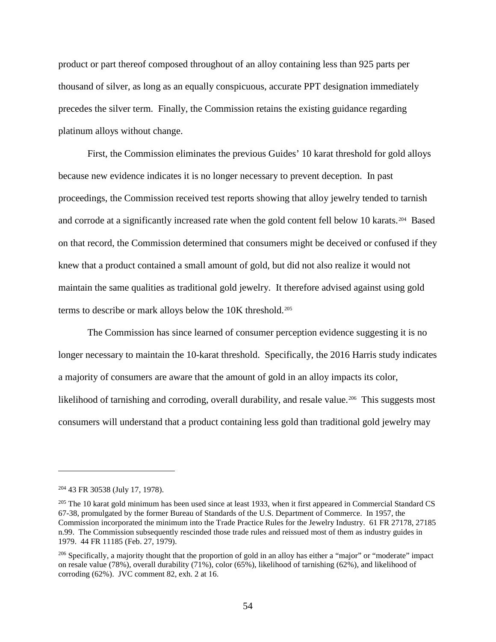product or part thereof composed throughout of an alloy containing less than 925 parts per thousand of silver, as long as an equally conspicuous, accurate PPT designation immediately precedes the silver term. Finally, the Commission retains the existing guidance regarding platinum alloys without change.

First, the Commission eliminates the previous Guides' 10 karat threshold for gold alloys because new evidence indicates it is no longer necessary to prevent deception. In past proceedings, the Commission received test reports showing that alloy jewelry tended to tarnish and corrode at a significantly increased rate when the gold content fell below 10 karats.[204](#page-59-0) Based on that record, the Commission determined that consumers might be deceived or confused if they knew that a product contained a small amount of gold, but did not also realize it would not maintain the same qualities as traditional gold jewelry. It therefore advised against using gold terms to describe or mark alloys below the 10K threshold.[205](#page-59-1)

The Commission has since learned of consumer perception evidence suggesting it is no longer necessary to maintain the 10-karat threshold. Specifically, the 2016 Harris study indicates a majority of consumers are aware that the amount of gold in an alloy impacts its color, likelihood of tarnishing and corroding, overall durability, and resale value.<sup>[206](#page-59-2)</sup> This suggests most consumers will understand that a product containing less gold than traditional gold jewelry may

<span id="page-59-0"></span><sup>204</sup> 43 FR 30538 (July 17, 1978).

<span id="page-59-1"></span> $205$  The 10 karat gold minimum has been used since at least 1933, when it first appeared in Commercial Standard CS 67-38, promulgated by the former Bureau of Standards of the U.S. Department of Commerce. In 1957, the Commission incorporated the minimum into the Trade Practice Rules for the Jewelry Industry. 61 FR 27178, 27185 n.99. The Commission subsequently rescinded those trade rules and reissued most of them as industry guides in 1979. 44 FR 11185 (Feb. 27, 1979).

<span id="page-59-2"></span><sup>&</sup>lt;sup>206</sup> Specifically, a majority thought that the proportion of gold in an alloy has either a "major" or "moderate" impact on resale value (78%), overall durability (71%), color (65%), likelihood of tarnishing (62%), and likelihood of corroding (62%). JVC comment 82, exh. 2 at 16.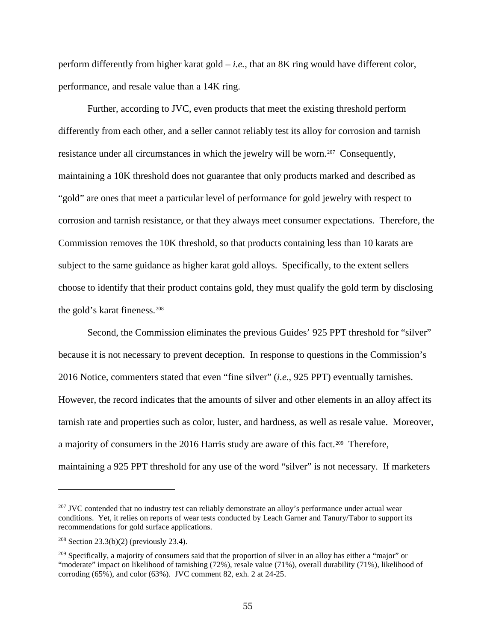perform differently from higher karat gold  $-i.e.,$  that an 8K ring would have different color, performance, and resale value than a 14K ring.

Further, according to JVC, even products that meet the existing threshold perform differently from each other, and a seller cannot reliably test its alloy for corrosion and tarnish resistance under all circumstances in which the jewelry will be worn.<sup>207</sup> Consequently, maintaining a 10K threshold does not guarantee that only products marked and described as "gold" are ones that meet a particular level of performance for gold jewelry with respect to corrosion and tarnish resistance, or that they always meet consumer expectations. Therefore, the Commission removes the 10K threshold, so that products containing less than 10 karats are subject to the same guidance as higher karat gold alloys. Specifically, to the extent sellers choose to identify that their product contains gold, they must qualify the gold term by disclosing the gold's karat fineness.[208](#page-60-1)

Second, the Commission eliminates the previous Guides' 925 PPT threshold for "silver" because it is not necessary to prevent deception. In response to questions in the Commission's 2016 Notice, commenters stated that even "fine silver" (*i.e.*, 925 PPT) eventually tarnishes. However, the record indicates that the amounts of silver and other elements in an alloy affect its tarnish rate and properties such as color, luster, and hardness, as well as resale value. Moreover, a majority of consumers in the 2016 Harris study are aware of this fact.<sup>[209](#page-60-2)</sup> Therefore, maintaining a 925 PPT threshold for any use of the word "silver" is not necessary. If marketers

<span id="page-60-0"></span><sup>&</sup>lt;sup>207</sup> JVC contended that no industry test can reliably demonstrate an alloy's performance under actual wear conditions. Yet, it relies on reports of wear tests conducted by Leach Garner and Tanury/Tabor to support its recommendations for gold surface applications.

<span id="page-60-1"></span><sup>&</sup>lt;sup>208</sup> Section 23.3(b)(2) (previously 23.4).

<span id="page-60-2"></span><sup>&</sup>lt;sup>209</sup> Specifically, a majority of consumers said that the proportion of silver in an alloy has either a "major" or "moderate" impact on likelihood of tarnishing (72%), resale value (71%), overall durability (71%), likelihood of corroding (65%), and color (63%). JVC comment 82, exh. 2 at 24-25.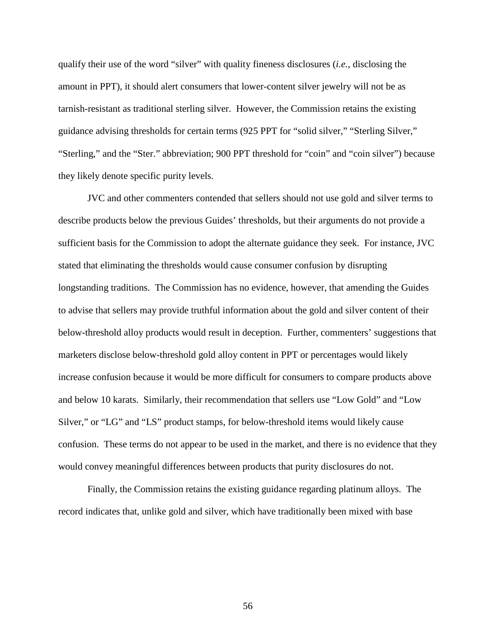qualify their use of the word "silver" with quality fineness disclosures (*i.e.*, disclosing the amount in PPT), it should alert consumers that lower-content silver jewelry will not be as tarnish-resistant as traditional sterling silver. However, the Commission retains the existing guidance advising thresholds for certain terms (925 PPT for "solid silver," "Sterling Silver," "Sterling," and the "Ster." abbreviation; 900 PPT threshold for "coin" and "coin silver") because they likely denote specific purity levels.

JVC and other commenters contended that sellers should not use gold and silver terms to describe products below the previous Guides' thresholds, but their arguments do not provide a sufficient basis for the Commission to adopt the alternate guidance they seek. For instance, JVC stated that eliminating the thresholds would cause consumer confusion by disrupting longstanding traditions. The Commission has no evidence, however, that amending the Guides to advise that sellers may provide truthful information about the gold and silver content of their below-threshold alloy products would result in deception. Further, commenters' suggestions that marketers disclose below-threshold gold alloy content in PPT or percentages would likely increase confusion because it would be more difficult for consumers to compare products above and below 10 karats. Similarly, their recommendation that sellers use "Low Gold" and "Low Silver," or "LG" and "LS" product stamps, for below-threshold items would likely cause confusion. These terms do not appear to be used in the market, and there is no evidence that they would convey meaningful differences between products that purity disclosures do not.

Finally, the Commission retains the existing guidance regarding platinum alloys. The record indicates that, unlike gold and silver, which have traditionally been mixed with base

56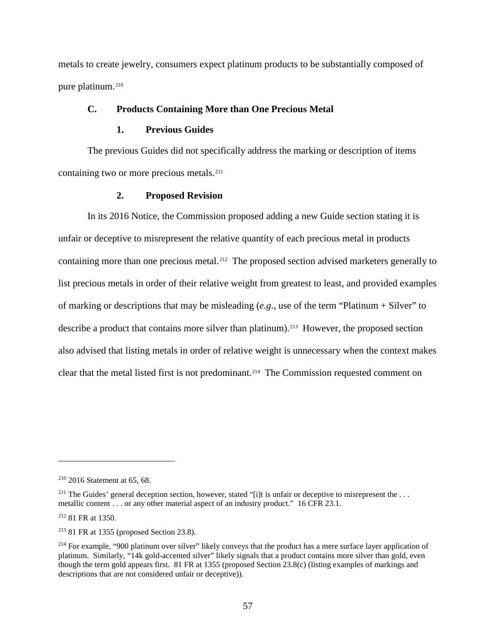metals to create jewelry, consumers expect platinum products to be substantially composed of pure platinum.<sup>[210](#page-62-0)</sup>

# **C. Products Containing More than One Precious Metal**

## **1. Previous Guides**

The previous Guides did not specifically address the marking or description of items containing two or more precious metals.<sup>211</sup>

# **2. Proposed Revision**

In its 2016 Notice, the Commission proposed adding a new Guide section stating it is unfair or deceptive to misrepresent the relative quantity of each precious metal in products containing more than one precious metal.<sup>212</sup> The proposed section advised marketers generally to list precious metals in order of their relative weight from greatest to least, and provided examples of marking or descriptions that may be misleading (*e.g*., use of the term "Platinum + Silver" to describe a product that contains more silver than platinum). [213](#page-62-3) However, the proposed section also advised that listing metals in order of relative weight is unnecessary when the context makes clear that the metal listed first is not predominant.[214](#page-62-4) The Commission requested comment on

<span id="page-62-2"></span><sup>212</sup> 81 FR at 1350.

<span id="page-62-0"></span><sup>210</sup> 2016 Statement at 65, 68.

<span id="page-62-1"></span><sup>&</sup>lt;sup>211</sup> The Guides' general deception section, however, stated "[i]t is unfair or deceptive to misrepresent the ... metallic content . . . or any other material aspect of an industry product." 16 CFR 23.1.

<span id="page-62-3"></span><sup>213</sup> 81 FR at 1355 (proposed Section 23.8).

<span id="page-62-4"></span><sup>&</sup>lt;sup>214</sup> For example, "900 platinum over silver" likely conveys that the product has a mere surface layer application of platinum. Similarly, "14k gold-accented silver" likely signals that a product contains more silver than gold, even though the term gold appears first. 81 FR at 1355 (proposed Section 23.8(c) (listing examples of markings and descriptions that are not considered unfair or deceptive)).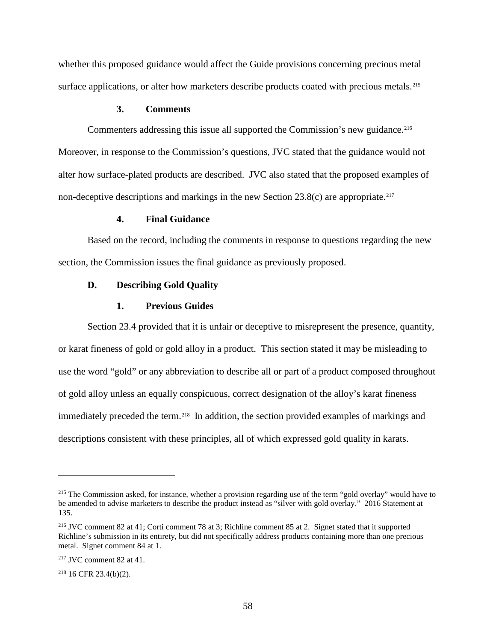whether this proposed guidance would affect the Guide provisions concerning precious metal surface applications, or alter how marketers describe products coated with precious metals.<sup>[215](#page-63-0)</sup>

# **3. Comments**

Commenters addressing this issue all supported the Commission's new guidance.<sup>216</sup> Moreover, in response to the Commission's questions, JVC stated that the guidance would not alter how surface-plated products are described. JVC also stated that the proposed examples of non-deceptive descriptions and markings in the new Section 23.8(c) are appropriate.<sup>[217](#page-63-2)</sup>

## **4. Final Guidance**

Based on the record, including the comments in response to questions regarding the new section, the Commission issues the final guidance as previously proposed.

# **D. Describing Gold Quality**

## **1. Previous Guides**

Section 23.4 provided that it is unfair or deceptive to misrepresent the presence, quantity, or karat fineness of gold or gold alloy in a product. This section stated it may be misleading to use the word "gold" or any abbreviation to describe all or part of a product composed throughout of gold alloy unless an equally conspicuous, correct designation of the alloy's karat fineness immediately preceded the term.<sup>[218](#page-63-3)</sup> In addition, the section provided examples of markings and descriptions consistent with these principles, all of which expressed gold quality in karats.

<span id="page-63-3"></span><sup>218</sup> 16 CFR 23.4(b)(2).

<span id="page-63-0"></span><sup>&</sup>lt;sup>215</sup> The Commission asked, for instance, whether a provision regarding use of the term "gold overlay" would have to be amended to advise marketers to describe the product instead as "silver with gold overlay." 2016 Statement at 135.

<span id="page-63-1"></span><sup>216</sup> JVC comment 82 at 41; Corti comment 78 at 3; Richline comment 85 at 2. Signet stated that it supported Richline's submission in its entirety, but did not specifically address products containing more than one precious metal. Signet comment 84 at 1.

<span id="page-63-2"></span><sup>217</sup> JVC comment 82 at 41.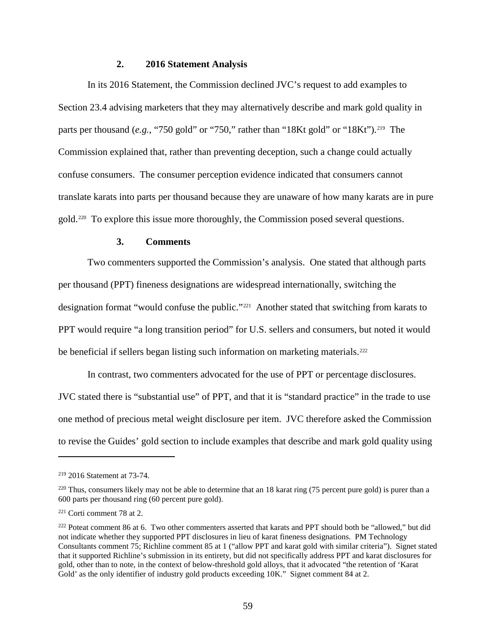# **2. 2016 Statement Analysis**

In its 2016 Statement, the Commission declined JVC's request to add examples to Section 23.4 advising marketers that they may alternatively describe and mark gold quality in parts per thousand (*e.g.*, "750 gold" or "750," rather than "18Kt gold" or "18Kt").<sup>[219](#page-64-0)</sup> The Commission explained that, rather than preventing deception, such a change could actually confuse consumers. The consumer perception evidence indicated that consumers cannot translate karats into parts per thousand because they are unaware of how many karats are in pure gold.[220](#page-64-1) To explore this issue more thoroughly, the Commission posed several questions.

### **3. Comments**

Two commenters supported the Commission's analysis. One stated that although parts per thousand (PPT) fineness designations are widespread internationally, switching the designation format "would confuse the public."[221](#page-64-2) Another stated that switching from karats to PPT would require "a long transition period" for U.S. sellers and consumers, but noted it would be beneficial if sellers began listing such information on marketing materials.<sup>[222](#page-64-3)</sup>

In contrast, two commenters advocated for the use of PPT or percentage disclosures. JVC stated there is "substantial use" of PPT, and that it is "standard practice" in the trade to use one method of precious metal weight disclosure per item. JVC therefore asked the Commission to revise the Guides' gold section to include examples that describe and mark gold quality using

<span id="page-64-0"></span><sup>219</sup> 2016 Statement at 73-74.

<span id="page-64-1"></span> $220$  Thus, consumers likely may not be able to determine that an 18 karat ring (75 percent pure gold) is purer than a 600 parts per thousand ring (60 percent pure gold).

<span id="page-64-2"></span><sup>221</sup> Corti comment 78 at 2.

<span id="page-64-3"></span><sup>&</sup>lt;sup>222</sup> Poteat comment 86 at 6. Two other commenters asserted that karats and PPT should both be "allowed," but did not indicate whether they supported PPT disclosures in lieu of karat fineness designations. PM Technology Consultants comment 75; Richline comment 85 at 1 ("allow PPT and karat gold with similar criteria"). Signet stated that it supported Richline's submission in its entirety, but did not specifically address PPT and karat disclosures for gold, other than to note, in the context of below-threshold gold alloys, that it advocated "the retention of 'Karat Gold' as the only identifier of industry gold products exceeding 10K." Signet comment 84 at 2.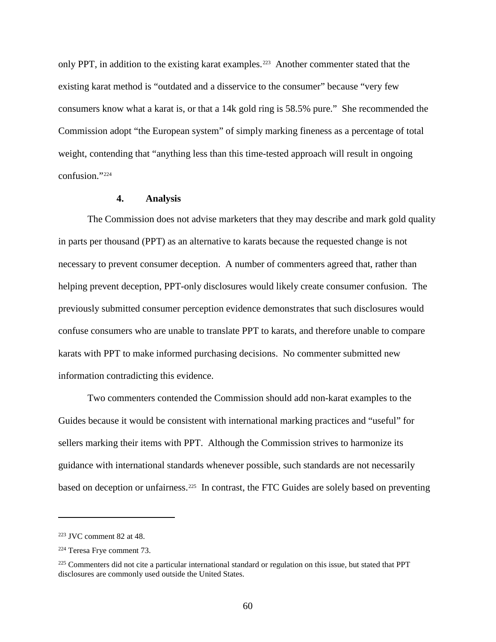only PPT, in addition to the existing karat examples.<sup>[223](#page-65-0)</sup> Another commenter stated that the existing karat method is "outdated and a disservice to the consumer" because "very few consumers know what a karat is, or that a 14k gold ring is 58.5% pure." She recommended the Commission adopt "the European system" of simply marking fineness as a percentage of total weight, contending that "anything less than this time-tested approach will result in ongoing confusion."[224](#page-65-1) 

### **4. Analysis**

The Commission does not advise marketers that they may describe and mark gold quality in parts per thousand (PPT) as an alternative to karats because the requested change is not necessary to prevent consumer deception. A number of commenters agreed that, rather than helping prevent deception, PPT-only disclosures would likely create consumer confusion. The previously submitted consumer perception evidence demonstrates that such disclosures would confuse consumers who are unable to translate PPT to karats, and therefore unable to compare karats with PPT to make informed purchasing decisions. No commenter submitted new information contradicting this evidence.

Two commenters contended the Commission should add non-karat examples to the Guides because it would be consistent with international marking practices and "useful" for sellers marking their items with PPT. Although the Commission strives to harmonize its guidance with international standards whenever possible, such standards are not necessarily based on deception or unfairness.<sup>225</sup> In contrast, the FTC Guides are solely based on preventing

<span id="page-65-0"></span><sup>223</sup> JVC comment 82 at 48.

<span id="page-65-1"></span><sup>224</sup> Teresa Frye comment 73.

<span id="page-65-2"></span><sup>&</sup>lt;sup>225</sup> Commenters did not cite a particular international standard or regulation on this issue, but stated that PPT disclosures are commonly used outside the United States.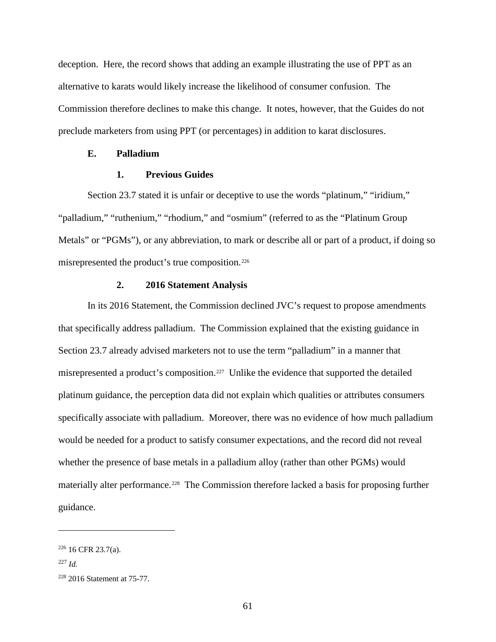deception. Here, the record shows that adding an example illustrating the use of PPT as an alternative to karats would likely increase the likelihood of consumer confusion. The Commission therefore declines to make this change. It notes, however, that the Guides do not preclude marketers from using PPT (or percentages) in addition to karat disclosures.

## **E. Palladium**

# **1. Previous Guides**

Section 23.7 stated it is unfair or deceptive to use the words "platinum," "iridium," "palladium," "ruthenium," "rhodium," and "osmium" (referred to as the "Platinum Group Metals" or "PGMs"), or any abbreviation, to mark or describe all or part of a product, if doing so misrepresented the product's true composition.[226](#page-66-0) 

### **2. 2016 Statement Analysis**

In its 2016 Statement, the Commission declined JVC's request to propose amendments that specifically address palladium. The Commission explained that the existing guidance in Section 23.7 already advised marketers not to use the term "palladium" in a manner that misrepresented a product's composition.<sup>227</sup> Unlike the evidence that supported the detailed platinum guidance, the perception data did not explain which qualities or attributes consumers specifically associate with palladium. Moreover, there was no evidence of how much palladium would be needed for a product to satisfy consumer expectations, and the record did not reveal whether the presence of base metals in a palladium alloy (rather than other PGMs) would materially alter performance.<sup>228</sup> The Commission therefore lacked a basis for proposing further guidance.

<span id="page-66-0"></span><sup>226</sup> 16 CFR 23.7(a).

<span id="page-66-1"></span><sup>227</sup> *Id.*

<span id="page-66-2"></span><sup>228</sup> 2016 Statement at 75-77.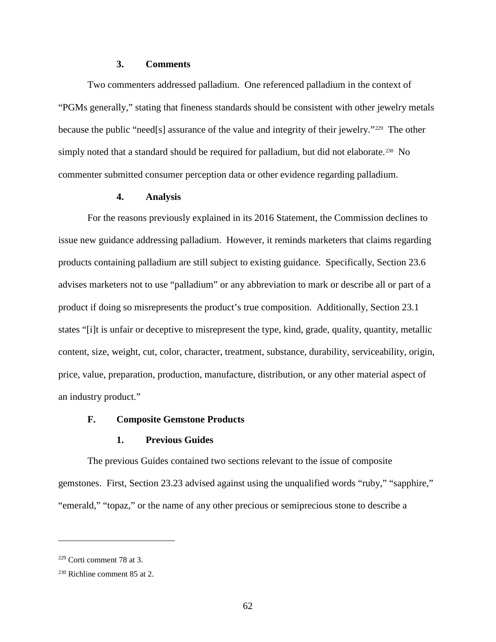## **3. Comments**

Two commenters addressed palladium. One referenced palladium in the context of "PGMs generally," stating that fineness standards should be consistent with other jewelry metals because the public "need[s] assurance of the value and integrity of their jewelry."[229](#page-67-0) The other simply noted that a standard should be required for palladium, but did not elaborate.<sup>230</sup> No commenter submitted consumer perception data or other evidence regarding palladium.

# **4. Analysis**

For the reasons previously explained in its 2016 Statement, the Commission declines to issue new guidance addressing palladium. However, it reminds marketers that claims regarding products containing palladium are still subject to existing guidance. Specifically, Section 23.6 advises marketers not to use "palladium" or any abbreviation to mark or describe all or part of a product if doing so misrepresents the product's true composition. Additionally, Section 23.1 states "[i]t is unfair or deceptive to misrepresent the type, kind, grade, quality, quantity, metallic content, size, weight, cut, color, character, treatment, substance, durability, serviceability, origin, price, value, preparation, production, manufacture, distribution, or any other material aspect of an industry product."

# **F. Composite Gemstone Products**

### **1. Previous Guides**

The previous Guides contained two sections relevant to the issue of composite gemstones. First, Section 23.23 advised against using the unqualified words "ruby," "sapphire," "emerald," "topaz," or the name of any other precious or semiprecious stone to describe a

<span id="page-67-0"></span><sup>229</sup> Corti comment 78 at 3.

<span id="page-67-1"></span> $230$  Richline comment 85 at 2.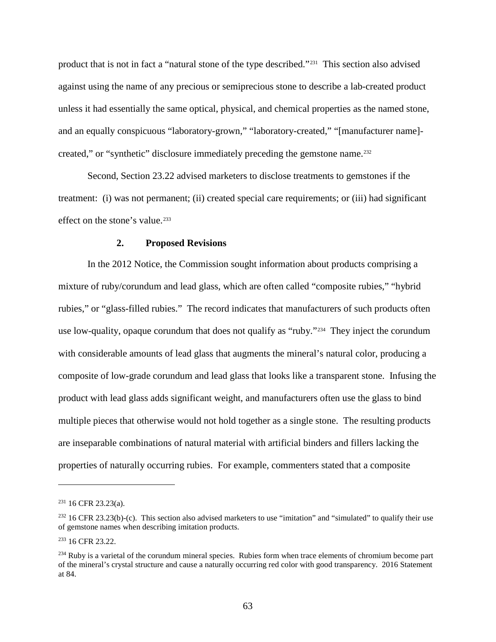product that is not in fact a "natural stone of the type described."[231](#page-68-0) This section also advised against using the name of any precious or semiprecious stone to describe a lab-created product unless it had essentially the same optical, physical, and chemical properties as the named stone, and an equally conspicuous "laboratory-grown," "laboratory-created," "[manufacturer name] created," or "synthetic" disclosure immediately preceding the gemstone name.<sup>232</sup>

Second, Section 23.22 advised marketers to disclose treatments to gemstones if the treatment: (i) was not permanent; (ii) created special care requirements; or (iii) had significant effect on the stone's value.<sup>[233](#page-68-2)</sup>

### **2. Proposed Revisions**

In the 2012 Notice, the Commission sought information about products comprising a mixture of ruby/corundum and lead glass, which are often called "composite rubies," "hybrid rubies," or "glass-filled rubies." The record indicates that manufacturers of such products often use low-quality, opaque corundum that does not qualify as "ruby."<sup>234</sup> They inject the corundum with considerable amounts of lead glass that augments the mineral's natural color, producing a composite of low-grade corundum and lead glass that looks like a transparent stone. Infusing the product with lead glass adds significant weight, and manufacturers often use the glass to bind multiple pieces that otherwise would not hold together as a single stone. The resulting products are inseparable combinations of natural material with artificial binders and fillers lacking the properties of naturally occurring rubies. For example, commenters stated that a composite

<span id="page-68-0"></span> $231$  16 CFR 23.23(a).

<span id="page-68-1"></span> $232$  16 CFR 23.23(b)-(c). This section also advised marketers to use "imitation" and "simulated" to qualify their use of gemstone names when describing imitation products.

<span id="page-68-2"></span><sup>233</sup> 16 CFR 23.22.

<span id="page-68-3"></span><sup>&</sup>lt;sup>234</sup> Ruby is a varietal of the corundum mineral species. Rubies form when trace elements of chromium become part of the mineral's crystal structure and cause a naturally occurring red color with good transparency. 2016 Statement at 84.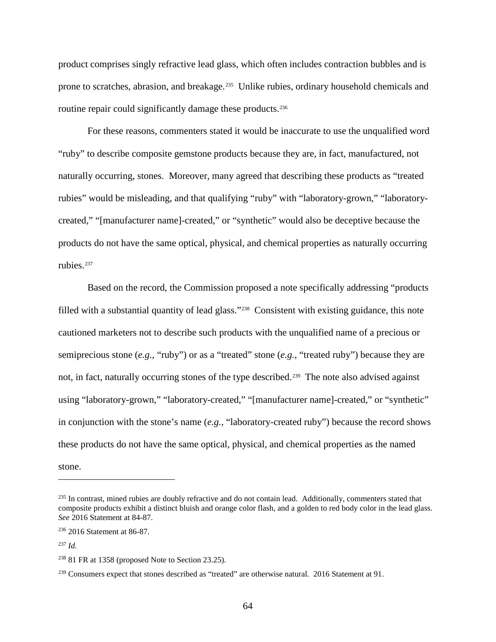product comprises singly refractive lead glass, which often includes contraction bubbles and is prone to scratches, abrasion, and breakage.<sup>[235](#page-69-0)</sup> Unlike rubies, ordinary household chemicals and routine repair could significantly damage these products.<sup>[236](#page-69-1)</sup>

For these reasons, commenters stated it would be inaccurate to use the unqualified word "ruby" to describe composite gemstone products because they are, in fact, manufactured, not naturally occurring, stones. Moreover, many agreed that describing these products as "treated rubies" would be misleading, and that qualifying "ruby" with "laboratory-grown," "laboratorycreated," "[manufacturer name]-created," or "synthetic" would also be deceptive because the products do not have the same optical, physical, and chemical properties as naturally occurring rubies.[237](#page-69-2) 

Based on the record, the Commission proposed a note specifically addressing "products filled with a substantial quantity of lead glass."<sup>[238](#page-69-3)</sup> Consistent with existing guidance, this note cautioned marketers not to describe such products with the unqualified name of a precious or semiprecious stone (*e.g.*, "ruby") or as a "treated" stone (*e.g.,* "treated ruby") because they are not, in fact, naturally occurring stones of the type described.<sup>239</sup> The note also advised against using "laboratory-grown," "laboratory-created," "[manufacturer name]-created," or "synthetic" in conjunction with the stone's name (*e.g.,* "laboratory-created ruby") because the record shows these products do not have the same optical, physical, and chemical properties as the named stone.

<span id="page-69-0"></span><sup>&</sup>lt;sup>235</sup> In contrast, mined rubies are doubly refractive and do not contain lead. Additionally, commenters stated that composite products exhibit a distinct bluish and orange color flash, and a golden to red body color in the lead glass. *See* 2016 Statement at 84-87.

<span id="page-69-1"></span><sup>236</sup> 2016 Statement at 86-87.

<span id="page-69-2"></span><sup>237</sup> *Id.*

<span id="page-69-3"></span> $238$  81 FR at 1358 (proposed Note to Section 23.25).

<span id="page-69-4"></span><sup>&</sup>lt;sup>239</sup> Consumers expect that stones described as "treated" are otherwise natural. 2016 Statement at 91.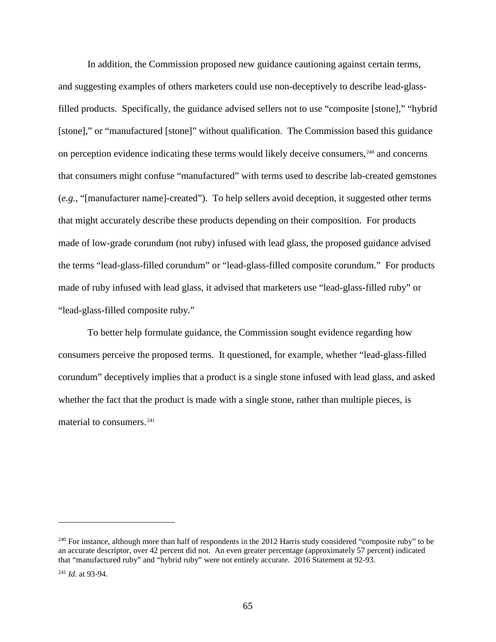In addition, the Commission proposed new guidance cautioning against certain terms, and suggesting examples of others marketers could use non-deceptively to describe lead-glassfilled products. Specifically, the guidance advised sellers not to use "composite [stone]," "hybrid [stone]," or "manufactured [stone]" without qualification. The Commission based this guidance on perception evidence indicating these terms would likely deceive consumers,<sup>[240](#page-70-0)</sup> and concerns that consumers might confuse "manufactured" with terms used to describe lab-created gemstones (*e.g.*, "[manufacturer name]-created"). To help sellers avoid deception, it suggested other terms that might accurately describe these products depending on their composition. For products made of low-grade corundum (not ruby) infused with lead glass, the proposed guidance advised the terms "lead-glass-filled corundum" or "lead-glass-filled composite corundum." For products made of ruby infused with lead glass, it advised that marketers use "lead-glass-filled ruby" or "lead-glass-filled composite ruby."

To better help formulate guidance, the Commission sought evidence regarding how consumers perceive the proposed terms. It questioned, for example, whether "lead-glass-filled corundum" deceptively implies that a product is a single stone infused with lead glass, and asked whether the fact that the product is made with a single stone, rather than multiple pieces, is material to consumers.<sup>[241](#page-70-1)</sup>

<span id="page-70-0"></span><sup>&</sup>lt;sup>240</sup> For instance, although more than half of respondents in the 2012 Harris study considered "composite ruby" to be an accurate descriptor, over 42 percent did not. An even greater percentage (approximately 57 percent) indicated that "manufactured ruby" and "hybrid ruby" were not entirely accurate. 2016 Statement at 92-93.

<span id="page-70-1"></span><sup>241</sup> *Id.* at 93-94.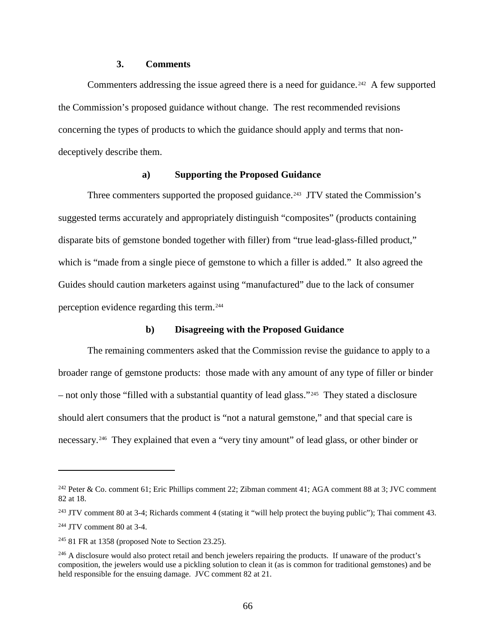## **3. Comments**

Commenters addressing the issue agreed there is a need for guidance.<sup>242</sup> A few supported the Commission's proposed guidance without change. The rest recommended revisions concerning the types of products to which the guidance should apply and terms that nondeceptively describe them.

# **a) Supporting the Proposed Guidance**

Three commenters supported the proposed guidance.<sup>[243](#page-71-1)</sup> JTV stated the Commission's suggested terms accurately and appropriately distinguish "composites" (products containing disparate bits of gemstone bonded together with filler) from "true lead-glass-filled product," which is "made from a single piece of gemstone to which a filler is added." It also agreed the Guides should caution marketers against using "manufactured" due to the lack of consumer perception evidence regarding this term.[244](#page-71-2) 

# **b) Disagreeing with the Proposed Guidance**

The remaining commenters asked that the Commission revise the guidance to apply to a broader range of gemstone products: those made with any amount of any type of filler or binder – not only those "filled with a substantial quantity of lead glass."[245](#page-71-3) They stated a disclosure should alert consumers that the product is "not a natural gemstone," and that special care is necessary.[246](#page-71-4) They explained that even a "very tiny amount" of lead glass, or other binder or

<span id="page-71-0"></span><sup>242</sup> Peter & Co. comment 61; Eric Phillips comment 22; Zibman comment 41; AGA comment 88 at 3; JVC comment 82 at 18.

<span id="page-71-1"></span><sup>&</sup>lt;sup>243</sup> JTV comment 80 at 3-4; Richards comment 4 (stating it "will help protect the buying public"); Thai comment 43.

<span id="page-71-2"></span><sup>244</sup> JTV comment 80 at 3-4.

<span id="page-71-3"></span> $245$  81 FR at 1358 (proposed Note to Section 23.25).

<span id="page-71-4"></span><sup>&</sup>lt;sup>246</sup> A disclosure would also protect retail and bench jewelers repairing the products. If unaware of the product's composition, the jewelers would use a pickling solution to clean it (as is common for traditional gemstones) and be held responsible for the ensuing damage. JVC comment 82 at 21.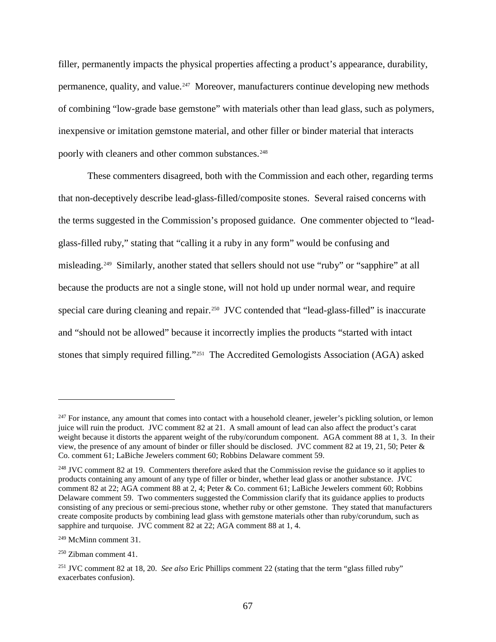filler, permanently impacts the physical properties affecting a product's appearance, durability, permanence, quality, and value.[247](#page-72-0) Moreover, manufacturers continue developing new methods of combining "low-grade base gemstone" with materials other than lead glass, such as polymers, inexpensive or imitation gemstone material, and other filler or binder material that interacts poorly with cleaners and other common substances.<sup>[248](#page-72-1)</sup>

These commenters disagreed, both with the Commission and each other, regarding terms that non-deceptively describe lead-glass-filled/composite stones. Several raised concerns with the terms suggested in the Commission's proposed guidance. One commenter objected to "leadglass-filled ruby," stating that "calling it a ruby in any form" would be confusing and misleading.[249](#page-72-2) Similarly, another stated that sellers should not use "ruby" or "sapphire" at all because the products are not a single stone, will not hold up under normal wear, and require special care during cleaning and repair.<sup>250</sup> JVC contended that "lead-glass-filled" is inaccurate and "should not be allowed" because it incorrectly implies the products "started with intact stones that simply required filling."[251](#page-72-4) The Accredited Gemologists Association (AGA) asked

<span id="page-72-0"></span><sup>&</sup>lt;sup>247</sup> For instance, any amount that comes into contact with a household cleaner, jeweler's pickling solution, or lemon juice will ruin the product. JVC comment 82 at 21. A small amount of lead can also affect the product's carat weight because it distorts the apparent weight of the ruby/corundum component. AGA comment 88 at 1, 3. In their view, the presence of any amount of binder or filler should be disclosed. JVC comment 82 at 19, 21, 50; Peter & Co. comment 61; LaBiche Jewelers comment 60; Robbins Delaware comment 59.

<span id="page-72-1"></span><sup>&</sup>lt;sup>248</sup> JVC comment 82 at 19. Commenters therefore asked that the Commission revise the guidance so it applies to products containing any amount of any type of filler or binder, whether lead glass or another substance. JVC comment 82 at 22; AGA comment 88 at 2, 4; Peter & Co. comment 61; LaBiche Jewelers comment 60; Robbins Delaware comment 59. Two commenters suggested the Commission clarify that its guidance applies to products consisting of any precious or semi-precious stone, whether ruby or other gemstone. They stated that manufacturers create composite products by combining lead glass with gemstone materials other than ruby/corundum, such as sapphire and turquoise. JVC comment 82 at 22; AGA comment 88 at 1, 4.

<span id="page-72-2"></span><sup>249</sup> McMinn comment 31.

<span id="page-72-3"></span><sup>250</sup> Zibman comment 41.

<span id="page-72-4"></span><sup>251</sup> JVC comment 82 at 18, 20. *See also* Eric Phillips comment 22 (stating that the term "glass filled ruby" exacerbates confusion).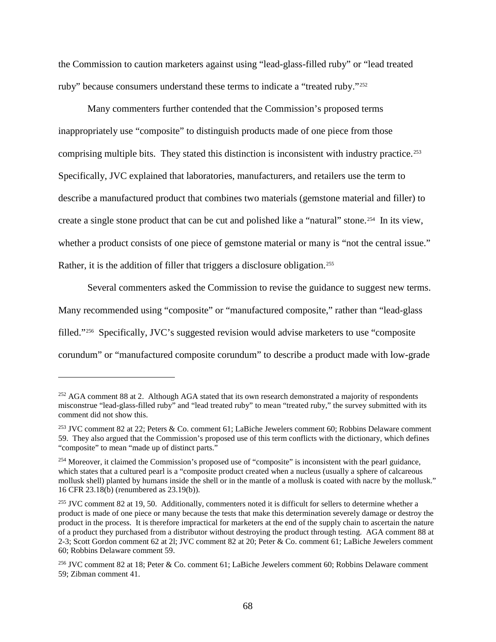the Commission to caution marketers against using "lead-glass-filled ruby" or "lead treated ruby" because consumers understand these terms to indicate a "treated ruby."<sup>252</sup>

Many commenters further contended that the Commission's proposed terms inappropriately use "composite" to distinguish products made of one piece from those comprising multiple bits. They stated this distinction is inconsistent with industry practice.<sup>[253](#page-73-1)</sup> Specifically, JVC explained that laboratories, manufacturers, and retailers use the term to describe a manufactured product that combines two materials (gemstone material and filler) to create a single stone product that can be cut and polished like a "natural" stone.[254](#page-73-2) In its view, whether a product consists of one piece of gemstone material or many is "not the central issue." Rather, it is the addition of filler that triggers a disclosure obligation.<sup>255</sup>

Several commenters asked the Commission to revise the guidance to suggest new terms. Many recommended using "composite" or "manufactured composite," rather than "lead-glass filled."[256](#page-73-4) Specifically, JVC's suggested revision would advise marketers to use "composite corundum" or "manufactured composite corundum" to describe a product made with low-grade

<span id="page-73-0"></span><sup>&</sup>lt;sup>252</sup> AGA comment 88 at 2. Although AGA stated that its own research demonstrated a majority of respondents misconstrue "lead-glass-filled ruby" and "lead treated ruby" to mean "treated ruby," the survey submitted with its comment did not show this.

<span id="page-73-1"></span><sup>253</sup> JVC comment 82 at 22; Peters & Co. comment 61; LaBiche Jewelers comment 60; Robbins Delaware comment 59. They also argued that the Commission's proposed use of this term conflicts with the dictionary, which defines "composite" to mean "made up of distinct parts."

<span id="page-73-2"></span><sup>254</sup> Moreover, it claimed the Commission's proposed use of "composite" is inconsistent with the pearl guidance, which states that a cultured pearl is a "composite product created when a nucleus (usually a sphere of calcareous mollusk shell) planted by humans inside the shell or in the mantle of a mollusk is coated with nacre by the mollusk." 16 CFR 23.18(b) (renumbered as 23.19(b)).

<span id="page-73-3"></span><sup>&</sup>lt;sup>255</sup> JVC comment 82 at 19, 50. Additionally, commenters noted it is difficult for sellers to determine whether a product is made of one piece or many because the tests that make this determination severely damage or destroy the product in the process. It is therefore impractical for marketers at the end of the supply chain to ascertain the nature of a product they purchased from a distributor without destroying the product through testing. AGA comment 88 at 2-3; Scott Gordon comment 62 at 2l; JVC comment 82 at 20; Peter & Co. comment 61; LaBiche Jewelers comment 60; Robbins Delaware comment 59.

<span id="page-73-4"></span><sup>256</sup> JVC comment 82 at 18; Peter & Co. comment 61; LaBiche Jewelers comment 60; Robbins Delaware comment 59; Zibman comment 41.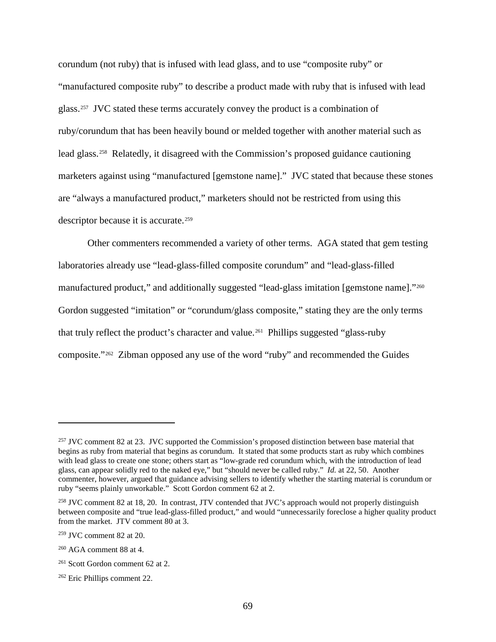corundum (not ruby) that is infused with lead glass, and to use "composite ruby" or "manufactured composite ruby" to describe a product made with ruby that is infused with lead glass.[257](#page-74-0) JVC stated these terms accurately convey the product is a combination of ruby/corundum that has been heavily bound or melded together with another material such as lead glass.[258](#page-74-1) Relatedly, it disagreed with the Commission's proposed guidance cautioning marketers against using "manufactured [gemstone name]." JVC stated that because these stones are "always a manufactured product," marketers should not be restricted from using this descriptor because it is accurate.[259](#page-74-2) 

Other commenters recommended a variety of other terms. AGA stated that gem testing laboratories already use "lead-glass-filled composite corundum" and "lead-glass-filled manufactured product," and additionally suggested "lead-glass imitation [gemstone name]."<sup>[260](#page-74-3)</sup> Gordon suggested "imitation" or "corundum/glass composite," stating they are the only terms that truly reflect the product's character and value.[261](#page-74-4) Phillips suggested "glass-ruby composite."[262](#page-74-5) Zibman opposed any use of the word "ruby" and recommended the Guides

<span id="page-74-0"></span><sup>&</sup>lt;sup>257</sup> JVC comment 82 at 23. JVC supported the Commission's proposed distinction between base material that begins as ruby from material that begins as corundum. It stated that some products start as ruby which combines with lead glass to create one stone; others start as "low-grade red corundum which, with the introduction of lead glass, can appear solidly red to the naked eye," but "should never be called ruby." *Id.* at 22, 50. Another commenter, however, argued that guidance advising sellers to identify whether the starting material is corundum or ruby "seems plainly unworkable." Scott Gordon comment 62 at 2.

<span id="page-74-1"></span><sup>258</sup> JVC comment 82 at 18, 20. In contrast, JTV contended that JVC's approach would not properly distinguish between composite and "true lead-glass-filled product," and would "unnecessarily foreclose a higher quality product from the market. JTV comment 80 at 3.

<span id="page-74-2"></span><sup>259</sup> JVC comment 82 at 20.

<span id="page-74-3"></span><sup>260</sup> AGA comment 88 at 4.

<span id="page-74-4"></span><sup>261</sup> Scott Gordon comment 62 at 2.

<span id="page-74-5"></span><sup>262</sup> Eric Phillips comment 22.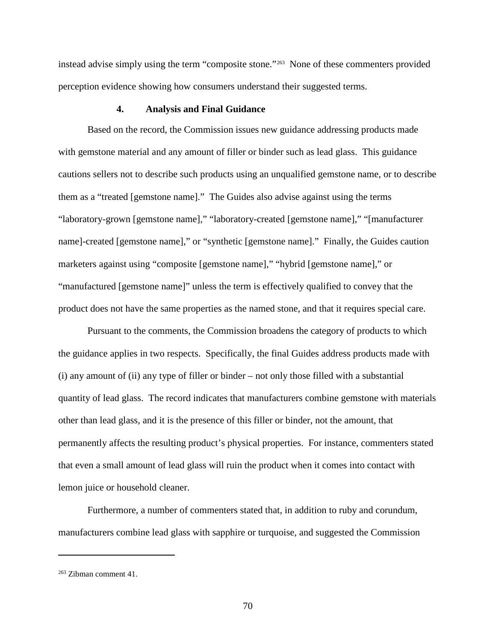instead advise simply using the term "composite stone."[263](#page-75-0) None of these commenters provided perception evidence showing how consumers understand their suggested terms.

### **4. Analysis and Final Guidance**

Based on the record, the Commission issues new guidance addressing products made with gemstone material and any amount of filler or binder such as lead glass. This guidance cautions sellers not to describe such products using an unqualified gemstone name, or to describe them as a "treated [gemstone name]." The Guides also advise against using the terms "laboratory-grown [gemstone name]," "laboratory-created [gemstone name]," "[manufacturer name]-created [gemstone name]," or "synthetic [gemstone name]." Finally, the Guides caution marketers against using "composite [gemstone name]," "hybrid [gemstone name]," or "manufactured [gemstone name]" unless the term is effectively qualified to convey that the product does not have the same properties as the named stone, and that it requires special care.

Pursuant to the comments, the Commission broadens the category of products to which the guidance applies in two respects. Specifically, the final Guides address products made with (i) any amount of (ii) any type of filler or binder – not only those filled with a substantial quantity of lead glass. The record indicates that manufacturers combine gemstone with materials other than lead glass, and it is the presence of this filler or binder, not the amount, that permanently affects the resulting product's physical properties. For instance, commenters stated that even a small amount of lead glass will ruin the product when it comes into contact with lemon juice or household cleaner.

Furthermore, a number of commenters stated that, in addition to ruby and corundum, manufacturers combine lead glass with sapphire or turquoise, and suggested the Commission

<span id="page-75-0"></span> $263$  Zibman comment 41.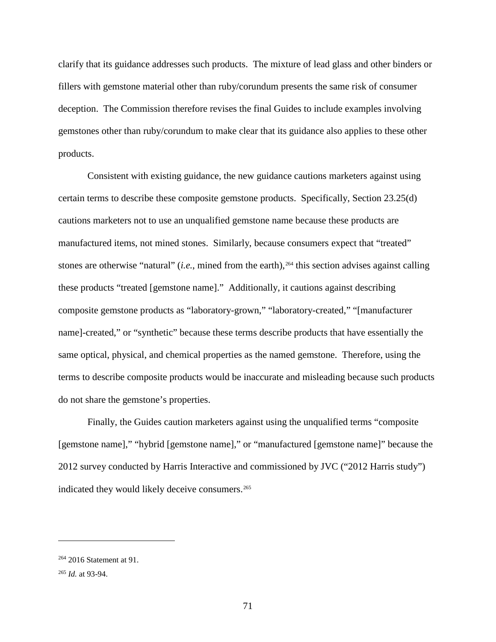clarify that its guidance addresses such products. The mixture of lead glass and other binders or fillers with gemstone material other than ruby/corundum presents the same risk of consumer deception. The Commission therefore revises the final Guides to include examples involving gemstones other than ruby/corundum to make clear that its guidance also applies to these other products.

Consistent with existing guidance, the new guidance cautions marketers against using certain terms to describe these composite gemstone products. Specifically, Section 23.25(d) cautions marketers not to use an unqualified gemstone name because these products are manufactured items, not mined stones. Similarly, because consumers expect that "treated" stones are otherwise "natural" (*i.e.*, mined from the earth),<sup>[264](#page-76-0)</sup> this section advises against calling these products "treated [gemstone name]." Additionally, it cautions against describing composite gemstone products as "laboratory-grown," "laboratory-created," "[manufacturer name]-created," or "synthetic" because these terms describe products that have essentially the same optical, physical, and chemical properties as the named gemstone. Therefore, using the terms to describe composite products would be inaccurate and misleading because such products do not share the gemstone's properties.

Finally, the Guides caution marketers against using the unqualified terms "composite [gemstone name]," "hybrid [gemstone name]," or "manufactured [gemstone name]" because the 2012 survey conducted by Harris Interactive and commissioned by JVC ("2012 Harris study") indicated they would likely deceive consumers.<sup>[265](#page-76-1)</sup>

<span id="page-76-0"></span><sup>&</sup>lt;sup>264</sup> 2016 Statement at 91.

<span id="page-76-1"></span><sup>265</sup> *Id.* at 93-94.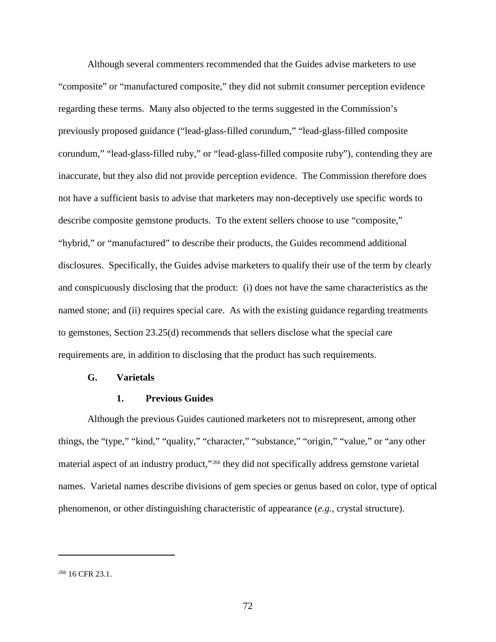Although several commenters recommended that the Guides advise marketers to use "composite" or "manufactured composite," they did not submit consumer perception evidence regarding these terms. Many also objected to the terms suggested in the Commission's previously proposed guidance ("lead-glass-filled corundum," "lead-glass-filled composite corundum," "lead-glass-filled ruby," or "lead-glass-filled composite ruby"), contending they are inaccurate, but they also did not provide perception evidence. The Commission therefore does not have a sufficient basis to advise that marketers may non-deceptively use specific words to describe composite gemstone products. To the extent sellers choose to use "composite," "hybrid," or "manufactured" to describe their products, the Guides recommend additional disclosures. Specifically, the Guides advise marketers to qualify their use of the term by clearly and conspicuously disclosing that the product: (i) does not have the same characteristics as the named stone; and (ii) requires special care. As with the existing guidance regarding treatments to gemstones, Section 23.25(d) recommends that sellers disclose what the special care requirements are, in addition to disclosing that the product has such requirements.

#### **G. Varietals**

### **1. Previous Guides**

Although the previous Guides cautioned marketers not to misrepresent, among other things, the "type," "kind," "quality," "character," "substance," "origin," "value," or "any other material aspect of an industry product,"[266](#page-77-0) they did not specifically address gemstone varietal names. Varietal names describe divisions of gem species or genus based on color, type of optical phenomenon, or other distinguishing characteristic of appearance (*e.g.*, crystal structure).

<span id="page-77-0"></span> $266$  16 CFR 23.1.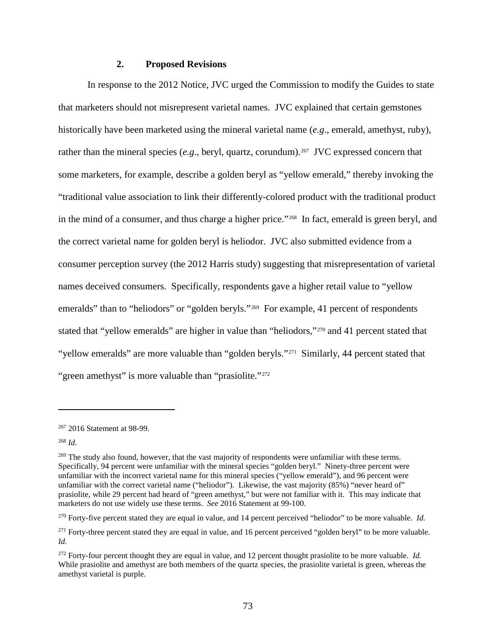### **2. Proposed Revisions**

In response to the 2012 Notice, JVC urged the Commission to modify the Guides to state that marketers should not misrepresent varietal names. JVC explained that certain gemstones historically have been marketed using the mineral varietal name (*e.g*., emerald, amethyst, ruby), rather than the mineral species (*e.g.*, beryl, quartz, corundum).<sup>[267](#page-78-0)</sup> JVC expressed concern that some marketers, for example, describe a golden beryl as "yellow emerald," thereby invoking the "traditional value association to link their differently-colored product with the traditional product in the mind of a consumer, and thus charge a higher price."[268](#page-78-1) In fact, emerald is green beryl, and the correct varietal name for golden beryl is heliodor. JVC also submitted evidence from a consumer perception survey (the 2012 Harris study) suggesting that misrepresentation of varietal names deceived consumers. Specifically, respondents gave a higher retail value to "yellow emeralds" than to "heliodors" or "golden beryls."<sup>269</sup> For example, 41 percent of respondents stated that "yellow emeralds" are higher in value than "heliodors,"<sup>[270](#page-78-3)</sup> and 41 percent stated that "yellow emeralds" are more valuable than "golden beryls."<sup>[271](#page-78-4)</sup> Similarly, 44 percent stated that "green amethyst" is more valuable than "prasiolite."<sup>[272](#page-78-5)</sup>

<span id="page-78-1"></span><sup>268</sup> *Id.*

<span id="page-78-0"></span><sup>267</sup> 2016 Statement at 98-99.

<span id="page-78-2"></span><sup>&</sup>lt;sup>269</sup> The study also found, however, that the vast majority of respondents were unfamiliar with these terms. Specifically, 94 percent were unfamiliar with the mineral species "golden beryl." Ninety-three percent were unfamiliar with the incorrect varietal name for this mineral species ("yellow emerald"), and 96 percent were unfamiliar with the correct varietal name ("heliodor"). Likewise, the vast majority (85%) "never heard of" prasiolite, while 29 percent had heard of "green amethyst," but were not familiar with it. This may indicate that marketers do not use widely use these terms. *See* 2016 Statement at 99-100.

<span id="page-78-3"></span><sup>270</sup> Forty-five percent stated they are equal in value, and 14 percent perceived "heliodor" to be more valuable. *Id.*

<span id="page-78-4"></span><sup>&</sup>lt;sup>271</sup> Forty-three percent stated they are equal in value, and 16 percent perceived "golden beryl" to be more valuable. *Id.*

<span id="page-78-5"></span><sup>272</sup> Forty-four percent thought they are equal in value, and 12 percent thought prasiolite to be more valuable. *Id.* While prasiolite and amethyst are both members of the quartz species, the prasiolite varietal is green, whereas the amethyst varietal is purple.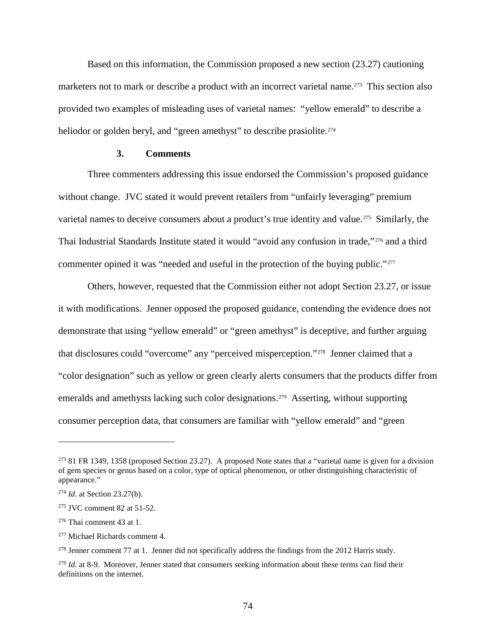Based on this information, the Commission proposed a new section (23.27) cautioning marketers not to mark or describe a product with an incorrect varietal name.<sup>[273](#page-79-0)</sup> This section also provided two examples of misleading uses of varietal names: "yellow emerald" to describe a heliodor or golden beryl, and "green amethyst" to describe prasiolite.<sup>[274](#page-79-1)</sup>

### **3. Comments**

Three commenters addressing this issue endorsed the Commission's proposed guidance without change. JVC stated it would prevent retailers from "unfairly leveraging" premium varietal names to deceive consumers about a product's true identity and value.<sup>[275](#page-79-2)</sup> Similarly, the Thai Industrial Standards Institute stated it would "avoid any confusion in trade,"[276](#page-79-3) and a third commenter opined it was "needed and useful in the protection of the buying public."<sup>[277](#page-79-4)</sup>

Others, however, requested that the Commission either not adopt Section 23.27, or issue it with modifications. Jenner opposed the proposed guidance, contending the evidence does not demonstrate that using "yellow emerald" or "green amethyst" is deceptive, and further arguing that disclosures could "overcome" any "perceived misperception."[278](#page-79-5) Jenner claimed that a "color designation" such as yellow or green clearly alerts consumers that the products differ from emeralds and amethysts lacking such color designations.<sup>279</sup> Asserting, without supporting consumer perception data, that consumers are familiar with "yellow emerald" and "green

<span id="page-79-0"></span> $273$  81 FR 1349, 1358 (proposed Section 23.27). A proposed Note states that a "varietal name is given for a division of gem species or genus based on a color, type of optical phenomenon, or other distinguishing characteristic of appearance."

<span id="page-79-1"></span><sup>274</sup> *Id*. at Section 23.27(b).

<span id="page-79-2"></span><sup>275</sup> JVC comment 82 at 51-52.

<span id="page-79-3"></span><sup>276</sup> Thai comment 43 at 1.

<span id="page-79-4"></span><sup>277</sup> Michael Richards comment 4.

<span id="page-79-5"></span><sup>&</sup>lt;sup>278</sup> Jenner comment 77 at 1. Jenner did not specifically address the findings from the 2012 Harris study.

<span id="page-79-6"></span><sup>&</sup>lt;sup>279</sup> *Id.* at 8-9. Moreover, Jenner stated that consumers seeking information about these terms can find their definitions on the internet.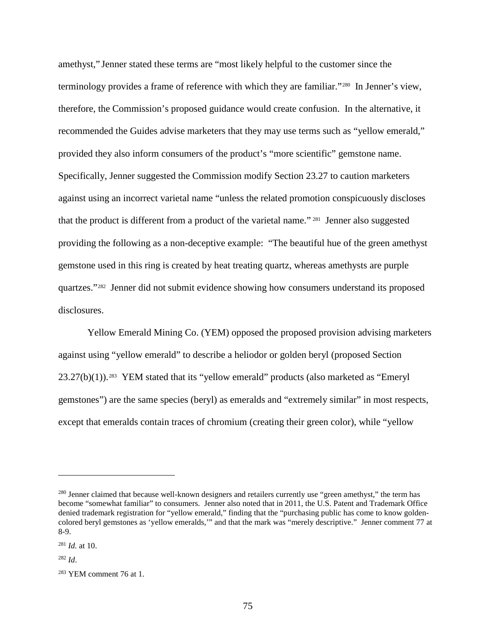amethyst," Jenner stated these terms are "most likely helpful to the customer since the terminology provides a frame of reference with which they are familiar."[280](#page-80-0) In Jenner's view, therefore, the Commission's proposed guidance would create confusion. In the alternative, it recommended the Guides advise marketers that they may use terms such as "yellow emerald," provided they also inform consumers of the product's "more scientific" gemstone name. Specifically, Jenner suggested the Commission modify Section 23.27 to caution marketers against using an incorrect varietal name "unless the related promotion conspicuously discloses that the product is different from a product of the varietal name." [281](#page-80-1) Jenner also suggested providing the following as a non-deceptive example: "The beautiful hue of the green amethyst gemstone used in this ring is created by heat treating quartz, whereas amethysts are purple quartzes."[282](#page-80-2) Jenner did not submit evidence showing how consumers understand its proposed disclosures.

Yellow Emerald Mining Co. (YEM) opposed the proposed provision advising marketers against using "yellow emerald" to describe a heliodor or golden beryl (proposed Section  $23.27(b)(1)$ .<sup>[283](#page-80-3)</sup> YEM stated that its "yellow emerald" products (also marketed as "Emeryl" gemstones") are the same species (beryl) as emeralds and "extremely similar" in most respects, except that emeralds contain traces of chromium (creating their green color), while "yellow

<span id="page-80-0"></span><sup>&</sup>lt;sup>280</sup> Jenner claimed that because well-known designers and retailers currently use "green amethyst," the term has become "somewhat familiar" to consumers. Jenner also noted that in 2011, the U.S. Patent and Trademark Office denied trademark registration for "yellow emerald," finding that the "purchasing public has come to know goldencolored beryl gemstones as 'yellow emeralds,'" and that the mark was "merely descriptive." Jenner comment 77 at 8-9.

<span id="page-80-1"></span><sup>281</sup> *Id.* at 10.

<span id="page-80-2"></span><sup>282</sup> *Id*.

<span id="page-80-3"></span> $283$  YEM comment 76 at 1.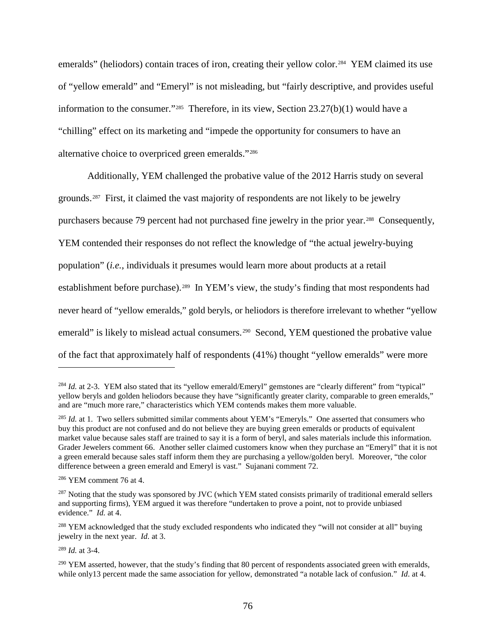emeralds" (heliodors) contain traces of iron, creating their yellow color.<sup>[284](#page-81-0)</sup> YEM claimed its use of "yellow emerald" and "Emeryl" is not misleading, but "fairly descriptive, and provides useful information to the consumer."[285](#page-81-1) Therefore, in its view, Section 23.27(b)(1) would have a "chilling" effect on its marketing and "impede the opportunity for consumers to have an alternative choice to overpriced green emeralds."[286](#page-81-2)

Additionally, YEM challenged the probative value of the 2012 Harris study on several grounds.[287](#page-81-3) First, it claimed the vast majority of respondents are not likely to be jewelry purchasers because 79 percent had not purchased fine jewelry in the prior year.<sup>288</sup> Consequently, YEM contended their responses do not reflect the knowledge of "the actual jewelry-buying population" (*i.e.*, individuals it presumes would learn more about products at a retail establishment before purchase).<sup>289</sup> In YEM's view, the study's finding that most respondents had never heard of "yellow emeralds," gold beryls, or heliodors is therefore irrelevant to whether "yellow emerald" is likely to mislead actual consumers.<sup>[290](#page-81-6)</sup> Second, YEM questioned the probative value of the fact that approximately half of respondents (41%) thought "yellow emeralds" were more

<span id="page-81-0"></span><sup>&</sup>lt;sup>284</sup> *Id.* at 2-3. YEM also stated that its "yellow emerald/Emeryl" gemstones are "clearly different" from "typical" yellow beryls and golden heliodors because they have "significantly greater clarity, comparable to green emeralds," and are "much more rare," characteristics which YEM contends makes them more valuable.

<span id="page-81-1"></span><sup>&</sup>lt;sup>285</sup> *Id.* at 1. Two sellers submitted similar comments about YEM's "Emeryls." One asserted that consumers who buy this product are not confused and do not believe they are buying green emeralds or products of equivalent market value because sales staff are trained to say it is a form of beryl, and sales materials include this information. Grader Jewelers comment 66. Another seller claimed customers know when they purchase an "Emeryl" that it is not a green emerald because sales staff inform them they are purchasing a yellow/golden beryl. Moreover, "the color difference between a green emerald and Emeryl is vast." Sujanani comment 72.

<span id="page-81-2"></span><sup>286</sup> YEM comment 76 at 4.

<span id="page-81-3"></span> $^{287}$  Noting that the study was sponsored by JVC (which YEM stated consists primarily of traditional emerald sellers and supporting firms), YEM argued it was therefore "undertaken to prove a point, not to provide unbiased evidence." *Id.* at 4.

<span id="page-81-4"></span><sup>&</sup>lt;sup>288</sup> YEM acknowledged that the study excluded respondents who indicated they "will not consider at all" buying jewelry in the next year. *Id.* at 3.

<span id="page-81-5"></span><sup>289</sup> *Id.* at 3-4.

<span id="page-81-6"></span> $^{290}$  YEM asserted, however, that the study's finding that 80 percent of respondents associated green with emeralds, while only13 percent made the same association for yellow, demonstrated "a notable lack of confusion." *Id.* at 4.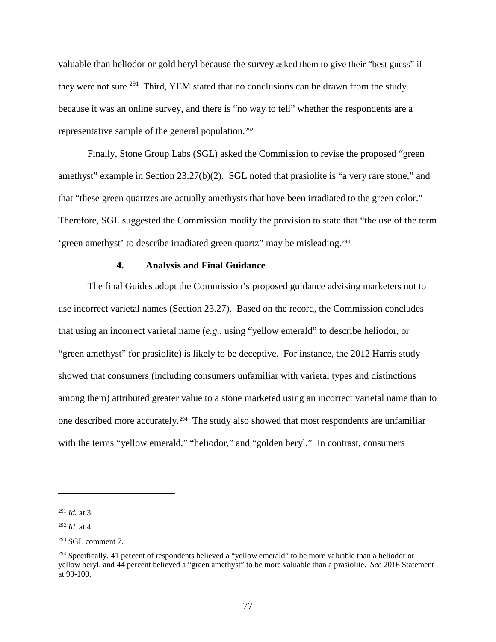valuable than heliodor or gold beryl because the survey asked them to give their "best guess" if they were not sure.<sup>[291](#page-82-0)</sup> Third, YEM stated that no conclusions can be drawn from the study because it was an online survey, and there is "no way to tell" whether the respondents are a representative sample of the general population.[292](#page-82-1)

Finally, Stone Group Labs (SGL) asked the Commission to revise the proposed "green amethyst" example in Section 23.27(b)(2). SGL noted that prasiolite is "a very rare stone," and that "these green quartzes are actually amethysts that have been irradiated to the green color." Therefore, SGL suggested the Commission modify the provision to state that "the use of the term 'green amethyst' to describe irradiated green quartz" may be misleading.[293](#page-82-2)

### **4. Analysis and Final Guidance**

The final Guides adopt the Commission's proposed guidance advising marketers not to use incorrect varietal names (Section 23.27). Based on the record, the Commission concludes that using an incorrect varietal name (*e.g.*, using "yellow emerald" to describe heliodor, or "green amethyst" for prasiolite) is likely to be deceptive. For instance, the 2012 Harris study showed that consumers (including consumers unfamiliar with varietal types and distinctions among them) attributed greater value to a stone marketed using an incorrect varietal name than to one described more accurately.[294](#page-82-3) The study also showed that most respondents are unfamiliar with the terms "yellow emerald," "heliodor," and "golden beryl." In contrast, consumers

<span id="page-82-0"></span><sup>291</sup> *Id.* at 3.

<span id="page-82-1"></span><sup>292</sup> *Id.* at 4.

<span id="page-82-2"></span> $293$  SGL comment 7.

<span id="page-82-3"></span><sup>&</sup>lt;sup>294</sup> Specifically, 41 percent of respondents believed a "yellow emerald" to be more valuable than a heliodor or yellow beryl, and 44 percent believed a "green amethyst" to be more valuable than a prasiolite. *See* 2016 Statement at 99-100.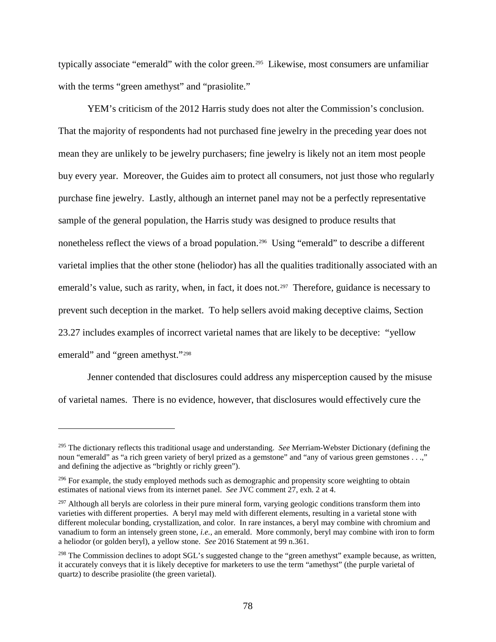typically associate "emerald" with the color green.<sup>[295](#page-83-0)</sup> Likewise, most consumers are unfamiliar with the terms "green amethyst" and "prasiolite."

YEM's criticism of the 2012 Harris study does not alter the Commission's conclusion. That the majority of respondents had not purchased fine jewelry in the preceding year does not mean they are unlikely to be jewelry purchasers; fine jewelry is likely not an item most people buy every year. Moreover, the Guides aim to protect all consumers, not just those who regularly purchase fine jewelry. Lastly, although an internet panel may not be a perfectly representative sample of the general population, the Harris study was designed to produce results that nonetheless reflect the views of a broad population.<sup>296</sup> Using "emerald" to describe a different varietal implies that the other stone (heliodor) has all the qualities traditionally associated with an emerald's value, such as rarity, when, in fact, it does not.<sup>297</sup> Therefore, guidance is necessary to prevent such deception in the market. To help sellers avoid making deceptive claims, Section 23.27 includes examples of incorrect varietal names that are likely to be deceptive: "yellow emerald" and "green amethyst."[298](#page-83-3)

Jenner contended that disclosures could address any misperception caused by the misuse of varietal names. There is no evidence, however, that disclosures would effectively cure the

<span id="page-83-0"></span><sup>295</sup> The dictionary reflects this traditional usage and understanding. *See* Merriam-Webster Dictionary (defining the noun "emerald" as "a rich green variety of beryl prized as a gemstone" and "any of various green gemstones . . .," and defining the adjective as "brightly or richly green").

<span id="page-83-1"></span><sup>&</sup>lt;sup>296</sup> For example, the study employed methods such as demographic and propensity score weighting to obtain estimates of national views from its internet panel. *See* JVC comment 27, exh. 2 at 4.

<span id="page-83-2"></span> $297$  Although all beryls are colorless in their pure mineral form, varying geologic conditions transform them into varieties with different properties. A beryl may meld with different elements, resulting in a varietal stone with different molecular bonding, crystallization, and color. In rare instances, a beryl may combine with chromium and vanadium to form an intensely green stone, *i.e.*, an emerald. More commonly, beryl may combine with iron to form a heliodor (or golden beryl), a yellow stone. *See* 2016 Statement at 99 n.361.

<span id="page-83-3"></span><sup>&</sup>lt;sup>298</sup> The Commission declines to adopt SGL's suggested change to the "green amethyst" example because, as written, it accurately conveys that it is likely deceptive for marketers to use the term "amethyst" (the purple varietal of quartz) to describe prasiolite (the green varietal).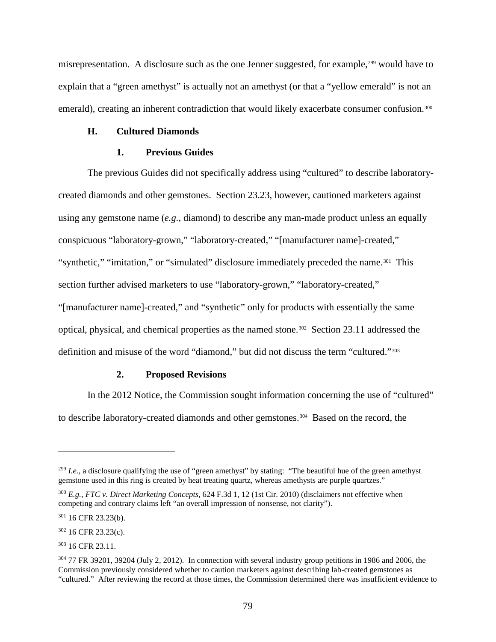misrepresentation. A disclosure such as the one Jenner suggested, for example,<sup>[299](#page-84-0)</sup> would have to explain that a "green amethyst" is actually not an amethyst (or that a "yellow emerald" is not an emerald), creating an inherent contradiction that would likely exacerbate consumer confusion.<sup>[300](#page-84-1)</sup>

### **H. Cultured Diamonds**

### **1. Previous Guides**

The previous Guides did not specifically address using "cultured" to describe laboratorycreated diamonds and other gemstones. Section 23.23, however, cautioned marketers against using any gemstone name (*e.g.*, diamond) to describe any man-made product unless an equally conspicuous "laboratory-grown," "laboratory-created," "[manufacturer name]-created," "synthetic," "imitation," or "simulated" disclosure immediately preceded the name.<sup>[301](#page-84-2)</sup> This section further advised marketers to use "laboratory-grown," "laboratory-created," "[manufacturer name]-created," and "synthetic" only for products with essentially the same optical, physical, and chemical properties as the named stone.<sup>302</sup> Section 23.11 addressed the definition and misuse of the word "diamond," but did not discuss the term "cultured."[303](#page-84-4)

### **2. Proposed Revisions**

In the 2012 Notice, the Commission sought information concerning the use of "cultured" to describe laboratory-created diamonds and other gemstones.<sup>304</sup> Based on the record, the

<span id="page-84-0"></span><sup>&</sup>lt;sup>299</sup> *I.e.*, a disclosure qualifying the use of "green amethyst" by stating: "The beautiful hue of the green amethyst gemstone used in this ring is created by heat treating quartz, whereas amethysts are purple quartzes."

<span id="page-84-1"></span><sup>300</sup> *E.g.*, *FTC v. Direct Marketing Concepts,* 624 F.3d 1, 12 (1st Cir. 2010) (disclaimers not effective when competing and contrary claims left "an overall impression of nonsense, not clarity").

<span id="page-84-2"></span><sup>301</sup> 16 CFR 23.23(b).

<span id="page-84-3"></span><sup>302</sup> 16 CFR 23.23(c).

<span id="page-84-4"></span><sup>303</sup> 16 CFR 23.11.

<span id="page-84-5"></span><sup>&</sup>lt;sup>304</sup> 77 FR 39201, 39204 (July 2, 2012). In connection with several industry group petitions in 1986 and 2006, the Commission previously considered whether to caution marketers against describing lab-created gemstones as "cultured." After reviewing the record at those times, the Commission determined there was insufficient evidence to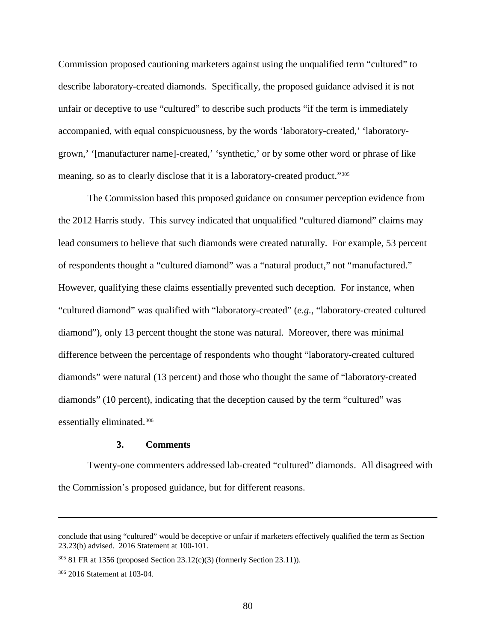Commission proposed cautioning marketers against using the unqualified term "cultured" to describe laboratory-created diamonds. Specifically, the proposed guidance advised it is not unfair or deceptive to use "cultured" to describe such products "if the term is immediately accompanied, with equal conspicuousness, by the words 'laboratory-created,' 'laboratorygrown,' '[manufacturer name]-created,' 'synthetic,' or by some other word or phrase of like meaning, so as to clearly disclose that it is a laboratory-created product."[305](#page-85-0) 

The Commission based this proposed guidance on consumer perception evidence from the 2012 Harris study. This survey indicated that unqualified "cultured diamond" claims may lead consumers to believe that such diamonds were created naturally. For example, 53 percent of respondents thought a "cultured diamond" was a "natural product," not "manufactured." However, qualifying these claims essentially prevented such deception. For instance, when "cultured diamond" was qualified with "laboratory-created" (*e.g.*, "laboratory-created cultured diamond"), only 13 percent thought the stone was natural. Moreover, there was minimal difference between the percentage of respondents who thought "laboratory-created cultured diamonds" were natural (13 percent) and those who thought the same of "laboratory-created diamonds" (10 percent), indicating that the deception caused by the term "cultured" was essentially eliminated.[306](#page-85-1) 

#### **3. Comments**

Twenty-one commenters addressed lab-created "cultured" diamonds. All disagreed with the Commission's proposed guidance, but for different reasons.

conclude that using "cultured" would be deceptive or unfair if marketers effectively qualified the term as Section 23.23(b) advised. 2016 Statement at 100-101.

<span id="page-85-0"></span><sup>305</sup> 81 FR at 1356 (proposed Section 23.12(c)(3) (formerly Section 23.11)).

<span id="page-85-1"></span><sup>306</sup> 2016 Statement at 103-04.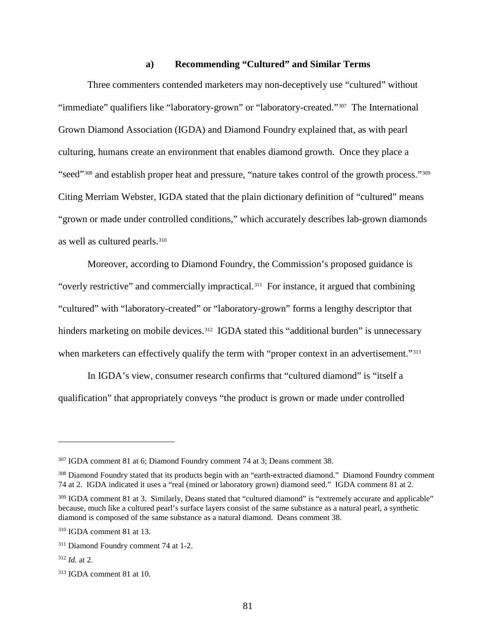#### **a) Recommending "Cultured" and Similar Terms**

Three commenters contended marketers may non-deceptively use "cultured" without "immediate" qualifiers like "laboratory-grown" or "laboratory-created."<sup>[307](#page-86-0)</sup> The International Grown Diamond Association (IGDA) and Diamond Foundry explained that, as with pearl culturing, humans create an environment that enables diamond growth. Once they place a "seed"[308](#page-86-1) and establish proper heat and pressure, "nature takes control of the growth process."[309](#page-86-2) Citing Merriam Webster, IGDA stated that the plain dictionary definition of "cultured" means "grown or made under controlled conditions," which accurately describes lab-grown diamonds as well as cultured pearls.[310](#page-86-3) 

Moreover, according to Diamond Foundry, the Commission's proposed guidance is "overly restrictive" and commercially impractical.[311](#page-86-4) For instance, it argued that combining "cultured" with "laboratory-created" or "laboratory-grown" forms a lengthy descriptor that hinders marketing on mobile devices.<sup>312</sup> IGDA stated this "additional burden" is unnecessary when marketers can effectively qualify the term with "proper context in an advertisement."<sup>313</sup>

In IGDA's view, consumer research confirms that "cultured diamond" is "itself a qualification" that appropriately conveys "the product is grown or made under controlled

<span id="page-86-0"></span><sup>307</sup> IGDA comment 81 at 6; Diamond Foundry comment 74 at 3; Deans comment 38.

<span id="page-86-1"></span><sup>&</sup>lt;sup>308</sup> Diamond Foundry stated that its products begin with an "earth-extracted diamond." Diamond Foundry comment 74 at 2. IGDA indicated it uses a "real (mined or laboratory grown) diamond seed." IGDA comment 81 at 2.

<span id="page-86-2"></span><sup>&</sup>lt;sup>309</sup> IGDA comment 81 at 3. Similarly, Deans stated that "cultured diamond" is "extremely accurate and applicable" because, much like a cultured pearl's surface layers consist of the same substance as a natural pearl, a synthetic diamond is composed of the same substance as a natural diamond. Deans comment 38.

<span id="page-86-3"></span><sup>310</sup> IGDA comment 81 at 13.

<span id="page-86-4"></span><sup>311</sup> Diamond Foundry comment 74 at 1-2.

<span id="page-86-5"></span> $312$  *Id.* at 2.

<span id="page-86-6"></span><sup>313</sup> IGDA comment 81 at 10.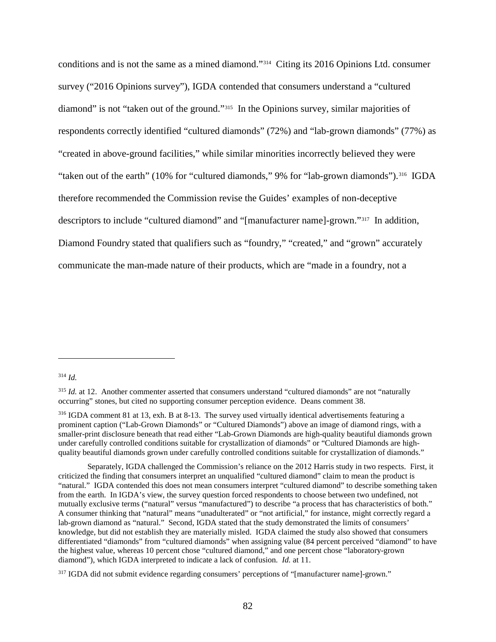conditions and is not the same as a mined diamond."[314](#page-87-0) Citing its 2016 Opinions Ltd. consumer survey ("2016 Opinions survey"), IGDA contended that consumers understand a "cultured diamond" is not "taken out of the ground."[315](#page-87-1) In the Opinions survey, similar majorities of respondents correctly identified "cultured diamonds" (72%) and "lab-grown diamonds" (77%) as "created in above-ground facilities," while similar minorities incorrectly believed they were "taken out of the earth" (10% for "cultured diamonds," 9% for "lab-grown diamonds").<sup>[316](#page-87-2)</sup> IGDA therefore recommended the Commission revise the Guides' examples of non-deceptive descriptors to include "cultured diamond" and "[manufacturer name]-grown."[317](#page-87-3) In addition, Diamond Foundry stated that qualifiers such as "foundry," "created," and "grown" accurately communicate the man-made nature of their products, which are "made in a foundry, not a

#### <span id="page-87-0"></span><sup>314</sup> *Id.*

<span id="page-87-1"></span><sup>&</sup>lt;sup>315</sup> *Id.* at 12. Another commenter asserted that consumers understand "cultured diamonds" are not "naturally occurring" stones, but cited no supporting consumer perception evidence. Deans comment 38.

<span id="page-87-2"></span><sup>316</sup> IGDA comment 81 at 13, exh. B at 8-13. The survey used virtually identical advertisements featuring a prominent caption ("Lab-Grown Diamonds" or "Cultured Diamonds") above an image of diamond rings, with a smaller-print disclosure beneath that read either "Lab-Grown Diamonds are high-quality beautiful diamonds grown under carefully controlled conditions suitable for crystallization of diamonds" or "Cultured Diamonds are highquality beautiful diamonds grown under carefully controlled conditions suitable for crystallization of diamonds."

Separately, IGDA challenged the Commission's reliance on the 2012 Harris study in two respects. First, it criticized the finding that consumers interpret an unqualified "cultured diamond" claim to mean the product is "natural." IGDA contended this does not mean consumers interpret "cultured diamond" to describe something taken from the earth. In IGDA's view, the survey question forced respondents to choose between two undefined, not mutually exclusive terms ("natural" versus "manufactured") to describe "a process that has characteristics of both." A consumer thinking that "natural" means "unadulterated" or "not artificial," for instance, might correctly regard a lab-grown diamond as "natural." Second, IGDA stated that the study demonstrated the limits of consumers' knowledge, but did not establish they are materially misled. IGDA claimed the study also showed that consumers differentiated "diamonds" from "cultured diamonds" when assigning value (84 percent perceived "diamond" to have the highest value, whereas 10 percent chose "cultured diamond," and one percent chose "laboratory-grown diamond"), which IGDA interpreted to indicate a lack of confusion. *Id.* at 11.

<span id="page-87-3"></span><sup>&</sup>lt;sup>317</sup> IGDA did not submit evidence regarding consumers' perceptions of "[manufacturer name]-grown."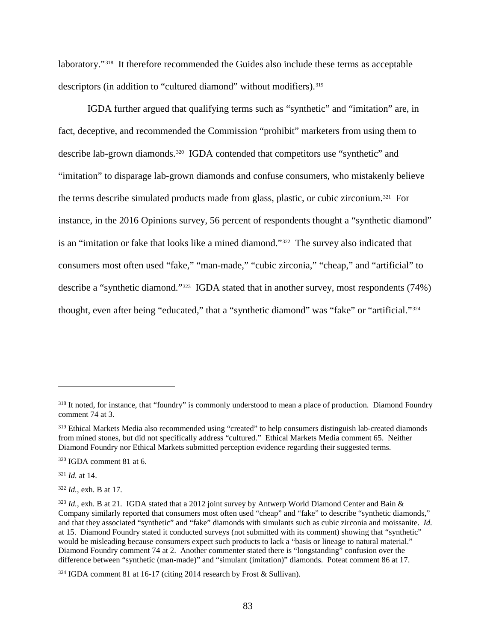laboratory."[318](#page-88-0) It therefore recommended the Guides also include these terms as acceptable descriptors (in addition to "cultured diamond" without modifiers).<sup>[319](#page-88-1)</sup>

IGDA further argued that qualifying terms such as "synthetic" and "imitation" are, in fact, deceptive, and recommended the Commission "prohibit" marketers from using them to describe lab-grown diamonds.<sup>[320](#page-88-2)</sup> IGDA contended that competitors use "synthetic" and "imitation" to disparage lab-grown diamonds and confuse consumers, who mistakenly believe the terms describe simulated products made from glass, plastic, or cubic zirconium.[321](#page-88-3) For instance, in the 2016 Opinions survey, 56 percent of respondents thought a "synthetic diamond" is an "imitation or fake that looks like a mined diamond."[322](#page-88-4) The survey also indicated that consumers most often used "fake," "man-made," "cubic zirconia," "cheap," and "artificial" to describe a "synthetic diamond."[323](#page-88-5) IGDA stated that in another survey, most respondents (74%) thought, even after being "educated," that a "synthetic diamond" was "fake" or "artificial."[324](#page-88-6)

<span id="page-88-3"></span><sup>321</sup> *Id.* at 14.

 $\overline{a}$ 

<span id="page-88-4"></span><sup>322</sup> *Id.*, exh. B at 17.

<span id="page-88-0"></span><sup>&</sup>lt;sup>318</sup> It noted, for instance, that "foundry" is commonly understood to mean a place of production. Diamond Foundry comment 74 at 3.

<span id="page-88-1"></span><sup>319</sup> Ethical Markets Media also recommended using "created" to help consumers distinguish lab-created diamonds from mined stones, but did not specifically address "cultured." Ethical Markets Media comment 65. Neither Diamond Foundry nor Ethical Markets submitted perception evidence regarding their suggested terms.

<span id="page-88-2"></span><sup>320</sup> IGDA comment 81 at 6.

<span id="page-88-5"></span><sup>&</sup>lt;sup>323</sup> *Id.*, exh. B at 21. IGDA stated that a 2012 joint survey by Antwerp World Diamond Center and Bain & Company similarly reported that consumers most often used "cheap" and "fake" to describe "synthetic diamonds," and that they associated "synthetic" and "fake" diamonds with simulants such as cubic zirconia and moissanite. *Id.* at 15. Diamond Foundry stated it conducted surveys (not submitted with its comment) showing that "synthetic" would be misleading because consumers expect such products to lack a "basis or lineage to natural material." Diamond Foundry comment 74 at 2. Another commenter stated there is "longstanding" confusion over the difference between "synthetic (man-made)" and "simulant (imitation)" diamonds. Poteat comment 86 at 17.

<span id="page-88-6"></span><sup>324</sup> IGDA comment 81 at 16-17 (citing 2014 research by Frost & Sullivan).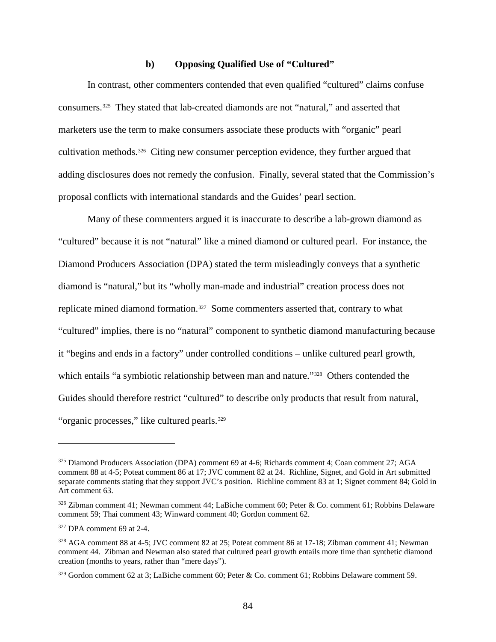#### **b) Opposing Qualified Use of "Cultured"**

In contrast, other commenters contended that even qualified "cultured" claims confuse consumers.[325](#page-89-0) They stated that lab-created diamonds are not "natural," and asserted that marketers use the term to make consumers associate these products with "organic" pearl cultivation methods.[326](#page-89-1) Citing new consumer perception evidence, they further argued that adding disclosures does not remedy the confusion. Finally, several stated that the Commission's proposal conflicts with international standards and the Guides' pearl section.

Many of these commenters argued it is inaccurate to describe a lab-grown diamond as "cultured" because it is not "natural" like a mined diamond or cultured pearl. For instance, the Diamond Producers Association (DPA) stated the term misleadingly conveys that a synthetic diamond is "natural," but its "wholly man-made and industrial" creation process does not replicate mined diamond formation.<sup>327</sup> Some commenters asserted that, contrary to what "cultured" implies, there is no "natural" component to synthetic diamond manufacturing because it "begins and ends in a factory" under controlled conditions – unlike cultured pearl growth, which entails "a symbiotic relationship between man and nature."<sup>328</sup> Others contended the Guides should therefore restrict "cultured" to describe only products that result from natural, "organic processes," like cultured pearls.<sup>329</sup>

<span id="page-89-0"></span><sup>&</sup>lt;sup>325</sup> Diamond Producers Association (DPA) comment 69 at 4-6; Richards comment 4; Coan comment 27; AGA comment 88 at 4-5; Poteat comment 86 at 17; JVC comment 82 at 24. Richline, Signet, and Gold in Art submitted separate comments stating that they support JVC's position. Richline comment 83 at 1; Signet comment 84; Gold in Art comment 63.

<span id="page-89-1"></span><sup>326</sup> Zibman comment 41; Newman comment 44; LaBiche comment 60; Peter & Co. comment 61; Robbins Delaware comment 59; Thai comment 43; Winward comment 40; Gordon comment 62.

<span id="page-89-2"></span><sup>327</sup> DPA comment 69 at 2-4.

<span id="page-89-3"></span><sup>328</sup> AGA comment 88 at 4-5; JVC comment 82 at 25; Poteat comment 86 at 17-18; Zibman comment 41; Newman comment 44. Zibman and Newman also stated that cultured pearl growth entails more time than synthetic diamond creation (months to years, rather than "mere days").

<span id="page-89-4"></span> $329$  Gordon comment 62 at 3; LaBiche comment 60; Peter & Co. comment 61; Robbins Delaware comment 59.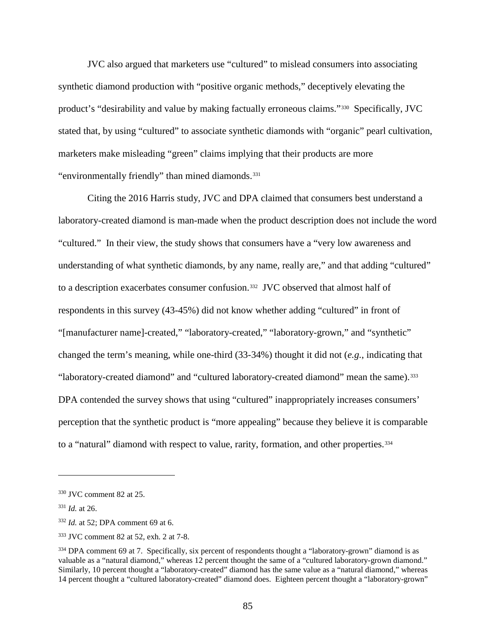JVC also argued that marketers use "cultured" to mislead consumers into associating synthetic diamond production with "positive organic methods," deceptively elevating the product's "desirability and value by making factually erroneous claims."[330](#page-90-0) Specifically, JVC stated that, by using "cultured" to associate synthetic diamonds with "organic" pearl cultivation, marketers make misleading "green" claims implying that their products are more "environmentally friendly" than mined diamonds.<sup>331</sup>

Citing the 2016 Harris study, JVC and DPA claimed that consumers best understand a laboratory-created diamond is man-made when the product description does not include the word "cultured." In their view, the study shows that consumers have a "very low awareness and understanding of what synthetic diamonds, by any name, really are," and that adding "cultured" to a description exacerbates consumer confusion.[332](#page-90-2) JVC observed that almost half of respondents in this survey (43-45%) did not know whether adding "cultured" in front of "[manufacturer name]-created," "laboratory-created," "laboratory-grown," and "synthetic" changed the term's meaning, while one-third (33-34%) thought it did not (*e.g.*, indicating that "laboratory-created diamond" and "cultured laboratory-created diamond" mean the same).<sup>[333](#page-90-3)</sup> DPA contended the survey shows that using "cultured" inappropriately increases consumers' perception that the synthetic product is "more appealing" because they believe it is comparable to a "natural" diamond with respect to value, rarity, formation, and other properties.<sup>334</sup>

<span id="page-90-5"></span><span id="page-90-0"></span><sup>330</sup> JVC comment 82 at 25.

<span id="page-90-1"></span><sup>331</sup> *Id.* at 26.

<span id="page-90-2"></span><sup>332</sup> *Id.* at 52; DPA comment 69 at 6.

<span id="page-90-3"></span><sup>333</sup> JVC comment 82 at 52, exh. 2 at 7-8.

<span id="page-90-4"></span><sup>&</sup>lt;sup>334</sup> DPA comment 69 at 7. Specifically, six percent of respondents thought a "laboratory-grown" diamond is as valuable as a "natural diamond," whereas 12 percent thought the same of a "cultured laboratory-grown diamond." Similarly, 10 percent thought a "laboratory-created" diamond has the same value as a "natural diamond," whereas 14 percent thought a "cultured laboratory-created" diamond does. Eighteen percent thought a "laboratory-grown"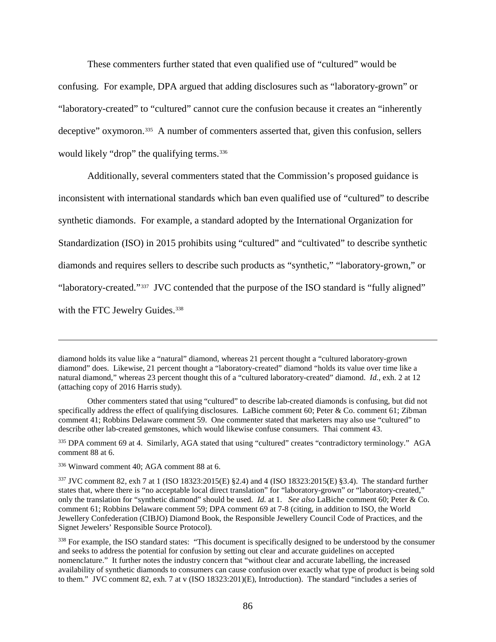These commenters further stated that even qualified use of "cultured" would be confusing. For example, DPA argued that adding disclosures such as "laboratory-grown" or "laboratory-created" to "cultured" cannot cure the confusion because it creates an "inherently deceptive" oxymoron.<sup>335</sup> A number of commenters asserted that, given this confusion, sellers would likely "drop" the qualifying terms.<sup>336</sup>

Additionally, several commenters stated that the Commission's proposed guidance is inconsistent with international standards which ban even qualified use of "cultured" to describe synthetic diamonds. For example, a standard adopted by the International Organization for Standardization (ISO) in 2015 prohibits using "cultured" and "cultivated" to describe synthetic diamonds and requires sellers to describe such products as "synthetic," "laboratory-grown," or "laboratory-created."[337](#page-91-2) JVC contended that the purpose of the ISO standard is "fully aligned" with the FTC Jewelry Guides.<sup>338</sup>

diamond holds its value like a "natural" diamond, whereas 21 percent thought a "cultured laboratory-grown diamond" does. Likewise, 21 percent thought a "laboratory-created" diamond "holds its value over time like a natural diamond," whereas 23 percent thought this of a "cultured laboratory-created" diamond. *Id.*, exh. 2 at 12 (attaching copy of 2016 Harris study).

Other commenters stated that using "cultured" to describe lab-created diamonds is confusing, but did not specifically address the effect of qualifying disclosures. LaBiche comment 60; Peter & Co. comment 61; Zibman comment 41; Robbins Delaware comment 59. One commenter stated that marketers may also use "cultured" to describe other lab-created gemstones, which would likewise confuse consumers. Thai comment 43.

<span id="page-91-0"></span><sup>335</sup> DPA comment 69 at 4. Similarly, AGA stated that using "cultured" creates "contradictory terminology." AGA comment 88 at 6.

<span id="page-91-1"></span><sup>336</sup> Winward comment 40; AGA comment 88 at 6.

<span id="page-91-2"></span><sup>337</sup> JVC comment 82, exh 7 at 1 (ISO 18323:2015(E) §2.4) and 4 (ISO 18323:2015(E) §3.4). The standard further states that, where there is "no acceptable local direct translation" for "laboratory-grown" or "laboratory-created," only the translation for "synthetic diamond" should be used. *Id.* at 1. *See also* LaBiche comment 60; Peter & Co. comment 61; Robbins Delaware comment 59; DPA comment 69 at 7-8 (citing, in addition to ISO, the World Jewellery Confederation (CIBJO) Diamond Book, the Responsible Jewellery Council Code of Practices, and the Signet Jewelers' Responsible Source Protocol).

<span id="page-91-3"></span><sup>&</sup>lt;sup>338</sup> For example, the ISO standard states: "This document is specifically designed to be understood by the consumer and seeks to address the potential for confusion by setting out clear and accurate guidelines on accepted nomenclature." It further notes the industry concern that "without clear and accurate labelling, the increased availability of synthetic diamonds to consumers can cause confusion over exactly what type of product is being sold to them." JVC comment 82, exh. 7 at v (ISO 18323:201)(E), Introduction). The standard "includes a series of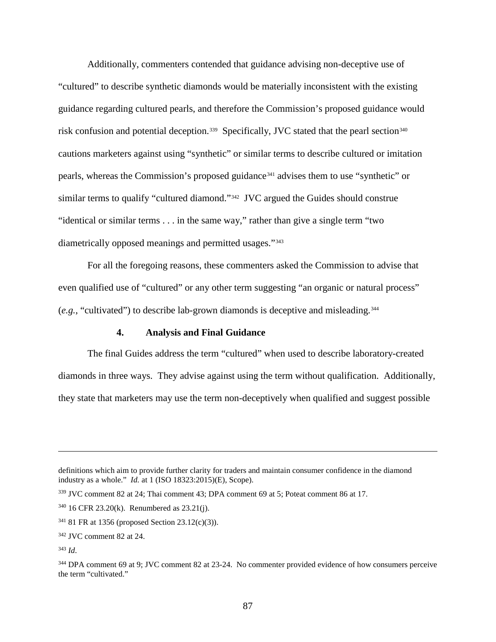Additionally, commenters contended that guidance advising non-deceptive use of "cultured" to describe synthetic diamonds would be materially inconsistent with the existing guidance regarding cultured pearls, and therefore the Commission's proposed guidance would risk confusion and potential deception.<sup>339</sup> Specifically, JVC stated that the pearl section<sup>[340](#page-92-1)</sup> cautions marketers against using "synthetic" or similar terms to describe cultured or imitation pearls, whereas the Commission's proposed guidance<sup>[341](#page-92-2)</sup> advises them to use "synthetic" or similar terms to qualify "cultured diamond."[342](#page-92-3) JVC argued the Guides should construe "identical or similar terms . . . in the same way," rather than give a single term "two diametrically opposed meanings and permitted usages."[343](#page-92-4)

For all the foregoing reasons, these commenters asked the Commission to advise that even qualified use of "cultured" or any other term suggesting "an organic or natural process" (*e.g.*, "cultivated") to describe lab-grown diamonds is deceptive and misleading.[344](#page-92-5) 

#### **4. Analysis and Final Guidance**

The final Guides address the term "cultured" when used to describe laboratory-created diamonds in three ways. They advise against using the term without qualification. Additionally, they state that marketers may use the term non-deceptively when qualified and suggest possible

definitions which aim to provide further clarity for traders and maintain consumer confidence in the diamond industry as a whole." *Id.* at 1 (ISO 18323:2015)(E), Scope).

<span id="page-92-0"></span><sup>339</sup> JVC comment 82 at 24; Thai comment 43; DPA comment 69 at 5; Poteat comment 86 at 17.

<span id="page-92-1"></span><sup>340</sup> 16 CFR 23.20(k). Renumbered as 23.21(j).

<span id="page-92-2"></span><sup>341</sup> 81 FR at 1356 (proposed Section 23.12(c)(3)).

<span id="page-92-3"></span><sup>342</sup> JVC comment 82 at 24.

<span id="page-92-4"></span><sup>343</sup> *Id*.

<span id="page-92-5"></span><sup>344</sup> DPA comment 69 at 9; JVC comment 82 at 23-24. No commenter provided evidence of how consumers perceive the term "cultivated."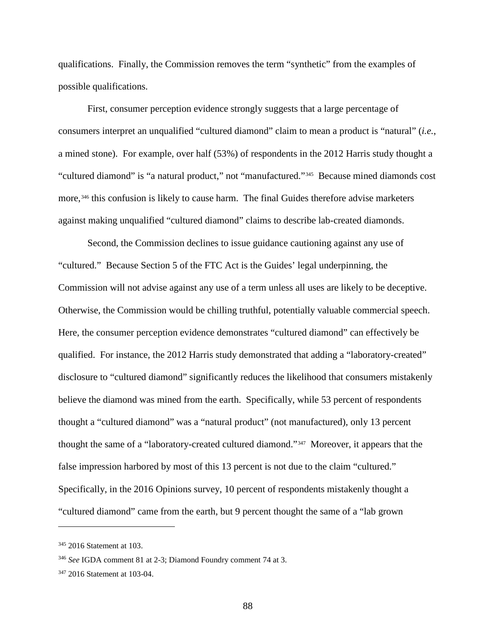qualifications. Finally, the Commission removes the term "synthetic" from the examples of possible qualifications.

First, consumer perception evidence strongly suggests that a large percentage of consumers interpret an unqualified "cultured diamond" claim to mean a product is "natural" (*i.e.*, a mined stone). For example, over half (53%) of respondents in the 2012 Harris study thought a "cultured diamond" is "a natural product," not "manufactured."[345](#page-93-0) Because mined diamonds cost more,<sup>[346](#page-93-1)</sup> this confusion is likely to cause harm. The final Guides therefore advise marketers against making unqualified "cultured diamond" claims to describe lab-created diamonds.

Second, the Commission declines to issue guidance cautioning against any use of "cultured." Because Section 5 of the FTC Act is the Guides' legal underpinning, the Commission will not advise against any use of a term unless all uses are likely to be deceptive. Otherwise, the Commission would be chilling truthful, potentially valuable commercial speech. Here, the consumer perception evidence demonstrates "cultured diamond" can effectively be qualified. For instance, the 2012 Harris study demonstrated that adding a "laboratory-created" disclosure to "cultured diamond" significantly reduces the likelihood that consumers mistakenly believe the diamond was mined from the earth. Specifically, while 53 percent of respondents thought a "cultured diamond" was a "natural product" (not manufactured), only 13 percent thought the same of a "laboratory-created cultured diamond."[347](#page-93-2) Moreover, it appears that the false impression harbored by most of this 13 percent is not due to the claim "cultured." Specifically, in the 2016 Opinions survey, 10 percent of respondents mistakenly thought a "cultured diamond" came from the earth, but 9 percent thought the same of a "lab grown

<span id="page-93-0"></span><sup>345</sup> 2016 Statement at 103.

<span id="page-93-1"></span><sup>346</sup> *See* IGDA comment 81 at 2-3; Diamond Foundry comment 74 at 3.

<span id="page-93-2"></span><sup>347</sup> 2016 Statement at 103-04.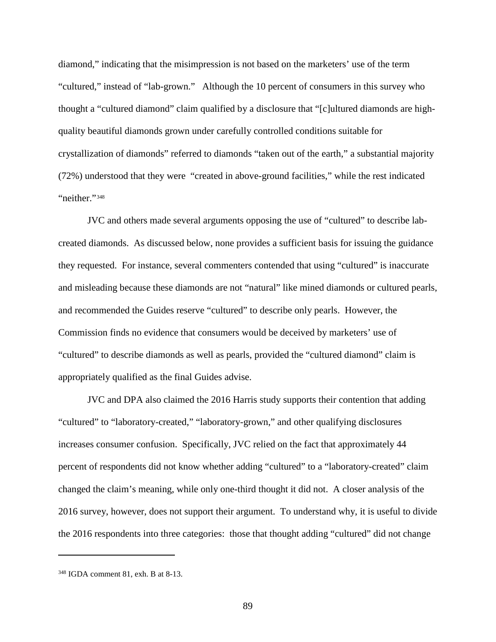diamond," indicating that the misimpression is not based on the marketers' use of the term "cultured," instead of "lab-grown." Although the 10 percent of consumers in this survey who thought a "cultured diamond" claim qualified by a disclosure that "[c]ultured diamonds are highquality beautiful diamonds grown under carefully controlled conditions suitable for crystallization of diamonds" referred to diamonds "taken out of the earth," a substantial majority (72%) understood that they were "created in above-ground facilities," while the rest indicated "neither."<sup>[348](#page-94-0)</sup>

JVC and others made several arguments opposing the use of "cultured" to describe labcreated diamonds. As discussed below, none provides a sufficient basis for issuing the guidance they requested. For instance, several commenters contended that using "cultured" is inaccurate and misleading because these diamonds are not "natural" like mined diamonds or cultured pearls, and recommended the Guides reserve "cultured" to describe only pearls. However, the Commission finds no evidence that consumers would be deceived by marketers' use of "cultured" to describe diamonds as well as pearls, provided the "cultured diamond" claim is appropriately qualified as the final Guides advise.

JVC and DPA also claimed the 2016 Harris study supports their contention that adding "cultured" to "laboratory-created," "laboratory-grown," and other qualifying disclosures increases consumer confusion. Specifically, JVC relied on the fact that approximately 44 percent of respondents did not know whether adding "cultured" to a "laboratory-created" claim changed the claim's meaning, while only one-third thought it did not. A closer analysis of the 2016 survey, however, does not support their argument. To understand why, it is useful to divide the 2016 respondents into three categories: those that thought adding "cultured" did not change

<span id="page-94-0"></span><sup>348</sup> IGDA comment 81, exh. B at 8-13.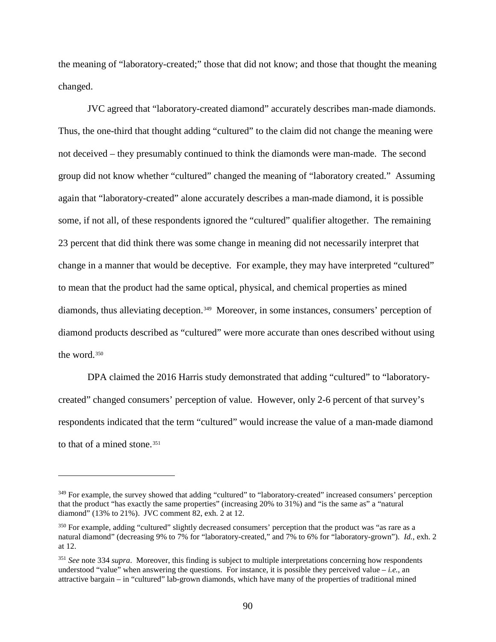the meaning of "laboratory-created;" those that did not know; and those that thought the meaning changed.

JVC agreed that "laboratory-created diamond" accurately describes man-made diamonds. Thus, the one-third that thought adding "cultured" to the claim did not change the meaning were not deceived – they presumably continued to think the diamonds were man-made. The second group did not know whether "cultured" changed the meaning of "laboratory created." Assuming again that "laboratory-created" alone accurately describes a man-made diamond, it is possible some, if not all, of these respondents ignored the "cultured" qualifier altogether. The remaining 23 percent that did think there was some change in meaning did not necessarily interpret that change in a manner that would be deceptive. For example, they may have interpreted "cultured" to mean that the product had the same optical, physical, and chemical properties as mined diamonds, thus alleviating deception.<sup>[349](#page-95-0)</sup> Moreover, in some instances, consumers' perception of diamond products described as "cultured" were more accurate than ones described without using the word.[350](#page-95-1)

DPA claimed the 2016 Harris study demonstrated that adding "cultured" to "laboratorycreated" changed consumers' perception of value. However, only 2-6 percent of that survey's respondents indicated that the term "cultured" would increase the value of a man-made diamond to that of a mined stone.<sup>[351](#page-95-2)</sup>

<span id="page-95-0"></span><sup>&</sup>lt;sup>349</sup> For example, the survey showed that adding "cultured" to "laboratory-created" increased consumers' perception that the product "has exactly the same properties" (increasing 20% to 31%) and "is the same as" a "natural diamond" (13% to 21%). JVC comment 82, exh. 2 at 12.

<span id="page-95-1"></span><sup>350</sup> For example, adding "cultured" slightly decreased consumers' perception that the product was "as rare as a natural diamond" (decreasing 9% to 7% for "laboratory-created," and 7% to 6% for "laboratory-grown"). *Id.*, exh. 2 at 12.

<span id="page-95-2"></span><sup>351</sup> *See* note [334](#page-90-5) *supra*. Moreover, this finding is subject to multiple interpretations concerning how respondents understood "value" when answering the questions. For instance, it is possible they perceived value – *i.e.*, an attractive bargain – in "cultured" lab-grown diamonds, which have many of the properties of traditional mined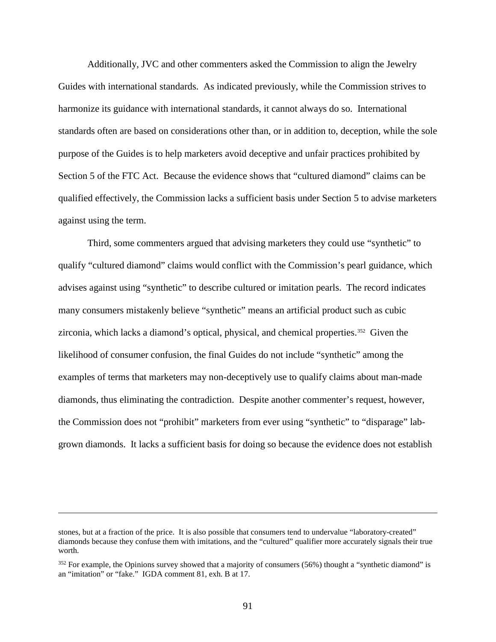Additionally, JVC and other commenters asked the Commission to align the Jewelry Guides with international standards. As indicated previously, while the Commission strives to harmonize its guidance with international standards, it cannot always do so. International standards often are based on considerations other than, or in addition to, deception, while the sole purpose of the Guides is to help marketers avoid deceptive and unfair practices prohibited by Section 5 of the FTC Act. Because the evidence shows that "cultured diamond" claims can be qualified effectively, the Commission lacks a sufficient basis under Section 5 to advise marketers against using the term.

Third, some commenters argued that advising marketers they could use "synthetic" to qualify "cultured diamond" claims would conflict with the Commission's pearl guidance, which advises against using "synthetic" to describe cultured or imitation pearls. The record indicates many consumers mistakenly believe "synthetic" means an artificial product such as cubic zirconia, which lacks a diamond's optical, physical, and chemical properties.[352](#page-96-0) Given the likelihood of consumer confusion, the final Guides do not include "synthetic" among the examples of terms that marketers may non-deceptively use to qualify claims about man-made diamonds, thus eliminating the contradiction. Despite another commenter's request, however, the Commission does not "prohibit" marketers from ever using "synthetic" to "disparage" labgrown diamonds. It lacks a sufficient basis for doing so because the evidence does not establish

stones, but at a fraction of the price. It is also possible that consumers tend to undervalue "laboratory-created" diamonds because they confuse them with imitations, and the "cultured" qualifier more accurately signals their true worth.

<span id="page-96-0"></span><sup>&</sup>lt;sup>352</sup> For example, the Opinions survey showed that a majority of consumers (56%) thought a "synthetic diamond" is an "imitation" or "fake." IGDA comment 81, exh. B at 17.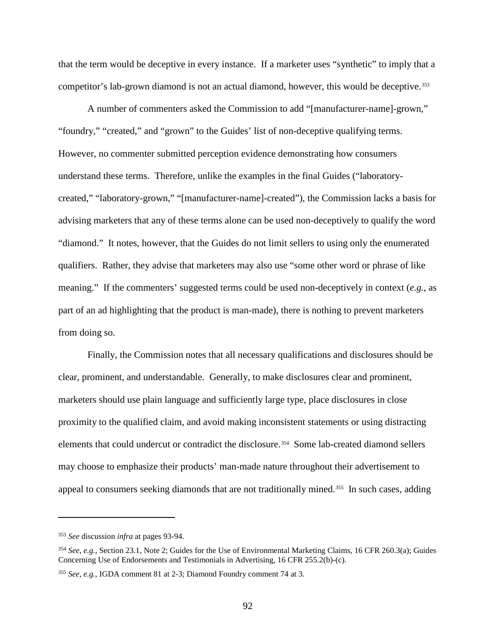that the term would be deceptive in every instance. If a marketer uses "synthetic" to imply that a competitor's lab-grown diamond is not an actual diamond, however, this would be deceptive.<sup>[353](#page-97-0)</sup>

A number of commenters asked the Commission to add "[manufacturer-name]-grown," "foundry," "created," and "grown" to the Guides' list of non-deceptive qualifying terms. However, no commenter submitted perception evidence demonstrating how consumers understand these terms. Therefore, unlike the examples in the final Guides ("laboratorycreated," "laboratory-grown," "[manufacturer-name]-created"), the Commission lacks a basis for advising marketers that any of these terms alone can be used non-deceptively to qualify the word "diamond." It notes, however, that the Guides do not limit sellers to using only the enumerated qualifiers. Rather, they advise that marketers may also use "some other word or phrase of like meaning." If the commenters' suggested terms could be used non-deceptively in context (*e.g.*, as part of an ad highlighting that the product is man-made), there is nothing to prevent marketers from doing so.

Finally, the Commission notes that all necessary qualifications and disclosures should be clear, prominent, and understandable. Generally, to make disclosures clear and prominent, marketers should use plain language and sufficiently large type, place disclosures in close proximity to the qualified claim, and avoid making inconsistent statements or using distracting elements that could undercut or contradict the disclosure.<sup>354</sup> Some lab-created diamond sellers may choose to emphasize their products' man-made nature throughout their advertisement to appeal to consumers seeking diamonds that are not traditionally mined.<sup>[355](#page-97-2)</sup> In such cases, adding

<span id="page-97-0"></span><sup>353</sup> *See* discussion *infra* at pages 93-94.

<span id="page-97-1"></span><sup>354</sup> *See, e.g.,* Section 23.1, Note 2; Guides for the Use of Environmental Marketing Claims, 16 CFR 260.3(a); Guides Concerning Use of Endorsements and Testimonials in Advertising, 16 CFR 255.2(b)-(c).

<span id="page-97-2"></span><sup>355</sup> *See, e.g.,* IGDA comment 81 at 2-3; Diamond Foundry comment 74 at 3.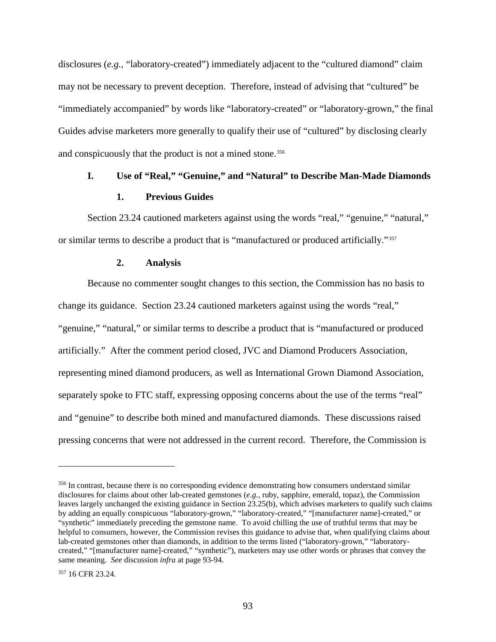disclosures (*e.g.*, "laboratory-created") immediately adjacent to the "cultured diamond" claim may not be necessary to prevent deception. Therefore, instead of advising that "cultured" be "immediately accompanied" by words like "laboratory-created" or "laboratory-grown," the final Guides advise marketers more generally to qualify their use of "cultured" by disclosing clearly and conspicuously that the product is not a mined stone.<sup>[356](#page-98-0)</sup>

# **I. Use of "Real," "Genuine," and "Natural" to Describe Man-Made Diamonds**

### **1. Previous Guides**

Section 23.24 cautioned marketers against using the words "real," "genuine," "natural," or similar terms to describe a product that is "manufactured or produced artificially."[357](#page-98-1)

#### **2. Analysis**

Because no commenter sought changes to this section, the Commission has no basis to change its guidance. Section 23.24 cautioned marketers against using the words "real," "genuine," "natural," or similar terms to describe a product that is "manufactured or produced artificially." After the comment period closed, JVC and Diamond Producers Association, representing mined diamond producers, as well as International Grown Diamond Association, separately spoke to FTC staff, expressing opposing concerns about the use of the terms "real" and "genuine" to describe both mined and manufactured diamonds. These discussions raised pressing concerns that were not addressed in the current record. Therefore, the Commission is

<span id="page-98-0"></span><sup>&</sup>lt;sup>356</sup> In contrast, because there is no corresponding evidence demonstrating how consumers understand similar disclosures for claims about other lab-created gemstones (*e.g.*, ruby, sapphire, emerald, topaz), the Commission leaves largely unchanged the existing guidance in Section 23.25(b), which advises marketers to qualify such claims by adding an equally conspicuous "laboratory-grown," "laboratory-created," "[manufacturer name]-created," or "synthetic" immediately preceding the gemstone name. To avoid chilling the use of truthful terms that may be helpful to consumers, however, the Commission revises this guidance to advise that, when qualifying claims about lab-created gemstones other than diamonds, in addition to the terms listed ("laboratory-grown," "laboratorycreated," "[manufacturer name]-created," "synthetic"), marketers may use other words or phrases that convey the same meaning. *See* discussion *infra* at page 93-94.

<span id="page-98-1"></span><sup>357 16</sup> CFR 23.24.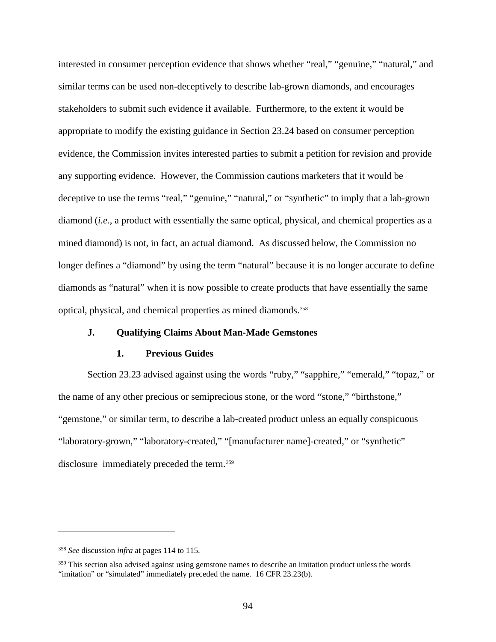interested in consumer perception evidence that shows whether "real," "genuine," "natural," and similar terms can be used non-deceptively to describe lab-grown diamonds, and encourages stakeholders to submit such evidence if available. Furthermore, to the extent it would be appropriate to modify the existing guidance in Section 23.24 based on consumer perception evidence, the Commission invites interested parties to submit a petition for revision and provide any supporting evidence. However, the Commission cautions marketers that it would be deceptive to use the terms "real," "genuine," "natural," or "synthetic" to imply that a lab-grown diamond (*i.e.*, a product with essentially the same optical, physical, and chemical properties as a mined diamond) is not, in fact, an actual diamond. As discussed below, the Commission no longer defines a "diamond" by using the term "natural" because it is no longer accurate to define diamonds as "natural" when it is now possible to create products that have essentially the same optical, physical, and chemical properties as mined diamonds.[358](#page-99-0)

### **J. Qualifying Claims About Man-Made Gemstones**

#### **1. Previous Guides**

Section 23.23 advised against using the words "ruby," "sapphire," "emerald," "topaz," or the name of any other precious or semiprecious stone, or the word "stone," "birthstone," "gemstone," or similar term, to describe a lab-created product unless an equally conspicuous "laboratory-grown," "laboratory-created," "[manufacturer name]-created," or "synthetic" disclosure immediately preceded the term.[359](#page-99-1)

<span id="page-99-0"></span><sup>358</sup> *See* discussion *infra* at page[s 114](#page-119-0) t[o 115.](#page-120-0)

<span id="page-99-1"></span><sup>&</sup>lt;sup>359</sup> This section also advised against using gemstone names to describe an imitation product unless the words "imitation" or "simulated" immediately preceded the name. 16 CFR 23.23(b).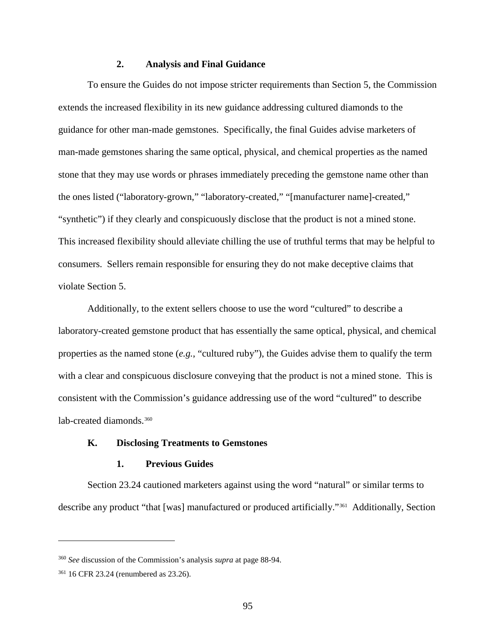### **2. Analysis and Final Guidance**

To ensure the Guides do not impose stricter requirements than Section 5, the Commission extends the increased flexibility in its new guidance addressing cultured diamonds to the guidance for other man-made gemstones. Specifically, the final Guides advise marketers of man-made gemstones sharing the same optical, physical, and chemical properties as the named stone that they may use words or phrases immediately preceding the gemstone name other than the ones listed ("laboratory-grown," "laboratory-created," "[manufacturer name]-created," "synthetic") if they clearly and conspicuously disclose that the product is not a mined stone. This increased flexibility should alleviate chilling the use of truthful terms that may be helpful to consumers. Sellers remain responsible for ensuring they do not make deceptive claims that violate Section 5.

Additionally, to the extent sellers choose to use the word "cultured" to describe a laboratory-created gemstone product that has essentially the same optical, physical, and chemical properties as the named stone (*e.g.*, "cultured ruby"), the Guides advise them to qualify the term with a clear and conspicuous disclosure conveying that the product is not a mined stone. This is consistent with the Commission's guidance addressing use of the word "cultured" to describe lab-created diamonds.<sup>[360](#page-100-0)</sup>

## **K. Disclosing Treatments to Gemstones**

### **1. Previous Guides**

Section 23.24 cautioned marketers against using the word "natural" or similar terms to describe any product "that [was] manufactured or produced artificially."[361](#page-100-1) Additionally, Section

<span id="page-100-0"></span><sup>360</sup> *See* discussion of the Commission's analysis *supra* at page 88-94.

<span id="page-100-1"></span><sup>361</sup> 16 CFR 23.24 (renumbered as 23.26).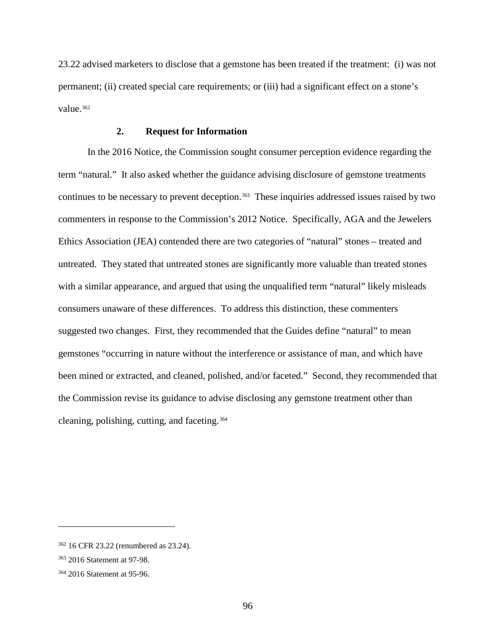23.22 advised marketers to disclose that a gemstone has been treated if the treatment: (i) was not permanent; (ii) created special care requirements; or (iii) had a significant effect on a stone's value.[362](#page-101-0)

### **2. Request for Information**

In the 2016 Notice, the Commission sought consumer perception evidence regarding the term "natural." It also asked whether the guidance advising disclosure of gemstone treatments continues to be necessary to prevent deception.<sup>363</sup> These inquiries addressed issues raised by two commenters in response to the Commission's 2012 Notice. Specifically, AGA and the Jewelers Ethics Association (JEA) contended there are two categories of "natural" stones – treated and untreated. They stated that untreated stones are significantly more valuable than treated stones with a similar appearance, and argued that using the unqualified term "natural" likely misleads consumers unaware of these differences. To address this distinction, these commenters suggested two changes. First, they recommended that the Guides define "natural" to mean gemstones "occurring in nature without the interference or assistance of man, and which have been mined or extracted, and cleaned, polished, and/or faceted." Second, they recommended that the Commission revise its guidance to advise disclosing any gemstone treatment other than cleaning, polishing, cutting, and faceting.[364](#page-101-2)

<span id="page-101-0"></span><sup>362</sup> 16 CFR 23.22 (renumbered as 23.24).

<span id="page-101-1"></span><sup>363</sup> 2016 Statement at 97-98.

<span id="page-101-2"></span><sup>364</sup> 2016 Statement at 95-96.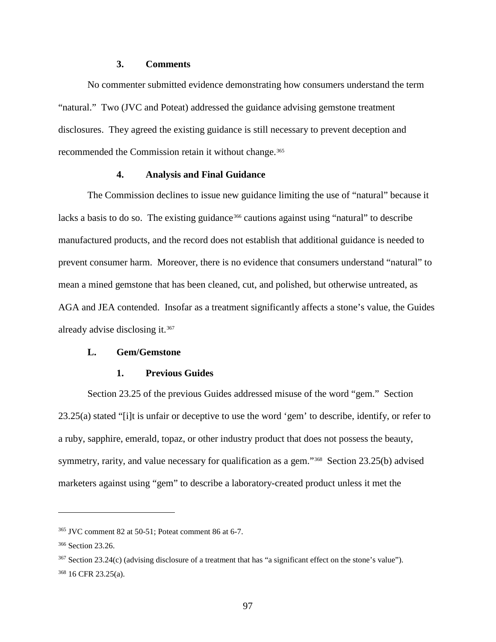### **3. Comments**

No commenter submitted evidence demonstrating how consumers understand the term "natural." Two (JVC and Poteat) addressed the guidance advising gemstone treatment disclosures. They agreed the existing guidance is still necessary to prevent deception and recommended the Commission retain it without change.<sup>[365](#page-102-0)</sup>

### **4. Analysis and Final Guidance**

The Commission declines to issue new guidance limiting the use of "natural" because it lacks a basis to do so. The existing guidance<sup>[366](#page-102-1)</sup> cautions against using "natural" to describe manufactured products, and the record does not establish that additional guidance is needed to prevent consumer harm. Moreover, there is no evidence that consumers understand "natural" to mean a mined gemstone that has been cleaned, cut, and polished, but otherwise untreated, as AGA and JEA contended. Insofar as a treatment significantly affects a stone's value, the Guides already advise disclosing it.[367](#page-102-2) 

#### **L. Gem/Gemstone**

#### **1. Previous Guides**

Section 23.25 of the previous Guides addressed misuse of the word "gem." Section 23.25(a) stated "[i]t is unfair or deceptive to use the word 'gem' to describe, identify, or refer to a ruby, sapphire, emerald, topaz, or other industry product that does not possess the beauty, symmetry, rarity, and value necessary for qualification as a gem."<sup>[368](#page-102-3)</sup> Section 23.25(b) advised marketers against using "gem" to describe a laboratory-created product unless it met the

<span id="page-102-0"></span><sup>365</sup> JVC comment 82 at 50-51; Poteat comment 86 at 6-7.

<span id="page-102-1"></span><sup>366</sup> Section 23.26.

<span id="page-102-3"></span><span id="page-102-2"></span><sup>367</sup> Section 23.24(c) (advising disclosure of a treatment that has "a significant effect on the stone's value"). <sup>368</sup> 16 CFR 23.25(a).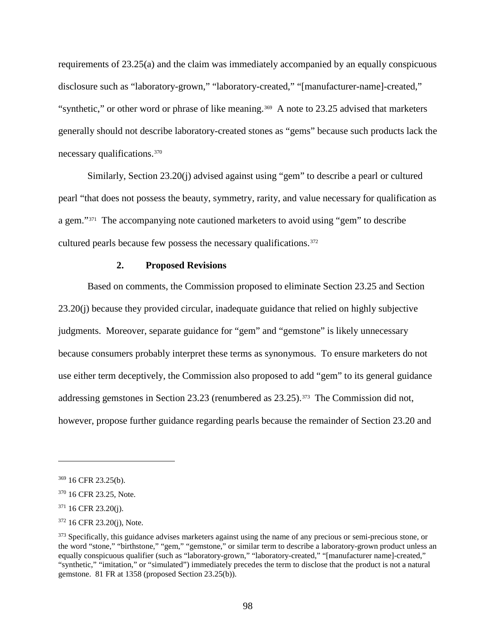requirements of 23.25(a) and the claim was immediately accompanied by an equally conspicuous disclosure such as "laboratory-grown," "laboratory-created," "[manufacturer-name]-created," "synthetic," or other word or phrase of like meaning.<sup>[369](#page-103-0)</sup> A note to 23.25 advised that marketers generally should not describe laboratory-created stones as "gems" because such products lack the necessary qualifications.[370](#page-103-1)

Similarly, Section 23.20(j) advised against using "gem" to describe a pearl or cultured pearl "that does not possess the beauty, symmetry, rarity, and value necessary for qualification as a gem."[371](#page-103-2) The accompanying note cautioned marketers to avoid using "gem" to describe cultured pearls because few possess the necessary qualifications.<sup>[372](#page-103-3)</sup>

### **2. Proposed Revisions**

Based on comments, the Commission proposed to eliminate Section 23.25 and Section 23.20(j) because they provided circular, inadequate guidance that relied on highly subjective judgments. Moreover, separate guidance for "gem" and "gemstone" is likely unnecessary because consumers probably interpret these terms as synonymous. To ensure marketers do not use either term deceptively, the Commission also proposed to add "gem" to its general guidance addressing gemstones in Section 23.23 (renumbered as 23.25).[373](#page-103-4) The Commission did not, however, propose further guidance regarding pearls because the remainder of Section 23.20 and

<span id="page-103-0"></span><sup>369</sup> 16 CFR 23.25(b).

<span id="page-103-1"></span><sup>370</sup> 16 CFR 23.25, Note.

<span id="page-103-2"></span> $371$  16 CFR 23.20(j).

<span id="page-103-3"></span><sup>372</sup> 16 CFR 23.20(j), Note.

<span id="page-103-4"></span><sup>&</sup>lt;sup>373</sup> Specifically, this guidance advises marketers against using the name of any precious or semi-precious stone, or the word "stone," "birthstone," "gem," "gemstone," or similar term to describe a laboratory-grown product unless an equally conspicuous qualifier (such as "laboratory-grown," "laboratory-created," "[manufacturer name]-created," "synthetic," "imitation," or "simulated") immediately precedes the term to disclose that the product is not a natural gemstone. 81 FR at 1358 (proposed Section 23.25(b)).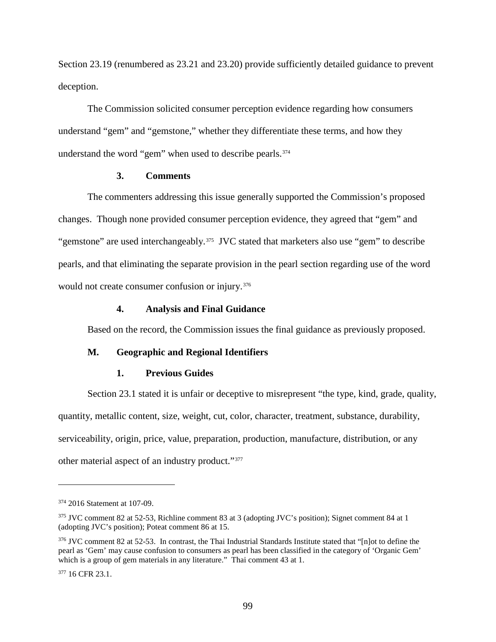Section 23.19 (renumbered as 23.21 and 23.20) provide sufficiently detailed guidance to prevent deception.

The Commission solicited consumer perception evidence regarding how consumers understand "gem" and "gemstone," whether they differentiate these terms, and how they understand the word "gem" when used to describe pearls.<sup>[374](#page-104-0)</sup>

#### **3. Comments**

The commenters addressing this issue generally supported the Commission's proposed changes. Though none provided consumer perception evidence, they agreed that "gem" and "gemstone" are used interchangeably.<sup>[375](#page-104-1)</sup> JVC stated that marketers also use "gem" to describe pearls, and that eliminating the separate provision in the pearl section regarding use of the word would not create consumer confusion or injury.<sup>376</sup>

### **4. Analysis and Final Guidance**

Based on the record, the Commission issues the final guidance as previously proposed.

### **M. Geographic and Regional Identifiers**

#### **1. Previous Guides**

Section 23.1 stated it is unfair or deceptive to misrepresent "the type, kind, grade, quality, quantity, metallic content, size, weight, cut, color, character, treatment, substance, durability, serviceability, origin, price, value, preparation, production, manufacture, distribution, or any other material aspect of an industry product."[377](#page-104-3) 

<span id="page-104-0"></span><sup>374</sup> 2016 Statement at 107-09.

<span id="page-104-1"></span><sup>375</sup> JVC comment 82 at 52-53, Richline comment 83 at 3 (adopting JVC's position); Signet comment 84 at 1 (adopting JVC's position); Poteat comment 86 at 15.

<span id="page-104-2"></span><sup>376</sup> JVC comment 82 at 52-53. In contrast, the Thai Industrial Standards Institute stated that "[n]ot to define the pearl as 'Gem' may cause confusion to consumers as pearl has been classified in the category of 'Organic Gem' which is a group of gem materials in any literature." Thai comment 43 at 1.

<span id="page-104-3"></span><sup>377 16</sup> CFR 23.1.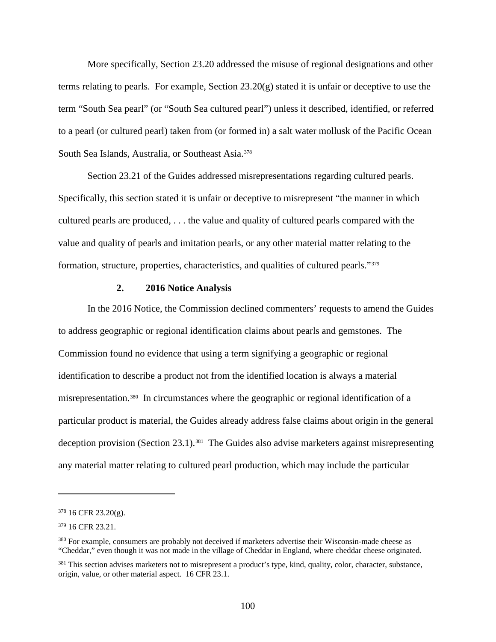More specifically, Section 23.20 addressed the misuse of regional designations and other terms relating to pearls. For example, Section 23.20(g) stated it is unfair or deceptive to use the term "South Sea pearl" (or "South Sea cultured pearl") unless it described, identified, or referred to a pearl (or cultured pearl) taken from (or formed in) a salt water mollusk of the Pacific Ocean South Sea Islands, Australia, or Southeast Asia.<sup>[378](#page-105-0)</sup>

Section 23.21 of the Guides addressed misrepresentations regarding cultured pearls. Specifically, this section stated it is unfair or deceptive to misrepresent "the manner in which cultured pearls are produced, . . . the value and quality of cultured pearls compared with the value and quality of pearls and imitation pearls, or any other material matter relating to the formation, structure, properties, characteristics, and qualities of cultured pearls."[379](#page-105-1)

#### **2. 2016 Notice Analysis**

In the 2016 Notice, the Commission declined commenters' requests to amend the Guides to address geographic or regional identification claims about pearls and gemstones. The Commission found no evidence that using a term signifying a geographic or regional identification to describe a product not from the identified location is always a material misrepresentation.[380](#page-105-2) In circumstances where the geographic or regional identification of a particular product is material, the Guides already address false claims about origin in the general deception provision (Section 23.1).<sup>[381](#page-105-3)</sup> The Guides also advise marketers against misrepresenting any material matter relating to cultured pearl production, which may include the particular

<span id="page-105-0"></span><sup>378</sup> 16 CFR 23.20(g).

<span id="page-105-1"></span><sup>379</sup> 16 CFR 23.21.

<span id="page-105-2"></span><sup>&</sup>lt;sup>380</sup> For example, consumers are probably not deceived if marketers advertise their Wisconsin-made cheese as "Cheddar," even though it was not made in the village of Cheddar in England, where cheddar cheese originated.

<span id="page-105-3"></span><sup>&</sup>lt;sup>381</sup> This section advises marketers not to misrepresent a product's type, kind, quality, color, character, substance, origin, value, or other material aspect. 16 CFR 23.1.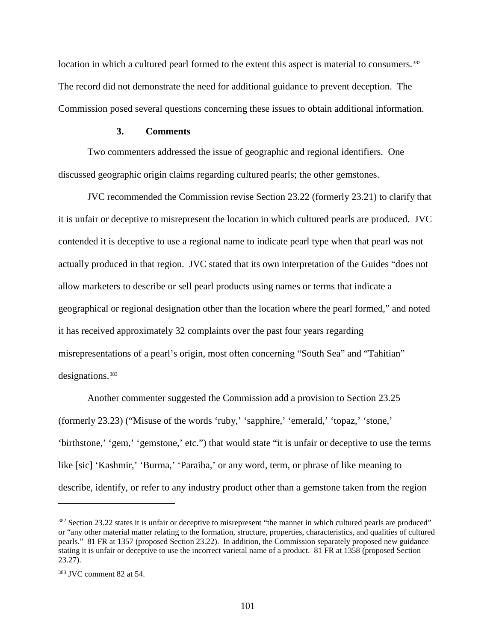location in which a cultured pearl formed to the extent this aspect is material to consumers.<sup>[382](#page-106-0)</sup> The record did not demonstrate the need for additional guidance to prevent deception. The Commission posed several questions concerning these issues to obtain additional information.

#### **3. Comments**

Two commenters addressed the issue of geographic and regional identifiers. One discussed geographic origin claims regarding cultured pearls; the other gemstones.

JVC recommended the Commission revise Section 23.22 (formerly 23.21) to clarify that it is unfair or deceptive to misrepresent the location in which cultured pearls are produced. JVC contended it is deceptive to use a regional name to indicate pearl type when that pearl was not actually produced in that region. JVC stated that its own interpretation of the Guides "does not allow marketers to describe or sell pearl products using names or terms that indicate a geographical or regional designation other than the location where the pearl formed," and noted it has received approximately 32 complaints over the past four years regarding misrepresentations of a pearl's origin, most often concerning "South Sea" and "Tahitian" designations.<sup>[383](#page-106-1)</sup>

Another commenter suggested the Commission add a provision to Section 23.25 (formerly 23.23) ("Misuse of the words 'ruby,' 'sapphire,' 'emerald,' 'topaz,' 'stone,' 'birthstone,' 'gem,' 'gemstone,' etc.") that would state "it is unfair or deceptive to use the terms like [sic] 'Kashmir,' 'Burma,' 'Paraiba,' or any word, term, or phrase of like meaning to describe, identify, or refer to any industry product other than a gemstone taken from the region

<span id="page-106-0"></span><sup>&</sup>lt;sup>382</sup> Section 23.22 states it is unfair or deceptive to misrepresent "the manner in which cultured pearls are produced" or "any other material matter relating to the formation, structure, properties, characteristics, and qualities of cultured pearls." 81 FR at 1357 (proposed Section 23.22). In addition, the Commission separately proposed new guidance stating it is unfair or deceptive to use the incorrect varietal name of a product. 81 FR at 1358 (proposed Section 23.27).

<span id="page-106-1"></span><sup>383</sup> JVC comment 82 at 54.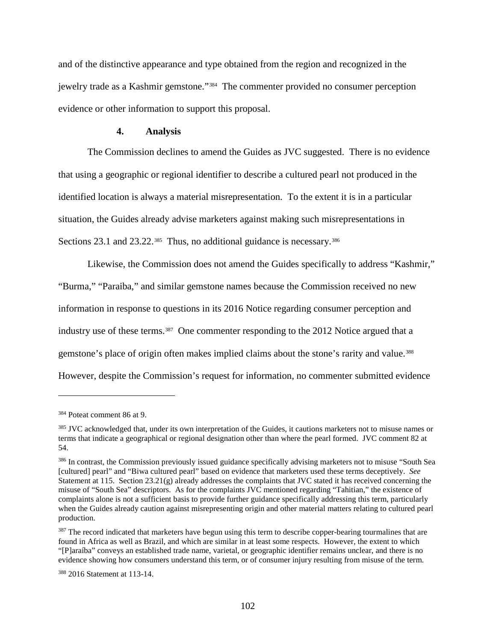and of the distinctive appearance and type obtained from the region and recognized in the jewelry trade as a Kashmir gemstone."[384](#page-107-0) The commenter provided no consumer perception evidence or other information to support this proposal.

#### **4. Analysis**

The Commission declines to amend the Guides as JVC suggested. There is no evidence that using a geographic or regional identifier to describe a cultured pearl not produced in the identified location is always a material misrepresentation. To the extent it is in a particular situation, the Guides already advise marketers against making such misrepresentations in Sections 23.1 and 23.22.<sup>[385](#page-107-1)</sup> Thus, no additional guidance is necessary.<sup>386</sup>

Likewise, the Commission does not amend the Guides specifically to address "Kashmir," "Burma," "Paraiba," and similar gemstone names because the Commission received no new information in response to questions in its 2016 Notice regarding consumer perception and industry use of these terms.<sup>387</sup> One commenter responding to the 2012 Notice argued that a gemstone's place of origin often makes implied claims about the stone's rarity and value.<sup>388</sup> However, despite the Commission's request for information, no commenter submitted evidence

<span id="page-107-0"></span><sup>384</sup> Poteat comment 86 at 9.

<span id="page-107-1"></span><sup>&</sup>lt;sup>385</sup> JVC acknowledged that, under its own interpretation of the Guides, it cautions marketers not to misuse names or terms that indicate a geographical or regional designation other than where the pearl formed. JVC comment 82 at 54.

<span id="page-107-2"></span><sup>386</sup> In contrast, the Commission previously issued guidance specifically advising marketers not to misuse "South Sea [cultured] pearl" and "Biwa cultured pearl" based on evidence that marketers used these terms deceptively. *See* Statement at 115. Section 23.21(g) already addresses the complaints that JVC stated it has received concerning the misuse of "South Sea" descriptors. As for the complaints JVC mentioned regarding "Tahitian," the existence of complaints alone is not a sufficient basis to provide further guidance specifically addressing this term, particularly when the Guides already caution against misrepresenting origin and other material matters relating to cultured pearl production.

<span id="page-107-3"></span><sup>&</sup>lt;sup>387</sup> The record indicated that marketers have begun using this term to describe copper-bearing tourmalines that are found in Africa as well as Brazil, and which are similar in at least some respects. However, the extent to which "[P]araíba" conveys an established trade name, varietal, or geographic identifier remains unclear, and there is no evidence showing how consumers understand this term, or of consumer injury resulting from misuse of the term.

<span id="page-107-4"></span><sup>388</sup> 2016 Statement at 113-14.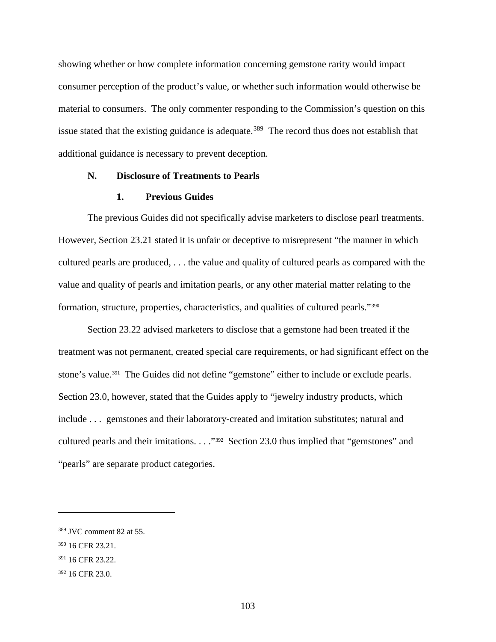showing whether or how complete information concerning gemstone rarity would impact consumer perception of the product's value, or whether such information would otherwise be material to consumers. The only commenter responding to the Commission's question on this issue stated that the existing guidance is adequate.<sup>[389](#page-108-0)</sup> The record thus does not establish that additional guidance is necessary to prevent deception.

## **N. Disclosure of Treatments to Pearls**

## **1. Previous Guides**

The previous Guides did not specifically advise marketers to disclose pearl treatments. However, Section 23.21 stated it is unfair or deceptive to misrepresent "the manner in which cultured pearls are produced, . . . the value and quality of cultured pearls as compared with the value and quality of pearls and imitation pearls, or any other material matter relating to the formation, structure, properties, characteristics, and qualities of cultured pearls."[390](#page-108-1)

Section 23.22 advised marketers to disclose that a gemstone had been treated if the treatment was not permanent, created special care requirements, or had significant effect on the stone's value.<sup>[391](#page-108-2)</sup> The Guides did not define "gemstone" either to include or exclude pearls. Section 23.0, however, stated that the Guides apply to "jewelry industry products, which include . . . gemstones and their laboratory-created and imitation substitutes; natural and cultured pearls and their imitations. . . ."[392](#page-108-3) Section 23.0 thus implied that "gemstones" and "pearls" are separate product categories.

<span id="page-108-0"></span><sup>389</sup> JVC comment 82 at 55.

<span id="page-108-1"></span><sup>390</sup> 16 CFR 23.21.

<span id="page-108-2"></span><sup>391</sup> 16 CFR 23.22.

<span id="page-108-3"></span><sup>392</sup> 16 CFR 23.0.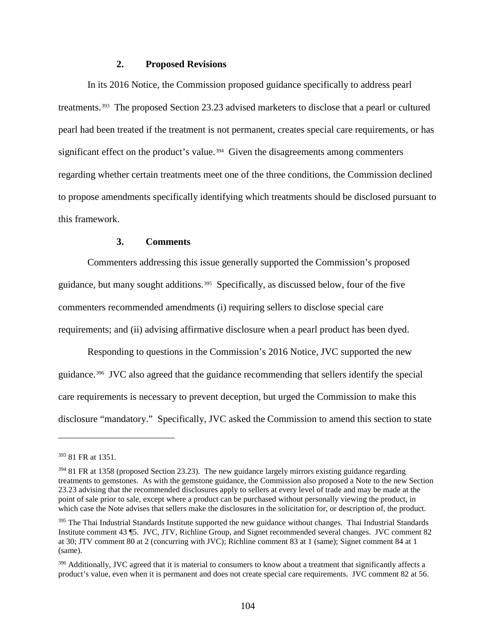## **2. Proposed Revisions**

In its 2016 Notice, the Commission proposed guidance specifically to address pearl treatments.[393](#page-109-0) The proposed Section 23.23 advised marketers to disclose that a pearl or cultured pearl had been treated if the treatment is not permanent, creates special care requirements, or has significant effect on the product's value.<sup>[394](#page-109-1)</sup> Given the disagreements among commenters regarding whether certain treatments meet one of the three conditions, the Commission declined to propose amendments specifically identifying which treatments should be disclosed pursuant to this framework.

#### **3. Comments**

Commenters addressing this issue generally supported the Commission's proposed guidance, but many sought additions.<sup>395</sup> Specifically, as discussed below, four of the five commenters recommended amendments (i) requiring sellers to disclose special care requirements; and (ii) advising affirmative disclosure when a pearl product has been dyed.

Responding to questions in the Commission's 2016 Notice, JVC supported the new guidance.[396](#page-109-3) JVC also agreed that the guidance recommending that sellers identify the special care requirements is necessary to prevent deception, but urged the Commission to make this disclosure "mandatory." Specifically, JVC asked the Commission to amend this section to state

<span id="page-109-0"></span><sup>393</sup> 81 FR at 1351.

<span id="page-109-1"></span><sup>394</sup> 81 FR at 1358 (proposed Section 23.23). The new guidance largely mirrors existing guidance regarding treatments to gemstones. As with the gemstone guidance, the Commission also proposed a Note to the new Section 23.23 advising that the recommended disclosures apply to sellers at every level of trade and may be made at the point of sale prior to sale, except where a product can be purchased without personally viewing the product, in which case the Note advises that sellers make the disclosures in the solicitation for, or description of, the product.

<span id="page-109-2"></span><sup>&</sup>lt;sup>395</sup> The Thai Industrial Standards Institute supported the new guidance without changes. Thai Industrial Standards Institute comment 43 ¶5. JVC, JTV, Richline Group, and Signet recommended several changes. JVC comment 82 at 30; JTV comment 80 at 2 (concurring with JVC); Richline comment 83 at 1 (same); Signet comment 84 at 1 (same).

<span id="page-109-3"></span><sup>396</sup> Additionally, JVC agreed that it is material to consumers to know about a treatment that significantly affects a product's value, even when it is permanent and does not create special care requirements. JVC comment 82 at 56.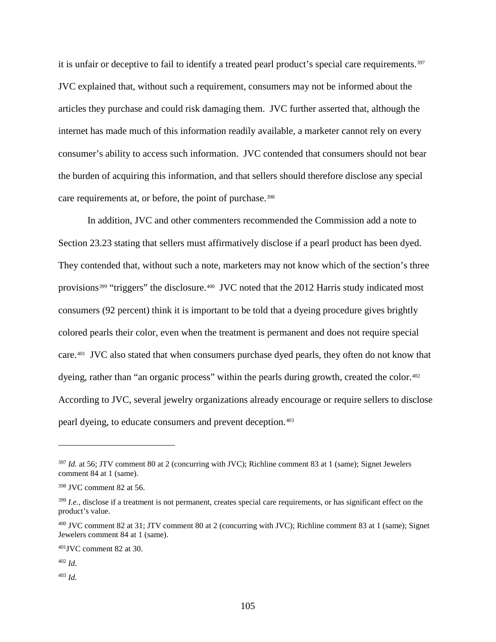it is unfair or deceptive to fail to identify a treated pearl product's special care requirements.<sup>397</sup> JVC explained that, without such a requirement, consumers may not be informed about the articles they purchase and could risk damaging them. JVC further asserted that, although the internet has made much of this information readily available, a marketer cannot rely on every consumer's ability to access such information. JVC contended that consumers should not bear the burden of acquiring this information, and that sellers should therefore disclose any special care requirements at, or before, the point of purchase.<sup>[398](#page-110-1)</sup>

In addition, JVC and other commenters recommended the Commission add a note to Section 23.23 stating that sellers must affirmatively disclose if a pearl product has been dyed. They contended that, without such a note, marketers may not know which of the section's three provisions<sup>[399](#page-110-2)</sup> "triggers" the disclosure.<sup>[400](#page-110-3)</sup> JVC noted that the 2012 Harris study indicated most consumers (92 percent) think it is important to be told that a dyeing procedure gives brightly colored pearls their color, even when the treatment is permanent and does not require special care.[401](#page-110-4) JVC also stated that when consumers purchase dyed pearls, they often do not know that dyeing, rather than "an organic process" within the pearls during growth, created the color.<sup>402</sup> According to JVC, several jewelry organizations already encourage or require sellers to disclose pearl dyeing, to educate consumers and prevent deception.[403](#page-110-6)

<span id="page-110-5"></span><sup>402</sup> *Id*.

 $\overline{a}$ 

<span id="page-110-6"></span><sup>403</sup> *Id*.

<span id="page-110-0"></span><sup>&</sup>lt;sup>397</sup> *Id.* at 56; JTV comment 80 at 2 (concurring with JVC); Richline comment 83 at 1 (same); Signet Jewelers comment 84 at 1 (same).

<span id="page-110-1"></span><sup>398</sup> JVC comment 82 at 56.

<span id="page-110-2"></span><sup>399</sup> *I.e.*, disclose if a treatment is not permanent, creates special care requirements, or has significant effect on the product's value.

<span id="page-110-3"></span><sup>400</sup> JVC comment 82 at 31; JTV comment 80 at 2 (concurring with JVC); Richline comment 83 at 1 (same); Signet Jewelers comment 84 at 1 (same).

<span id="page-110-4"></span> $401$  JVC comment 82 at 30.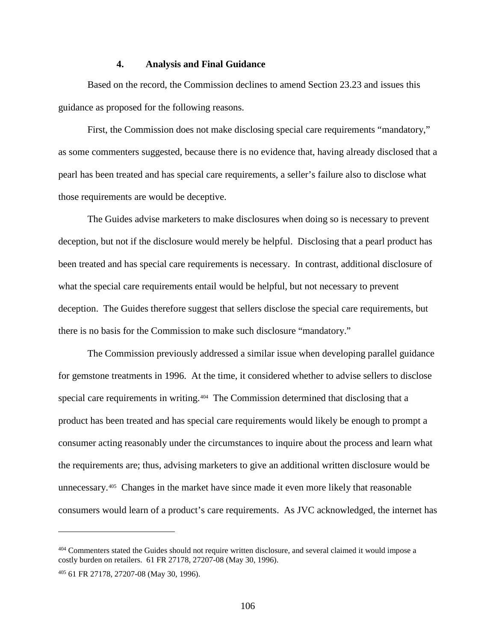#### **4. Analysis and Final Guidance**

Based on the record, the Commission declines to amend Section 23.23 and issues this guidance as proposed for the following reasons.

First, the Commission does not make disclosing special care requirements "mandatory," as some commenters suggested, because there is no evidence that, having already disclosed that a pearl has been treated and has special care requirements, a seller's failure also to disclose what those requirements are would be deceptive.

The Guides advise marketers to make disclosures when doing so is necessary to prevent deception, but not if the disclosure would merely be helpful. Disclosing that a pearl product has been treated and has special care requirements is necessary. In contrast, additional disclosure of what the special care requirements entail would be helpful, but not necessary to prevent deception. The Guides therefore suggest that sellers disclose the special care requirements, but there is no basis for the Commission to make such disclosure "mandatory."

The Commission previously addressed a similar issue when developing parallel guidance for gemstone treatments in 1996. At the time, it considered whether to advise sellers to disclose special care requirements in writing.<sup>[404](#page-111-0)</sup> The Commission determined that disclosing that a product has been treated and has special care requirements would likely be enough to prompt a consumer acting reasonably under the circumstances to inquire about the process and learn what the requirements are; thus, advising marketers to give an additional written disclosure would be unnecessary.[405](#page-111-1) Changes in the market have since made it even more likely that reasonable consumers would learn of a product's care requirements. As JVC acknowledged, the internet has

<span id="page-111-0"></span><sup>404</sup> Commenters stated the Guides should not require written disclosure, and several claimed it would impose a costly burden on retailers. 61 FR 27178, 27207-08 (May 30, 1996).

<span id="page-111-1"></span><sup>405</sup> 61 FR 27178, 27207-08 (May 30, 1996).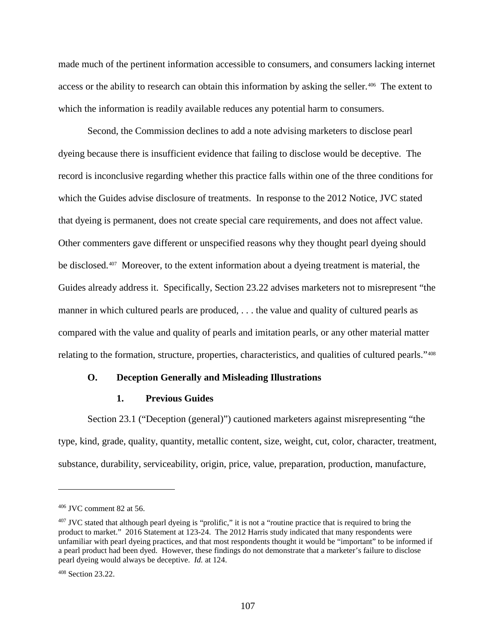made much of the pertinent information accessible to consumers, and consumers lacking internet access or the ability to research can obtain this information by asking the seller.<sup>[406](#page-112-0)</sup> The extent to which the information is readily available reduces any potential harm to consumers.

Second, the Commission declines to add a note advising marketers to disclose pearl dyeing because there is insufficient evidence that failing to disclose would be deceptive. The record is inconclusive regarding whether this practice falls within one of the three conditions for which the Guides advise disclosure of treatments. In response to the 2012 Notice, JVC stated that dyeing is permanent, does not create special care requirements, and does not affect value. Other commenters gave different or unspecified reasons why they thought pearl dyeing should be disclosed.<sup>[407](#page-112-1)</sup> Moreover, to the extent information about a dyeing treatment is material, the Guides already address it. Specifically, Section 23.22 advises marketers not to misrepresent "the manner in which cultured pearls are produced, . . . the value and quality of cultured pearls as compared with the value and quality of pearls and imitation pearls, or any other material matter relating to the formation, structure, properties, characteristics, and qualities of cultured pearls."[408](#page-112-2)

#### **O. Deception Generally and Misleading Illustrations**

## **1. Previous Guides**

Section 23.1 ("Deception (general)") cautioned marketers against misrepresenting "the type, kind, grade, quality, quantity, metallic content, size, weight, cut, color, character, treatment, substance, durability, serviceability, origin, price, value, preparation, production, manufacture,

<span id="page-112-0"></span><sup>406</sup> JVC comment 82 at 56.

<span id="page-112-1"></span><sup>&</sup>lt;sup>407</sup> JVC stated that although pearl dyeing is "prolific," it is not a "routine practice that is required to bring the product to market." 2016 Statement at 123-24. The 2012 Harris study indicated that many respondents were unfamiliar with pearl dyeing practices, and that most respondents thought it would be "important" to be informed if a pearl product had been dyed. However, these findings do not demonstrate that a marketer's failure to disclose pearl dyeing would always be deceptive. *Id.* at 124.

<span id="page-112-2"></span><sup>408</sup> Section 23.22.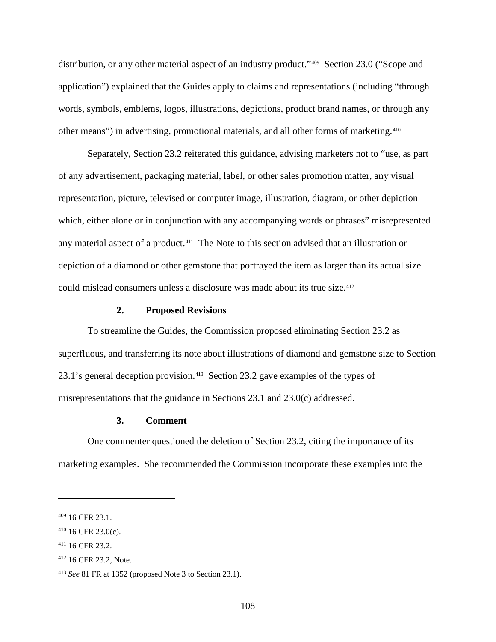distribution, or any other material aspect of an industry product."[409](#page-113-0) Section 23.0 ("Scope and application") explained that the Guides apply to claims and representations (including "through words, symbols, emblems, logos, illustrations, depictions, product brand names, or through any other means") in advertising, promotional materials, and all other forms of marketing.[410](#page-113-1) 

Separately, Section 23.2 reiterated this guidance, advising marketers not to "use, as part of any advertisement, packaging material, label, or other sales promotion matter, any visual representation, picture, televised or computer image, illustration, diagram, or other depiction which, either alone or in conjunction with any accompanying words or phrases" misrepresented any material aspect of a product.<sup>411</sup> The Note to this section advised that an illustration or depiction of a diamond or other gemstone that portrayed the item as larger than its actual size could mislead consumers unless a disclosure was made about its true size.[412](#page-113-3)

#### **2. Proposed Revisions**

To streamline the Guides, the Commission proposed eliminating Section 23.2 as superfluous, and transferring its note about illustrations of diamond and gemstone size to Section 23.1's general deception provision.[413](#page-113-4) Section 23.2 gave examples of the types of misrepresentations that the guidance in Sections 23.1 and 23.0(c) addressed.

## **3. Comment**

One commenter questioned the deletion of Section 23.2, citing the importance of its marketing examples. She recommended the Commission incorporate these examples into the

<span id="page-113-0"></span><sup>409</sup> 16 CFR 23.1.

<span id="page-113-1"></span> $410$  16 CFR 23.0(c).

<span id="page-113-2"></span><sup>411</sup> 16 CFR 23.2.

<span id="page-113-3"></span><sup>412</sup> 16 CFR 23.2, Note.

<span id="page-113-4"></span><sup>413</sup> *See* 81 FR at 1352 (proposed Note 3 to Section 23.1).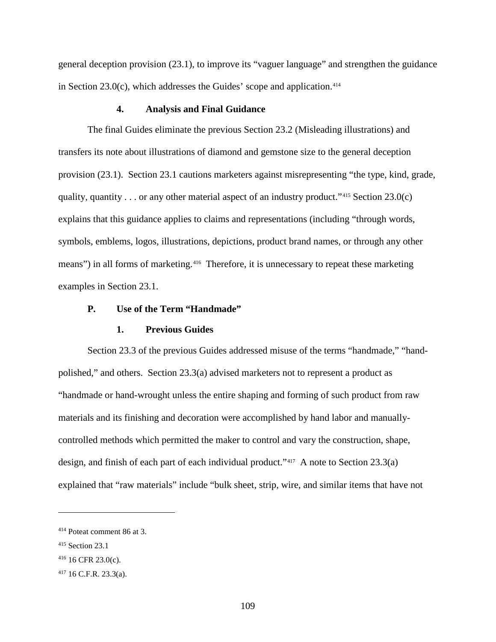general deception provision (23.1), to improve its "vaguer language" and strengthen the guidance in Section 23.0(c), which addresses the Guides' scope and application.<sup>[414](#page-114-0)</sup>

## **4. Analysis and Final Guidance**

The final Guides eliminate the previous Section 23.2 (Misleading illustrations) and transfers its note about illustrations of diamond and gemstone size to the general deception provision (23.1). Section 23.1 cautions marketers against misrepresenting "the type, kind, grade, quality, quantity . . . or any other material aspect of an industry product."<sup>[415](#page-114-1)</sup> Section 23.0(c) explains that this guidance applies to claims and representations (including "through words, symbols, emblems, logos, illustrations, depictions, product brand names, or through any other means") in all forms of marketing.<sup>[416](#page-114-2)</sup> Therefore, it is unnecessary to repeat these marketing examples in Section 23.1.

## **P. Use of the Term "Handmade"**

## **1. Previous Guides**

Section 23.3 of the previous Guides addressed misuse of the terms "handmade," "handpolished," and others. Section 23.3(a) advised marketers not to represent a product as "handmade or hand-wrought unless the entire shaping and forming of such product from raw materials and its finishing and decoration were accomplished by hand labor and manuallycontrolled methods which permitted the maker to control and vary the construction, shape, design, and finish of each part of each individual product."[417](#page-114-3) A note to Section 23.3(a) explained that "raw materials" include "bulk sheet, strip, wire, and similar items that have not

<span id="page-114-0"></span><sup>414</sup> Poteat comment 86 at 3.

<span id="page-114-1"></span><sup>415</sup> Section 23.1

<span id="page-114-2"></span> $416$  16 CFR 23.0(c).

<span id="page-114-3"></span><sup>417</sup> 16 C.F.R. 23.3(a).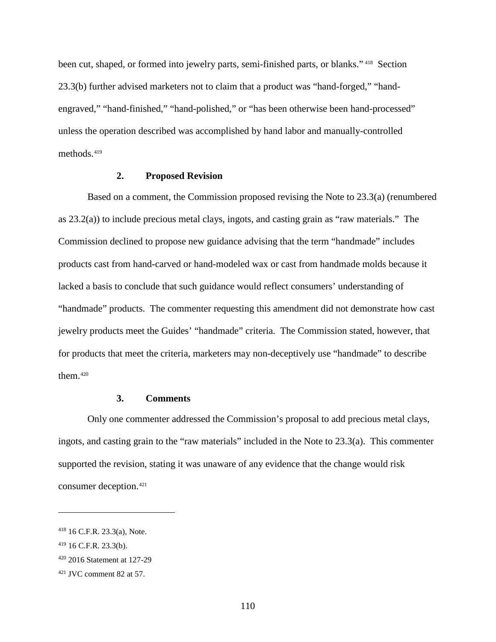been cut, shaped, or formed into jewelry parts, semi-finished parts, or blanks." [418](#page-115-0) Section 23.3(b) further advised marketers not to claim that a product was "hand-forged," "handengraved," "hand-finished," "hand-polished," or "has been otherwise been hand-processed" unless the operation described was accomplished by hand labor and manually-controlled methods.<sup>[419](#page-115-1)</sup>

#### **2. Proposed Revision**

Based on a comment, the Commission proposed revising the Note to 23.3(a) (renumbered as 23.2(a)) to include precious metal clays, ingots, and casting grain as "raw materials." The Commission declined to propose new guidance advising that the term "handmade" includes products cast from hand-carved or hand-modeled wax or cast from handmade molds because it lacked a basis to conclude that such guidance would reflect consumers' understanding of "handmade" products. The commenter requesting this amendment did not demonstrate how cast jewelry products meet the Guides' "handmade" criteria. The Commission stated, however, that for products that meet the criteria, marketers may non-deceptively use "handmade" to describe them[.420](#page-115-2)

## **3. Comments**

Only one commenter addressed the Commission's proposal to add precious metal clays, ingots, and casting grain to the "raw materials" included in the Note to 23.3(a). This commenter supported the revision, stating it was unaware of any evidence that the change would risk consumer deception.[421](#page-115-3)

<span id="page-115-0"></span><sup>418</sup> 16 C.F.R. 23.3(a), Note.

<span id="page-115-1"></span><sup>419</sup> 16 C.F.R. 23.3(b).

<span id="page-115-2"></span><sup>420</sup> 2016 Statement at 127-29

<span id="page-115-3"></span> $421$  JVC comment 82 at 57.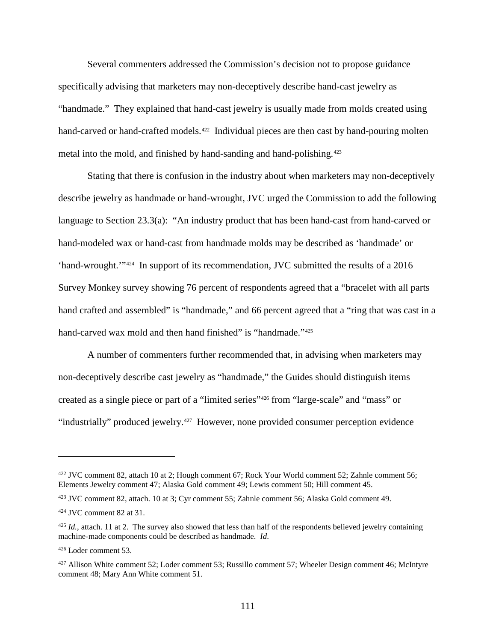Several commenters addressed the Commission's decision not to propose guidance specifically advising that marketers may non-deceptively describe hand-cast jewelry as "handmade." They explained that hand-cast jewelry is usually made from molds created using hand-carved or hand-crafted models.<sup>422</sup> Individual pieces are then cast by hand-pouring molten metal into the mold, and finished by hand-sanding and hand-polishing.<sup>[423](#page-116-1)</sup>

Stating that there is confusion in the industry about when marketers may non-deceptively describe jewelry as handmade or hand-wrought, JVC urged the Commission to add the following language to Section 23.3(a): "An industry product that has been hand-cast from hand-carved or hand-modeled wax or hand-cast from handmade molds may be described as 'handmade' or 'hand-wrought.'"[424](#page-116-2) In support of its recommendation, JVC submitted the results of a 2016 Survey Monkey survey showing 76 percent of respondents agreed that a "bracelet with all parts hand crafted and assembled" is "handmade," and 66 percent agreed that a "ring that was cast in a hand-carved wax mold and then hand finished" is "handmade."<sup>[425](#page-116-3)</sup>

A number of commenters further recommended that, in advising when marketers may non-deceptively describe cast jewelry as "handmade," the Guides should distinguish items created as a single piece or part of a "limited series"[426](#page-116-4) from "large-scale" and "mass" or "industrially" produced jewelry.<sup>[427](#page-116-5)</sup> However, none provided consumer perception evidence

<span id="page-116-0"></span><sup>422</sup> JVC comment 82, attach 10 at 2; Hough comment 67; Rock Your World comment 52; Zahnle comment 56; Elements Jewelry comment 47; Alaska Gold comment 49; Lewis comment 50; Hill comment 45.

<span id="page-116-1"></span><sup>423</sup> JVC comment 82, attach. 10 at 3; Cyr comment 55; Zahnle comment 56; Alaska Gold comment 49.

<span id="page-116-2"></span><sup>424</sup> JVC comment 82 at 31.

<span id="page-116-3"></span> $425$  *Id.*, attach. 11 at 2. The survey also showed that less than half of the respondents believed jewelry containing machine-made components could be described as handmade. *Id*.

<span id="page-116-4"></span><sup>426</sup> Loder comment 53.

<span id="page-116-5"></span><sup>427</sup> Allison White comment 52; Loder comment 53; Russillo comment 57; Wheeler Design comment 46; McIntyre comment 48; Mary Ann White comment 51.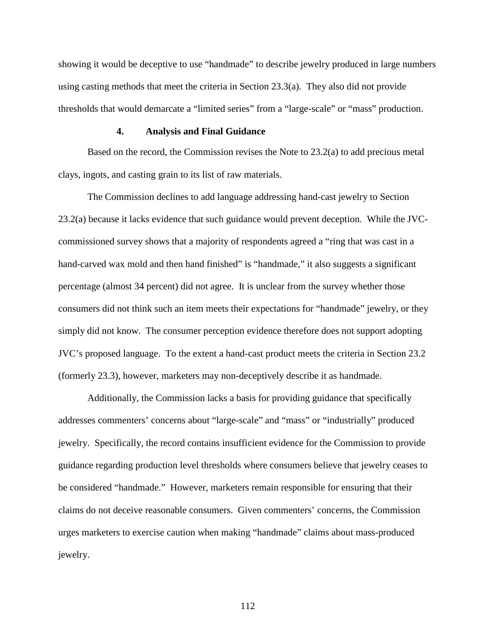showing it would be deceptive to use "handmade" to describe jewelry produced in large numbers using casting methods that meet the criteria in Section 23.3(a). They also did not provide thresholds that would demarcate a "limited series" from a "large-scale" or "mass" production.

#### **4. Analysis and Final Guidance**

Based on the record, the Commission revises the Note to 23.2(a) to add precious metal clays, ingots, and casting grain to its list of raw materials.

The Commission declines to add language addressing hand-cast jewelry to Section 23.2(a) because it lacks evidence that such guidance would prevent deception. While the JVCcommissioned survey shows that a majority of respondents agreed a "ring that was cast in a hand-carved wax mold and then hand finished" is "handmade," it also suggests a significant percentage (almost 34 percent) did not agree. It is unclear from the survey whether those consumers did not think such an item meets their expectations for "handmade" jewelry, or they simply did not know. The consumer perception evidence therefore does not support adopting JVC's proposed language. To the extent a hand-cast product meets the criteria in Section 23.2 (formerly 23.3), however, marketers may non-deceptively describe it as handmade.

Additionally, the Commission lacks a basis for providing guidance that specifically addresses commenters' concerns about "large-scale" and "mass" or "industrially" produced jewelry. Specifically, the record contains insufficient evidence for the Commission to provide guidance regarding production level thresholds where consumers believe that jewelry ceases to be considered "handmade." However, marketers remain responsible for ensuring that their claims do not deceive reasonable consumers. Given commenters' concerns, the Commission urges marketers to exercise caution when making "handmade" claims about mass-produced jewelry.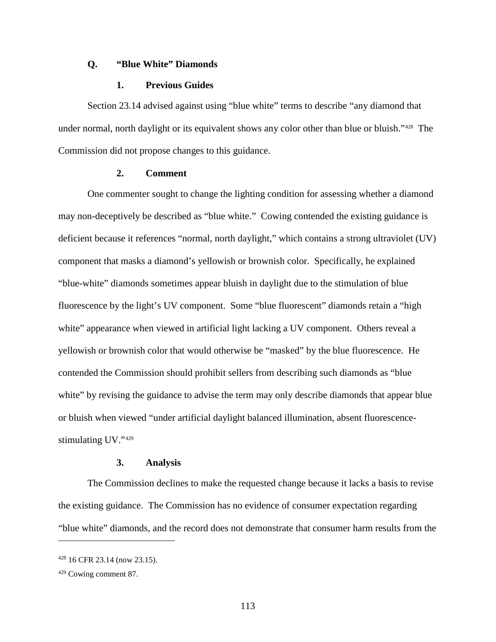#### **Q. "Blue White" Diamonds**

#### **1. Previous Guides**

Section 23.14 advised against using "blue white" terms to describe "any diamond that under normal, north daylight or its equivalent shows any color other than blue or bluish."[428](#page-118-0) The Commission did not propose changes to this guidance.

#### **2. Comment**

One commenter sought to change the lighting condition for assessing whether a diamond may non-deceptively be described as "blue white." Cowing contended the existing guidance is deficient because it references "normal, north daylight," which contains a strong ultraviolet (UV) component that masks a diamond's yellowish or brownish color. Specifically, he explained "blue-white" diamonds sometimes appear bluish in daylight due to the stimulation of blue fluorescence by the light's UV component. Some "blue fluorescent" diamonds retain a "high white" appearance when viewed in artificial light lacking a UV component. Others reveal a yellowish or brownish color that would otherwise be "masked" by the blue fluorescence. He contended the Commission should prohibit sellers from describing such diamonds as "blue white" by revising the guidance to advise the term may only describe diamonds that appear blue or bluish when viewed "under artificial daylight balanced illumination, absent fluorescencestimulating UV."[429](#page-118-1) 

#### **3. Analysis**

The Commission declines to make the requested change because it lacks a basis to revise the existing guidance. The Commission has no evidence of consumer expectation regarding "blue white" diamonds, and the record does not demonstrate that consumer harm results from the

<span id="page-118-0"></span><sup>428</sup> 16 CFR 23.14 (now 23.15).

<span id="page-118-1"></span><sup>429</sup> Cowing comment 87.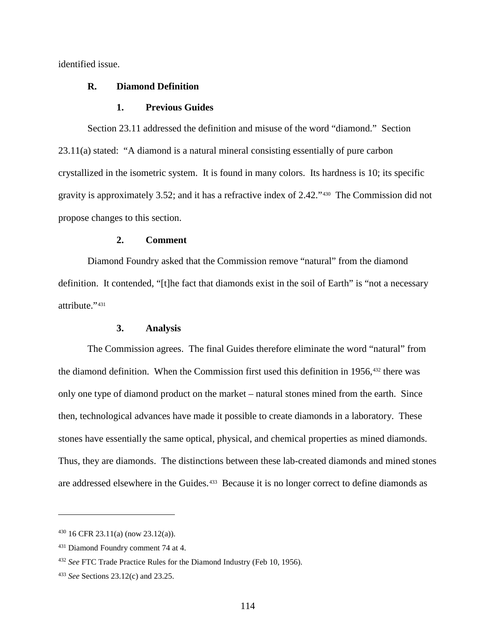identified issue.

## **R. Diamond Definition**

#### **1. Previous Guides**

Section 23.11 addressed the definition and misuse of the word "diamond." Section 23.11(a) stated: "A diamond is a natural mineral consisting essentially of pure carbon crystallized in the isometric system. It is found in many colors. Its hardness is 10; its specific gravity is approximately 3.52; and it has a refractive index of 2.42."[430](#page-119-0) The Commission did not propose changes to this section.

#### **2. Comment**

Diamond Foundry asked that the Commission remove "natural" from the diamond definition. It contended, "[t]he fact that diamonds exist in the soil of Earth" is "not a necessary attribute."431

#### **3. Analysis**

The Commission agrees. The final Guides therefore eliminate the word "natural" from the diamond definition. When the Commission first used this definition in 1956,<sup>[432](#page-119-2)</sup> there was only one type of diamond product on the market – natural stones mined from the earth. Since then, technological advances have made it possible to create diamonds in a laboratory. These stones have essentially the same optical, physical, and chemical properties as mined diamonds. Thus, they are diamonds. The distinctions between these lab-created diamonds and mined stones are addressed elsewhere in the Guides.<sup>[433](#page-119-3)</sup> Because it is no longer correct to define diamonds as

<span id="page-119-0"></span><sup>430</sup> 16 CFR 23.11(a) (now 23.12(a)).

<span id="page-119-1"></span><sup>431</sup> Diamond Foundry comment 74 at 4.

<span id="page-119-2"></span><sup>432</sup> *See* FTC Trade Practice Rules for the Diamond Industry (Feb 10, 1956).

<span id="page-119-3"></span><sup>433</sup> *See* Sections 23.12(c) and 23.25.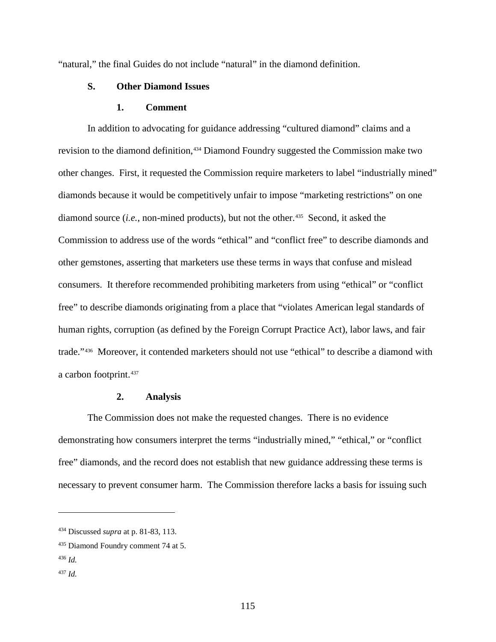"natural," the final Guides do not include "natural" in the diamond definition.

## **S. Other Diamond Issues**

### **1. Comment**

In addition to advocating for guidance addressing "cultured diamond" claims and a revision to the diamond definition,<sup>[434](#page-120-0)</sup> Diamond Foundry suggested the Commission make two other changes. First, it requested the Commission require marketers to label "industrially mined" diamonds because it would be competitively unfair to impose "marketing restrictions" on one diamond source *(i.e., non-mined products)*, but not the other.<sup>435</sup> Second, it asked the Commission to address use of the words "ethical" and "conflict free" to describe diamonds and other gemstones, asserting that marketers use these terms in ways that confuse and mislead consumers. It therefore recommended prohibiting marketers from using "ethical" or "conflict free" to describe diamonds originating from a place that "violates American legal standards of human rights, corruption (as defined by the Foreign Corrupt Practice Act), labor laws, and fair trade."[436](#page-120-2) Moreover, it contended marketers should not use "ethical" to describe a diamond with a carbon footprint.[437](#page-120-3)

## **2. Analysis**

The Commission does not make the requested changes. There is no evidence demonstrating how consumers interpret the terms "industrially mined," "ethical," or "conflict free" diamonds, and the record does not establish that new guidance addressing these terms is necessary to prevent consumer harm. The Commission therefore lacks a basis for issuing such

<span id="page-120-0"></span><sup>434</sup> Discussed *supra* at p. 81-83, 113.

<span id="page-120-1"></span><sup>435</sup> Diamond Foundry comment 74 at 5.

<span id="page-120-2"></span><sup>436</sup> *Id.*

<span id="page-120-3"></span><sup>437</sup> *Id.*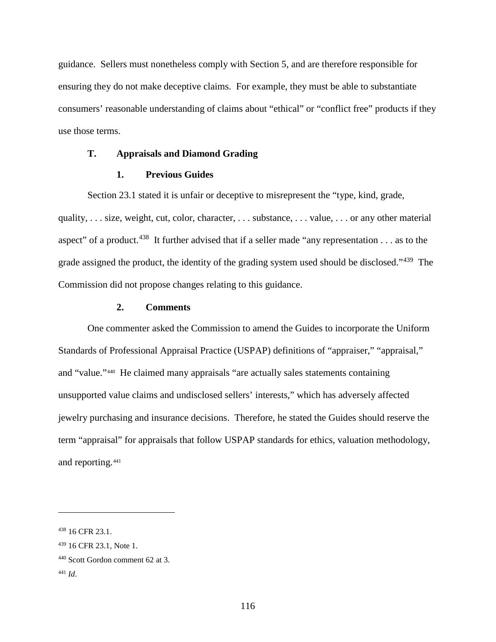guidance. Sellers must nonetheless comply with Section 5, and are therefore responsible for ensuring they do not make deceptive claims. For example, they must be able to substantiate consumers' reasonable understanding of claims about "ethical" or "conflict free" products if they use those terms.

## **T. Appraisals and Diamond Grading**

## **1. Previous Guides**

Section 23.1 stated it is unfair or deceptive to misrepresent the "type, kind, grade, quality, . . . size, weight, cut, color, character, . . . substance, . . . value, . . . or any other material aspect" of a product.<sup>[438](#page-121-0)</sup> It further advised that if a seller made "any representation  $\dots$  as to the grade assigned the product, the identity of the grading system used should be disclosed."[439](#page-121-1) The Commission did not propose changes relating to this guidance.

## **2. Comments**

One commenter asked the Commission to amend the Guides to incorporate the Uniform Standards of Professional Appraisal Practice (USPAP) definitions of "appraiser," "appraisal," and "value."[440](#page-121-2) He claimed many appraisals "are actually sales statements containing unsupported value claims and undisclosed sellers' interests," which has adversely affected jewelry purchasing and insurance decisions. Therefore, he stated the Guides should reserve the term "appraisal" for appraisals that follow USPAP standards for ethics, valuation methodology, and reporting.[441](#page-121-3)

<span id="page-121-0"></span><sup>438</sup> 16 CFR 23.1.

<span id="page-121-1"></span><sup>439</sup> 16 CFR 23.1, Note 1.

<span id="page-121-2"></span><sup>440</sup> Scott Gordon comment 62 at 3.

<span id="page-121-3"></span><sup>441</sup> *Id*.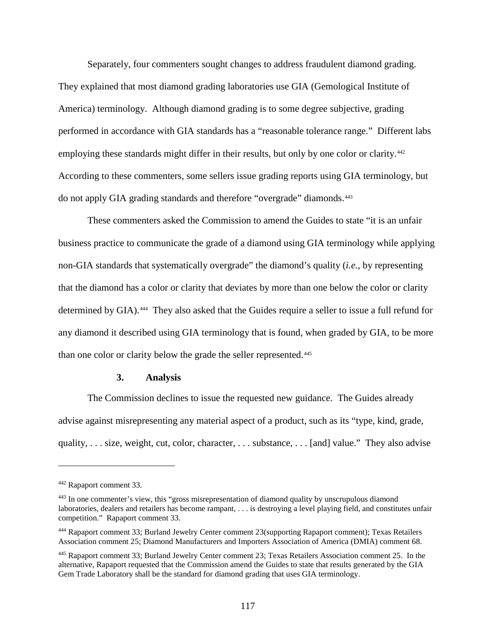Separately, four commenters sought changes to address fraudulent diamond grading. They explained that most diamond grading laboratories use GIA (Gemological Institute of America) terminology. Although diamond grading is to some degree subjective, grading performed in accordance with GIA standards has a "reasonable tolerance range." Different labs employing these standards might differ in their results, but only by one color or clarity.<sup>[442](#page-122-0)</sup> According to these commenters, some sellers issue grading reports using GIA terminology, but do not apply GIA grading standards and therefore "overgrade" diamonds.[443](#page-122-1)

These commenters asked the Commission to amend the Guides to state "it is an unfair business practice to communicate the grade of a diamond using GIA terminology while applying non-GIA standards that systematically overgrade" the diamond's quality (*i.e.*, by representing that the diamond has a color or clarity that deviates by more than one below the color or clarity determined by GIA).<sup>444</sup> They also asked that the Guides require a seller to issue a full refund for any diamond it described using GIA terminology that is found, when graded by GIA, to be more than one color or clarity below the grade the seller represented.<sup>[445](#page-122-3)</sup>

#### **3. Analysis**

The Commission declines to issue the requested new guidance. The Guides already advise against misrepresenting any material aspect of a product, such as its "type, kind, grade, quality, . . . size, weight, cut, color, character, . . . substance, . . . [and] value." They also advise

<span id="page-122-0"></span><sup>442</sup> Rapaport comment 33.

<span id="page-122-1"></span><sup>443</sup> In one commenter's view, this "gross misrepresentation of diamond quality by unscrupulous diamond laboratories, dealers and retailers has become rampant, . . . is destroying a level playing field, and constitutes unfair competition." Rapaport comment 33.

<span id="page-122-2"></span><sup>444</sup> Rapaport comment 33; Burland Jewelry Center comment 23(supporting Rapaport comment); Texas Retailers Association comment 25; Diamond Manufacturers and Importers Association of America (DMIA) comment 68.

<span id="page-122-3"></span><sup>445</sup> Rapaport comment 33; Burland Jewelry Center comment 23; Texas Retailers Association comment 25. In the alternative, Rapaport requested that the Commission amend the Guides to state that results generated by the GIA Gem Trade Laboratory shall be the standard for diamond grading that uses GIA terminology.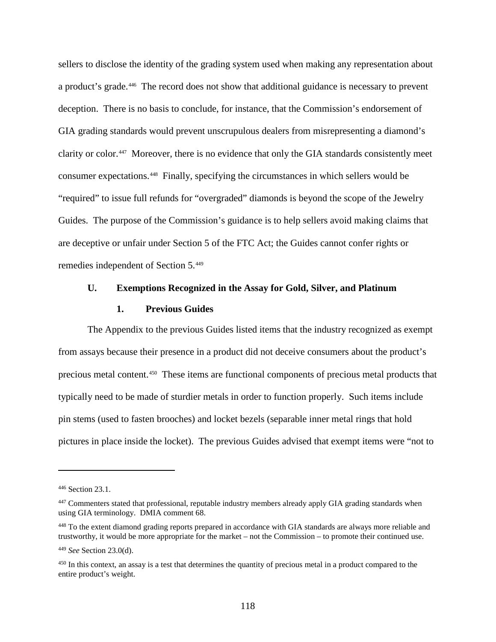sellers to disclose the identity of the grading system used when making any representation about a product's grade.[446](#page-123-0) The record does not show that additional guidance is necessary to prevent deception. There is no basis to conclude, for instance, that the Commission's endorsement of GIA grading standards would prevent unscrupulous dealers from misrepresenting a diamond's clarity or color.[447](#page-123-1) Moreover, there is no evidence that only the GIA standards consistently meet consumer expectations.[448](#page-123-2) Finally, specifying the circumstances in which sellers would be "required" to issue full refunds for "overgraded" diamonds is beyond the scope of the Jewelry Guides. The purpose of the Commission's guidance is to help sellers avoid making claims that are deceptive or unfair under Section 5 of the FTC Act; the Guides cannot confer rights or remedies independent of Section 5.[449](#page-123-3)

#### **U. Exemptions Recognized in the Assay for Gold, Silver, and Platinum**

## **1. Previous Guides**

The Appendix to the previous Guides listed items that the industry recognized as exempt from assays because their presence in a product did not deceive consumers about the product's precious metal content.[450](#page-123-4) These items are functional components of precious metal products that typically need to be made of sturdier metals in order to function properly. Such items include pin stems (used to fasten brooches) and locket bezels (separable inner metal rings that hold pictures in place inside the locket). The previous Guides advised that exempt items were "not to

<span id="page-123-0"></span><sup>446</sup> Section 23.1.

<span id="page-123-1"></span><sup>&</sup>lt;sup>447</sup> Commenters stated that professional, reputable industry members already apply GIA grading standards when using GIA terminology. DMIA comment 68.

<span id="page-123-2"></span><sup>&</sup>lt;sup>448</sup> To the extent diamond grading reports prepared in accordance with GIA standards are always more reliable and trustworthy, it would be more appropriate for the market – not the Commission – to promote their continued use.

<span id="page-123-3"></span><sup>449</sup> *See* Section 23.0(d).

<span id="page-123-4"></span> $450$  In this context, an assay is a test that determines the quantity of precious metal in a product compared to the entire product's weight.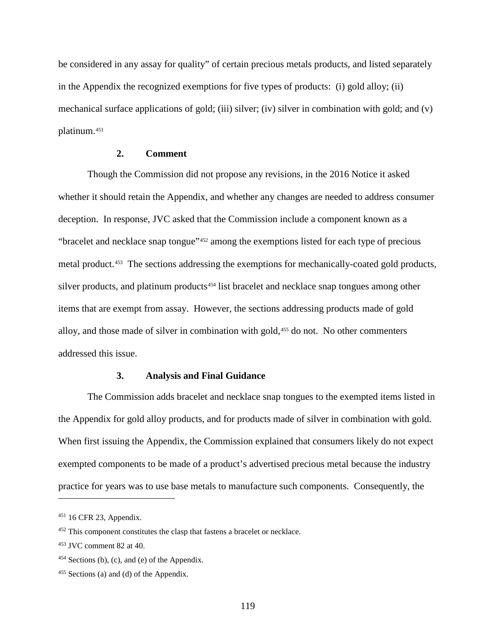be considered in any assay for quality" of certain precious metals products, and listed separately in the Appendix the recognized exemptions for five types of products: (i) gold alloy; (ii) mechanical surface applications of gold; (iii) silver; (iv) silver in combination with gold; and (v) platinum.[451](#page-124-0)

## **2. Comment**

Though the Commission did not propose any revisions, in the 2016 Notice it asked whether it should retain the Appendix, and whether any changes are needed to address consumer deception. In response, JVC asked that the Commission include a component known as a "bracelet and necklace snap tongue"[452](#page-124-1) among the exemptions listed for each type of precious metal product.[453](#page-124-2) The sections addressing the exemptions for mechanically-coated gold products, silver products, and platinum products<sup>[454](#page-124-3)</sup> list bracelet and necklace snap tongues among other items that are exempt from assay. However, the sections addressing products made of gold alloy, and those made of silver in combination with gold,<sup>[455](#page-124-4)</sup> do not. No other commenters addressed this issue.

## **3. Analysis and Final Guidance**

The Commission adds bracelet and necklace snap tongues to the exempted items listed in the Appendix for gold alloy products, and for products made of silver in combination with gold. When first issuing the Appendix, the Commission explained that consumers likely do not expect exempted components to be made of a product's advertised precious metal because the industry practice for years was to use base metals to manufacture such components. Consequently, the

<span id="page-124-0"></span><sup>451</sup> 16 CFR 23, Appendix.

<span id="page-124-1"></span><sup>452</sup> This component constitutes the clasp that fastens a bracelet or necklace.

<span id="page-124-2"></span><sup>453</sup> JVC comment 82 at 40.

<span id="page-124-3"></span> $454$  Sections (b), (c), and (e) of the Appendix.

<span id="page-124-4"></span><sup>455</sup> Sections (a) and (d) of the Appendix.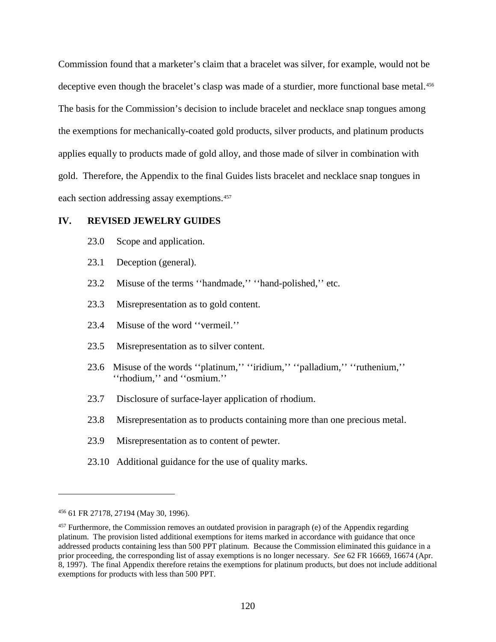Commission found that a marketer's claim that a bracelet was silver, for example, would not be deceptive even though the bracelet's clasp was made of a sturdier, more functional base metal.<sup>[456](#page-125-0)</sup> The basis for the Commission's decision to include bracelet and necklace snap tongues among the exemptions for mechanically-coated gold products, silver products, and platinum products applies equally to products made of gold alloy, and those made of silver in combination with gold. Therefore, the Appendix to the final Guides lists bracelet and necklace snap tongues in each section addressing assay exemptions.<sup>[457](#page-125-1)</sup>

## **IV. REVISED JEWELRY GUIDES**

- 23.0 Scope and application.
- 23.1 Deception (general).
- 23.2 Misuse of the terms ''handmade,'' ''hand-polished,'' etc.
- 23.3 Misrepresentation as to gold content.
- 23.4 Misuse of the word ''vermeil.''
- 23.5 Misrepresentation as to silver content.
- 23.6 Misuse of the words ''platinum,'' ''iridium,'' ''palladium,'' ''ruthenium,'' ''rhodium,'' and ''osmium.''
- 23.7 Disclosure of surface-layer application of rhodium.
- 23.8 Misrepresentation as to products containing more than one precious metal.
- 23.9 Misrepresentation as to content of pewter.
- 23.10 Additional guidance for the use of quality marks.

<span id="page-125-0"></span><sup>456</sup> 61 FR 27178, 27194 (May 30, 1996).

<span id="page-125-1"></span> $457$  Furthermore, the Commission removes an outdated provision in paragraph (e) of the Appendix regarding platinum. The provision listed additional exemptions for items marked in accordance with guidance that once addressed products containing less than 500 PPT platinum. Because the Commission eliminated this guidance in a prior proceeding, the corresponding list of assay exemptions is no longer necessary. *See* 62 FR 16669, 16674 (Apr. 8, 1997). The final Appendix therefore retains the exemptions for platinum products, but does not include additional exemptions for products with less than 500 PPT.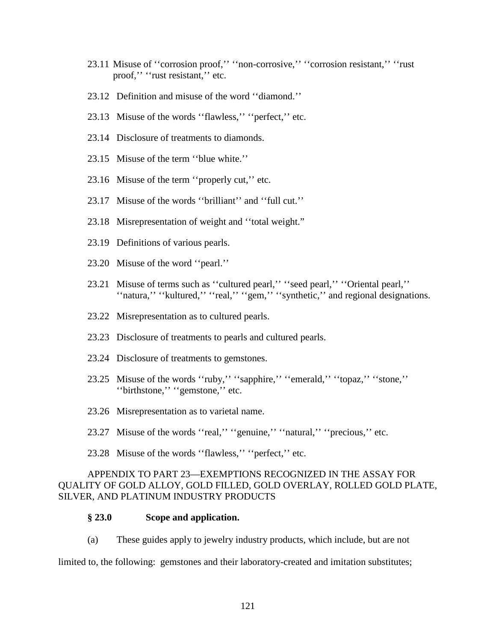- 23.11 Misuse of ''corrosion proof,'' ''non-corrosive,'' ''corrosion resistant,'' ''rust proof," "rust resistant," etc.
- 23.12 Definition and misuse of the word ''diamond.''
- 23.13 Misuse of the words ''flawless,'' ''perfect,'' etc.
- 23.14 Disclosure of treatments to diamonds.
- 23.15 Misuse of the term ''blue white.''
- 23.16 Misuse of the term ''properly cut,'' etc.
- 23.17 Misuse of the words ''brilliant'' and ''full cut.''
- 23.18 Misrepresentation of weight and ''total weight."
- 23.19 Definitions of various pearls.
- 23.20 Misuse of the word ''pearl.''
- 23.21 Misuse of terms such as ''cultured pearl,'' ''seed pearl,'' ''Oriental pearl,'' ''natura,'' ''kultured,'' ''real,'' ''gem,'' ''synthetic,'' and regional designations.
- 23.22 Misrepresentation as to cultured pearls.
- 23.23 Disclosure of treatments to pearls and cultured pearls.
- 23.24 Disclosure of treatments to gemstones.
- 23.25 Misuse of the words ''ruby,'' ''sapphire,'' ''emerald,'' ''topaz,'' ''stone,'' ''birthstone,'' ''gemstone,'' etc.
- 23.26 Misrepresentation as to varietal name.
- 23.27 Misuse of the words ''real,'' ''genuine,'' ''natural,'' ''precious,'' etc.
- 23.28 Misuse of the words ''flawless,'' ''perfect,'' etc.

## APPENDIX TO PART 23—EXEMPTIONS RECOGNIZED IN THE ASSAY FOR QUALITY OF GOLD ALLOY, GOLD FILLED, GOLD OVERLAY, ROLLED GOLD PLATE, SILVER, AND PLATINUM INDUSTRY PRODUCTS

## **§ 23.0 Scope and application.**

(a) These guides apply to jewelry industry products, which include, but are not

limited to, the following: gemstones and their laboratory-created and imitation substitutes;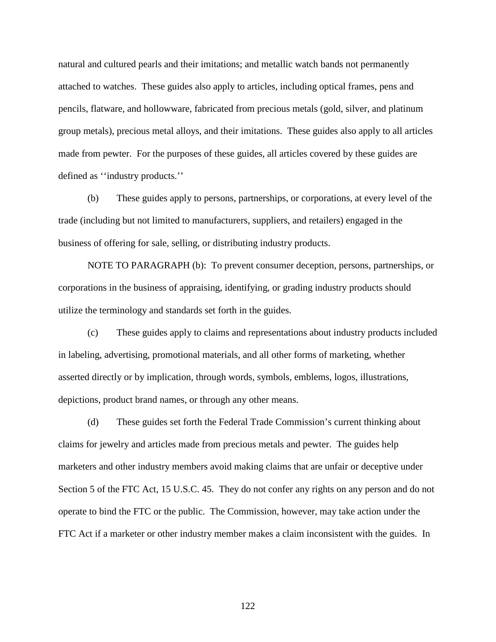natural and cultured pearls and their imitations; and metallic watch bands not permanently attached to watches. These guides also apply to articles, including optical frames, pens and pencils, flatware, and hollowware, fabricated from precious metals (gold, silver, and platinum group metals), precious metal alloys, and their imitations. These guides also apply to all articles made from pewter. For the purposes of these guides, all articles covered by these guides are defined as ''industry products.''

(b) These guides apply to persons, partnerships, or corporations, at every level of the trade (including but not limited to manufacturers, suppliers, and retailers) engaged in the business of offering for sale, selling, or distributing industry products.

NOTE TO PARAGRAPH (b): To prevent consumer deception, persons, partnerships, or corporations in the business of appraising, identifying, or grading industry products should utilize the terminology and standards set forth in the guides.

(c) These guides apply to claims and representations about industry products included in labeling, advertising, promotional materials, and all other forms of marketing, whether asserted directly or by implication, through words, symbols, emblems, logos, illustrations, depictions, product brand names, or through any other means.

(d) These guides set forth the Federal Trade Commission's current thinking about claims for jewelry and articles made from precious metals and pewter. The guides help marketers and other industry members avoid making claims that are unfair or deceptive under Section 5 of the FTC Act, 15 U.S.C. 45. They do not confer any rights on any person and do not operate to bind the FTC or the public. The Commission, however, may take action under the FTC Act if a marketer or other industry member makes a claim inconsistent with the guides. In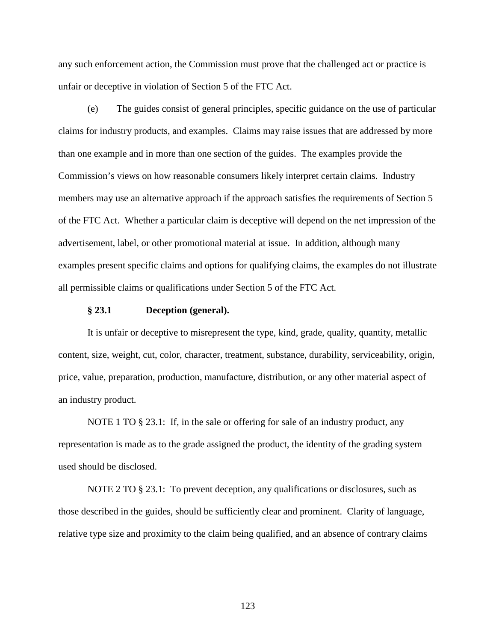any such enforcement action, the Commission must prove that the challenged act or practice is unfair or deceptive in violation of Section 5 of the FTC Act.

(e) The guides consist of general principles, specific guidance on the use of particular claims for industry products, and examples. Claims may raise issues that are addressed by more than one example and in more than one section of the guides. The examples provide the Commission's views on how reasonable consumers likely interpret certain claims. Industry members may use an alternative approach if the approach satisfies the requirements of Section 5 of the FTC Act. Whether a particular claim is deceptive will depend on the net impression of the advertisement, label, or other promotional material at issue. In addition, although many examples present specific claims and options for qualifying claims, the examples do not illustrate all permissible claims or qualifications under Section 5 of the FTC Act.

## **§ 23.1 Deception (general).**

It is unfair or deceptive to misrepresent the type, kind, grade, quality, quantity, metallic content, size, weight, cut, color, character, treatment, substance, durability, serviceability, origin, price, value, preparation, production, manufacture, distribution, or any other material aspect of an industry product.

NOTE 1 TO § 23.1: If, in the sale or offering for sale of an industry product, any representation is made as to the grade assigned the product, the identity of the grading system used should be disclosed.

NOTE 2 TO § 23.1: To prevent deception, any qualifications or disclosures, such as those described in the guides, should be sufficiently clear and prominent. Clarity of language, relative type size and proximity to the claim being qualified, and an absence of contrary claims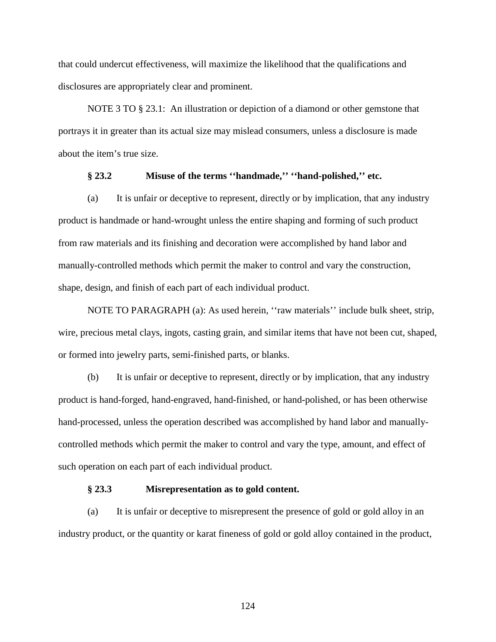that could undercut effectiveness, will maximize the likelihood that the qualifications and disclosures are appropriately clear and prominent.

NOTE 3 TO § 23.1: An illustration or depiction of a diamond or other gemstone that portrays it in greater than its actual size may mislead consumers, unless a disclosure is made about the item's true size.

#### **§ 23.2 Misuse of the terms ''handmade,'' ''hand-polished,'' etc.**

(a) It is unfair or deceptive to represent, directly or by implication, that any industry product is handmade or hand-wrought unless the entire shaping and forming of such product from raw materials and its finishing and decoration were accomplished by hand labor and manually-controlled methods which permit the maker to control and vary the construction, shape, design, and finish of each part of each individual product.

NOTE TO PARAGRAPH (a): As used herein, ''raw materials'' include bulk sheet, strip, wire, precious metal clays, ingots, casting grain, and similar items that have not been cut, shaped, or formed into jewelry parts, semi-finished parts, or blanks.

(b) It is unfair or deceptive to represent, directly or by implication, that any industry product is hand-forged, hand-engraved, hand-finished, or hand-polished, or has been otherwise hand-processed, unless the operation described was accomplished by hand labor and manuallycontrolled methods which permit the maker to control and vary the type, amount, and effect of such operation on each part of each individual product.

#### **§ 23.3 Misrepresentation as to gold content.**

(a) It is unfair or deceptive to misrepresent the presence of gold or gold alloy in an industry product, or the quantity or karat fineness of gold or gold alloy contained in the product,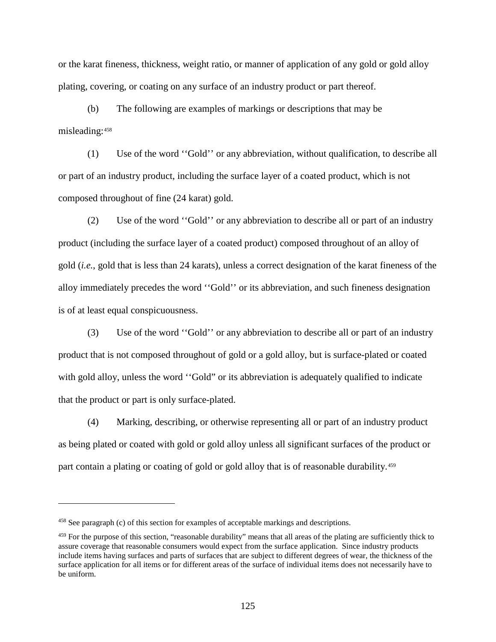or the karat fineness, thickness, weight ratio, or manner of application of any gold or gold alloy plating, covering, or coating on any surface of an industry product or part thereof.

(b) The following are examples of markings or descriptions that may be misleading:[458](#page-130-0)

(1) Use of the word ''Gold'' or any abbreviation, without qualification, to describe all or part of an industry product, including the surface layer of a coated product, which is not composed throughout of fine (24 karat) gold.

(2) Use of the word ''Gold'' or any abbreviation to describe all or part of an industry product (including the surface layer of a coated product) composed throughout of an alloy of gold (*i.e.*, gold that is less than 24 karats), unless a correct designation of the karat fineness of the alloy immediately precedes the word ''Gold'' or its abbreviation, and such fineness designation is of at least equal conspicuousness.

(3) Use of the word ''Gold'' or any abbreviation to describe all or part of an industry product that is not composed throughout of gold or a gold alloy, but is surface-plated or coated with gold alloy, unless the word "Gold" or its abbreviation is adequately qualified to indicate that the product or part is only surface-plated.

(4) Marking, describing, or otherwise representing all or part of an industry product as being plated or coated with gold or gold alloy unless all significant surfaces of the product or part contain a plating or coating of gold or gold alloy that is of reasonable durability.<sup>[459](#page-130-1)</sup>

<span id="page-130-0"></span><sup>458</sup> See paragraph (c) of this section for examples of acceptable markings and descriptions.

<span id="page-130-1"></span><sup>459</sup> For the purpose of this section, "reasonable durability" means that all areas of the plating are sufficiently thick to assure coverage that reasonable consumers would expect from the surface application. Since industry products include items having surfaces and parts of surfaces that are subject to different degrees of wear, the thickness of the surface application for all items or for different areas of the surface of individual items does not necessarily have to be uniform.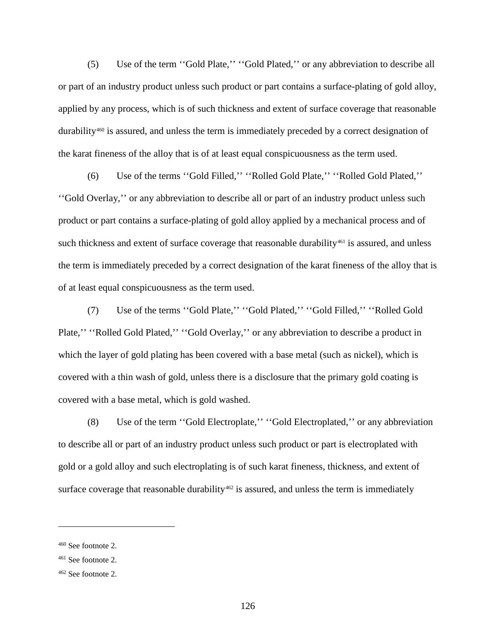(5) Use of the term ''Gold Plate,'' ''Gold Plated,'' or any abbreviation to describe all or part of an industry product unless such product or part contains a surface-plating of gold alloy, applied by any process, which is of such thickness and extent of surface coverage that reasonable durability<sup>[460](#page-131-0)</sup> is assured, and unless the term is immediately preceded by a correct designation of the karat fineness of the alloy that is of at least equal conspicuousness as the term used.

(6) Use of the terms ''Gold Filled,'' ''Rolled Gold Plate,'' ''Rolled Gold Plated,'' ''Gold Overlay,'' or any abbreviation to describe all or part of an industry product unless such product or part contains a surface-plating of gold alloy applied by a mechanical process and of such thickness and extent of surface coverage that reasonable durability<sup>[461](#page-131-1)</sup> is assured, and unless the term is immediately preceded by a correct designation of the karat fineness of the alloy that is of at least equal conspicuousness as the term used.

(7) Use of the terms ''Gold Plate,'' ''Gold Plated,'' ''Gold Filled,'' ''Rolled Gold Plate," "Rolled Gold Plated," "Gold Overlay," or any abbreviation to describe a product in which the layer of gold plating has been covered with a base metal (such as nickel), which is covered with a thin wash of gold, unless there is a disclosure that the primary gold coating is covered with a base metal, which is gold washed.

(8) Use of the term ''Gold Electroplate,'' ''Gold Electroplated,'' or any abbreviation to describe all or part of an industry product unless such product or part is electroplated with gold or a gold alloy and such electroplating is of such karat fineness, thickness, and extent of surface coverage that reasonable durability $462$  is assured, and unless the term is immediately

<span id="page-131-0"></span><sup>460</sup> See footnote 2.

<span id="page-131-1"></span><sup>461</sup> See footnote 2.

<span id="page-131-2"></span> $462$  See footnote 2.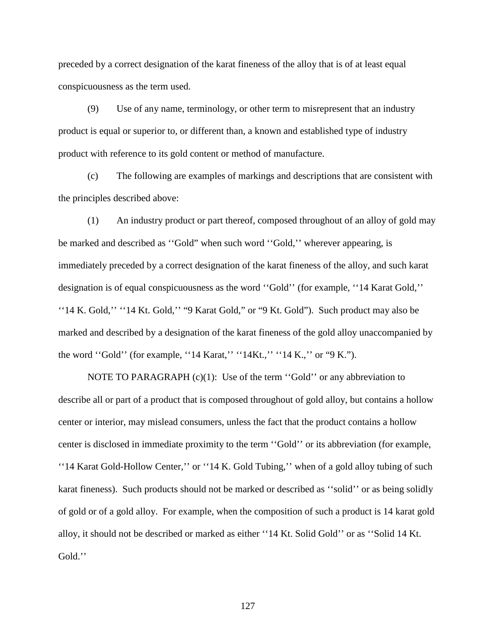preceded by a correct designation of the karat fineness of the alloy that is of at least equal conspicuousness as the term used.

(9) Use of any name, terminology, or other term to misrepresent that an industry product is equal or superior to, or different than, a known and established type of industry product with reference to its gold content or method of manufacture.

(c) The following are examples of markings and descriptions that are consistent with the principles described above:

(1) An industry product or part thereof, composed throughout of an alloy of gold may be marked and described as ''Gold" when such word ''Gold,'' wherever appearing, is immediately preceded by a correct designation of the karat fineness of the alloy, and such karat designation is of equal conspicuousness as the word ''Gold'' (for example, ''14 Karat Gold,'' ''14 K. Gold,'' ''14 Kt. Gold,'' "9 Karat Gold," or "9 Kt. Gold"). Such product may also be marked and described by a designation of the karat fineness of the gold alloy unaccompanied by the word ''Gold'' (for example, ''14 Karat,'' ''14Kt.,'' ''14 K.,'' or "9 K.").

NOTE TO PARAGRAPH  $(c)(1)$ : Use of the term "Gold" or any abbreviation to describe all or part of a product that is composed throughout of gold alloy, but contains a hollow center or interior, may mislead consumers, unless the fact that the product contains a hollow center is disclosed in immediate proximity to the term ''Gold'' or its abbreviation (for example, ''14 Karat Gold-Hollow Center,'' or ''14 K. Gold Tubing,'' when of a gold alloy tubing of such karat fineness). Such products should not be marked or described as ''solid'' or as being solidly of gold or of a gold alloy. For example, when the composition of such a product is 14 karat gold alloy, it should not be described or marked as either ''14 Kt. Solid Gold'' or as ''Solid 14 Kt. Gold.''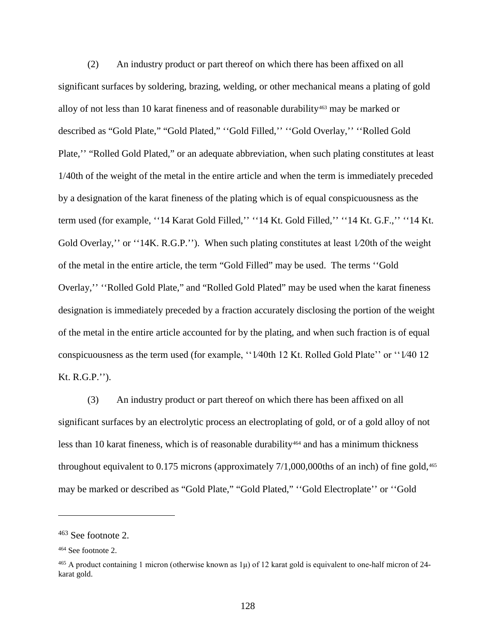(2) An industry product or part thereof on which there has been affixed on all significant surfaces by soldering, brazing, welding, or other mechanical means a plating of gold alloy of not less than 10 karat fineness and of reasonable durability<sup>[463](#page-133-0)</sup> may be marked or described as "Gold Plate," "Gold Plated," ''Gold Filled,'' ''Gold Overlay,'' ''Rolled Gold Plate,'' "Rolled Gold Plated," or an adequate abbreviation, when such plating constitutes at least 1/40th of the weight of the metal in the entire article and when the term is immediately preceded by a designation of the karat fineness of the plating which is of equal conspicuousness as the term used (for example, ''14 Karat Gold Filled,'' ''14 Kt. Gold Filled,'' ''14 Kt. G.F.,'' ''14 Kt. Gold Overlay," or "14K. R.G.P."). When such plating constitutes at least 1/20th of the weight of the metal in the entire article, the term "Gold Filled" may be used. The terms ''Gold Overlay,'' ''Rolled Gold Plate," and "Rolled Gold Plated" may be used when the karat fineness designation is immediately preceded by a fraction accurately disclosing the portion of the weight of the metal in the entire article accounted for by the plating, and when such fraction is of equal conspicuousness as the term used (for example, ''1⁄40th 12 Kt. Rolled Gold Plate'' or ''1⁄40 12 Kt. R.G.P.'').

(3) An industry product or part thereof on which there has been affixed on all significant surfaces by an electrolytic process an electroplating of gold, or of a gold alloy of not less than 10 karat fineness, which is of reasonable durability<sup>[464](#page-133-1)</sup> and has a minimum thickness throughout equivalent to  $0.175$  microns (approximately  $7/1,000,000$ ths of an inch) of fine gold,<sup>[465](#page-133-2)</sup> may be marked or described as "Gold Plate," "Gold Plated," ''Gold Electroplate'' or ''Gold

<span id="page-133-0"></span><sup>463</sup> See footnote 2.

<span id="page-133-1"></span><sup>464</sup> See footnote 2.

<span id="page-133-2"></span><sup>&</sup>lt;sup>465</sup> A product containing 1 micron (otherwise known as  $1\mu$ ) of 12 karat gold is equivalent to one-half micron of 24karat gold.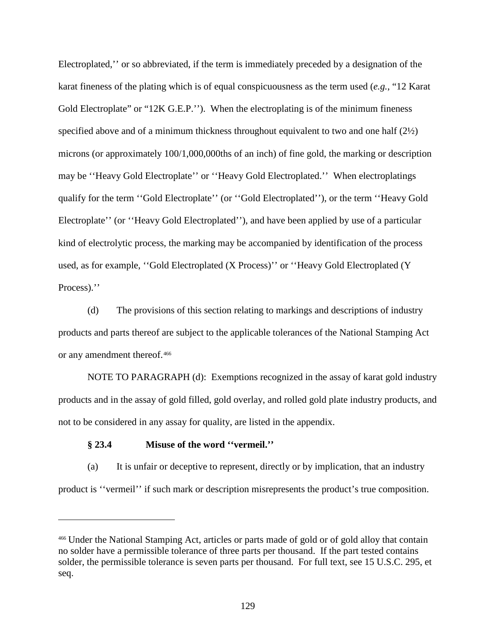Electroplated,'' or so abbreviated, if the term is immediately preceded by a designation of the karat fineness of the plating which is of equal conspicuousness as the term used (*e.g.*, "12 Karat Gold Electroplate" or "12K G.E.P."). When the electroplating is of the minimum fineness specified above and of a minimum thickness throughout equivalent to two and one half  $(2\frac{1}{2})$ microns (or approximately 100/1,000,000ths of an inch) of fine gold, the marking or description may be ''Heavy Gold Electroplate'' or ''Heavy Gold Electroplated.'' When electroplatings qualify for the term ''Gold Electroplate'' (or ''Gold Electroplated''), or the term ''Heavy Gold Electroplate'' (or "Heavy Gold Electroplated"), and have been applied by use of a particular kind of electrolytic process, the marking may be accompanied by identification of the process used, as for example, ''Gold Electroplated (X Process)'' or ''Heavy Gold Electroplated (Y Process)."

(d) The provisions of this section relating to markings and descriptions of industry products and parts thereof are subject to the applicable tolerances of the National Stamping Act or any amendment thereof.[466](#page-134-0)

NOTE TO PARAGRAPH (d): Exemptions recognized in the assay of karat gold industry products and in the assay of gold filled, gold overlay, and rolled gold plate industry products, and not to be considered in any assay for quality, are listed in the appendix.

## **§ 23.4 Misuse of the word ''vermeil.''**

 $\overline{a}$ 

(a) It is unfair or deceptive to represent, directly or by implication, that an industry product is ''vermeil'' if such mark or description misrepresents the product's true composition.

<span id="page-134-0"></span><sup>466</sup> Under the National Stamping Act, articles or parts made of gold or of gold alloy that contain no solder have a permissible tolerance of three parts per thousand. If the part tested contains solder, the permissible tolerance is seven parts per thousand. For full text, see 15 U.S.C. 295, et seq.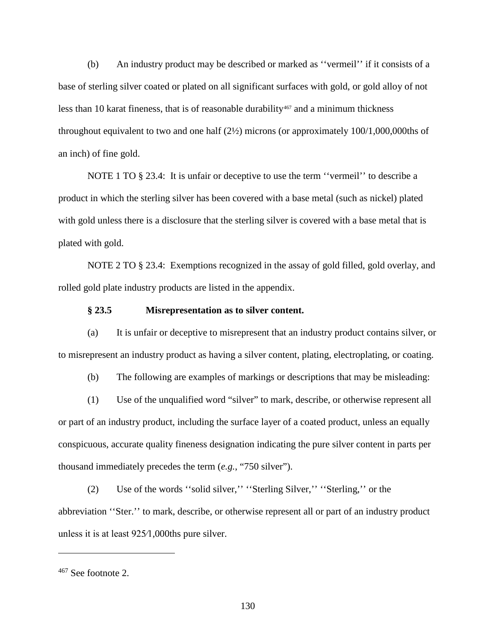(b) An industry product may be described or marked as ''vermeil'' if it consists of a base of sterling silver coated or plated on all significant surfaces with gold, or gold alloy of not less than 10 karat fineness, that is of reasonable durability<sup>467</sup> and a minimum thickness throughout equivalent to two and one half (2½) microns (or approximately 100/1,000,000ths of an inch) of fine gold.

NOTE 1 TO § 23.4: It is unfair or deceptive to use the term ''vermeil'' to describe a product in which the sterling silver has been covered with a base metal (such as nickel) plated with gold unless there is a disclosure that the sterling silver is covered with a base metal that is plated with gold.

NOTE 2 TO § 23.4: Exemptions recognized in the assay of gold filled, gold overlay, and rolled gold plate industry products are listed in the appendix.

#### **§ 23.5 Misrepresentation as to silver content.**

(a) It is unfair or deceptive to misrepresent that an industry product contains silver, or to misrepresent an industry product as having a silver content, plating, electroplating, or coating.

(b) The following are examples of markings or descriptions that may be misleading:

(1) Use of the unqualified word "silver" to mark, describe, or otherwise represent all or part of an industry product, including the surface layer of a coated product, unless an equally conspicuous, accurate quality fineness designation indicating the pure silver content in parts per thousand immediately precedes the term (*e.g.*, "750 silver").

(2) Use of the words ''solid silver,'' ''Sterling Silver,'' ''Sterling,'' or the abbreviation ''Ster.'' to mark, describe, or otherwise represent all or part of an industry product unless it is at least 925⁄1,000ths pure silver.

<span id="page-135-0"></span><sup>467</sup> See footnote 2.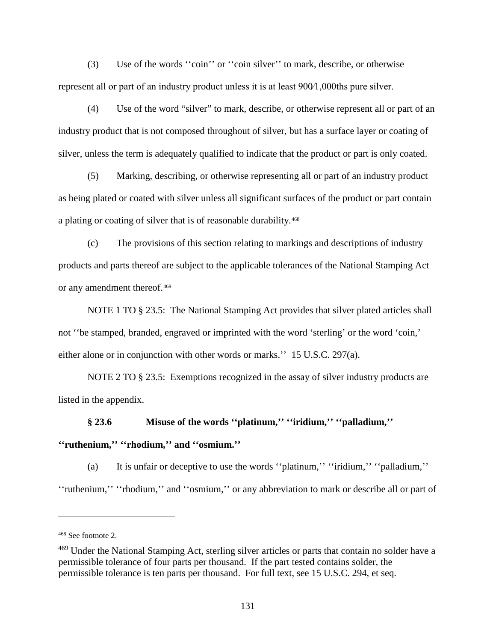(3) Use of the words ''coin'' or ''coin silver'' to mark, describe, or otherwise represent all or part of an industry product unless it is at least 900⁄1,000ths pure silver.

(4) Use of the word "silver" to mark, describe, or otherwise represent all or part of an industry product that is not composed throughout of silver, but has a surface layer or coating of silver, unless the term is adequately qualified to indicate that the product or part is only coated.

(5) Marking, describing, or otherwise representing all or part of an industry product as being plated or coated with silver unless all significant surfaces of the product or part contain a plating or coating of silver that is of reasonable durability.[468](#page-136-0)

(c) The provisions of this section relating to markings and descriptions of industry products and parts thereof are subject to the applicable tolerances of the National Stamping Act or any amendment thereof.[469](#page-136-1)

NOTE 1 TO § 23.5: The National Stamping Act provides that silver plated articles shall not ''be stamped, branded, engraved or imprinted with the word 'sterling' or the word 'coin,' either alone or in conjunction with other words or marks.'' 15 U.S.C. 297(a).

NOTE 2 TO § 23.5: Exemptions recognized in the assay of silver industry products are listed in the appendix.

# **§ 23.6 Misuse of the words ''platinum,'' ''iridium,'' ''palladium,'' ''ruthenium,'' ''rhodium,'' and ''osmium.''**

(a) It is unfair or deceptive to use the words ''platinum,'' ''iridium,'' ''palladium,'' ''ruthenium,'' ''rhodium,'' and ''osmium,'' or any abbreviation to mark or describe all or part of

<span id="page-136-0"></span><sup>468</sup> See footnote 2.

<span id="page-136-1"></span><sup>&</sup>lt;sup>469</sup> Under the National Stamping Act, sterling silver articles or parts that contain no solder have a permissible tolerance of four parts per thousand. If the part tested contains solder, the permissible tolerance is ten parts per thousand. For full text, see 15 U.S.C. 294, et seq.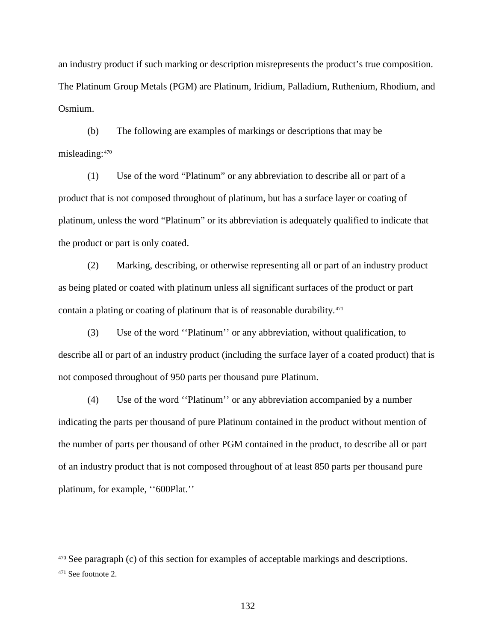an industry product if such marking or description misrepresents the product's true composition. The Platinum Group Metals (PGM) are Platinum, Iridium, Palladium, Ruthenium, Rhodium, and Osmium.

(b) The following are examples of markings or descriptions that may be misleading:[470](#page-137-0)

(1) Use of the word "Platinum" or any abbreviation to describe all or part of a product that is not composed throughout of platinum, but has a surface layer or coating of platinum, unless the word "Platinum" or its abbreviation is adequately qualified to indicate that the product or part is only coated.

(2) Marking, describing, or otherwise representing all or part of an industry product as being plated or coated with platinum unless all significant surfaces of the product or part contain a plating or coating of platinum that is of reasonable durability.<sup>[471](#page-137-1)</sup>

(3) Use of the word ''Platinum'' or any abbreviation, without qualification, to describe all or part of an industry product (including the surface layer of a coated product) that is not composed throughout of 950 parts per thousand pure Platinum.

(4) Use of the word ''Platinum'' or any abbreviation accompanied by a number indicating the parts per thousand of pure Platinum contained in the product without mention of the number of parts per thousand of other PGM contained in the product, to describe all or part of an industry product that is not composed throughout of at least 850 parts per thousand pure platinum, for example, ''600Plat.''

<span id="page-137-0"></span><sup>470</sup> See paragraph (c) of this section for examples of acceptable markings and descriptions.

<span id="page-137-1"></span><sup>471</sup> See footnote 2.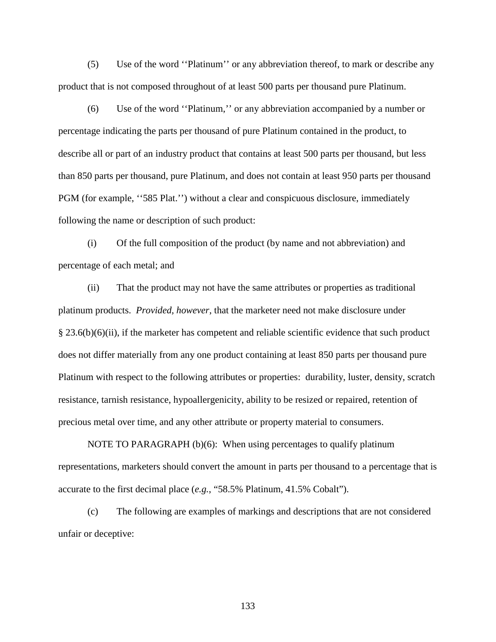(5) Use of the word ''Platinum'' or any abbreviation thereof, to mark or describe any product that is not composed throughout of at least 500 parts per thousand pure Platinum.

(6) Use of the word ''Platinum,'' or any abbreviation accompanied by a number or percentage indicating the parts per thousand of pure Platinum contained in the product, to describe all or part of an industry product that contains at least 500 parts per thousand, but less than 850 parts per thousand, pure Platinum, and does not contain at least 950 parts per thousand PGM (for example, "585 Plat.") without a clear and conspicuous disclosure, immediately following the name or description of such product:

(i) Of the full composition of the product (by name and not abbreviation) and percentage of each metal; and

(ii) That the product may not have the same attributes or properties as traditional platinum products. *Provided, however*, that the marketer need not make disclosure under § 23.6(b)(6)(ii), if the marketer has competent and reliable scientific evidence that such product does not differ materially from any one product containing at least 850 parts per thousand pure Platinum with respect to the following attributes or properties: durability, luster, density, scratch resistance, tarnish resistance, hypoallergenicity, ability to be resized or repaired, retention of precious metal over time, and any other attribute or property material to consumers.

NOTE TO PARAGRAPH (b)(6): When using percentages to qualify platinum representations, marketers should convert the amount in parts per thousand to a percentage that is accurate to the first decimal place (*e.g.*, "58.5% Platinum, 41.5% Cobalt").

(c) The following are examples of markings and descriptions that are not considered unfair or deceptive: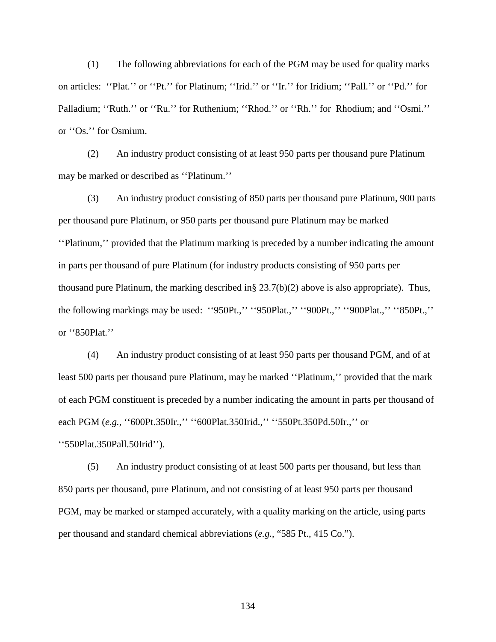(1) The following abbreviations for each of the PGM may be used for quality marks on articles: ''Plat.'' or ''Pt.'' for Platinum; ''Irid.'' or ''Ir.'' for Iridium; ''Pall.'' or ''Pd.'' for Palladium; "Ruth." or "Ru." for Ruthenium; "Rhod." or "Rh." for Rhodium; and "Osmi." or ''Os.'' for Osmium.

(2) An industry product consisting of at least 950 parts per thousand pure Platinum may be marked or described as ''Platinum.''

(3) An industry product consisting of 850 parts per thousand pure Platinum, 900 parts per thousand pure Platinum, or 950 parts per thousand pure Platinum may be marked ''Platinum,'' provided that the Platinum marking is preceded by a number indicating the amount in parts per thousand of pure Platinum (for industry products consisting of 950 parts per thousand pure Platinum, the marking described in  $\S 23.7(b)(2)$  above is also appropriate). Thus, the following markings may be used: ''950Pt.,'' ''950Plat.,'' ''900Pt.,'' ''900Plat.,'' ''850Pt.,'' or ''850Plat.''

(4) An industry product consisting of at least 950 parts per thousand PGM, and of at least 500 parts per thousand pure Platinum, may be marked ''Platinum,'' provided that the mark of each PGM constituent is preceded by a number indicating the amount in parts per thousand of each PGM (*e.g.*, "600Pt.350Ir.," "600Plat.350Irid.," "550Pt.350Pd.50Ir.," or ''550Plat.350Pall.50Irid'').

(5) An industry product consisting of at least 500 parts per thousand, but less than 850 parts per thousand, pure Platinum, and not consisting of at least 950 parts per thousand PGM, may be marked or stamped accurately, with a quality marking on the article, using parts per thousand and standard chemical abbreviations (*e.g.*, "585 Pt., 415 Co.").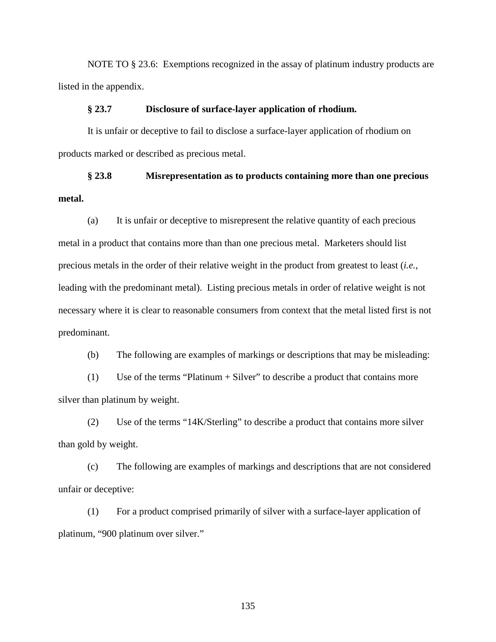NOTE TO § 23.6: Exemptions recognized in the assay of platinum industry products are listed in the appendix.

## **§ 23.7 Disclosure of surface-layer application of rhodium.**

It is unfair or deceptive to fail to disclose a surface-layer application of rhodium on products marked or described as precious metal.

## **§ 23.8 Misrepresentation as to products containing more than one precious metal.**

(a) It is unfair or deceptive to misrepresent the relative quantity of each precious metal in a product that contains more than than one precious metal. Marketers should list precious metals in the order of their relative weight in the product from greatest to least (*i.e.*, leading with the predominant metal). Listing precious metals in order of relative weight is not necessary where it is clear to reasonable consumers from context that the metal listed first is not predominant.

(b) The following are examples of markings or descriptions that may be misleading:

(1) Use of the terms "Platinum + Silver" to describe a product that contains more silver than platinum by weight.

(2) Use of the terms "14K/Sterling" to describe a product that contains more silver than gold by weight.

(c) The following are examples of markings and descriptions that are not considered unfair or deceptive:

(1) For a product comprised primarily of silver with a surface-layer application of platinum, "900 platinum over silver."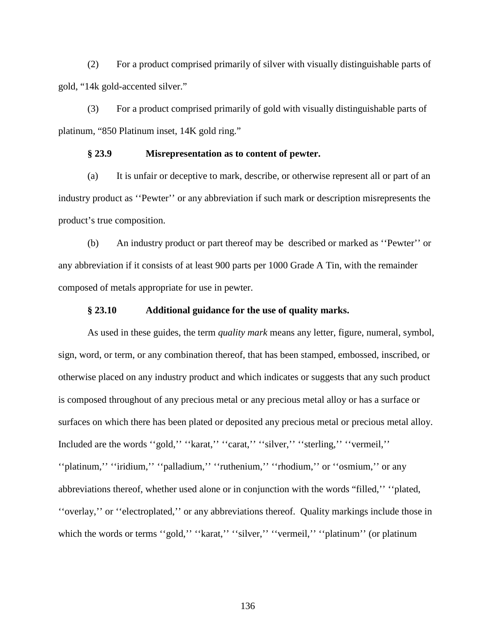(2) For a product comprised primarily of silver with visually distinguishable parts of gold, "14k gold-accented silver."

(3) For a product comprised primarily of gold with visually distinguishable parts of platinum, "850 Platinum inset, 14K gold ring."

#### **§ 23.9 Misrepresentation as to content of pewter.**

(a) It is unfair or deceptive to mark, describe, or otherwise represent all or part of an industry product as ''Pewter'' or any abbreviation if such mark or description misrepresents the product's true composition.

(b) An industry product or part thereof may be described or marked as ''Pewter'' or any abbreviation if it consists of at least 900 parts per 1000 Grade A Tin, with the remainder composed of metals appropriate for use in pewter.

#### **§ 23.10 Additional guidance for the use of quality marks.**

As used in these guides, the term *quality mark* means any letter, figure, numeral, symbol, sign, word, or term, or any combination thereof, that has been stamped, embossed, inscribed, or otherwise placed on any industry product and which indicates or suggests that any such product is composed throughout of any precious metal or any precious metal alloy or has a surface or surfaces on which there has been plated or deposited any precious metal or precious metal alloy. Included are the words ''gold,'' ''karat,'' ''carat,'' ''silver,'' ''sterling,'' ''vermeil,'' ''platinum,'' ''iridium,'' ''palladium,'' ''ruthenium,'' ''rhodium,'' or ''osmium,'' or any abbreviations thereof, whether used alone or in conjunction with the words "filled,'' ''plated, ''overlay,'' or ''electroplated,'' or any abbreviations thereof. Quality markings include those in which the words or terms "gold," "karat," "silver," "vermeil," "platinum" (or platinum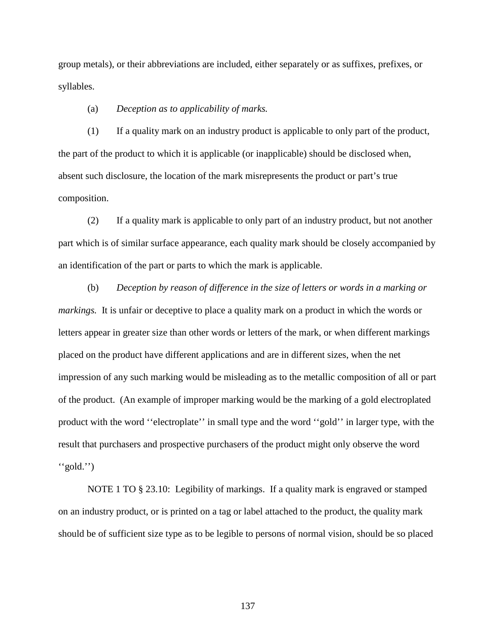group metals), or their abbreviations are included, either separately or as suffixes, prefixes, or syllables.

(a) *Deception as to applicability of marks.*

(1) If a quality mark on an industry product is applicable to only part of the product, the part of the product to which it is applicable (or inapplicable) should be disclosed when, absent such disclosure, the location of the mark misrepresents the product or part's true composition.

(2) If a quality mark is applicable to only part of an industry product, but not another part which is of similar surface appearance, each quality mark should be closely accompanied by an identification of the part or parts to which the mark is applicable.

(b) *Deception by reason of difference in the size of letters or words in a marking or markings.* It is unfair or deceptive to place a quality mark on a product in which the words or letters appear in greater size than other words or letters of the mark, or when different markings placed on the product have different applications and are in different sizes, when the net impression of any such marking would be misleading as to the metallic composition of all or part of the product. (An example of improper marking would be the marking of a gold electroplated product with the word ''electroplate'' in small type and the word ''gold'' in larger type, with the result that purchasers and prospective purchasers of the product might only observe the word ''gold.'')

NOTE 1 TO § 23.10: Legibility of markings. If a quality mark is engraved or stamped on an industry product, or is printed on a tag or label attached to the product, the quality mark should be of sufficient size type as to be legible to persons of normal vision, should be so placed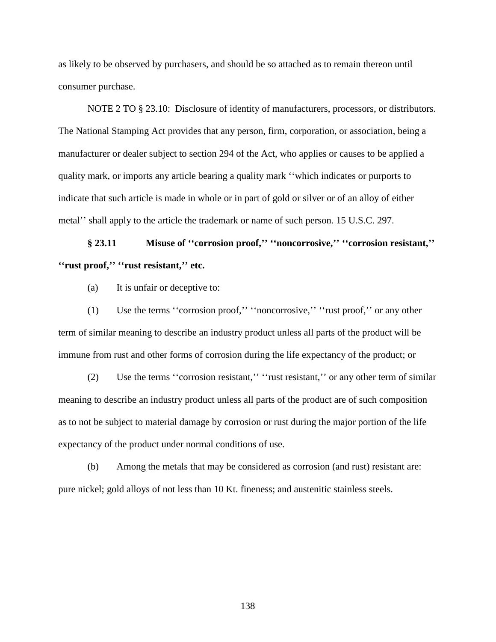as likely to be observed by purchasers, and should be so attached as to remain thereon until consumer purchase.

NOTE 2 TO § 23.10: Disclosure of identity of manufacturers, processors, or distributors. The National Stamping Act provides that any person, firm, corporation, or association, being a manufacturer or dealer subject to section 294 of the Act, who applies or causes to be applied a quality mark, or imports any article bearing a quality mark ''which indicates or purports to indicate that such article is made in whole or in part of gold or silver or of an alloy of either metal'' shall apply to the article the trademark or name of such person. 15 U.S.C. 297.

# **§ 23.11 Misuse of ''corrosion proof,'' ''noncorrosive,'' ''corrosion resistant,'' ''rust proof,'' ''rust resistant,'' etc.**

(a) It is unfair or deceptive to:

(1) Use the terms ''corrosion proof,'' ''noncorrosive,'' ''rust proof,'' or any other term of similar meaning to describe an industry product unless all parts of the product will be immune from rust and other forms of corrosion during the life expectancy of the product; or

(2) Use the terms ''corrosion resistant,'' ''rust resistant,'' or any other term of similar meaning to describe an industry product unless all parts of the product are of such composition as to not be subject to material damage by corrosion or rust during the major portion of the life expectancy of the product under normal conditions of use.

(b) Among the metals that may be considered as corrosion (and rust) resistant are: pure nickel; gold alloys of not less than 10 Kt. fineness; and austenitic stainless steels.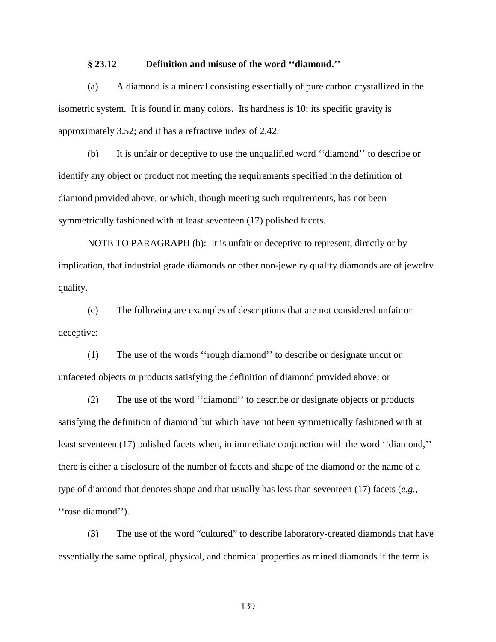#### **§ 23.12 Definition and misuse of the word ''diamond.''**

(a) A diamond is a mineral consisting essentially of pure carbon crystallized in the isometric system. It is found in many colors. Its hardness is 10; its specific gravity is approximately 3.52; and it has a refractive index of 2.42.

(b) It is unfair or deceptive to use the unqualified word ''diamond'' to describe or identify any object or product not meeting the requirements specified in the definition of diamond provided above, or which, though meeting such requirements, has not been symmetrically fashioned with at least seventeen (17) polished facets.

NOTE TO PARAGRAPH (b): It is unfair or deceptive to represent, directly or by implication, that industrial grade diamonds or other non-jewelry quality diamonds are of jewelry quality.

(c) The following are examples of descriptions that are not considered unfair or deceptive:

(1) The use of the words ''rough diamond'' to describe or designate uncut or unfaceted objects or products satisfying the definition of diamond provided above; or

(2) The use of the word ''diamond'' to describe or designate objects or products satisfying the definition of diamond but which have not been symmetrically fashioned with at least seventeen (17) polished facets when, in immediate conjunction with the word ''diamond,'' there is either a disclosure of the number of facets and shape of the diamond or the name of a type of diamond that denotes shape and that usually has less than seventeen (17) facets (*e.g.*, "rose diamond").

(3) The use of the word "cultured" to describe laboratory-created diamonds that have essentially the same optical, physical, and chemical properties as mined diamonds if the term is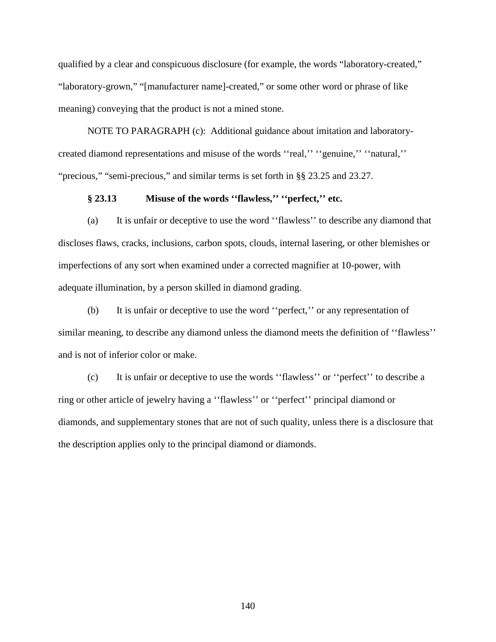qualified by a clear and conspicuous disclosure (for example, the words "laboratory-created," "laboratory-grown," "[manufacturer name]-created," or some other word or phrase of like meaning) conveying that the product is not a mined stone.

NOTE TO PARAGRAPH (c): Additional guidance about imitation and laboratorycreated diamond representations and misuse of the words ''real,'' ''genuine,'' ''natural,'' "precious," "semi-precious," and similar terms is set forth in §§ 23.25 and 23.27.

#### **§ 23.13 Misuse of the words ''flawless,'' ''perfect,'' etc.**

(a) It is unfair or deceptive to use the word ''flawless'' to describe any diamond that discloses flaws, cracks, inclusions, carbon spots, clouds, internal lasering, or other blemishes or imperfections of any sort when examined under a corrected magnifier at 10-power, with adequate illumination, by a person skilled in diamond grading.

(b) It is unfair or deceptive to use the word ''perfect,'' or any representation of similar meaning, to describe any diamond unless the diamond meets the definition of ''flawless'' and is not of inferior color or make.

(c) It is unfair or deceptive to use the words ''flawless'' or ''perfect'' to describe a ring or other article of jewelry having a ''flawless'' or ''perfect'' principal diamond or diamonds, and supplementary stones that are not of such quality, unless there is a disclosure that the description applies only to the principal diamond or diamonds.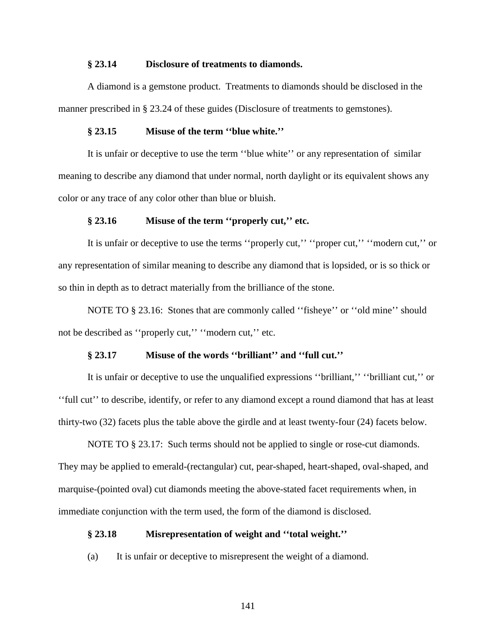#### **§ 23.14 Disclosure of treatments to diamonds.**

A diamond is a gemstone product. Treatments to diamonds should be disclosed in the manner prescribed in § 23.24 of these guides (Disclosure of treatments to gemstones).

#### **§ 23.15 Misuse of the term ''blue white.''**

It is unfair or deceptive to use the term ''blue white'' or any representation of similar meaning to describe any diamond that under normal, north daylight or its equivalent shows any color or any trace of any color other than blue or bluish.

#### **§ 23.16 Misuse of the term ''properly cut,'' etc.**

It is unfair or deceptive to use the terms "properly cut," "proper cut," "modern cut," or any representation of similar meaning to describe any diamond that is lopsided, or is so thick or so thin in depth as to detract materially from the brilliance of the stone.

NOTE TO § 23.16: Stones that are commonly called ''fisheye'' or ''old mine'' should not be described as "properly cut," "modern cut," etc.

#### **§ 23.17 Misuse of the words ''brilliant'' and ''full cut.''**

It is unfair or deceptive to use the unqualified expressions ''brilliant,'' ''brilliant cut,'' or ''full cut'' to describe, identify, or refer to any diamond except a round diamond that has at least thirty-two (32) facets plus the table above the girdle and at least twenty-four (24) facets below.

NOTE TO § 23.17: Such terms should not be applied to single or rose-cut diamonds. They may be applied to emerald-(rectangular) cut, pear-shaped, heart-shaped, oval-shaped, and marquise-(pointed oval) cut diamonds meeting the above-stated facet requirements when, in immediate conjunction with the term used, the form of the diamond is disclosed.

#### **§ 23.18 Misrepresentation of weight and ''total weight.''**

(a) It is unfair or deceptive to misrepresent the weight of a diamond.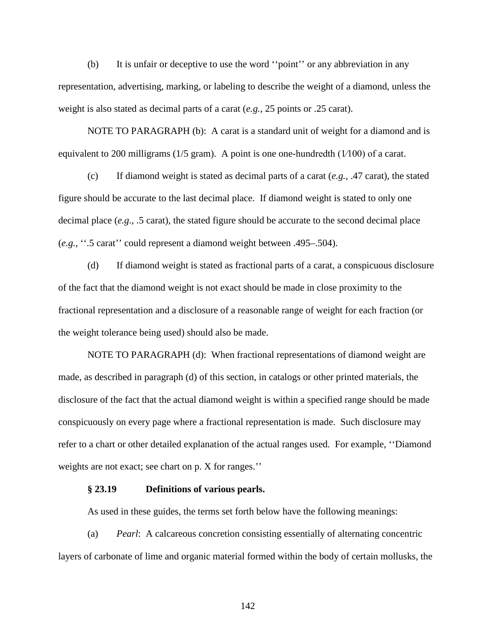(b) It is unfair or deceptive to use the word ''point'' or any abbreviation in any representation, advertising, marking, or labeling to describe the weight of a diamond, unless the weight is also stated as decimal parts of a carat (*e.g.*, 25 points or .25 carat).

NOTE TO PARAGRAPH (b): A carat is a standard unit of weight for a diamond and is equivalent to 200 milligrams ( $1/5$  gram). A point is one one-hundredth ( $1/100$ ) of a carat.

(c) If diamond weight is stated as decimal parts of a carat (*e.g.*, .47 carat), the stated figure should be accurate to the last decimal place. If diamond weight is stated to only one decimal place (*e.g.*, .5 carat), the stated figure should be accurate to the second decimal place (*e.g.*, ''.5 carat'' could represent a diamond weight between .495–.504).

(d) If diamond weight is stated as fractional parts of a carat, a conspicuous disclosure of the fact that the diamond weight is not exact should be made in close proximity to the fractional representation and a disclosure of a reasonable range of weight for each fraction (or the weight tolerance being used) should also be made.

NOTE TO PARAGRAPH (d): When fractional representations of diamond weight are made, as described in paragraph (d) of this section, in catalogs or other printed materials, the disclosure of the fact that the actual diamond weight is within a specified range should be made conspicuously on every page where a fractional representation is made. Such disclosure may refer to a chart or other detailed explanation of the actual ranges used. For example, ''Diamond weights are not exact; see chart on p. X for ranges.''

#### **§ 23.19 Definitions of various pearls.**

As used in these guides, the terms set forth below have the following meanings:

(a) *Pearl*: A calcareous concretion consisting essentially of alternating concentric layers of carbonate of lime and organic material formed within the body of certain mollusks, the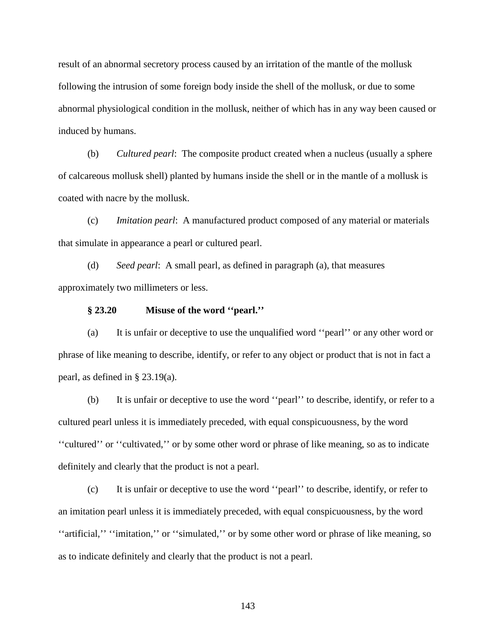result of an abnormal secretory process caused by an irritation of the mantle of the mollusk following the intrusion of some foreign body inside the shell of the mollusk, or due to some abnormal physiological condition in the mollusk, neither of which has in any way been caused or induced by humans.

(b) *Cultured pearl*: The composite product created when a nucleus (usually a sphere of calcareous mollusk shell) planted by humans inside the shell or in the mantle of a mollusk is coated with nacre by the mollusk.

(c) *Imitation pearl*: A manufactured product composed of any material or materials that simulate in appearance a pearl or cultured pearl.

(d) *Seed pearl*: A small pearl, as defined in paragraph (a), that measures approximately two millimeters or less.

#### **§ 23.20 Misuse of the word ''pearl.''**

(a) It is unfair or deceptive to use the unqualified word ''pearl'' or any other word or phrase of like meaning to describe, identify, or refer to any object or product that is not in fact a pearl, as defined in § 23.19(a).

(b) It is unfair or deceptive to use the word ''pearl'' to describe, identify, or refer to a cultured pearl unless it is immediately preceded, with equal conspicuousness, by the word ''cultured'' or ''cultivated,'' or by some other word or phrase of like meaning, so as to indicate definitely and clearly that the product is not a pearl.

(c) It is unfair or deceptive to use the word ''pearl'' to describe, identify, or refer to an imitation pearl unless it is immediately preceded, with equal conspicuousness, by the word ''artificial,'' ''imitation,'' or ''simulated,'' or by some other word or phrase of like meaning, so as to indicate definitely and clearly that the product is not a pearl.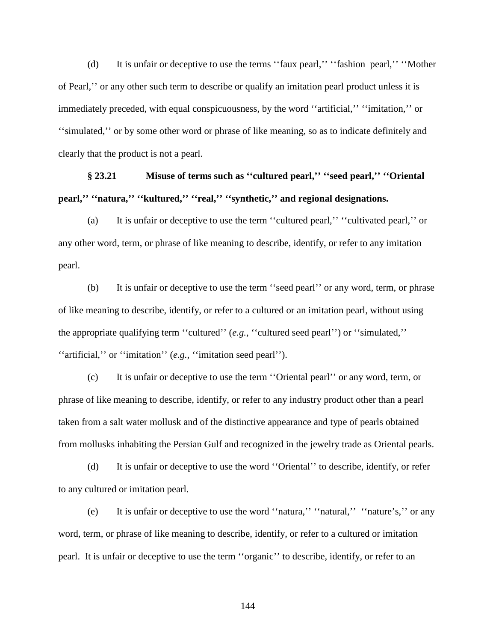(d) It is unfair or deceptive to use the terms ''faux pearl,'' ''fashion pearl,'' ''Mother of Pearl,'' or any other such term to describe or qualify an imitation pearl product unless it is immediately preceded, with equal conspicuousness, by the word ''artificial,'' ''imitation,'' or ''simulated,'' or by some other word or phrase of like meaning, so as to indicate definitely and clearly that the product is not a pearl.

## **§ 23.21 Misuse of terms such as ''cultured pearl,'' ''seed pearl,'' ''Oriental pearl,'' ''natura,'' ''kultured,'' ''real,'' ''synthetic,'' and regional designations.**

(a) It is unfair or deceptive to use the term ''cultured pearl,'' ''cultivated pearl,'' or any other word, term, or phrase of like meaning to describe, identify, or refer to any imitation pearl.

(b) It is unfair or deceptive to use the term ''seed pearl'' or any word, term, or phrase of like meaning to describe, identify, or refer to a cultured or an imitation pearl, without using the appropriate qualifying term ''cultured'' (*e.g.*, ''cultured seed pearl'') or ''simulated,'' ''artificial,'' or ''imitation'' (*e.g.*, ''imitation seed pearl'').

(c) It is unfair or deceptive to use the term ''Oriental pearl'' or any word, term, or phrase of like meaning to describe, identify, or refer to any industry product other than a pearl taken from a salt water mollusk and of the distinctive appearance and type of pearls obtained from mollusks inhabiting the Persian Gulf and recognized in the jewelry trade as Oriental pearls.

(d) It is unfair or deceptive to use the word ''Oriental'' to describe, identify, or refer to any cultured or imitation pearl.

(e) It is unfair or deceptive to use the word ''natura,'' ''natural,'' ''nature's,'' or any word, term, or phrase of like meaning to describe, identify, or refer to a cultured or imitation pearl. It is unfair or deceptive to use the term ''organic'' to describe, identify, or refer to an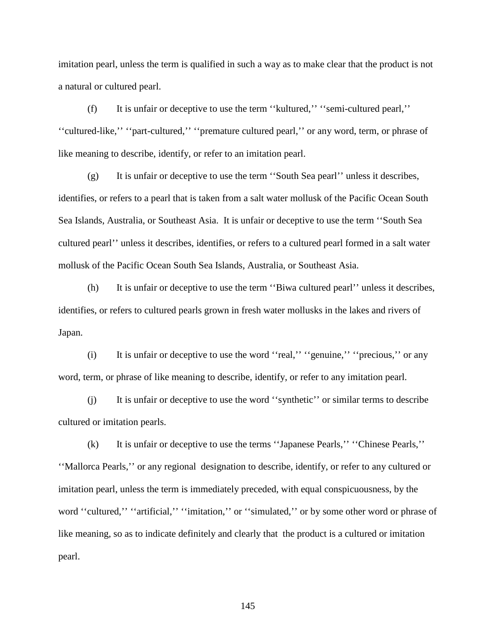imitation pearl, unless the term is qualified in such a way as to make clear that the product is not a natural or cultured pearl.

(f) It is unfair or deceptive to use the term ''kultured,'' ''semi-cultured pearl,'' ''cultured-like,'' ''part-cultured,'' ''premature cultured pearl,'' or any word, term, or phrase of like meaning to describe, identify, or refer to an imitation pearl.

(g) It is unfair or deceptive to use the term ''South Sea pearl'' unless it describes, identifies, or refers to a pearl that is taken from a salt water mollusk of the Pacific Ocean South Sea Islands, Australia, or Southeast Asia. It is unfair or deceptive to use the term ''South Sea cultured pearl'' unless it describes, identifies, or refers to a cultured pearl formed in a salt water mollusk of the Pacific Ocean South Sea Islands, Australia, or Southeast Asia.

(h) It is unfair or deceptive to use the term ''Biwa cultured pearl'' unless it describes, identifies, or refers to cultured pearls grown in fresh water mollusks in the lakes and rivers of Japan.

(i) It is unfair or deceptive to use the word ''real,'' ''genuine,'' ''precious,'' or any word, term, or phrase of like meaning to describe, identify, or refer to any imitation pearl.

(j) It is unfair or deceptive to use the word ''synthetic'' or similar terms to describe cultured or imitation pearls.

(k) It is unfair or deceptive to use the terms ''Japanese Pearls,'' ''Chinese Pearls,'' ''Mallorca Pearls,'' or any regional designation to describe, identify, or refer to any cultured or imitation pearl, unless the term is immediately preceded, with equal conspicuousness, by the word "cultured," "artificial," "imitation," or "simulated," or by some other word or phrase of like meaning, so as to indicate definitely and clearly that the product is a cultured or imitation pearl.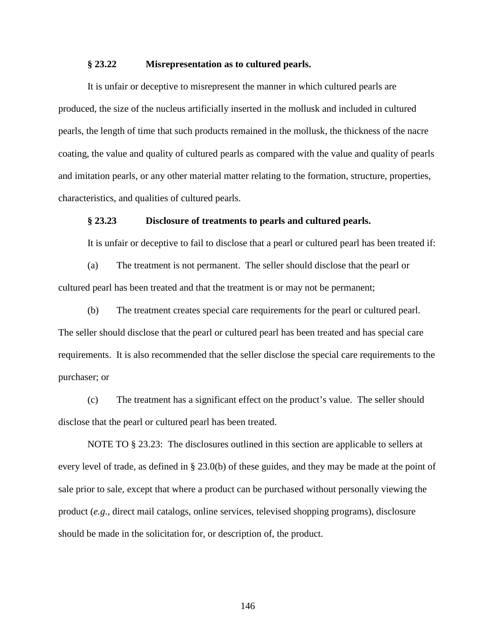#### **§ 23.22 Misrepresentation as to cultured pearls.**

It is unfair or deceptive to misrepresent the manner in which cultured pearls are produced, the size of the nucleus artificially inserted in the mollusk and included in cultured pearls, the length of time that such products remained in the mollusk, the thickness of the nacre coating, the value and quality of cultured pearls as compared with the value and quality of pearls and imitation pearls, or any other material matter relating to the formation, structure, properties, characteristics, and qualities of cultured pearls.

#### **§ 23.23 Disclosure of treatments to pearls and cultured pearls.**

It is unfair or deceptive to fail to disclose that a pearl or cultured pearl has been treated if:

(a) The treatment is not permanent. The seller should disclose that the pearl or cultured pearl has been treated and that the treatment is or may not be permanent;

(b) The treatment creates special care requirements for the pearl or cultured pearl. The seller should disclose that the pearl or cultured pearl has been treated and has special care requirements. It is also recommended that the seller disclose the special care requirements to the purchaser; or

(c) The treatment has a significant effect on the product's value. The seller should disclose that the pearl or cultured pearl has been treated.

NOTE TO § 23.23: The disclosures outlined in this section are applicable to sellers at every level of trade, as defined in § 23.0(b) of these guides, and they may be made at the point of sale prior to sale, except that where a product can be purchased without personally viewing the product (*e.g*., direct mail catalogs, online services, televised shopping programs), disclosure should be made in the solicitation for, or description of, the product.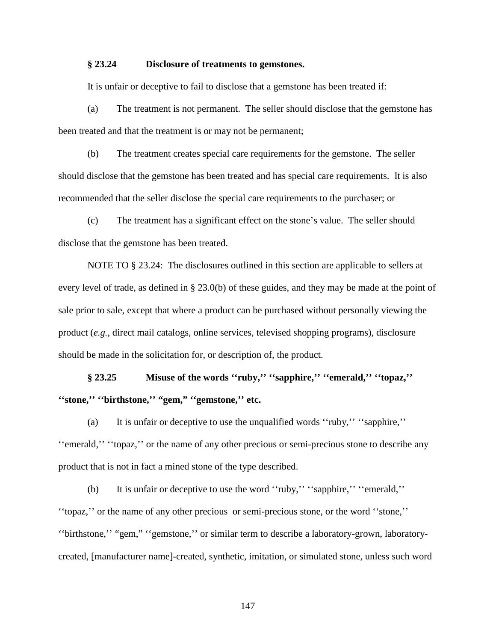#### **§ 23.24 Disclosure of treatments to gemstones.**

It is unfair or deceptive to fail to disclose that a gemstone has been treated if:

(a) The treatment is not permanent. The seller should disclose that the gemstone has been treated and that the treatment is or may not be permanent;

(b) The treatment creates special care requirements for the gemstone. The seller should disclose that the gemstone has been treated and has special care requirements. It is also recommended that the seller disclose the special care requirements to the purchaser; or

(c) The treatment has a significant effect on the stone's value. The seller should disclose that the gemstone has been treated.

NOTE TO § 23.24: The disclosures outlined in this section are applicable to sellers at every level of trade, as defined in § 23.0(b) of these guides, and they may be made at the point of sale prior to sale, except that where a product can be purchased without personally viewing the product (*e.g.*, direct mail catalogs, online services, televised shopping programs), disclosure should be made in the solicitation for, or description of, the product.

**§ 23.25 Misuse of the words ''ruby,'' ''sapphire,'' ''emerald,'' ''topaz,'' ''stone,'' ''birthstone,'' "gem," ''gemstone,'' etc.**

(a) It is unfair or deceptive to use the unqualified words ''ruby,'' ''sapphire,'' ''emerald,'' ''topaz,'' or the name of any other precious or semi-precious stone to describe any product that is not in fact a mined stone of the type described.

(b) It is unfair or deceptive to use the word ''ruby,'' ''sapphire,'' ''emerald,'' ''topaz,'' or the name of any other precious or semi-precious stone, or the word ''stone,'' ''birthstone,'' "gem," ''gemstone,'' or similar term to describe a laboratory-grown, laboratorycreated, [manufacturer name]-created, synthetic, imitation, or simulated stone, unless such word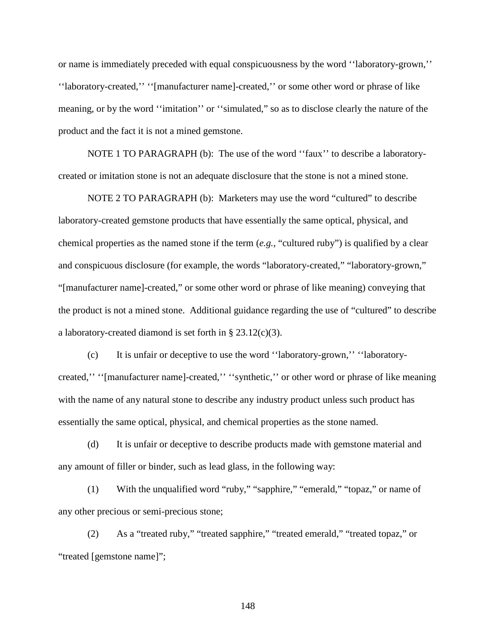or name is immediately preceded with equal conspicuousness by the word ''laboratory-grown,'' ''laboratory-created,'' ''[manufacturer name]-created,'' or some other word or phrase of like meaning, or by the word ''imitation'' or ''simulated," so as to disclose clearly the nature of the product and the fact it is not a mined gemstone.

NOTE 1 TO PARAGRAPH (b): The use of the word ''faux'' to describe a laboratorycreated or imitation stone is not an adequate disclosure that the stone is not a mined stone.

NOTE 2 TO PARAGRAPH (b): Marketers may use the word "cultured" to describe laboratory-created gemstone products that have essentially the same optical, physical, and chemical properties as the named stone if the term (*e.g.*, "cultured ruby") is qualified by a clear and conspicuous disclosure (for example, the words "laboratory-created," "laboratory-grown," "[manufacturer name]-created," or some other word or phrase of like meaning) conveying that the product is not a mined stone. Additional guidance regarding the use of "cultured" to describe a laboratory-created diamond is set forth in § 23.12(c)(3).

(c) It is unfair or deceptive to use the word ''laboratory-grown,'' ''laboratorycreated,'' ''[manufacturer name]-created,'' ''synthetic,'' or other word or phrase of like meaning with the name of any natural stone to describe any industry product unless such product has essentially the same optical, physical, and chemical properties as the stone named.

(d) It is unfair or deceptive to describe products made with gemstone material and any amount of filler or binder, such as lead glass, in the following way:

(1) With the unqualified word "ruby," "sapphire," "emerald," "topaz," or name of any other precious or semi-precious stone;

(2) As a "treated ruby," "treated sapphire," "treated emerald," "treated topaz," or "treated [gemstone name]";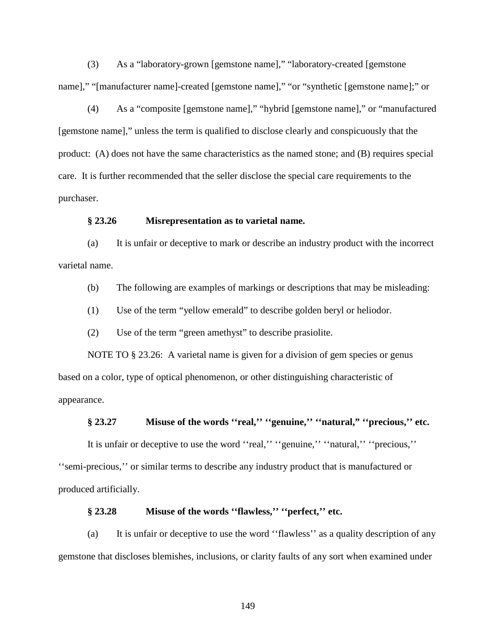(3) As a "laboratory-grown [gemstone name]," "laboratory-created [gemstone name]," "[manufacturer name]-created [gemstone name]," "or "synthetic [gemstone name];" or

(4) As a "composite [gemstone name]," "hybrid [gemstone name]," or "manufactured [gemstone name]," unless the term is qualified to disclose clearly and conspicuously that the product: (A) does not have the same characteristics as the named stone; and (B) requires special care. It is further recommended that the seller disclose the special care requirements to the purchaser.

#### **§ 23.26 Misrepresentation as to varietal name.**

(a) It is unfair or deceptive to mark or describe an industry product with the incorrect varietal name.

(b) The following are examples of markings or descriptions that may be misleading:

(1) Use of the term "yellow emerald" to describe golden beryl or heliodor.

(2) Use of the term "green amethyst" to describe prasiolite.

NOTE TO § 23.26: A varietal name is given for a division of gem species or genus based on a color, type of optical phenomenon, or other distinguishing characteristic of appearance.

#### **§ 23.27 Misuse of the words ''real,'' ''genuine,'' ''natural," ''precious,'' etc.**

It is unfair or deceptive to use the word ''real,'' ''genuine,'' ''natural,'' ''precious,'' ''semi-precious,'' or similar terms to describe any industry product that is manufactured or produced artificially.

#### **§ 23.28 Misuse of the words ''flawless,'' ''perfect,'' etc.**

(a) It is unfair or deceptive to use the word ''flawless'' as a quality description of any gemstone that discloses blemishes, inclusions, or clarity faults of any sort when examined under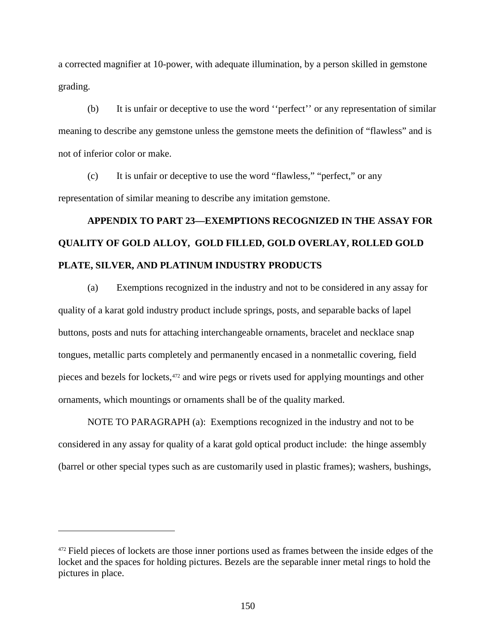a corrected magnifier at 10-power, with adequate illumination, by a person skilled in gemstone grading.

(b) It is unfair or deceptive to use the word ''perfect'' or any representation of similar meaning to describe any gemstone unless the gemstone meets the definition of "flawless" and is not of inferior color or make.

(c) It is unfair or deceptive to use the word "flawless," "perfect," or any representation of similar meaning to describe any imitation gemstone.

# **APPENDIX TO PART 23—EXEMPTIONS RECOGNIZED IN THE ASSAY FOR QUALITY OF GOLD ALLOY, GOLD FILLED, GOLD OVERLAY, ROLLED GOLD PLATE, SILVER, AND PLATINUM INDUSTRY PRODUCTS**

(a) Exemptions recognized in the industry and not to be considered in any assay for quality of a karat gold industry product include springs, posts, and separable backs of lapel buttons, posts and nuts for attaching interchangeable ornaments, bracelet and necklace snap tongues, metallic parts completely and permanently encased in a nonmetallic covering, field pieces and bezels for lockets,<sup>[472](#page-155-0)</sup> and wire pegs or rivets used for applying mountings and other ornaments, which mountings or ornaments shall be of the quality marked.

NOTE TO PARAGRAPH (a): Exemptions recognized in the industry and not to be considered in any assay for quality of a karat gold optical product include: the hinge assembly (barrel or other special types such as are customarily used in plastic frames); washers, bushings,

 $\overline{a}$ 

<span id="page-155-0"></span><sup>&</sup>lt;sup>472</sup> Field pieces of lockets are those inner portions used as frames between the inside edges of the locket and the spaces for holding pictures. Bezels are the separable inner metal rings to hold the pictures in place.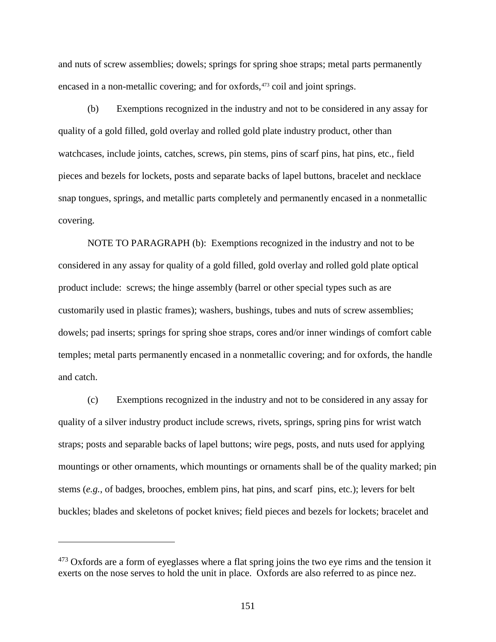and nuts of screw assemblies; dowels; springs for spring shoe straps; metal parts permanently encased in a non-metallic covering; and for oxfords,<sup>[473](#page-156-0)</sup> coil and joint springs.

(b) Exemptions recognized in the industry and not to be considered in any assay for quality of a gold filled, gold overlay and rolled gold plate industry product, other than watchcases, include joints, catches, screws, pin stems, pins of scarf pins, hat pins, etc., field pieces and bezels for lockets, posts and separate backs of lapel buttons, bracelet and necklace snap tongues, springs, and metallic parts completely and permanently encased in a nonmetallic covering.

NOTE TO PARAGRAPH (b): Exemptions recognized in the industry and not to be considered in any assay for quality of a gold filled, gold overlay and rolled gold plate optical product include: screws; the hinge assembly (barrel or other special types such as are customarily used in plastic frames); washers, bushings, tubes and nuts of screw assemblies; dowels; pad inserts; springs for spring shoe straps, cores and/or inner windings of comfort cable temples; metal parts permanently encased in a nonmetallic covering; and for oxfords, the handle and catch.

(c) Exemptions recognized in the industry and not to be considered in any assay for quality of a silver industry product include screws, rivets, springs, spring pins for wrist watch straps; posts and separable backs of lapel buttons; wire pegs, posts, and nuts used for applying mountings or other ornaments, which mountings or ornaments shall be of the quality marked; pin stems (*e.g.*, of badges, brooches, emblem pins, hat pins, and scarf pins, etc.); levers for belt buckles; blades and skeletons of pocket knives; field pieces and bezels for lockets; bracelet and

 $\overline{a}$ 

<span id="page-156-0"></span> $473$  Oxfords are a form of eyeglasses where a flat spring joins the two eye rims and the tension it exerts on the nose serves to hold the unit in place. Oxfords are also referred to as pince nez.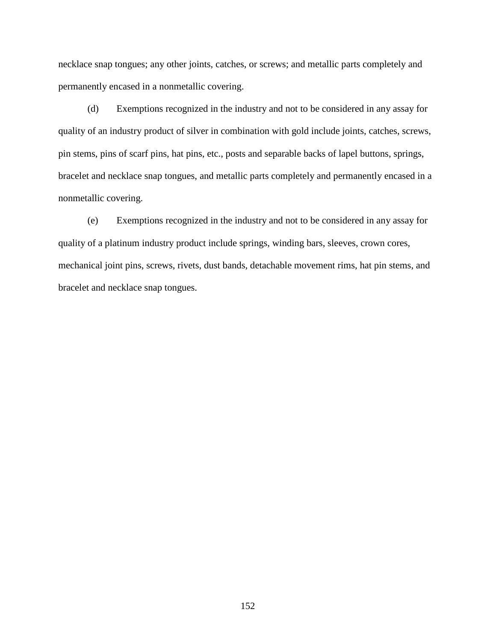necklace snap tongues; any other joints, catches, or screws; and metallic parts completely and permanently encased in a nonmetallic covering.

(d) Exemptions recognized in the industry and not to be considered in any assay for quality of an industry product of silver in combination with gold include joints, catches, screws, pin stems, pins of scarf pins, hat pins, etc., posts and separable backs of lapel buttons, springs, bracelet and necklace snap tongues, and metallic parts completely and permanently encased in a nonmetallic covering.

(e) Exemptions recognized in the industry and not to be considered in any assay for quality of a platinum industry product include springs, winding bars, sleeves, crown cores, mechanical joint pins, screws, rivets, dust bands, detachable movement rims, hat pin stems, and bracelet and necklace snap tongues.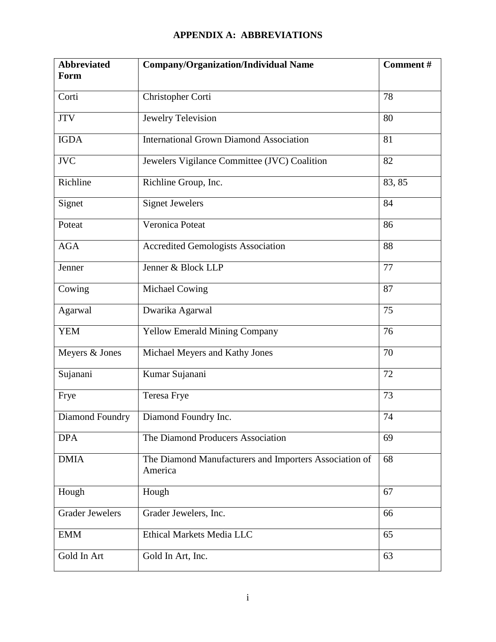## **APPENDIX A: ABBREVIATIONS**

| <b>Abbreviated</b><br><b>Form</b> | <b>Company/Organization/Individual Name</b>                       | Comment# |
|-----------------------------------|-------------------------------------------------------------------|----------|
|                                   |                                                                   |          |
| Corti                             | Christopher Corti                                                 | 78       |
| $_{\rm JTV}$                      | <b>Jewelry Television</b>                                         | 80       |
| <b>IGDA</b>                       | <b>International Grown Diamond Association</b>                    | 81       |
| <b>JVC</b>                        | Jewelers Vigilance Committee (JVC) Coalition                      | 82       |
| Richline                          | Richline Group, Inc.                                              | 83, 85   |
| Signet                            | <b>Signet Jewelers</b>                                            | 84       |
| Poteat                            | Veronica Poteat                                                   | 86       |
| <b>AGA</b>                        | <b>Accredited Gemologists Association</b>                         | 88       |
| Jenner                            | Jenner & Block LLP                                                | 77       |
| Cowing                            | Michael Cowing                                                    | 87       |
| Agarwal                           | Dwarika Agarwal                                                   | 75       |
| <b>YEM</b>                        | <b>Yellow Emerald Mining Company</b>                              | 76       |
| Meyers & Jones                    | Michael Meyers and Kathy Jones                                    | 70       |
| Sujanani                          | Kumar Sujanani                                                    | 72       |
| Frye                              | Teresa Frye                                                       | 73       |
| Diamond Foundry                   | Diamond Foundry Inc.                                              | 74       |
| <b>DPA</b>                        | The Diamond Producers Association                                 | 69       |
| <b>DMIA</b>                       | The Diamond Manufacturers and Importers Association of<br>America | 68       |
| Hough                             | Hough                                                             | 67       |
| <b>Grader Jewelers</b>            | Grader Jewelers, Inc.                                             | 66       |
| <b>EMM</b>                        | Ethical Markets Media LLC                                         | 65       |
| Gold In Art                       | Gold In Art, Inc.                                                 | 63       |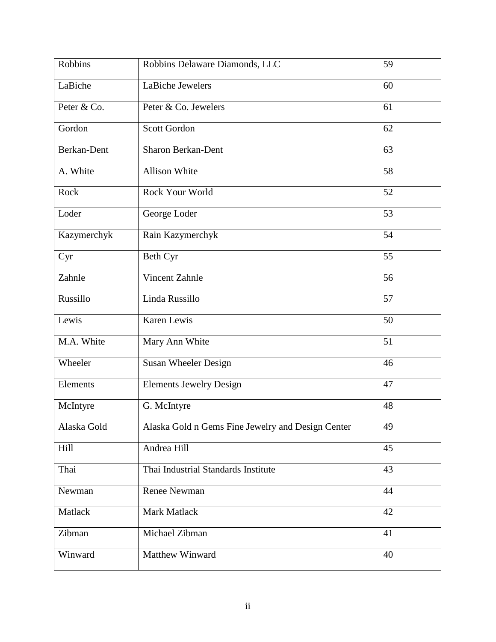| Robbins     | Robbins Delaware Diamonds, LLC                    | 59 |
|-------------|---------------------------------------------------|----|
| LaBiche     | LaBiche Jewelers                                  | 60 |
| Peter & Co. | Peter & Co. Jewelers                              | 61 |
| Gordon      | <b>Scott Gordon</b>                               | 62 |
| Berkan-Dent | <b>Sharon Berkan-Dent</b>                         | 63 |
| A. White    | <b>Allison White</b>                              | 58 |
| Rock        | Rock Your World                                   | 52 |
| Loder       | George Loder                                      | 53 |
| Kazymerchyk | Rain Kazymerchyk                                  | 54 |
| Cyr         | Beth Cyr                                          | 55 |
| Zahnle      | Vincent Zahnle                                    | 56 |
| Russillo    | Linda Russillo                                    | 57 |
| Lewis       | Karen Lewis                                       | 50 |
| M.A. White  | Mary Ann White                                    | 51 |
| Wheeler     | Susan Wheeler Design                              | 46 |
| Elements    | <b>Elements Jewelry Design</b>                    | 47 |
| McIntyre    | G. McIntyre                                       | 48 |
| Alaska Gold | Alaska Gold n Gems Fine Jewelry and Design Center | 49 |
| Hill        | Andrea Hill                                       | 45 |
| Thai        | Thai Industrial Standards Institute               | 43 |
| Newman      | <b>Renee Newman</b>                               | 44 |
| Matlack     | Mark Matlack                                      | 42 |
| Zibman      | Michael Zibman                                    | 41 |
| Winward     | Matthew Winward                                   | 40 |